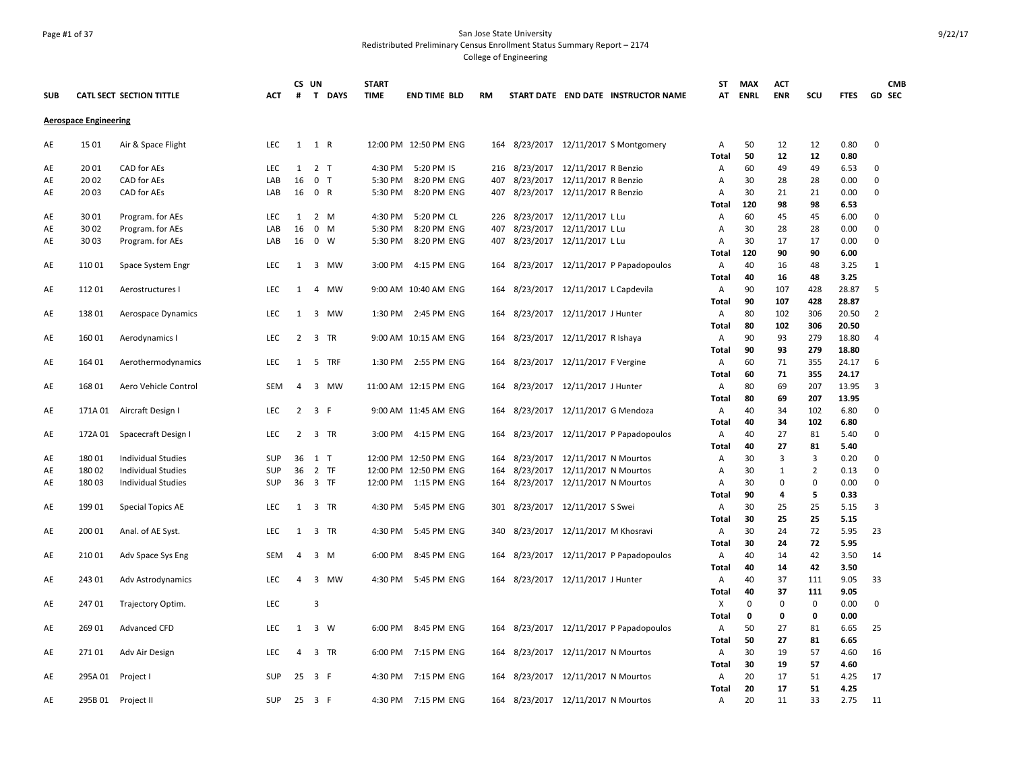### Page #1 of 37 San Jose State University Redistributed Preliminary Census Enrollment Status Summary Report – 2174 College of Engineering

| <b>SUB</b> |                              | CATL SECT SECTION TITTLE  | <b>ACT</b> | CS UN<br>#     | T DAYS         | <b>START</b><br><b>TIME</b> | <b>END TIME BLD</b>   | RM  | START DATE END DATE INSTRUCTOR NAME     | ST<br>AT          | <b>MAX</b><br><b>ENRL</b> | <b>ACT</b><br><b>ENR</b> | SCU            | <b>FTES</b>    | <b>CMB</b><br><b>GD SEC</b> |
|------------|------------------------------|---------------------------|------------|----------------|----------------|-----------------------------|-----------------------|-----|-----------------------------------------|-------------------|---------------------------|--------------------------|----------------|----------------|-----------------------------|
|            |                              |                           |            |                |                |                             |                       |     |                                         |                   |                           |                          |                |                |                             |
|            | <b>Aerospace Engineering</b> |                           |            |                |                |                             |                       |     |                                         |                   |                           |                          |                |                |                             |
| AE         | 15 01                        | Air & Space Flight        | LEC        |                | 1 1 R          |                             | 12:00 PM 12:50 PM ENG |     | 164 8/23/2017 12/11/2017 S Montgomery   | Α<br><b>Total</b> | 50<br>50                  | 12<br>12                 | 12<br>12       | 0.80<br>0.80   | $\mathbf 0$                 |
| AE         | 2001                         | CAD for AEs               | <b>LEC</b> | $\mathbf{1}$   | 2 <sub>T</sub> |                             | 4:30 PM 5:20 PM IS    |     | 216 8/23/2017 12/11/2017 R Benzio       | Α                 | 60                        | 49                       | 49             | 6.53           | 0                           |
| AE         | 20 02                        | CAD for AEs               | LAB        | 16             | 0 <sub>T</sub> | 5:30 PM                     | 8:20 PM ENG           | 407 | 8/23/2017 12/11/2017 R Benzio           | Α                 | 30                        | 28                       | 28             | 0.00           | 0                           |
| AE         | 2003                         | CAD for AEs               | LAB        | 16             | 0 R            | 5:30 PM                     | 8:20 PM ENG           | 407 | 8/23/2017 12/11/2017 R Benzio           | A                 | 30                        | 21                       | 21             | 0.00           | $\Omega$                    |
|            |                              |                           |            |                |                |                             |                       |     |                                         | Total             | 120                       | 98                       | 98             | 6.53           |                             |
| AE         | 3001                         | Program. for AEs          | <b>LEC</b> | 1              | 2 M            | 4:30 PM                     | 5:20 PM CL            | 226 | 8/23/2017 12/11/2017 L Lu               | Α                 | 60                        | 45                       | 45             | 6.00           | $\Omega$                    |
| AE         | 30 02                        | Program. for AEs          | LAB        | 16             | $0 \quad M$    | 5:30 PM                     | 8:20 PM ENG           | 407 | 8/23/2017 12/11/2017 L Lu               | Α                 | 30                        | 28                       | 28             | 0.00           | $\Omega$                    |
| AE         | 30 03                        | Program. for AEs          | LAB        | 16             | $0 \quad W$    | 5:30 PM                     | 8:20 PM ENG           | 407 | 8/23/2017 12/11/2017 L Lu               | Α                 | 30                        | 17                       | 17             | 0.00           | $\mathbf 0$                 |
|            |                              |                           |            |                |                |                             |                       |     |                                         | <b>Total</b>      | 120                       | 90                       | 90             | 6.00           |                             |
| AE         | 110 01                       | Space System Engr         | <b>LEC</b> | 1              | 3 MW           | 3:00 PM                     | 4:15 PM ENG           | 164 | 8/23/2017 12/11/2017 P Papadopoulos     | Α                 | 40                        | 16                       | 48             | 3.25           | 1                           |
|            |                              |                           |            |                |                |                             |                       |     |                                         | Total             | 40                        | 16                       | 48             | 3.25           |                             |
| AE         | 112 01                       | Aerostructures I          | <b>LEC</b> | 1              | 4 MW           |                             | 9:00 AM 10:40 AM ENG  |     | 164 8/23/2017 12/11/2017 L Capdevila    | Α                 | 90                        | 107                      | 428            | 28.87          | 5                           |
|            |                              |                           |            |                |                |                             |                       |     |                                         | Total             | 90                        | 107                      | 428            | 28.87          |                             |
| AE         | 138 01                       | Aerospace Dynamics        | <b>LEC</b> | 1              | 3 MW           |                             | 1:30 PM 2:45 PM ENG   |     | 164 8/23/2017 12/11/2017 J Hunter       | Α                 | 80                        | 102                      | 306            | 20.50          | 2                           |
|            |                              |                           |            |                |                |                             |                       |     |                                         | Total             | 80                        | 102                      | 306            | 20.50          |                             |
| AE         | 160 01                       | Aerodynamics I            | LEC        | $\overline{2}$ | 3 TR           |                             | 9:00 AM 10:15 AM ENG  |     | 164 8/23/2017 12/11/2017 R Ishaya       | Α                 | 90                        | 93                       | 279            | 18.80          | 4                           |
| AE         | 164 01                       | Aerothermodynamics        | <b>LEC</b> | 1              | 5 TRF          |                             | 1:30 PM 2:55 PM ENG   | 164 | 8/23/2017 12/11/2017 F Vergine          | Total<br>Α        | 90<br>60                  | 93<br>71                 | 279<br>355     | 18.80<br>24.17 | 6                           |
|            |                              |                           |            |                |                |                             |                       |     |                                         | <b>Total</b>      | 60                        | 71                       | 355            | 24.17          |                             |
| AE         | 168 01                       | Aero Vehicle Control      | <b>SEM</b> | 4              | 3 MW           |                             | 11:00 AM 12:15 PM ENG |     | 164 8/23/2017 12/11/2017 J Hunter       | Α                 | 80                        | 69                       | 207            | 13.95          | 3                           |
|            |                              |                           |            |                |                |                             |                       |     |                                         | Total             | 80                        | 69                       | 207            | 13.95          |                             |
| AE         | 171A 01                      | Aircraft Design I         | <b>LEC</b> | $\overline{2}$ | 3 F            |                             | 9:00 AM 11:45 AM ENG  | 164 | 8/23/2017 12/11/2017 G Mendoza          | Α                 | 40                        | 34                       | 102            | 6.80           | 0                           |
|            |                              |                           |            |                |                |                             |                       |     |                                         | <b>Total</b>      | 40                        | 34                       | 102            | 6.80           |                             |
| AE         | 172A 01                      | Spacecraft Design I       | <b>LEC</b> | $\overline{2}$ | 3 TR           |                             | 3:00 PM 4:15 PM ENG   |     | 164 8/23/2017 12/11/2017 P Papadopoulos | Α                 | 40                        | 27                       | 81             | 5.40           | $\Omega$                    |
|            |                              |                           |            |                |                |                             |                       |     |                                         | Total             | 40                        | 27                       | 81             | 5.40           |                             |
| AE         | 18001                        | <b>Individual Studies</b> | <b>SUP</b> |                | 36 1 T         |                             | 12:00 PM 12:50 PM ENG | 164 | 8/23/2017 12/11/2017 N Mourtos          | Α                 | 30                        | 3                        | 3              | 0.20           | $\Omega$                    |
| AE         | 180 02                       | <b>Individual Studies</b> | SUP        | 36             | 2 TF           |                             | 12:00 PM 12:50 PM ENG | 164 | 8/23/2017 12/11/2017 N Mourtos          | Α                 | 30                        | 1                        | $\overline{2}$ | 0.13           | $\mathbf 0$                 |
| AE         | 180 03                       | <b>Individual Studies</b> | SUP        |                | 36 3 TF        |                             | 12:00 PM 1:15 PM ENG  |     | 164 8/23/2017 12/11/2017 N Mourtos      | Α                 | 30                        | $\pmb{0}$                | $\mathbf 0$    | 0.00           | $\Omega$                    |
|            |                              |                           |            |                |                |                             |                       |     |                                         | <b>Total</b>      | 90                        | 4                        | 5              | 0.33           |                             |
| AE         | 199 01                       | <b>Special Topics AE</b>  | LEC        | 1              | 3 TR           |                             | 4:30 PM 5:45 PM ENG   |     | 301 8/23/2017 12/11/2017 S Swei         | Α                 | 30                        | 25                       | 25             | 5.15           | 3                           |
|            |                              |                           |            |                |                |                             |                       |     |                                         | <b>Total</b>      | 30                        | 25                       | 25             | 5.15           |                             |
| AE         | 200 01                       | Anal. of AE Syst.         | <b>LEC</b> | 1              | 3 TR           | 4:30 PM                     | 5:45 PM ENG           | 340 | 8/23/2017  12/11/2017 M Khosravi        | Α                 | 30                        | 24                       | 72             | 5.95           | 23                          |
|            | 210 01                       |                           | <b>SEM</b> | 4              | 3 M            | 6:00 PM                     | 8:45 PM ENG           |     | 164 8/23/2017 12/11/2017 P Papadopoulos | <b>Total</b><br>Α | 30<br>40                  | 24<br>14                 | 72<br>42       | 5.95<br>3.50   | 14                          |
| AE         |                              | Adv Space Sys Eng         |            |                |                |                             |                       |     |                                         | <b>Total</b>      | 40                        | 14                       | 42             | 3.50           |                             |
| AE         | 243 01                       | Adv Astrodynamics         | LEC        | 4              | 3<br>MW        | 4:30 PM                     | 5:45 PM ENG           |     | 164 8/23/2017 12/11/2017 J Hunter       | Α                 | 40                        | 37                       | 111            | 9.05           | 33                          |
|            |                              |                           |            |                |                |                             |                       |     |                                         | Total             | 40                        | 37                       | 111            | 9.05           |                             |
| AE         | 24701                        | Trajectory Optim.         | LEC        |                | $\overline{3}$ |                             |                       |     |                                         | X                 | $\mathbf 0$               | $\mathbf 0$              | $\mathbf 0$    | 0.00           | 0                           |
|            |                              |                           |            |                |                |                             |                       |     |                                         | <b>Total</b>      | 0                         | 0                        | $\mathbf 0$    | 0.00           |                             |
| AE         | 26901                        | <b>Advanced CFD</b>       | <b>LEC</b> | 1              | 3 W            |                             | 6:00 PM 8:45 PM ENG   |     | 164 8/23/2017 12/11/2017 P Papadopoulos | Α                 | 50                        | 27                       | 81             | 6.65           | 25                          |
|            |                              |                           |            |                |                |                             |                       |     |                                         | Total             | 50                        | 27                       | 81             | 6.65           |                             |
| AE         | 27101                        | Adv Air Design            | LEC        | $\overline{4}$ | 3 TR           |                             | 6:00 PM 7:15 PM ENG   |     | 164 8/23/2017 12/11/2017 N Mourtos      | Α                 | 30                        | 19                       | 57             | 4.60           | 16                          |
|            |                              |                           |            |                |                |                             |                       |     |                                         | <b>Total</b>      | 30                        | 19                       | 57             | 4.60           |                             |
| AE         | 295A 01                      | Project I                 | <b>SUP</b> | 25             | 3 F            |                             | 4:30 PM 7:15 PM ENG   |     | 164 8/23/2017 12/11/2017 N Mourtos      | A                 | 20                        | 17                       | 51             | 4.25           | 17                          |
|            |                              |                           |            |                |                |                             |                       |     |                                         | Total             | 20                        | 17                       | 51             | 4.25           |                             |
| AE         |                              | 295B 01 Project II        | <b>SUP</b> | 25             | 3 F            |                             | 4:30 PM 7:15 PM ENG   |     | 164 8/23/2017 12/11/2017 N Mourtos      | Α                 | 20                        | 11                       | 33             | 2.75           | -11                         |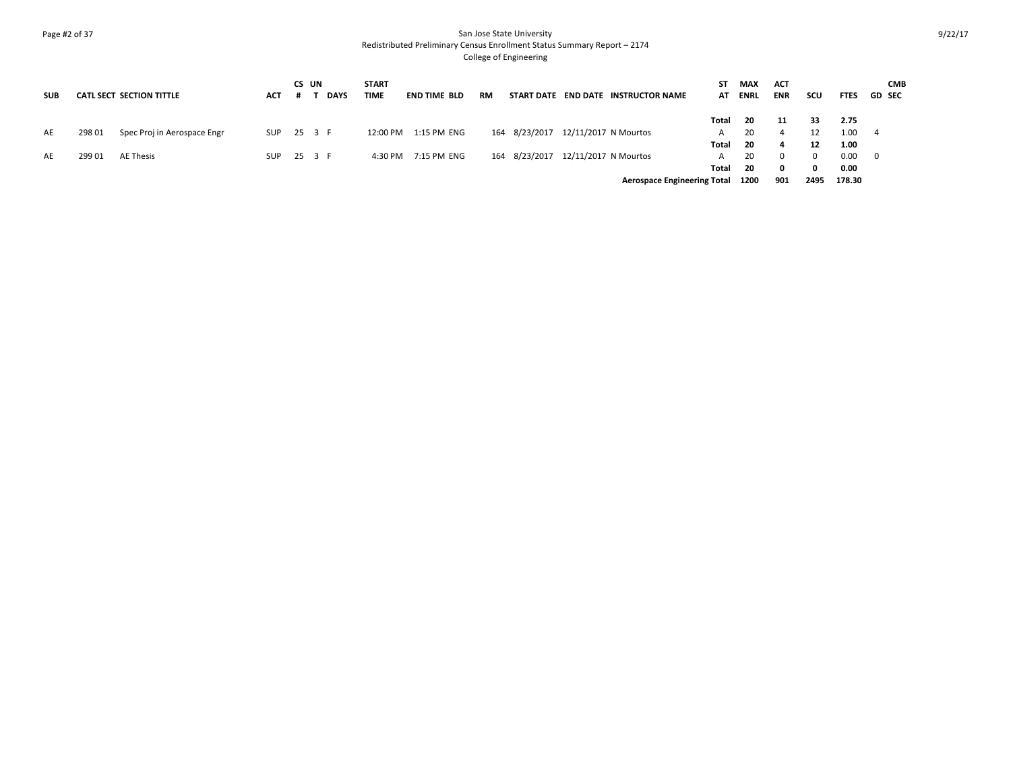### Page #2 of 37 San Jose State University Redistributed Preliminary Census Enrollment Status Summary Report – 2174 College of Engineering

| <b>SUB</b> |        | CATL SECT SECTION TITTLE    | ACT        | CS UN | <b>DAYS</b> | <b>START</b><br><b>TIME</b> | <b>END TIME BLD</b> | <b>RM</b> |               | START DATE END DATE INSTRUCTOR NAME | ST    | <b>MAX</b><br>AT ENRL | <b>ACT</b><br><b>ENR</b> | scu  | <b>FTES</b> | <b>CMB</b><br><b>GD SEC</b> |
|------------|--------|-----------------------------|------------|-------|-------------|-----------------------------|---------------------|-----------|---------------|-------------------------------------|-------|-----------------------|--------------------------|------|-------------|-----------------------------|
|            |        |                             |            |       |             |                             |                     |           |               |                                     | Total | -20                   | 11                       | 33   | 2.75        |                             |
| AE         | 298 01 | Spec Proj in Aerospace Engr | <b>SUP</b> |       | 25 3 F      | 12:00 PM                    | 1:15 PM ENG         | 164       | 8/23/2017     | 12/11/2017 N Mourtos                |       | 20                    | 4                        |      | $1.00 \t 4$ |                             |
|            |        |                             |            |       |             |                             |                     |           |               |                                     | Total | - 20                  | 4                        | 12   | 1.00        |                             |
| AE         | 299 01 | AE Thesis                   | <b>SUP</b> |       | 25 3 F      | 4:30 PM                     | 7:15 PM ENG         |           | 164 8/23/2017 | 12/11/2017 N Mourtos                |       | 20                    | $\Omega$                 |      | 0.00 0      |                             |
|            |        |                             |            |       |             |                             |                     |           |               |                                     | Total | 20                    | 0                        |      | 0.00        |                             |
|            |        |                             |            |       |             |                             |                     |           |               | Aerospace Engineering Total 1200    |       |                       | 901                      | 2495 | 178.30      |                             |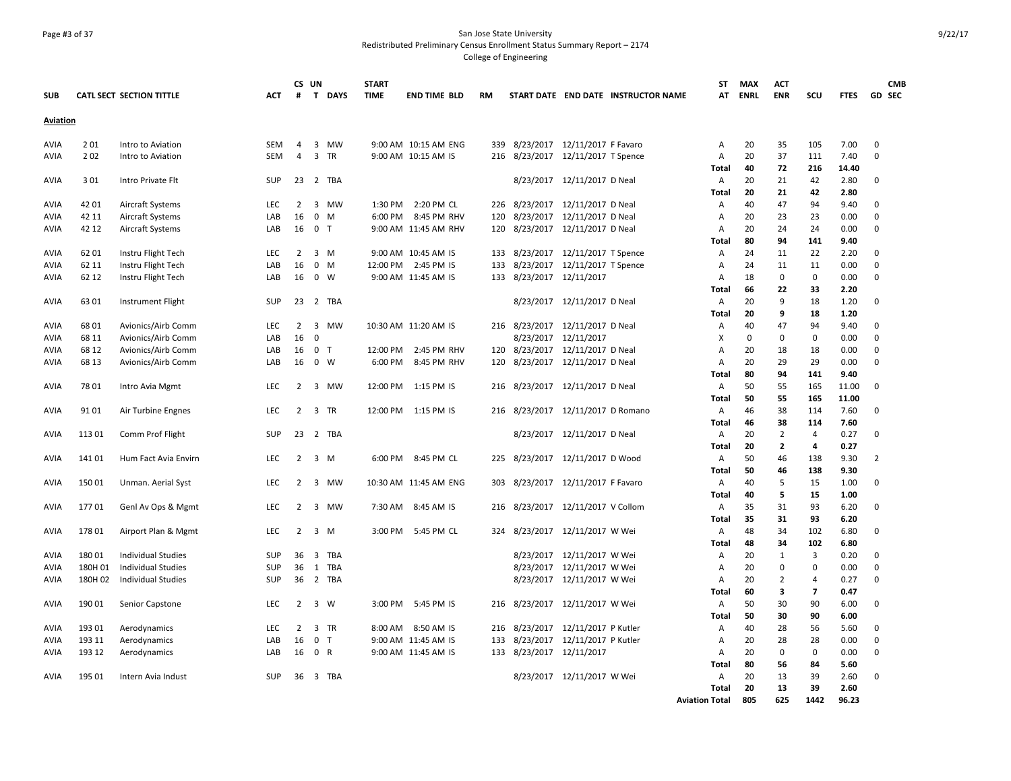### Page #3 of 37 San Jose State University Redistributed Preliminary Census Enrollment Status Summary Report – 2174 College of Engineering

| Aviation<br>201<br>3 MW<br>9:00 AM 10:15 AM ENG<br>8/23/2017 12/11/2017 F Favaro<br>20<br>105<br>7.00<br>$\mathbf 0$<br>SEM<br>4<br>339<br>Α<br>35<br>Intro to Aviation<br>$\overline{3}$<br>37<br>7.40<br>202<br><b>SEM</b><br>4<br>TR<br>9:00 AM 10:15 AM IS<br>216<br>8/23/2017  12/11/2017 T Spence<br>А<br>20<br>111<br>$\mathbf 0$<br>Intro to Aviation<br>40<br>72<br>216<br>14.40<br>Total<br>301<br>23<br>2 TBA<br>8/23/2017 12/11/2017 D Neal<br>20<br>21<br>42<br>2.80<br>Intro Private Flt<br>SUP<br>Α<br>0<br>20<br>42<br>2.80<br>21<br>Total<br>2:20 PM CL<br>226 8/23/2017 12/11/2017 D Neal<br>94<br>42 01<br><b>Aircraft Systems</b><br><b>LEC</b><br>2<br>3 MW<br>1:30 PM<br>40<br>47<br>9.40<br>$\mathbf 0$<br>А<br>Aircraft Systems<br>16<br>$\mathbf 0$<br>6:00 PM<br>8:45 PM RHV<br>8/23/2017<br>12/11/2017 D Neal<br>20<br>23<br>23<br>$\mathbf 0$<br>42 11<br>LAB<br>M<br>120<br>А<br>0.00<br>AVIA<br>8/23/2017 12/11/2017 D Neal<br>42 12<br><b>Aircraft Systems</b><br>0 <sub>T</sub><br>9:00 AM 11:45 AM RHV<br>120<br>20<br>24<br>24<br>0.00<br>$\mathbf 0$<br>LAB<br>16<br>Α<br>AVIA<br>94<br>141<br>9.40<br>80<br>Total<br>Instru Flight Tech<br>$\overline{2}$<br>$3 \, M$<br>9:00 AM 10:45 AM IS<br>8/23/2017 12/11/2017 T Spence<br>22<br>2.20<br>AVIA<br>6201<br><b>LEC</b><br>133<br>Α<br>24<br>11<br>$\mathbf 0$<br>$0$ M<br>12:00 PM 2:45 PM IS<br>8/23/2017 12/11/2017 T Spence<br>11<br>11<br>0.00<br>$\mathbf 0$<br>62 11<br>Instru Flight Tech<br>LAB<br>16<br>133<br>А<br>24<br>AVIA<br>8/23/2017 12/11/2017<br>$\mathbf 0$<br>0.00<br>$\mathbf 0$<br>62 12<br>Instru Flight Tech<br>16<br>$0 \quad W$<br>9:00 AM 11:45 AM IS<br>133<br>18<br>0<br>LAB<br>А<br>AVIA<br>22<br>33<br>2.20<br>Total<br>66<br>23<br>2 TBA<br>8/23/2017 12/11/2017 D Neal<br>20<br>9<br>18<br>1.20<br>$\mathbf 0$<br>AVIA<br>6301<br>Instrument Flight<br>SUP<br>Α<br>1.20<br>20<br>9<br>18<br>Total<br>216 8/23/2017<br>12/11/2017 D Neal<br>47<br>94<br>9.40<br>68 01<br>Avionics/Airb Comm<br>$\overline{2}$<br>3<br>MW<br>10:30 AM 11:20 AM IS<br>40<br>$\mathbf 0$<br>AVIA<br>LEC<br>Α<br>68 11<br>Avionics/Airb Comm<br>LAB<br>16<br>$\mathbf 0$<br>8/23/2017<br>12/11/2017<br>Χ<br>$\mathbf 0$<br>$\mathbf 0$<br>$\mathbf 0$<br>0.00<br>$\mathbf 0$<br>AVIA<br>68 12<br>Avionics/Airb Comm<br>16<br>$0$ T<br>12:00 PM<br>2:45 PM RHV<br>120 8/23/2017 12/11/2017 D Neal<br>20<br>18<br>0.00<br>$\mathbf 0$<br>AVIA<br>LAB<br>А<br>18<br>8/23/2017 12/11/2017 D Neal<br>20<br>29<br>29<br>0.00<br>$\mathbf 0$<br>68 13<br>Avionics/Airb Comm<br>16<br>$\mathbf{0}$<br>W<br>6:00 PM<br>8:45 PM RHV<br>120<br>AVIA<br>LAB<br>А<br>80<br>94<br>141<br>9.40<br>Total<br>7801<br>LEC<br>2<br>3<br>MW<br>12:00 PM<br>1:15 PM IS<br>216 8/23/2017 12/11/2017 D Neal<br>50<br>55<br>165<br>11.00<br>$\mathbf 0$<br>AVIA<br>Intro Avia Mgmt<br>A<br>Total<br>50<br>55<br>165<br>11.00<br>12/11/2017 D Romano<br>38<br>7.60<br>$\mathbf 0$<br>9101<br>Air Turbine Engnes<br>LEC<br>2<br>3<br>TR<br>12:00 PM<br>1:15 PM IS<br>216<br>8/23/2017<br>А<br>46<br>114<br>46<br>38<br>114<br>7.60<br>Total<br>8/23/2017 12/11/2017 D Neal<br>$\overline{2}$<br>113 01<br>Comm Prof Flight<br>SUP<br>23<br>2 TBA<br>Α<br>20<br>$\overline{4}$<br>0.27<br>$\mathbf 0$<br>20<br>$\overline{2}$<br><b>Total</b><br>4<br>0.27<br>141 01<br>$\overline{2}$<br>3 M<br>6:00 PM 8:45 PM CL<br>8/23/2017<br>12/11/2017 D Wood<br>50<br>138<br>9.30<br>$\overline{2}$<br>Hum Fact Avia Envirn<br>LEC<br>225<br>А<br>46<br>50<br>138<br>9.30<br>46<br>Total<br>150 01<br>10:30 AM 11:45 AM ENG<br>8/23/2017 12/11/2017 F Favaro<br>40<br>5<br>15<br>Unman. Aerial Syst<br><b>LEC</b><br>2<br>3 MW<br>303<br>Α<br>1.00<br>$\mathbf 0$<br>40<br>5<br>15<br>1.00<br>Total<br>93<br>17701<br>$\overline{2}$<br>7:30 AM 8:45 AM IS<br>216 8/23/2017 12/11/2017 V Collom<br>35<br>31<br>6.20<br>$\mathbf 0$<br>Genl Av Ops & Mgmt<br>LEC<br>3 MW<br>A<br>35<br>31<br>93<br>6.20<br>Total<br>$\overline{2}$<br>$3 \, M$<br>3:00 PM<br>5:45 PM CL<br>8/23/2017 12/11/2017 W Wei<br>48<br>34<br>102<br>6.80<br>$\mathbf 0$<br>178 01<br>Airport Plan & Mgmt<br>LEC<br>324<br>Α<br>48<br>34<br>102<br>6.80<br>Total<br>180 01<br>8/23/2017 12/11/2017 W Wei<br>20<br><b>Individual Studies</b><br><b>SUP</b><br>36<br>3 TBA<br>1<br>3<br>0.20<br>$\mathbf 0$<br>А<br>180H 01<br><b>SUP</b><br>36<br>1<br>TBA<br>8/23/2017<br>12/11/2017 W Wei<br>А<br>20<br>$\mathbf 0$<br>$\mathbf 0$<br>0.00<br>$\mathbf 0$<br><b>Individual Studies</b><br>180H 02<br><b>Individual Studies</b><br>SUP<br>36<br>2 TBA<br>8/23/2017 12/11/2017 W Wei<br>20<br>2<br>$\overline{4}$<br>0.27<br>$\mathbf 0$<br>AVIA<br>А<br>$\overline{7}$<br>Total<br>60<br>3<br>0.47<br>90<br>190 01<br>$\overline{2}$<br>3 W<br>3:00 PM<br>5:45 PM IS<br>8/23/2017 12/11/2017 W Wei<br>50<br>30<br>6.00<br>$\mathbf 0$<br>Senior Capstone<br>LEC<br>216<br>Α<br>AVIA<br>50<br>30<br>90<br>6.00<br>Total<br>8:50 AM IS<br>8/23/2017 12/11/2017 P Kutler<br>193 01<br>Aerodynamics<br><b>LEC</b><br>$\overline{2}$<br>3 TR<br>8:00 AM<br>216<br>40<br>28<br>56<br>5.60<br>$\mathbf 0$<br>AVIA<br>А<br>0 <sub>T</sub><br>8/23/2017 12/11/2017 P Kutler<br>20<br>28<br>28<br>$\mathbf 0$<br>193 11<br>Aerodynamics<br>LAB<br>16<br>9:00 AM 11:45 AM IS<br>133<br>А<br>0.00<br>AVIA<br>133 8/23/2017 12/11/2017<br>193 12<br>0 R<br>20<br>0<br>0<br>0.00<br>$\mathbf 0$<br>Aerodynamics<br>LAB<br>16<br>9:00 AM 11:45 AM IS<br>А<br>AVIA<br>Total<br>80<br>56<br>84<br>5.60<br>195 01<br>8/23/2017 12/11/2017 W Wei<br>20<br>39<br>2.60<br><b>AVIA</b><br>Intern Avia Indust<br><b>SUP</b><br>36<br>3 TBA<br>А<br>13<br>$\Omega$<br>39<br>20<br>13<br>2.60<br>Total | <b>SUB</b> | <b>CATL SECT SECTION TITTLE</b> | ACT | CS UN<br># | T DAYS | <b>START</b><br><b>TIME</b> | <b>END TIME BLD</b> | <b>RM</b> |  | START DATE END DATE INSTRUCTOR NAME | SΤ<br>AT              | <b>MAX</b><br>ENRL | ACT<br><b>ENR</b> | SCU  | <b>FTES</b> | <b>CMB</b><br><b>GD SEC</b> |
|----------------------------------------------------------------------------------------------------------------------------------------------------------------------------------------------------------------------------------------------------------------------------------------------------------------------------------------------------------------------------------------------------------------------------------------------------------------------------------------------------------------------------------------------------------------------------------------------------------------------------------------------------------------------------------------------------------------------------------------------------------------------------------------------------------------------------------------------------------------------------------------------------------------------------------------------------------------------------------------------------------------------------------------------------------------------------------------------------------------------------------------------------------------------------------------------------------------------------------------------------------------------------------------------------------------------------------------------------------------------------------------------------------------------------------------------------------------------------------------------------------------------------------------------------------------------------------------------------------------------------------------------------------------------------------------------------------------------------------------------------------------------------------------------------------------------------------------------------------------------------------------------------------------------------------------------------------------------------------------------------------------------------------------------------------------------------------------------------------------------------------------------------------------------------------------------------------------------------------------------------------------------------------------------------------------------------------------------------------------------------------------------------------------------------------------------------------------------------------------------------------------------------------------------------------------------------------------------------------------------------------------------------------------------------------------------------------------------------------------------------------------------------------------------------------------------------------------------------------------------------------------------------------------------------------------------------------------------------------------------------------------------------------------------------------------------------------------------------------------------------------------------------------------------------------------------------------------------------------------------------------------------------------------------------------------------------------------------------------------------------------------------------------------------------------------------------------------------------------------------------------------------------------------------------------------------------------------------------------------------------------------------------------------------------------------------------------------------------------------------------------------------------------------------------------------------------------------------------------------------------------------------------------------------------------------------------------------------------------------------------------------------------------------------------------------------------------------------------------------------------------------------------------------------------------------------------------------------------------------------------------------------------------------------------------------------------------------------------------------------------------------------------------------------------------------------------------------------------------------------------------------------------------------------------------------------------------------------------------------------------------------------------------------------------------------------------------------------------------------------------------------------------------------------------------------------------------------------------------------------------------------------------------------------------------------------------------------------------------------------------------------------------------------------------------------------------------------------------------------------------------------------------------------------------------------------------------------------------------------------------------------------------------------------------------------------------------------------------------------------------------------------------------------------------------------------------------------------------------------------------------------------------------------------------------------------------------------------------------------------------------------------------------------------------------------------------------------------|------------|---------------------------------|-----|------------|--------|-----------------------------|---------------------|-----------|--|-------------------------------------|-----------------------|--------------------|-------------------|------|-------------|-----------------------------|
|                                                                                                                                                                                                                                                                                                                                                                                                                                                                                                                                                                                                                                                                                                                                                                                                                                                                                                                                                                                                                                                                                                                                                                                                                                                                                                                                                                                                                                                                                                                                                                                                                                                                                                                                                                                                                                                                                                                                                                                                                                                                                                                                                                                                                                                                                                                                                                                                                                                                                                                                                                                                                                                                                                                                                                                                                                                                                                                                                                                                                                                                                                                                                                                                                                                                                                                                                                                                                                                                                                                                                                                                                                                                                                                                                                                                                                                                                                                                                                                                                                                                                                                                                                                                                                                                                                                                                                                                                                                                                                                                                                                                                                                                                                                                                                                                                                                                                                                                                                                                                                                                                                                                                                                                                                                                                                                                                                                                                                                                                                                                                                                                                                                                                                                      |            |                                 |     |            |        |                             |                     |           |  |                                     |                       |                    |                   |      |             |                             |
|                                                                                                                                                                                                                                                                                                                                                                                                                                                                                                                                                                                                                                                                                                                                                                                                                                                                                                                                                                                                                                                                                                                                                                                                                                                                                                                                                                                                                                                                                                                                                                                                                                                                                                                                                                                                                                                                                                                                                                                                                                                                                                                                                                                                                                                                                                                                                                                                                                                                                                                                                                                                                                                                                                                                                                                                                                                                                                                                                                                                                                                                                                                                                                                                                                                                                                                                                                                                                                                                                                                                                                                                                                                                                                                                                                                                                                                                                                                                                                                                                                                                                                                                                                                                                                                                                                                                                                                                                                                                                                                                                                                                                                                                                                                                                                                                                                                                                                                                                                                                                                                                                                                                                                                                                                                                                                                                                                                                                                                                                                                                                                                                                                                                                                                      | AVIA       |                                 |     |            |        |                             |                     |           |  |                                     |                       |                    |                   |      |             |                             |
|                                                                                                                                                                                                                                                                                                                                                                                                                                                                                                                                                                                                                                                                                                                                                                                                                                                                                                                                                                                                                                                                                                                                                                                                                                                                                                                                                                                                                                                                                                                                                                                                                                                                                                                                                                                                                                                                                                                                                                                                                                                                                                                                                                                                                                                                                                                                                                                                                                                                                                                                                                                                                                                                                                                                                                                                                                                                                                                                                                                                                                                                                                                                                                                                                                                                                                                                                                                                                                                                                                                                                                                                                                                                                                                                                                                                                                                                                                                                                                                                                                                                                                                                                                                                                                                                                                                                                                                                                                                                                                                                                                                                                                                                                                                                                                                                                                                                                                                                                                                                                                                                                                                                                                                                                                                                                                                                                                                                                                                                                                                                                                                                                                                                                                                      | AVIA       |                                 |     |            |        |                             |                     |           |  |                                     |                       |                    |                   |      |             |                             |
|                                                                                                                                                                                                                                                                                                                                                                                                                                                                                                                                                                                                                                                                                                                                                                                                                                                                                                                                                                                                                                                                                                                                                                                                                                                                                                                                                                                                                                                                                                                                                                                                                                                                                                                                                                                                                                                                                                                                                                                                                                                                                                                                                                                                                                                                                                                                                                                                                                                                                                                                                                                                                                                                                                                                                                                                                                                                                                                                                                                                                                                                                                                                                                                                                                                                                                                                                                                                                                                                                                                                                                                                                                                                                                                                                                                                                                                                                                                                                                                                                                                                                                                                                                                                                                                                                                                                                                                                                                                                                                                                                                                                                                                                                                                                                                                                                                                                                                                                                                                                                                                                                                                                                                                                                                                                                                                                                                                                                                                                                                                                                                                                                                                                                                                      |            |                                 |     |            |        |                             |                     |           |  |                                     |                       |                    |                   |      |             |                             |
|                                                                                                                                                                                                                                                                                                                                                                                                                                                                                                                                                                                                                                                                                                                                                                                                                                                                                                                                                                                                                                                                                                                                                                                                                                                                                                                                                                                                                                                                                                                                                                                                                                                                                                                                                                                                                                                                                                                                                                                                                                                                                                                                                                                                                                                                                                                                                                                                                                                                                                                                                                                                                                                                                                                                                                                                                                                                                                                                                                                                                                                                                                                                                                                                                                                                                                                                                                                                                                                                                                                                                                                                                                                                                                                                                                                                                                                                                                                                                                                                                                                                                                                                                                                                                                                                                                                                                                                                                                                                                                                                                                                                                                                                                                                                                                                                                                                                                                                                                                                                                                                                                                                                                                                                                                                                                                                                                                                                                                                                                                                                                                                                                                                                                                                      | AVIA       |                                 |     |            |        |                             |                     |           |  |                                     |                       |                    |                   |      |             |                             |
|                                                                                                                                                                                                                                                                                                                                                                                                                                                                                                                                                                                                                                                                                                                                                                                                                                                                                                                                                                                                                                                                                                                                                                                                                                                                                                                                                                                                                                                                                                                                                                                                                                                                                                                                                                                                                                                                                                                                                                                                                                                                                                                                                                                                                                                                                                                                                                                                                                                                                                                                                                                                                                                                                                                                                                                                                                                                                                                                                                                                                                                                                                                                                                                                                                                                                                                                                                                                                                                                                                                                                                                                                                                                                                                                                                                                                                                                                                                                                                                                                                                                                                                                                                                                                                                                                                                                                                                                                                                                                                                                                                                                                                                                                                                                                                                                                                                                                                                                                                                                                                                                                                                                                                                                                                                                                                                                                                                                                                                                                                                                                                                                                                                                                                                      |            |                                 |     |            |        |                             |                     |           |  |                                     |                       |                    |                   |      |             |                             |
|                                                                                                                                                                                                                                                                                                                                                                                                                                                                                                                                                                                                                                                                                                                                                                                                                                                                                                                                                                                                                                                                                                                                                                                                                                                                                                                                                                                                                                                                                                                                                                                                                                                                                                                                                                                                                                                                                                                                                                                                                                                                                                                                                                                                                                                                                                                                                                                                                                                                                                                                                                                                                                                                                                                                                                                                                                                                                                                                                                                                                                                                                                                                                                                                                                                                                                                                                                                                                                                                                                                                                                                                                                                                                                                                                                                                                                                                                                                                                                                                                                                                                                                                                                                                                                                                                                                                                                                                                                                                                                                                                                                                                                                                                                                                                                                                                                                                                                                                                                                                                                                                                                                                                                                                                                                                                                                                                                                                                                                                                                                                                                                                                                                                                                                      | AVIA       |                                 |     |            |        |                             |                     |           |  |                                     |                       |                    |                   |      |             |                             |
|                                                                                                                                                                                                                                                                                                                                                                                                                                                                                                                                                                                                                                                                                                                                                                                                                                                                                                                                                                                                                                                                                                                                                                                                                                                                                                                                                                                                                                                                                                                                                                                                                                                                                                                                                                                                                                                                                                                                                                                                                                                                                                                                                                                                                                                                                                                                                                                                                                                                                                                                                                                                                                                                                                                                                                                                                                                                                                                                                                                                                                                                                                                                                                                                                                                                                                                                                                                                                                                                                                                                                                                                                                                                                                                                                                                                                                                                                                                                                                                                                                                                                                                                                                                                                                                                                                                                                                                                                                                                                                                                                                                                                                                                                                                                                                                                                                                                                                                                                                                                                                                                                                                                                                                                                                                                                                                                                                                                                                                                                                                                                                                                                                                                                                                      |            |                                 |     |            |        |                             |                     |           |  |                                     |                       |                    |                   |      |             |                             |
|                                                                                                                                                                                                                                                                                                                                                                                                                                                                                                                                                                                                                                                                                                                                                                                                                                                                                                                                                                                                                                                                                                                                                                                                                                                                                                                                                                                                                                                                                                                                                                                                                                                                                                                                                                                                                                                                                                                                                                                                                                                                                                                                                                                                                                                                                                                                                                                                                                                                                                                                                                                                                                                                                                                                                                                                                                                                                                                                                                                                                                                                                                                                                                                                                                                                                                                                                                                                                                                                                                                                                                                                                                                                                                                                                                                                                                                                                                                                                                                                                                                                                                                                                                                                                                                                                                                                                                                                                                                                                                                                                                                                                                                                                                                                                                                                                                                                                                                                                                                                                                                                                                                                                                                                                                                                                                                                                                                                                                                                                                                                                                                                                                                                                                                      |            |                                 |     |            |        |                             |                     |           |  |                                     |                       |                    |                   |      |             |                             |
|                                                                                                                                                                                                                                                                                                                                                                                                                                                                                                                                                                                                                                                                                                                                                                                                                                                                                                                                                                                                                                                                                                                                                                                                                                                                                                                                                                                                                                                                                                                                                                                                                                                                                                                                                                                                                                                                                                                                                                                                                                                                                                                                                                                                                                                                                                                                                                                                                                                                                                                                                                                                                                                                                                                                                                                                                                                                                                                                                                                                                                                                                                                                                                                                                                                                                                                                                                                                                                                                                                                                                                                                                                                                                                                                                                                                                                                                                                                                                                                                                                                                                                                                                                                                                                                                                                                                                                                                                                                                                                                                                                                                                                                                                                                                                                                                                                                                                                                                                                                                                                                                                                                                                                                                                                                                                                                                                                                                                                                                                                                                                                                                                                                                                                                      |            |                                 |     |            |        |                             |                     |           |  |                                     |                       |                    |                   |      |             |                             |
|                                                                                                                                                                                                                                                                                                                                                                                                                                                                                                                                                                                                                                                                                                                                                                                                                                                                                                                                                                                                                                                                                                                                                                                                                                                                                                                                                                                                                                                                                                                                                                                                                                                                                                                                                                                                                                                                                                                                                                                                                                                                                                                                                                                                                                                                                                                                                                                                                                                                                                                                                                                                                                                                                                                                                                                                                                                                                                                                                                                                                                                                                                                                                                                                                                                                                                                                                                                                                                                                                                                                                                                                                                                                                                                                                                                                                                                                                                                                                                                                                                                                                                                                                                                                                                                                                                                                                                                                                                                                                                                                                                                                                                                                                                                                                                                                                                                                                                                                                                                                                                                                                                                                                                                                                                                                                                                                                                                                                                                                                                                                                                                                                                                                                                                      |            |                                 |     |            |        |                             |                     |           |  |                                     |                       |                    |                   |      |             |                             |
|                                                                                                                                                                                                                                                                                                                                                                                                                                                                                                                                                                                                                                                                                                                                                                                                                                                                                                                                                                                                                                                                                                                                                                                                                                                                                                                                                                                                                                                                                                                                                                                                                                                                                                                                                                                                                                                                                                                                                                                                                                                                                                                                                                                                                                                                                                                                                                                                                                                                                                                                                                                                                                                                                                                                                                                                                                                                                                                                                                                                                                                                                                                                                                                                                                                                                                                                                                                                                                                                                                                                                                                                                                                                                                                                                                                                                                                                                                                                                                                                                                                                                                                                                                                                                                                                                                                                                                                                                                                                                                                                                                                                                                                                                                                                                                                                                                                                                                                                                                                                                                                                                                                                                                                                                                                                                                                                                                                                                                                                                                                                                                                                                                                                                                                      |            |                                 |     |            |        |                             |                     |           |  |                                     |                       |                    |                   |      |             |                             |
|                                                                                                                                                                                                                                                                                                                                                                                                                                                                                                                                                                                                                                                                                                                                                                                                                                                                                                                                                                                                                                                                                                                                                                                                                                                                                                                                                                                                                                                                                                                                                                                                                                                                                                                                                                                                                                                                                                                                                                                                                                                                                                                                                                                                                                                                                                                                                                                                                                                                                                                                                                                                                                                                                                                                                                                                                                                                                                                                                                                                                                                                                                                                                                                                                                                                                                                                                                                                                                                                                                                                                                                                                                                                                                                                                                                                                                                                                                                                                                                                                                                                                                                                                                                                                                                                                                                                                                                                                                                                                                                                                                                                                                                                                                                                                                                                                                                                                                                                                                                                                                                                                                                                                                                                                                                                                                                                                                                                                                                                                                                                                                                                                                                                                                                      |            |                                 |     |            |        |                             |                     |           |  |                                     |                       |                    |                   |      |             |                             |
|                                                                                                                                                                                                                                                                                                                                                                                                                                                                                                                                                                                                                                                                                                                                                                                                                                                                                                                                                                                                                                                                                                                                                                                                                                                                                                                                                                                                                                                                                                                                                                                                                                                                                                                                                                                                                                                                                                                                                                                                                                                                                                                                                                                                                                                                                                                                                                                                                                                                                                                                                                                                                                                                                                                                                                                                                                                                                                                                                                                                                                                                                                                                                                                                                                                                                                                                                                                                                                                                                                                                                                                                                                                                                                                                                                                                                                                                                                                                                                                                                                                                                                                                                                                                                                                                                                                                                                                                                                                                                                                                                                                                                                                                                                                                                                                                                                                                                                                                                                                                                                                                                                                                                                                                                                                                                                                                                                                                                                                                                                                                                                                                                                                                                                                      |            |                                 |     |            |        |                             |                     |           |  |                                     |                       |                    |                   |      |             |                             |
|                                                                                                                                                                                                                                                                                                                                                                                                                                                                                                                                                                                                                                                                                                                                                                                                                                                                                                                                                                                                                                                                                                                                                                                                                                                                                                                                                                                                                                                                                                                                                                                                                                                                                                                                                                                                                                                                                                                                                                                                                                                                                                                                                                                                                                                                                                                                                                                                                                                                                                                                                                                                                                                                                                                                                                                                                                                                                                                                                                                                                                                                                                                                                                                                                                                                                                                                                                                                                                                                                                                                                                                                                                                                                                                                                                                                                                                                                                                                                                                                                                                                                                                                                                                                                                                                                                                                                                                                                                                                                                                                                                                                                                                                                                                                                                                                                                                                                                                                                                                                                                                                                                                                                                                                                                                                                                                                                                                                                                                                                                                                                                                                                                                                                                                      |            |                                 |     |            |        |                             |                     |           |  |                                     |                       |                    |                   |      |             |                             |
|                                                                                                                                                                                                                                                                                                                                                                                                                                                                                                                                                                                                                                                                                                                                                                                                                                                                                                                                                                                                                                                                                                                                                                                                                                                                                                                                                                                                                                                                                                                                                                                                                                                                                                                                                                                                                                                                                                                                                                                                                                                                                                                                                                                                                                                                                                                                                                                                                                                                                                                                                                                                                                                                                                                                                                                                                                                                                                                                                                                                                                                                                                                                                                                                                                                                                                                                                                                                                                                                                                                                                                                                                                                                                                                                                                                                                                                                                                                                                                                                                                                                                                                                                                                                                                                                                                                                                                                                                                                                                                                                                                                                                                                                                                                                                                                                                                                                                                                                                                                                                                                                                                                                                                                                                                                                                                                                                                                                                                                                                                                                                                                                                                                                                                                      |            |                                 |     |            |        |                             |                     |           |  |                                     |                       |                    |                   |      |             |                             |
|                                                                                                                                                                                                                                                                                                                                                                                                                                                                                                                                                                                                                                                                                                                                                                                                                                                                                                                                                                                                                                                                                                                                                                                                                                                                                                                                                                                                                                                                                                                                                                                                                                                                                                                                                                                                                                                                                                                                                                                                                                                                                                                                                                                                                                                                                                                                                                                                                                                                                                                                                                                                                                                                                                                                                                                                                                                                                                                                                                                                                                                                                                                                                                                                                                                                                                                                                                                                                                                                                                                                                                                                                                                                                                                                                                                                                                                                                                                                                                                                                                                                                                                                                                                                                                                                                                                                                                                                                                                                                                                                                                                                                                                                                                                                                                                                                                                                                                                                                                                                                                                                                                                                                                                                                                                                                                                                                                                                                                                                                                                                                                                                                                                                                                                      |            |                                 |     |            |        |                             |                     |           |  |                                     |                       |                    |                   |      |             |                             |
|                                                                                                                                                                                                                                                                                                                                                                                                                                                                                                                                                                                                                                                                                                                                                                                                                                                                                                                                                                                                                                                                                                                                                                                                                                                                                                                                                                                                                                                                                                                                                                                                                                                                                                                                                                                                                                                                                                                                                                                                                                                                                                                                                                                                                                                                                                                                                                                                                                                                                                                                                                                                                                                                                                                                                                                                                                                                                                                                                                                                                                                                                                                                                                                                                                                                                                                                                                                                                                                                                                                                                                                                                                                                                                                                                                                                                                                                                                                                                                                                                                                                                                                                                                                                                                                                                                                                                                                                                                                                                                                                                                                                                                                                                                                                                                                                                                                                                                                                                                                                                                                                                                                                                                                                                                                                                                                                                                                                                                                                                                                                                                                                                                                                                                                      |            |                                 |     |            |        |                             |                     |           |  |                                     |                       |                    |                   |      |             |                             |
|                                                                                                                                                                                                                                                                                                                                                                                                                                                                                                                                                                                                                                                                                                                                                                                                                                                                                                                                                                                                                                                                                                                                                                                                                                                                                                                                                                                                                                                                                                                                                                                                                                                                                                                                                                                                                                                                                                                                                                                                                                                                                                                                                                                                                                                                                                                                                                                                                                                                                                                                                                                                                                                                                                                                                                                                                                                                                                                                                                                                                                                                                                                                                                                                                                                                                                                                                                                                                                                                                                                                                                                                                                                                                                                                                                                                                                                                                                                                                                                                                                                                                                                                                                                                                                                                                                                                                                                                                                                                                                                                                                                                                                                                                                                                                                                                                                                                                                                                                                                                                                                                                                                                                                                                                                                                                                                                                                                                                                                                                                                                                                                                                                                                                                                      |            |                                 |     |            |        |                             |                     |           |  |                                     |                       |                    |                   |      |             |                             |
|                                                                                                                                                                                                                                                                                                                                                                                                                                                                                                                                                                                                                                                                                                                                                                                                                                                                                                                                                                                                                                                                                                                                                                                                                                                                                                                                                                                                                                                                                                                                                                                                                                                                                                                                                                                                                                                                                                                                                                                                                                                                                                                                                                                                                                                                                                                                                                                                                                                                                                                                                                                                                                                                                                                                                                                                                                                                                                                                                                                                                                                                                                                                                                                                                                                                                                                                                                                                                                                                                                                                                                                                                                                                                                                                                                                                                                                                                                                                                                                                                                                                                                                                                                                                                                                                                                                                                                                                                                                                                                                                                                                                                                                                                                                                                                                                                                                                                                                                                                                                                                                                                                                                                                                                                                                                                                                                                                                                                                                                                                                                                                                                                                                                                                                      |            |                                 |     |            |        |                             |                     |           |  |                                     |                       |                    |                   |      |             |                             |
|                                                                                                                                                                                                                                                                                                                                                                                                                                                                                                                                                                                                                                                                                                                                                                                                                                                                                                                                                                                                                                                                                                                                                                                                                                                                                                                                                                                                                                                                                                                                                                                                                                                                                                                                                                                                                                                                                                                                                                                                                                                                                                                                                                                                                                                                                                                                                                                                                                                                                                                                                                                                                                                                                                                                                                                                                                                                                                                                                                                                                                                                                                                                                                                                                                                                                                                                                                                                                                                                                                                                                                                                                                                                                                                                                                                                                                                                                                                                                                                                                                                                                                                                                                                                                                                                                                                                                                                                                                                                                                                                                                                                                                                                                                                                                                                                                                                                                                                                                                                                                                                                                                                                                                                                                                                                                                                                                                                                                                                                                                                                                                                                                                                                                                                      |            |                                 |     |            |        |                             |                     |           |  |                                     |                       |                    |                   |      |             |                             |
|                                                                                                                                                                                                                                                                                                                                                                                                                                                                                                                                                                                                                                                                                                                                                                                                                                                                                                                                                                                                                                                                                                                                                                                                                                                                                                                                                                                                                                                                                                                                                                                                                                                                                                                                                                                                                                                                                                                                                                                                                                                                                                                                                                                                                                                                                                                                                                                                                                                                                                                                                                                                                                                                                                                                                                                                                                                                                                                                                                                                                                                                                                                                                                                                                                                                                                                                                                                                                                                                                                                                                                                                                                                                                                                                                                                                                                                                                                                                                                                                                                                                                                                                                                                                                                                                                                                                                                                                                                                                                                                                                                                                                                                                                                                                                                                                                                                                                                                                                                                                                                                                                                                                                                                                                                                                                                                                                                                                                                                                                                                                                                                                                                                                                                                      |            |                                 |     |            |        |                             |                     |           |  |                                     |                       |                    |                   |      |             |                             |
|                                                                                                                                                                                                                                                                                                                                                                                                                                                                                                                                                                                                                                                                                                                                                                                                                                                                                                                                                                                                                                                                                                                                                                                                                                                                                                                                                                                                                                                                                                                                                                                                                                                                                                                                                                                                                                                                                                                                                                                                                                                                                                                                                                                                                                                                                                                                                                                                                                                                                                                                                                                                                                                                                                                                                                                                                                                                                                                                                                                                                                                                                                                                                                                                                                                                                                                                                                                                                                                                                                                                                                                                                                                                                                                                                                                                                                                                                                                                                                                                                                                                                                                                                                                                                                                                                                                                                                                                                                                                                                                                                                                                                                                                                                                                                                                                                                                                                                                                                                                                                                                                                                                                                                                                                                                                                                                                                                                                                                                                                                                                                                                                                                                                                                                      | AVIA       |                                 |     |            |        |                             |                     |           |  |                                     |                       |                    |                   |      |             |                             |
|                                                                                                                                                                                                                                                                                                                                                                                                                                                                                                                                                                                                                                                                                                                                                                                                                                                                                                                                                                                                                                                                                                                                                                                                                                                                                                                                                                                                                                                                                                                                                                                                                                                                                                                                                                                                                                                                                                                                                                                                                                                                                                                                                                                                                                                                                                                                                                                                                                                                                                                                                                                                                                                                                                                                                                                                                                                                                                                                                                                                                                                                                                                                                                                                                                                                                                                                                                                                                                                                                                                                                                                                                                                                                                                                                                                                                                                                                                                                                                                                                                                                                                                                                                                                                                                                                                                                                                                                                                                                                                                                                                                                                                                                                                                                                                                                                                                                                                                                                                                                                                                                                                                                                                                                                                                                                                                                                                                                                                                                                                                                                                                                                                                                                                                      |            |                                 |     |            |        |                             |                     |           |  |                                     |                       |                    |                   |      |             |                             |
|                                                                                                                                                                                                                                                                                                                                                                                                                                                                                                                                                                                                                                                                                                                                                                                                                                                                                                                                                                                                                                                                                                                                                                                                                                                                                                                                                                                                                                                                                                                                                                                                                                                                                                                                                                                                                                                                                                                                                                                                                                                                                                                                                                                                                                                                                                                                                                                                                                                                                                                                                                                                                                                                                                                                                                                                                                                                                                                                                                                                                                                                                                                                                                                                                                                                                                                                                                                                                                                                                                                                                                                                                                                                                                                                                                                                                                                                                                                                                                                                                                                                                                                                                                                                                                                                                                                                                                                                                                                                                                                                                                                                                                                                                                                                                                                                                                                                                                                                                                                                                                                                                                                                                                                                                                                                                                                                                                                                                                                                                                                                                                                                                                                                                                                      | AVIA       |                                 |     |            |        |                             |                     |           |  |                                     |                       |                    |                   |      |             |                             |
|                                                                                                                                                                                                                                                                                                                                                                                                                                                                                                                                                                                                                                                                                                                                                                                                                                                                                                                                                                                                                                                                                                                                                                                                                                                                                                                                                                                                                                                                                                                                                                                                                                                                                                                                                                                                                                                                                                                                                                                                                                                                                                                                                                                                                                                                                                                                                                                                                                                                                                                                                                                                                                                                                                                                                                                                                                                                                                                                                                                                                                                                                                                                                                                                                                                                                                                                                                                                                                                                                                                                                                                                                                                                                                                                                                                                                                                                                                                                                                                                                                                                                                                                                                                                                                                                                                                                                                                                                                                                                                                                                                                                                                                                                                                                                                                                                                                                                                                                                                                                                                                                                                                                                                                                                                                                                                                                                                                                                                                                                                                                                                                                                                                                                                                      |            |                                 |     |            |        |                             |                     |           |  |                                     |                       |                    |                   |      |             |                             |
|                                                                                                                                                                                                                                                                                                                                                                                                                                                                                                                                                                                                                                                                                                                                                                                                                                                                                                                                                                                                                                                                                                                                                                                                                                                                                                                                                                                                                                                                                                                                                                                                                                                                                                                                                                                                                                                                                                                                                                                                                                                                                                                                                                                                                                                                                                                                                                                                                                                                                                                                                                                                                                                                                                                                                                                                                                                                                                                                                                                                                                                                                                                                                                                                                                                                                                                                                                                                                                                                                                                                                                                                                                                                                                                                                                                                                                                                                                                                                                                                                                                                                                                                                                                                                                                                                                                                                                                                                                                                                                                                                                                                                                                                                                                                                                                                                                                                                                                                                                                                                                                                                                                                                                                                                                                                                                                                                                                                                                                                                                                                                                                                                                                                                                                      | AVIA       |                                 |     |            |        |                             |                     |           |  |                                     |                       |                    |                   |      |             |                             |
|                                                                                                                                                                                                                                                                                                                                                                                                                                                                                                                                                                                                                                                                                                                                                                                                                                                                                                                                                                                                                                                                                                                                                                                                                                                                                                                                                                                                                                                                                                                                                                                                                                                                                                                                                                                                                                                                                                                                                                                                                                                                                                                                                                                                                                                                                                                                                                                                                                                                                                                                                                                                                                                                                                                                                                                                                                                                                                                                                                                                                                                                                                                                                                                                                                                                                                                                                                                                                                                                                                                                                                                                                                                                                                                                                                                                                                                                                                                                                                                                                                                                                                                                                                                                                                                                                                                                                                                                                                                                                                                                                                                                                                                                                                                                                                                                                                                                                                                                                                                                                                                                                                                                                                                                                                                                                                                                                                                                                                                                                                                                                                                                                                                                                                                      |            |                                 |     |            |        |                             |                     |           |  |                                     |                       |                    |                   |      |             |                             |
|                                                                                                                                                                                                                                                                                                                                                                                                                                                                                                                                                                                                                                                                                                                                                                                                                                                                                                                                                                                                                                                                                                                                                                                                                                                                                                                                                                                                                                                                                                                                                                                                                                                                                                                                                                                                                                                                                                                                                                                                                                                                                                                                                                                                                                                                                                                                                                                                                                                                                                                                                                                                                                                                                                                                                                                                                                                                                                                                                                                                                                                                                                                                                                                                                                                                                                                                                                                                                                                                                                                                                                                                                                                                                                                                                                                                                                                                                                                                                                                                                                                                                                                                                                                                                                                                                                                                                                                                                                                                                                                                                                                                                                                                                                                                                                                                                                                                                                                                                                                                                                                                                                                                                                                                                                                                                                                                                                                                                                                                                                                                                                                                                                                                                                                      | AVIA       |                                 |     |            |        |                             |                     |           |  |                                     |                       |                    |                   |      |             |                             |
|                                                                                                                                                                                                                                                                                                                                                                                                                                                                                                                                                                                                                                                                                                                                                                                                                                                                                                                                                                                                                                                                                                                                                                                                                                                                                                                                                                                                                                                                                                                                                                                                                                                                                                                                                                                                                                                                                                                                                                                                                                                                                                                                                                                                                                                                                                                                                                                                                                                                                                                                                                                                                                                                                                                                                                                                                                                                                                                                                                                                                                                                                                                                                                                                                                                                                                                                                                                                                                                                                                                                                                                                                                                                                                                                                                                                                                                                                                                                                                                                                                                                                                                                                                                                                                                                                                                                                                                                                                                                                                                                                                                                                                                                                                                                                                                                                                                                                                                                                                                                                                                                                                                                                                                                                                                                                                                                                                                                                                                                                                                                                                                                                                                                                                                      |            |                                 |     |            |        |                             |                     |           |  |                                     |                       |                    |                   |      |             |                             |
|                                                                                                                                                                                                                                                                                                                                                                                                                                                                                                                                                                                                                                                                                                                                                                                                                                                                                                                                                                                                                                                                                                                                                                                                                                                                                                                                                                                                                                                                                                                                                                                                                                                                                                                                                                                                                                                                                                                                                                                                                                                                                                                                                                                                                                                                                                                                                                                                                                                                                                                                                                                                                                                                                                                                                                                                                                                                                                                                                                                                                                                                                                                                                                                                                                                                                                                                                                                                                                                                                                                                                                                                                                                                                                                                                                                                                                                                                                                                                                                                                                                                                                                                                                                                                                                                                                                                                                                                                                                                                                                                                                                                                                                                                                                                                                                                                                                                                                                                                                                                                                                                                                                                                                                                                                                                                                                                                                                                                                                                                                                                                                                                                                                                                                                      | AVIA       |                                 |     |            |        |                             |                     |           |  |                                     |                       |                    |                   |      |             |                             |
|                                                                                                                                                                                                                                                                                                                                                                                                                                                                                                                                                                                                                                                                                                                                                                                                                                                                                                                                                                                                                                                                                                                                                                                                                                                                                                                                                                                                                                                                                                                                                                                                                                                                                                                                                                                                                                                                                                                                                                                                                                                                                                                                                                                                                                                                                                                                                                                                                                                                                                                                                                                                                                                                                                                                                                                                                                                                                                                                                                                                                                                                                                                                                                                                                                                                                                                                                                                                                                                                                                                                                                                                                                                                                                                                                                                                                                                                                                                                                                                                                                                                                                                                                                                                                                                                                                                                                                                                                                                                                                                                                                                                                                                                                                                                                                                                                                                                                                                                                                                                                                                                                                                                                                                                                                                                                                                                                                                                                                                                                                                                                                                                                                                                                                                      |            |                                 |     |            |        |                             |                     |           |  |                                     |                       |                    |                   |      |             |                             |
|                                                                                                                                                                                                                                                                                                                                                                                                                                                                                                                                                                                                                                                                                                                                                                                                                                                                                                                                                                                                                                                                                                                                                                                                                                                                                                                                                                                                                                                                                                                                                                                                                                                                                                                                                                                                                                                                                                                                                                                                                                                                                                                                                                                                                                                                                                                                                                                                                                                                                                                                                                                                                                                                                                                                                                                                                                                                                                                                                                                                                                                                                                                                                                                                                                                                                                                                                                                                                                                                                                                                                                                                                                                                                                                                                                                                                                                                                                                                                                                                                                                                                                                                                                                                                                                                                                                                                                                                                                                                                                                                                                                                                                                                                                                                                                                                                                                                                                                                                                                                                                                                                                                                                                                                                                                                                                                                                                                                                                                                                                                                                                                                                                                                                                                      | AVIA       |                                 |     |            |        |                             |                     |           |  |                                     |                       |                    |                   |      |             |                             |
|                                                                                                                                                                                                                                                                                                                                                                                                                                                                                                                                                                                                                                                                                                                                                                                                                                                                                                                                                                                                                                                                                                                                                                                                                                                                                                                                                                                                                                                                                                                                                                                                                                                                                                                                                                                                                                                                                                                                                                                                                                                                                                                                                                                                                                                                                                                                                                                                                                                                                                                                                                                                                                                                                                                                                                                                                                                                                                                                                                                                                                                                                                                                                                                                                                                                                                                                                                                                                                                                                                                                                                                                                                                                                                                                                                                                                                                                                                                                                                                                                                                                                                                                                                                                                                                                                                                                                                                                                                                                                                                                                                                                                                                                                                                                                                                                                                                                                                                                                                                                                                                                                                                                                                                                                                                                                                                                                                                                                                                                                                                                                                                                                                                                                                                      |            |                                 |     |            |        |                             |                     |           |  |                                     |                       |                    |                   |      |             |                             |
|                                                                                                                                                                                                                                                                                                                                                                                                                                                                                                                                                                                                                                                                                                                                                                                                                                                                                                                                                                                                                                                                                                                                                                                                                                                                                                                                                                                                                                                                                                                                                                                                                                                                                                                                                                                                                                                                                                                                                                                                                                                                                                                                                                                                                                                                                                                                                                                                                                                                                                                                                                                                                                                                                                                                                                                                                                                                                                                                                                                                                                                                                                                                                                                                                                                                                                                                                                                                                                                                                                                                                                                                                                                                                                                                                                                                                                                                                                                                                                                                                                                                                                                                                                                                                                                                                                                                                                                                                                                                                                                                                                                                                                                                                                                                                                                                                                                                                                                                                                                                                                                                                                                                                                                                                                                                                                                                                                                                                                                                                                                                                                                                                                                                                                                      | AVIA       |                                 |     |            |        |                             |                     |           |  |                                     |                       |                    |                   |      |             |                             |
|                                                                                                                                                                                                                                                                                                                                                                                                                                                                                                                                                                                                                                                                                                                                                                                                                                                                                                                                                                                                                                                                                                                                                                                                                                                                                                                                                                                                                                                                                                                                                                                                                                                                                                                                                                                                                                                                                                                                                                                                                                                                                                                                                                                                                                                                                                                                                                                                                                                                                                                                                                                                                                                                                                                                                                                                                                                                                                                                                                                                                                                                                                                                                                                                                                                                                                                                                                                                                                                                                                                                                                                                                                                                                                                                                                                                                                                                                                                                                                                                                                                                                                                                                                                                                                                                                                                                                                                                                                                                                                                                                                                                                                                                                                                                                                                                                                                                                                                                                                                                                                                                                                                                                                                                                                                                                                                                                                                                                                                                                                                                                                                                                                                                                                                      | AVIA       |                                 |     |            |        |                             |                     |           |  |                                     |                       |                    |                   |      |             |                             |
|                                                                                                                                                                                                                                                                                                                                                                                                                                                                                                                                                                                                                                                                                                                                                                                                                                                                                                                                                                                                                                                                                                                                                                                                                                                                                                                                                                                                                                                                                                                                                                                                                                                                                                                                                                                                                                                                                                                                                                                                                                                                                                                                                                                                                                                                                                                                                                                                                                                                                                                                                                                                                                                                                                                                                                                                                                                                                                                                                                                                                                                                                                                                                                                                                                                                                                                                                                                                                                                                                                                                                                                                                                                                                                                                                                                                                                                                                                                                                                                                                                                                                                                                                                                                                                                                                                                                                                                                                                                                                                                                                                                                                                                                                                                                                                                                                                                                                                                                                                                                                                                                                                                                                                                                                                                                                                                                                                                                                                                                                                                                                                                                                                                                                                                      |            |                                 |     |            |        |                             |                     |           |  |                                     |                       |                    |                   |      |             |                             |
|                                                                                                                                                                                                                                                                                                                                                                                                                                                                                                                                                                                                                                                                                                                                                                                                                                                                                                                                                                                                                                                                                                                                                                                                                                                                                                                                                                                                                                                                                                                                                                                                                                                                                                                                                                                                                                                                                                                                                                                                                                                                                                                                                                                                                                                                                                                                                                                                                                                                                                                                                                                                                                                                                                                                                                                                                                                                                                                                                                                                                                                                                                                                                                                                                                                                                                                                                                                                                                                                                                                                                                                                                                                                                                                                                                                                                                                                                                                                                                                                                                                                                                                                                                                                                                                                                                                                                                                                                                                                                                                                                                                                                                                                                                                                                                                                                                                                                                                                                                                                                                                                                                                                                                                                                                                                                                                                                                                                                                                                                                                                                                                                                                                                                                                      |            |                                 |     |            |        |                             |                     |           |  |                                     |                       |                    |                   |      |             |                             |
|                                                                                                                                                                                                                                                                                                                                                                                                                                                                                                                                                                                                                                                                                                                                                                                                                                                                                                                                                                                                                                                                                                                                                                                                                                                                                                                                                                                                                                                                                                                                                                                                                                                                                                                                                                                                                                                                                                                                                                                                                                                                                                                                                                                                                                                                                                                                                                                                                                                                                                                                                                                                                                                                                                                                                                                                                                                                                                                                                                                                                                                                                                                                                                                                                                                                                                                                                                                                                                                                                                                                                                                                                                                                                                                                                                                                                                                                                                                                                                                                                                                                                                                                                                                                                                                                                                                                                                                                                                                                                                                                                                                                                                                                                                                                                                                                                                                                                                                                                                                                                                                                                                                                                                                                                                                                                                                                                                                                                                                                                                                                                                                                                                                                                                                      |            |                                 |     |            |        |                             |                     |           |  |                                     |                       |                    |                   |      |             |                             |
|                                                                                                                                                                                                                                                                                                                                                                                                                                                                                                                                                                                                                                                                                                                                                                                                                                                                                                                                                                                                                                                                                                                                                                                                                                                                                                                                                                                                                                                                                                                                                                                                                                                                                                                                                                                                                                                                                                                                                                                                                                                                                                                                                                                                                                                                                                                                                                                                                                                                                                                                                                                                                                                                                                                                                                                                                                                                                                                                                                                                                                                                                                                                                                                                                                                                                                                                                                                                                                                                                                                                                                                                                                                                                                                                                                                                                                                                                                                                                                                                                                                                                                                                                                                                                                                                                                                                                                                                                                                                                                                                                                                                                                                                                                                                                                                                                                                                                                                                                                                                                                                                                                                                                                                                                                                                                                                                                                                                                                                                                                                                                                                                                                                                                                                      |            |                                 |     |            |        |                             |                     |           |  |                                     |                       |                    |                   |      |             |                             |
|                                                                                                                                                                                                                                                                                                                                                                                                                                                                                                                                                                                                                                                                                                                                                                                                                                                                                                                                                                                                                                                                                                                                                                                                                                                                                                                                                                                                                                                                                                                                                                                                                                                                                                                                                                                                                                                                                                                                                                                                                                                                                                                                                                                                                                                                                                                                                                                                                                                                                                                                                                                                                                                                                                                                                                                                                                                                                                                                                                                                                                                                                                                                                                                                                                                                                                                                                                                                                                                                                                                                                                                                                                                                                                                                                                                                                                                                                                                                                                                                                                                                                                                                                                                                                                                                                                                                                                                                                                                                                                                                                                                                                                                                                                                                                                                                                                                                                                                                                                                                                                                                                                                                                                                                                                                                                                                                                                                                                                                                                                                                                                                                                                                                                                                      |            |                                 |     |            |        |                             |                     |           |  |                                     |                       |                    |                   |      |             |                             |
|                                                                                                                                                                                                                                                                                                                                                                                                                                                                                                                                                                                                                                                                                                                                                                                                                                                                                                                                                                                                                                                                                                                                                                                                                                                                                                                                                                                                                                                                                                                                                                                                                                                                                                                                                                                                                                                                                                                                                                                                                                                                                                                                                                                                                                                                                                                                                                                                                                                                                                                                                                                                                                                                                                                                                                                                                                                                                                                                                                                                                                                                                                                                                                                                                                                                                                                                                                                                                                                                                                                                                                                                                                                                                                                                                                                                                                                                                                                                                                                                                                                                                                                                                                                                                                                                                                                                                                                                                                                                                                                                                                                                                                                                                                                                                                                                                                                                                                                                                                                                                                                                                                                                                                                                                                                                                                                                                                                                                                                                                                                                                                                                                                                                                                                      |            |                                 |     |            |        |                             |                     |           |  |                                     |                       |                    |                   |      |             |                             |
|                                                                                                                                                                                                                                                                                                                                                                                                                                                                                                                                                                                                                                                                                                                                                                                                                                                                                                                                                                                                                                                                                                                                                                                                                                                                                                                                                                                                                                                                                                                                                                                                                                                                                                                                                                                                                                                                                                                                                                                                                                                                                                                                                                                                                                                                                                                                                                                                                                                                                                                                                                                                                                                                                                                                                                                                                                                                                                                                                                                                                                                                                                                                                                                                                                                                                                                                                                                                                                                                                                                                                                                                                                                                                                                                                                                                                                                                                                                                                                                                                                                                                                                                                                                                                                                                                                                                                                                                                                                                                                                                                                                                                                                                                                                                                                                                                                                                                                                                                                                                                                                                                                                                                                                                                                                                                                                                                                                                                                                                                                                                                                                                                                                                                                                      |            |                                 |     |            |        |                             |                     |           |  |                                     |                       |                    |                   |      |             |                             |
|                                                                                                                                                                                                                                                                                                                                                                                                                                                                                                                                                                                                                                                                                                                                                                                                                                                                                                                                                                                                                                                                                                                                                                                                                                                                                                                                                                                                                                                                                                                                                                                                                                                                                                                                                                                                                                                                                                                                                                                                                                                                                                                                                                                                                                                                                                                                                                                                                                                                                                                                                                                                                                                                                                                                                                                                                                                                                                                                                                                                                                                                                                                                                                                                                                                                                                                                                                                                                                                                                                                                                                                                                                                                                                                                                                                                                                                                                                                                                                                                                                                                                                                                                                                                                                                                                                                                                                                                                                                                                                                                                                                                                                                                                                                                                                                                                                                                                                                                                                                                                                                                                                                                                                                                                                                                                                                                                                                                                                                                                                                                                                                                                                                                                                                      |            |                                 |     |            |        |                             |                     |           |  |                                     |                       |                    |                   |      |             |                             |
|                                                                                                                                                                                                                                                                                                                                                                                                                                                                                                                                                                                                                                                                                                                                                                                                                                                                                                                                                                                                                                                                                                                                                                                                                                                                                                                                                                                                                                                                                                                                                                                                                                                                                                                                                                                                                                                                                                                                                                                                                                                                                                                                                                                                                                                                                                                                                                                                                                                                                                                                                                                                                                                                                                                                                                                                                                                                                                                                                                                                                                                                                                                                                                                                                                                                                                                                                                                                                                                                                                                                                                                                                                                                                                                                                                                                                                                                                                                                                                                                                                                                                                                                                                                                                                                                                                                                                                                                                                                                                                                                                                                                                                                                                                                                                                                                                                                                                                                                                                                                                                                                                                                                                                                                                                                                                                                                                                                                                                                                                                                                                                                                                                                                                                                      |            |                                 |     |            |        |                             |                     |           |  |                                     |                       |                    |                   |      |             |                             |
|                                                                                                                                                                                                                                                                                                                                                                                                                                                                                                                                                                                                                                                                                                                                                                                                                                                                                                                                                                                                                                                                                                                                                                                                                                                                                                                                                                                                                                                                                                                                                                                                                                                                                                                                                                                                                                                                                                                                                                                                                                                                                                                                                                                                                                                                                                                                                                                                                                                                                                                                                                                                                                                                                                                                                                                                                                                                                                                                                                                                                                                                                                                                                                                                                                                                                                                                                                                                                                                                                                                                                                                                                                                                                                                                                                                                                                                                                                                                                                                                                                                                                                                                                                                                                                                                                                                                                                                                                                                                                                                                                                                                                                                                                                                                                                                                                                                                                                                                                                                                                                                                                                                                                                                                                                                                                                                                                                                                                                                                                                                                                                                                                                                                                                                      |            |                                 |     |            |        |                             |                     |           |  |                                     | <b>Aviation Total</b> | 805                | 625               | 1442 | 96.23       |                             |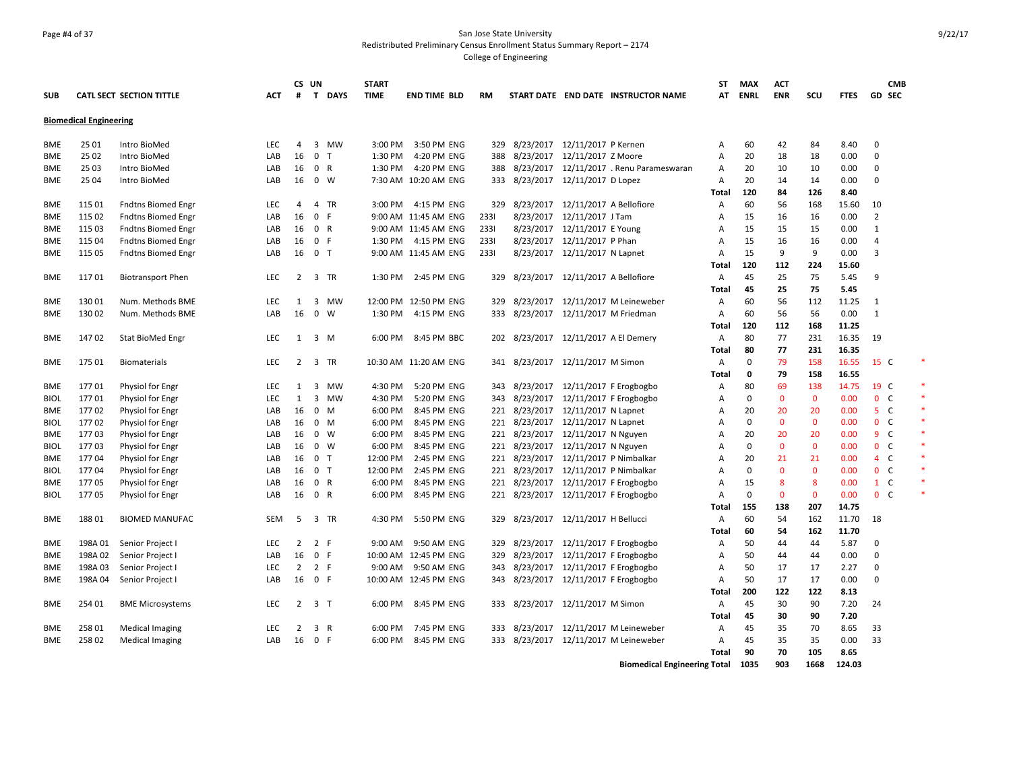# Page #4 of 37 San Jose State University Redistributed Preliminary Census Enrollment Status Summary Report – 2174

College of Engineering

|             |                               |                                 |            | CS UN          |                |              | <b>START</b>      |                       |           |                                      |                               |                                          | <b>ST</b>      | <b>MAX</b>  | ACT          |              |             | <b>CMB</b>     |  |
|-------------|-------------------------------|---------------------------------|------------|----------------|----------------|--------------|-------------------|-----------------------|-----------|--------------------------------------|-------------------------------|------------------------------------------|----------------|-------------|--------------|--------------|-------------|----------------|--|
| <b>SUB</b>  |                               | <b>CATL SECT SECTION TITTLE</b> | ACT        | #              | T              | <b>DAYS</b>  | <b>TIME</b>       | <b>END TIME BLD</b>   | <b>RM</b> |                                      |                               | START DATE END DATE INSTRUCTOR NAME      | AT             | <b>ENRL</b> | <b>ENR</b>   | scu          | <b>FTES</b> | GD SEC         |  |
|             | <b>Biomedical Engineering</b> |                                 |            |                |                |              |                   |                       |           |                                      |                               |                                          |                |             |              |              |             |                |  |
|             |                               |                                 |            |                |                |              |                   |                       |           |                                      |                               |                                          |                |             |              |              |             |                |  |
| <b>BME</b>  | 25 01                         | Intro BioMed                    | LEC        | 4              |                | 3 MW         | 3:00 PM           | 3:50 PM ENG           | 329       |                                      | 8/23/2017 12/11/2017 P Kernen |                                          | А              | 60          | 42           | 84           | 8.40        | $\mathbf 0$    |  |
| BME         | 25 02                         | Intro BioMed                    | LAB        | 16             | $\mathbf{0}$   | $\mathsf{T}$ | 1:30 PM           | 4:20 PM ENG           | 388       | 8/23/2017 12/11/2017 Z Moore         |                               |                                          | A              | 20          | 18           | 18           | 0.00        | $\mathbf{0}$   |  |
| BME         | 25 03                         | Intro BioMed                    | LAB        | 16             | 0 R            |              | 1:30 PM           | 4:20 PM ENG           | 388       |                                      |                               | 8/23/2017 12/11/2017 . Renu Parameswaran | Α              | 20          | 10           | 10           | 0.00        | 0              |  |
| BME         | 25 04                         | Intro BioMed                    | LAB        | 16             |                | $0 \quad W$  |                   | 7:30 AM 10:20 AM ENG  |           | 333 8/23/2017 12/11/2017 D Lopez     |                               |                                          | A              | 20          | 14           | 14           | 0.00        | 0              |  |
|             |                               |                                 |            |                |                |              |                   |                       |           |                                      |                               |                                          | Total          | 120         | 84           | 126          | 8.40        |                |  |
| BME         | 115 01                        | <b>Fndtns Biomed Engr</b>       | LEC        | 4              |                | 4 TR         |                   | 3:00 PM 4:15 PM ENG   | 329       | 8/23/2017 12/11/2017 A Bellofiore    |                               |                                          | Α              | 60          | 56           | 168          | 15.60       | 10             |  |
| BME         | 115 02                        | <b>Fndtns Biomed Engr</b>       | LAB        | 16             | $\mathbf{0}$   | -F           |                   | 9:00 AM 11:45 AM ENG  | 2331      |                                      | 8/23/2017 12/11/2017 J Tam    |                                          | A              | 15          | 16           | 16           | 0.00        | $\overline{2}$ |  |
| BME         | 115 03                        | <b>Fndtns Biomed Engr</b>       | LAB        | 16             | 0 R            |              |                   | 9:00 AM 11:45 AM ENG  | 2331      |                                      | 8/23/2017 12/11/2017 E Young  |                                          | $\overline{A}$ | 15          | 15           | 15           | 0.00        | $\mathbf{1}$   |  |
| BME         | 115 04                        | <b>Fndtns Biomed Engr</b>       | LAB        | 16             | 0 F            |              | 1:30 PM           | 4:15 PM ENG           | 2331      |                                      | 8/23/2017 12/11/2017 P Phan   |                                          | A              | 15          | 16           | 16           | 0.00        | 4              |  |
| <b>BME</b>  | 115 05                        | <b>Fndtns Biomed Engr</b>       | LAB        | 16             | 0 <sub>T</sub> |              |                   | 9:00 AM 11:45 AM ENG  | 2331      |                                      | 8/23/2017 12/11/2017 N Lapnet |                                          | A              | 15          | 9            | 9            | 0.00        | 3              |  |
|             |                               |                                 |            |                |                |              |                   |                       |           |                                      |                               |                                          | Total          | 120         | 112          | 224          | 15.60       |                |  |
| <b>BME</b>  | 11701                         | <b>Biotransport Phen</b>        | LEC        | $\overline{2}$ |                | 3 TR         | 1:30 PM           | 2:45 PM ENG           | 329       | 8/23/2017 12/11/2017 A Bellofiore    |                               |                                          | Α              | 45          | 25           | 75           | 5.45        | 9              |  |
|             |                               |                                 |            |                |                |              |                   |                       |           |                                      |                               |                                          | Total          | 45          | 25           | 75           | 5.45        |                |  |
| <b>BME</b>  | 130 01                        | Num. Methods BME                | <b>LEC</b> | 1              | 3              | MW           |                   | 12:00 PM 12:50 PM ENG | 329       |                                      |                               | 8/23/2017 12/11/2017 M Leineweber        | A              | 60          | 56           | 112          | 11.25       | $\mathbf{1}$   |  |
| <b>BME</b>  | 130 02                        | Num. Methods BME                | LAB        | 16             |                | $0 \quad W$  | 1:30 PM           | 4:15 PM ENG           |           | 333 8/23/2017 12/11/2017 M Friedman  |                               |                                          | A              | 60          | 56           | 56           | 0.00        | $\mathbf{1}$   |  |
|             |                               |                                 |            |                |                |              |                   |                       |           |                                      |                               |                                          | Total          | 120         | 112          | 168          | 11.25       |                |  |
| <b>BME</b>  | 14702                         | Stat BioMed Engr                | LEC        | $\mathbf{1}$   |                | 3 M          |                   | 6:00 PM 8:45 PM BBC   |           | 202 8/23/2017 12/11/2017 A El Demery |                               |                                          | Α              | 80          | 77           | 231          | 16.35       | 19             |  |
|             |                               |                                 |            |                |                |              |                   |                       |           |                                      |                               |                                          | Total          | 80          | 77           | 231          | 16.35       |                |  |
| BME         | 17501                         | <b>Biomaterials</b>             | <b>LEC</b> | 2              |                | 3 TR         |                   | 10:30 AM 11:20 AM ENG | 341       | 8/23/2017 12/11/2017 M Simon         |                               |                                          | A              | $\Omega$    | 79           | 158          | 16.55       | 15 C           |  |
|             |                               |                                 |            |                |                |              |                   |                       |           |                                      |                               |                                          | Total          | 0           | 79           | 158          | 16.55       |                |  |
| BME         | 17701                         | Physiol for Engr                | <b>LEC</b> | 1              | 3              | MW           | 4:30 PM           | 5:20 PM ENG           | 343       |                                      |                               | 8/23/2017 12/11/2017 F Erogbogbo         | A              | 80          | 69           | 138          | 14.75       | 19 C           |  |
| <b>BIOL</b> | 17701                         | Physiol for Engr                | LEC        | $\mathbf{1}$   | 3              | MW           | 4:30 PM           | 5:20 PM ENG           |           |                                      |                               | 343 8/23/2017 12/11/2017 F Erogbogbo     | A              | 0           | $\mathbf 0$  | $\mathbf{0}$ | 0.00        | 0 <sub>c</sub> |  |
| <b>BME</b>  | 17702                         | Physiol for Engr                | LAB        | 16             | $\mathbf{0}$   | M            | 6:00 PM           | 8:45 PM ENG           |           | 221 8/23/2017 12/11/2017 N Lapnet    |                               |                                          | A              | 20          | 20           | 20           | 0.00        | 5 <sup>C</sup> |  |
| <b>BIOL</b> | 17702                         | Physiol for Engr                | LAB        | 16             | $0$ M          |              | 6:00 PM           | 8:45 PM ENG           |           | 221 8/23/2017 12/11/2017 N Lapnet    |                               |                                          | $\overline{A}$ | $\Omega$    | $\mathbf{0}$ | $\mathbf{0}$ | 0.00        | 0 <sup>o</sup> |  |
| BME         | 17703                         | Physiol for Engr                | LAB        | 16             | $0 \quad W$    |              | 6:00 PM           | 8:45 PM ENG           |           | 221 8/23/2017 12/11/2017 N Nguyen    |                               |                                          | A              | 20          | 20           | 20           | 0.00        | $9-$           |  |
| <b>BIOL</b> | 17703                         | Physiol for Engr                | LAB        | 16             |                | $0 \quad W$  | 6:00 PM           | 8:45 PM ENG           |           | 221 8/23/2017 12/11/2017 N Nguyen    |                               |                                          | $\overline{A}$ | 0           | $\mathbf{0}$ | $\mathbf{0}$ | 0.00        | 0 <sup>o</sup> |  |
| <b>BME</b>  | 17704                         | Physiol for Engr                | LAB        | 16             | 0 <sub>T</sub> |              | 12:00 PM          | 2:45 PM ENG           |           | 221 8/23/2017 12/11/2017 P Nimbalkar |                               |                                          | $\overline{A}$ | 20          | 21           | 21           | 0.00        | 4C             |  |
| <b>BIOL</b> | 17704                         | Physiol for Engr                | LAB        | 16             | 0 <sub>T</sub> |              | 12:00 PM          | 2:45 PM ENG           | 221       |                                      |                               | 8/23/2017 12/11/2017 P Nimbalkar         | A              | 0           | $\mathbf{0}$ | $\mathbf{0}$ | 0.00        | 0 <sup>o</sup> |  |
| BME         | 17705                         | Physiol for Engr                | LAB        | 16             | 0 R            |              | 6:00 PM           | 8:45 PM ENG           | 221       |                                      |                               | 8/23/2017 12/11/2017 F Erogbogbo         | $\overline{A}$ | 15          | 8            | 8            | 0.00        | $1\quad C$     |  |
| <b>BIOL</b> | 17705                         | Physiol for Engr                | LAB        | 16             | 0 R            |              | 6:00 PM           | 8:45 PM ENG           | 221       |                                      |                               | 8/23/2017 12/11/2017 F Erogbogbo         | $\overline{A}$ | 0           | $\mathbf 0$  | $\mathbf{0}$ | 0.00        | 0 <sup>o</sup> |  |
|             |                               |                                 |            |                |                |              |                   |                       |           |                                      |                               |                                          | Total          | 155         | 138          | 207          | 14.75       |                |  |
| BME         | 18801                         | <b>BIOMED MANUFAC</b>           | <b>SEM</b> | 5              |                | 3 TR         | 4:30 PM           | 5:50 PM ENG           | 329       | 8/23/2017  12/11/2017 H Bellucci     |                               |                                          | A              | 60          | 54           | 162          | 11.70       | 18             |  |
|             |                               |                                 |            |                |                |              |                   |                       |           |                                      |                               |                                          | Total          | 60          | 54           | 162          | 11.70       |                |  |
| <b>BME</b>  | 198A 01                       | Senior Project I                | <b>LEC</b> | $\overline{2}$ | 2 F            |              | $9:00 \text{ AM}$ | 9:50 AM ENG           | 329       |                                      |                               | 8/23/2017 12/11/2017 F Erogbogbo         | А              | 50          | 44           | 44           | 5.87        | $\mathbf{0}$   |  |
| <b>BME</b>  | 198A 02                       | Senior Project I                | LAB        | 16             | 0 F            |              |                   | 10:00 AM 12:45 PM ENG | 329       |                                      |                               | 8/23/2017 12/11/2017 F Erogbogbo         | A              | 50          | 44           | 44           | 0.00        | $\mathbf 0$    |  |
| <b>BME</b>  | 198A 03                       | Senior Project I                | <b>LEC</b> | $\overline{2}$ | 2 F            |              | 9:00 AM           | 9:50 AM ENG           | 343       |                                      |                               | 8/23/2017 12/11/2017 F Erogbogbo         | A              | 50          | 17           | 17           | 2.27        | 0              |  |
| BME         | 198A 04                       | Senior Project I                | LAB        | 16             | 0 F            |              |                   | 10:00 AM 12:45 PM ENG | 343       |                                      |                               | 8/23/2017 12/11/2017 F Erogbogbo         | A              | 50          | 17           | 17           | 0.00        | 0              |  |
|             |                               |                                 |            |                |                |              |                   |                       |           |                                      |                               |                                          | Total          | 200         | 122          | 122          | 8.13        |                |  |
| BME         | 254 01                        | <b>BME Microsystems</b>         | LEC        | $\overline{2}$ | 3 <sub>7</sub> |              | 6:00 PM           | 8:45 PM ENG           | 333       |                                      | 8/23/2017 12/11/2017 M Simon  |                                          | Α              | 45          | 30           | 90           | 7.20        | 24             |  |
|             |                               |                                 |            |                |                |              |                   |                       |           |                                      |                               |                                          | Total          | 45          | 30           | 90           | 7.20        |                |  |
| BME         | 258 01                        | <b>Medical Imaging</b>          | LEC        | $\overline{2}$ | 3 R            |              | 6:00 PM           | 7:45 PM ENG           | 333       |                                      |                               | 8/23/2017 12/11/2017 M Leineweber        | Α              | 45          | 35           | 70           | 8.65        | 33             |  |
| <b>BME</b>  | 258 02                        | Medical Imaging                 | LAB        | 16             | 0 F            |              | 6:00 PM           | 8:45 PM ENG           |           |                                      |                               | 333 8/23/2017 12/11/2017 M Leineweber    | A              | 45          | 35           | 35           | 0.00        | 33             |  |
|             |                               |                                 |            |                |                |              |                   |                       |           |                                      |                               |                                          | <b>Total</b>   | 90          | 70           | 105          | 8.65        |                |  |

**Biomedical Engineering Total 1035 903 1668 124.03**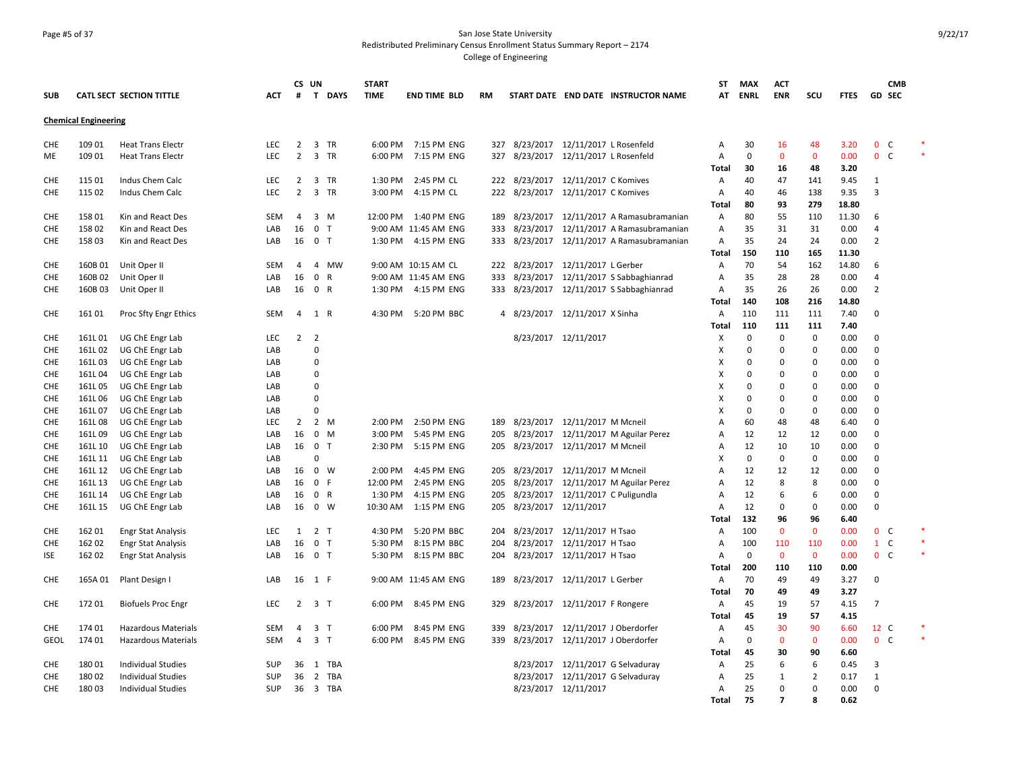#### Page #5 of 37 San Jose State University Redistributed Preliminary Census Enrollment Status Summary Report – 2174 College of Engineering

**SUB CATL SECT SECTION TITTLE ACT CS UN # T DAYS START TIME END TIME BLD RM START DATE END DATE INSTRUCTOR NAME ST AT MAX ENRL ACT ENR SCU FTES GD SEC CMB Chemical Engineering** CHE 109 01 Heat Trans Electr 
LEC 2 3 TR 6:00 PM 7:15 PM ENG 327 8/23/2017 12/11/2017 L Rosenfeld A 30 16 48 3.20 0 C ME 109 01 Heat Trans Electr Carries LEC 2 3 TR 6:00 PM 7:15 PM ENG 327 8/23/2017 12/11/2017 L Rosenfeld A 0 0 0 0.00 0 C **Total 30 16 48 3.20** CHE 115 01 Indus Chem Calc LEC 2 3 TR 1:30 PM 2:45 PM CL 222 8/23/2017 12/11/2017 C Komives A 40 47 141 9.45 1 CHE 115 02 Indus Chem Calc LEC 2 3 TR 3:00 PM 4:15 PM CL 222 8/23/2017 12/11/2017 C Komives A 40 46 138 9.35 3 **Total 80 93 279 18.80** CHE 158 01 Kin and React Des SEM 4 3 M 12:00 PM 1:40 PM ENG 189 8/23/2017 12/11/2017 A Ramasubramanian A 80 55 110 11.30 6 CHE 158 02 Kin and React Des LAB 16 0 T 9:00 AM 11:45 AM ENG 333 8/23/2017 12/11/2017 A Ramasubramanian A 35 31 31 0.00 4 CHE 158 03 Kin and React Des LAB 16 0 T 1:30 PM 4:15 PM ENG 333 8/23/2017 12/11/2017 A Ramasubramanian A 35 24 24 0.00 2 **Total 150 110 165 11.30** CHE 160B 01 Unit Oper II SEM 4 4 MW 9:00 AM 10:15 AM CL 222 8/23/2017 12/11/2017 L Gerber A 70 54 162 14.80 6 CHE 160B 02 Unit Oper II LAB 16 0 R 9:00 AM 11:45 AM ENG 333 8/23/2017 12/11/2017 S Sabbaghianrad A 35 28 28 0.00 4 CHE 160B 03 Unit Oper II LAB 16 0 R 1:30 PM 4:15 PM ENG 333 8/23/2017 12/11/2017 S Sabbaghianrad A 35 26 26 0.00 2 **Total 140 108 216 14.80** CHE 16101 Proc Sfty Engr Ethics SEM 4 1 R 4:30 PM 5:20 PM BBC 4 8/23/2017 12/11/2017 X Sinha A 110 111 111 7.40 0 **Total 110 111 111 7.40** CHE 161L 01 UG ChE Engr Lab LEC 2 2 8/23/2017 12/11/2017 X 0 0 0 0.00 0 CHE 161L 02 UG ChE Engr Lab LAB 0 X 0 0 0 0.00 0 CHE 161L 03 UG ChE Engr Lab LAB 0 X 0 0 0 0.00 0 CHE 161L 04 UG ChE Engr Lab LAB 0 X 0 0 0 0.00 0 CHE 161L 05 UG ChE Engr Lab LAB 0 X 0 0 0 0.00 0 CHE 161L 06 UG ChE Engr Lab LAB 0 X 0 0 0 0.00 0 CHE 161L 07 UG ChE Engr Lab LAB 0 X 0 0 0 0.00 0 CHE 161L 08 UG ChE Engr Lab LEC 2 2 M 2:00 PM 2:50 PM ENG 189 8/23/2017 12/11/2017 M Mcneil A 60 48 48 6.40 0 CHE 161L 09 UG ChE Engr Lab LAB 16 0 M 3:00 PM 5:45 PM ENG 205 8/23/2017 12/11/2017 M Aguilar Perez A 12 12 12 0.00 0 CHE 161L 10 UG ChE Engr Lab LAB 16 0 T 2:30 PM 5:15 PM ENG 205 8/23/2017 12/11/2017 M Mcneil A 12 10 10 0.00 0 CHE 161L 11 UG ChE Engr Lab LAB 0 X 0 0 0 0.00 0 CHE 161L 12 UG ChE Engr Lab LAB 16 0 W 2:00 PM 4:45 PM ENG 205 8/23/2017 12/11/2017 M Mcneil A 12 12 12 0.00 0 CHE 161L 13 UG ChE Engr Lab LAB 16 0 F 12:00 PM 2:45 PM ENG 205 8/23/2017 12/11/2017 M Aguilar Perez A 12 8 8 0.00 0 CHE 161L 14 UG ChE Engr Lab LAB 16 0 R 1:30 PM 4:15 PM ENG 205 8/23/2017 12/11/2017 C Puligundla A 12 6 6 0.00 0 CHE 161L 15 UG ChE Engr Lab LAB 16 0 W 10:30 AM 1:15 PM ENG 205 8/23/2017 12/11/2017 A 12 0 0 0.00 0 **Total 132 96 96 6.40** CHE 162 01 Engr Stat Analysis 
LEC 1 2 T 
4:30 PM 5:20 PM BBC 
204 8/23/2017 12/11/2017 H Tsao 
A 100 0 0 0.00 0 C CHE 162 02 Engr Stat Analysis 6 1 LAB 16 0 T 5:30 PM 8:15 PM BBC 204 8/23/2017 12/11/2017 H Tsao 6 A 100 110 110 0.00 1 C ISE 162 02 Engr Stat Analysis 
LAB 16 0 T 5:30 PM 8:15 PM BBC 204 8/23/2017 12/11/2017 H Tsao A 0 0 0 0.00 0 C **Total 200 110 110 0.00** CHE 165A 01 Plant Design I LAB 16 1 F 9:00 AM 11:45 AM ENG 189 8/23/2017 12/11/2017 L Gerber A 70 49 49 3.27 0 **Total 70 49 49 3.27** CHE 172 01 Biofuels Proc Engr LEC 2 3 T 6:00 PM 8:45 PM ENG 329 8/23/2017 12/11/2017 F Rongere A 45 19 57 4.15 7 **Total 45 19 57 4.15** CHE 174 01 Hazardous Materials SEM 4 3 T 6:00 PM 8:45 PM ENG 339 8/23/2017 12/11/2017 J Oberdorfer A 45 30 90 6.60 12 C \* GEOL 17401 Hazardous Materials SEM 4 3 T 6:00 PM 8:45 PM ENG 339 8/23/2017 12/11/2017 J Oberdorfer A 0 0 0 0.00 0 C **Total 45 30 90 6.60** CHE 180 01 Individual Studies SUP 36 1 TBA 8/23/2017 12/11/2017 G Selvaduray A 25 6 6 0.45 3 CHE 180 02 Individual Studies SUP 36 2 TBA 8/23/2017 12/11/2017 G Selvaduray A 25 1 2 0.17 1 CHE 18003 Individual Studies 6 SUP 36 3 TBA 8/23/2017 12/11/2017 4 A 25 0 0 0.00 0 **Total 75 7 8 0.62**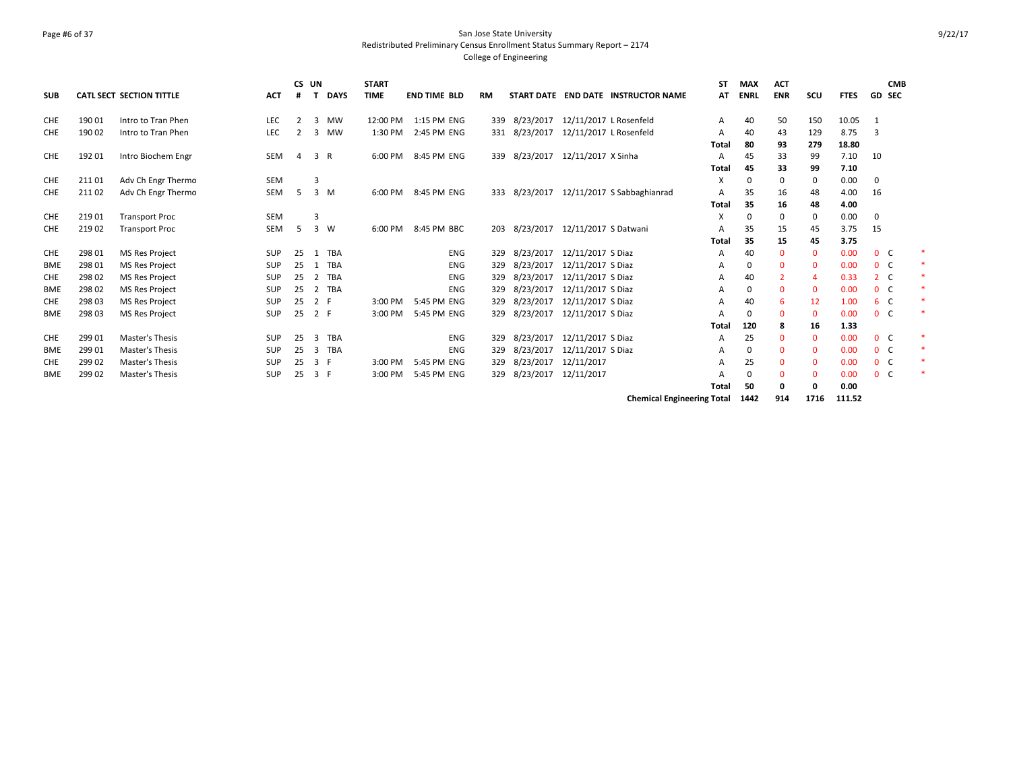### Page #6 of 37 San Jose State University Redistributed Preliminary Census Enrollment Status Summary Report – 2174 College of Engineering

|            |        |                                 |            | CS UN |             |             | <b>START</b> |                     |            |           |               |                        |                                     | SΤ           | <b>MAX</b>  | <b>ACT</b>   |              |             | <b>CMB</b>     |   |
|------------|--------|---------------------------------|------------|-------|-------------|-------------|--------------|---------------------|------------|-----------|---------------|------------------------|-------------------------------------|--------------|-------------|--------------|--------------|-------------|----------------|---|
| <b>SUB</b> |        | <b>CATL SECT SECTION TITTLE</b> | <b>ACT</b> |       |             | <b>DAYS</b> | <b>TIME</b>  | <b>END TIME BLD</b> |            | <b>RM</b> |               |                        | START DATE END DATE INSTRUCTOR NAME | AT           | <b>ENRL</b> | <b>ENR</b>   | scu          | <b>FTES</b> | <b>GD SEC</b>  |   |
| <b>CHE</b> | 190 01 | Intro to Tran Phen              | <b>LEC</b> | 2     |             | 3 MW        | 12:00 PM     | 1:15 PM ENG         |            | 339       | 8/23/2017     | 12/11/2017 L Rosenfeld |                                     | А            | 40          | 50           | 150          | 10.05       | -1             |   |
| <b>CHE</b> | 190 02 | Intro to Tran Phen              | LEC        |       | 3           | <b>MW</b>   | 1:30 PM      | 2:45 PM ENG         |            | 331       | 8/23/2017     | 12/11/2017 L Rosenfeld |                                     | А            | 40          | 43           | 129          | 8.75        | 3              |   |
|            |        |                                 |            |       |             |             |              |                     |            |           |               |                        |                                     | Total        | 80          | 93           | 279          | 18.80       |                |   |
| <b>CHE</b> | 192 01 | Intro Biochem Engr              | <b>SEM</b> | 4     | 3 R         |             | 6:00 PM      | 8:45 PM ENG         |            | 339       | 8/23/2017     | 12/11/2017 X Sinha     |                                     | A            | 45          | 33           | 99           | 7.10        | 10             |   |
|            |        |                                 |            |       |             |             |              |                     |            |           |               |                        |                                     | <b>Total</b> | 45          | 33           | 99           | 7.10        |                |   |
| CHE        | 211 01 | Adv Ch Engr Thermo              | <b>SEM</b> |       | 3           |             |              |                     |            |           |               |                        |                                     | X            | $\Omega$    | 0            | 0            | 0.00        | $\mathbf 0$    |   |
| <b>CHE</b> | 211 02 | Adv Ch Engr Thermo              | SEM        | 5     | 3 M         |             | 6:00 PM      | 8:45 PM ENG         |            |           | 333 8/23/2017 |                        | 12/11/2017 S Sabbaghianrad          | A            | 35          | 16           | 48           | 4.00        | 16             |   |
|            |        |                                 |            |       |             |             |              |                     |            |           |               |                        |                                     | <b>Total</b> | 35          | 16           | 48           | 4.00        |                |   |
| CHE        | 219 01 | <b>Transport Proc</b>           | <b>SEM</b> |       | 3           |             |              |                     |            |           |               |                        |                                     | X            | $\Omega$    | 0            | $\mathbf 0$  | 0.00        | 0              |   |
| <b>CHE</b> | 219 02 | <b>Transport Proc</b>           | SEM        | 5     | $3 \quad W$ |             | 6:00 PM      | 8:45 PM BBC         |            |           | 203 8/23/2017 | 12/11/2017 S Datwani   |                                     | А            | 35          | 15           | 45           | 3.75        | 15             |   |
|            |        |                                 |            |       |             |             |              |                     |            |           |               |                        |                                     | <b>Total</b> | 35          | 15           | 45           | 3.75        |                |   |
| <b>CHE</b> | 298 01 | <b>MS Res Project</b>           | SUP        | 25    |             | 1 TBA       |              |                     | <b>ENG</b> | 329       | 8/23/2017     | 12/11/2017 S Diaz      |                                     | А            | 40          | $\mathbf{0}$ | $\mathbf{0}$ | 0.00        | 0 <sup>o</sup> | * |
| <b>BME</b> | 298 01 | <b>MS Res Project</b>           | <b>SUP</b> | 25    |             | 1 TBA       |              |                     | <b>ENG</b> | 329       | 8/23/2017     | 12/11/2017 S Diaz      |                                     | А            | $\Omega$    | $\Omega$     | $\mathbf 0$  | 0.00        | 0 <sup>o</sup> | * |
| <b>CHE</b> | 298 02 | <b>MS Res Project</b>           | SUP        | 25    |             | 2 TBA       |              |                     | <b>ENG</b> | 329       | 8/23/2017     | 12/11/2017 S Diaz      |                                     | А            | 40          | 2            | 4            | 0.33        | 2 <sub>c</sub> |   |
| <b>BME</b> | 298 02 | <b>MS Res Project</b>           | SUP        | 25    |             | 2 TBA       |              |                     | <b>ENG</b> | 329       | 8/23/2017     | 12/11/2017 S Diaz      |                                     | A            | $\Omega$    | $\mathbf{0}$ | $\mathbf{0}$ | 0.00        | 0 <sup>o</sup> |   |
| <b>CHE</b> | 298 03 | <b>MS Res Project</b>           | SUP        | 25    | 2 F         |             | 3:00 PM      | 5:45 PM ENG         |            | 329       | 8/23/2017     | 12/11/2017 S Diaz      |                                     | А            | 40          | 6            | 12           | 1.00        | 6 C            | * |
| <b>BME</b> | 298 03 | <b>MS Res Project</b>           | SUP        | 25    | 2 F         |             | 3:00 PM      | 5:45 PM ENG         |            | 329       | 8/23/2017     | 12/11/2017 S Diaz      |                                     | А            | $\Omega$    | $\mathbf{0}$ | $\mathbf{0}$ | 0.00        | 0 <sup>o</sup> |   |
|            |        |                                 |            |       |             |             |              |                     |            |           |               |                        |                                     | Total        | 120         | 8            | 16           | 1.33        |                |   |
| <b>CHE</b> | 299 01 | Master's Thesis                 | <b>SUP</b> | 25    |             | 3 TBA       |              |                     | <b>ENG</b> | 329       | 8/23/2017     | 12/11/2017 S Diaz      |                                     | A            | 25          | $\Omega$     | $\mathbf{0}$ | 0.00        | 0 <sup>o</sup> | * |
| <b>BME</b> | 299 01 | Master's Thesis                 | SUP        | 25    | 3           | TBA         |              |                     | <b>ENG</b> | 329       | 8/23/2017     | 12/11/2017 S Diaz      |                                     | А            | $\Omega$    | $\Omega$     | $\mathbf 0$  | 0.00        | 0 <sup>o</sup> | * |
| <b>CHE</b> | 299 02 | Master's Thesis                 | SUP        | 25    | 3 F         |             | 3:00 PM      | 5:45 PM ENG         |            | 329       | 8/23/2017     | 12/11/2017             |                                     | A            | 25          | $\Omega$     | $\Omega$     | 0.00        | 0 <sup>o</sup> | * |
| <b>BME</b> | 299 02 | Master's Thesis                 | SUP        | 25    | 3 F         |             | 3:00 PM      | 5:45 PM ENG         |            | 329       | 8/23/2017     | 12/11/2017             |                                     | А            | $\Omega$    | $\mathbf{0}$ | $\mathbf 0$  | 0.00        | 0 <sup>o</sup> | * |
|            |        |                                 |            |       |             |             |              |                     |            |           |               |                        |                                     | Total        | 50          | 0            | 0            | 0.00        |                |   |

**Chemical Engineering Total 1442 914 1716 111.52**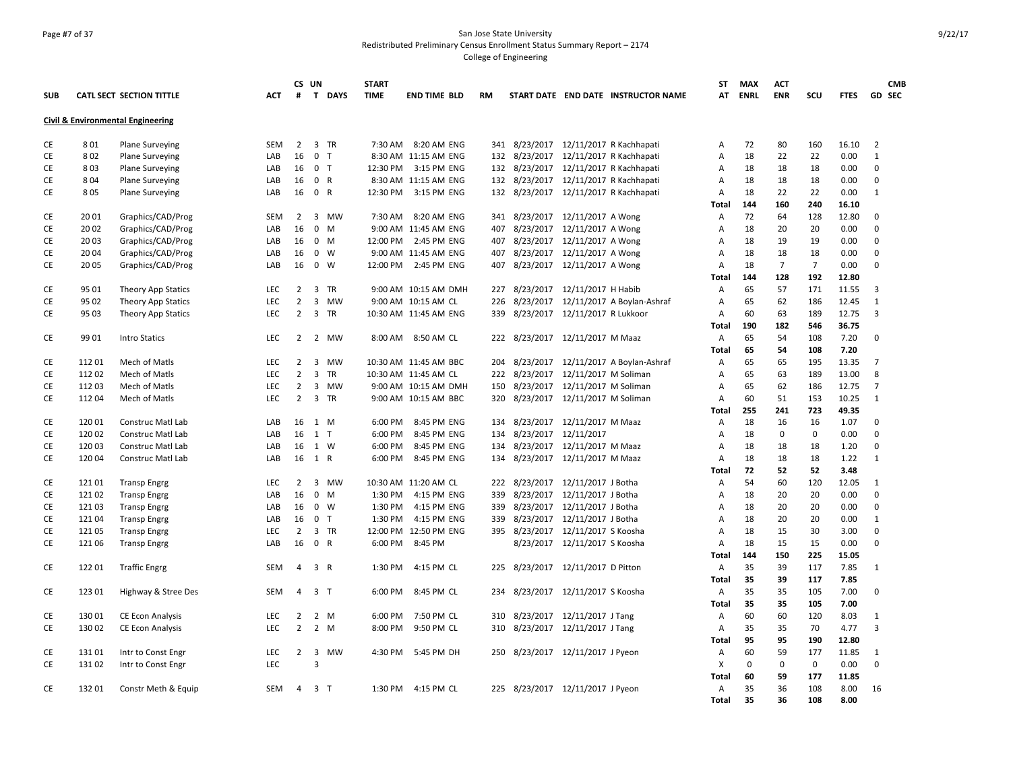### Page #7 of 37 San Jose State University Redistributed Preliminary Census Enrollment Status Summary Report – 2174 College of Engineering

|            |        |                                              |            | CS UN          |                               | <b>START</b> |                       |     |                                    |                                |                                       | ST    | MAX         | <b>ACT</b>     |                |             | <b>CMB</b>     |
|------------|--------|----------------------------------------------|------------|----------------|-------------------------------|--------------|-----------------------|-----|------------------------------------|--------------------------------|---------------------------------------|-------|-------------|----------------|----------------|-------------|----------------|
| <b>SUB</b> |        | <b>CATL SECT SECTION TITTLE</b>              | ACT        | #              | T DAYS                        | <b>TIME</b>  | <b>END TIME BLD</b>   | RM  |                                    |                                | START DATE END DATE INSTRUCTOR NAME   | AT    | <b>ENRL</b> | <b>ENR</b>     | scu            | <b>FTES</b> | <b>GD SEC</b>  |
|            |        | <b>Civil &amp; Environmental Engineering</b> |            |                |                               |              |                       |     |                                    |                                |                                       |       |             |                |                |             |                |
|            |        |                                              |            |                |                               |              |                       |     |                                    |                                |                                       |       |             |                |                |             | $\overline{2}$ |
| CE         | 801    | <b>Plane Surveying</b>                       | <b>SEM</b> |                | 2 3 TR                        |              | 7:30 AM 8:20 AM ENG   |     |                                    |                                | 341 8/23/2017 12/11/2017 R Kachhapati | Α     | 72          | 80             | 160            | 16.10       |                |
| CE         | 802    | <b>Plane Surveying</b>                       | LAB        | 16             | 0 <sub>T</sub>                |              | 8:30 AM 11:15 AM ENG  |     |                                    |                                | 132 8/23/2017 12/11/2017 R Kachhapati | А     | 18          | 22             | 22             | 0.00        | 1              |
| CE         | 803    | <b>Plane Surveying</b>                       | LAB        | 16             | $0$ T                         |              | 12:30 PM 3:15 PM ENG  |     | 132 8/23/2017                      |                                | 12/11/2017 R Kachhapati               | Α     | 18          | 18             | 18             | 0.00        | 0              |
| CE         | 804    | <b>Plane Surveying</b>                       | LAB        |                | 16 0 R                        |              | 8:30 AM 11:15 AM ENG  |     |                                    |                                | 132 8/23/2017 12/11/2017 R Kachhapati | A     | 18          | 18             | 18             | 0.00        | $\mathbf 0$    |
| CE         | 805    | <b>Plane Surveying</b>                       | LAB        | 16             | 0 R                           | 12:30 PM     | 3:15 PM ENG           | 132 | 8/23/2017                          |                                | 12/11/2017 R Kachhapati               | Α     | 18          | 22             | 22             | 0.00        | 1              |
|            |        |                                              |            |                |                               |              |                       |     |                                    |                                |                                       | Total | 144         | 160            | 240            | 16.10       |                |
| CE         | 2001   | Graphics/CAD/Prog                            | <b>SEM</b> | $\overline{2}$ | 3 MW                          |              | 7:30 AM 8:20 AM ENG   |     | 341 8/23/2017 12/11/2017 A Wong    |                                |                                       | Α     | 72          | 64             | 128            | 12.80       | 0              |
| CE         | 20 02  | Graphics/CAD/Prog                            | LAB        | 16             | $0 \quad M$                   |              | 9:00 AM 11:45 AM ENG  | 407 |                                    | 8/23/2017 12/11/2017 A Wong    |                                       | A     | 18          | 20             | 20             | 0.00        | $\Omega$       |
| CE         | 2003   | Graphics/CAD/Prog                            | LAB        | 16             | $0 \quad M$                   | 12:00 PM     | 2:45 PM ENG           | 407 |                                    | 8/23/2017 12/11/2017 A Wong    |                                       | Α     | 18          | 19             | 19             | 0.00        | $\Omega$       |
| CE         | 20 04  | Graphics/CAD/Prog                            | LAB        | 16             | $0 \quad W$                   |              | 9:00 AM 11:45 AM ENG  | 407 | 8/23/2017                          | 12/11/2017 A Wong              |                                       | А     | 18          | 18             | 18             | 0.00        | $\mathbf 0$    |
| CE         | 20 05  | Graphics/CAD/Prog                            | LAB        | 16             | $0 \quad W$                   |              | 12:00 PM 2:45 PM ENG  | 407 |                                    | 8/23/2017 12/11/2017 A Wong    |                                       | A     | 18          | $\overline{7}$ | $\overline{7}$ | 0.00        | $\mathbf 0$    |
|            |        |                                              |            |                |                               |              |                       |     |                                    |                                |                                       | Total | 144         | 128            | 192            | 12.80       |                |
| CE         | 95 01  | Theory App Statics                           | LEC        | $\overline{2}$ | 3 TR                          |              | 9:00 AM 10:15 AM DMH  | 227 |                                    | 8/23/2017 12/11/2017 H Habib   |                                       | Α     | 65          | 57             | 171            | 11.55       | 3              |
| CE         | 95 02  | Theory App Statics                           | <b>LEC</b> | $\overline{2}$ | 3 MW                          |              | 9:00 AM 10:15 AM CL   | 226 | 8/23/2017                          |                                | 12/11/2017 A Boylan-Ashraf            | А     | 65          | 62             | 186            | 12.45       | 1              |
| CE         | 95 03  | Theory App Statics                           | <b>LEC</b> | $\overline{2}$ | 3 TR                          |              | 10:30 AM 11:45 AM ENG |     | 339 8/23/2017 12/11/2017 R Lukkoor |                                |                                       | Α     | 60          | 63             | 189            | 12.75       | 3              |
|            |        |                                              |            |                |                               |              |                       |     |                                    |                                |                                       | Total | 190         | 182            | 546            | 36.75       |                |
| CE         | 99 01  | <b>Intro Statics</b>                         | <b>LEC</b> | $\overline{2}$ | 2 MW                          |              | 8:00 AM 8:50 AM CL    |     | 222 8/23/2017 12/11/2017 M Maaz    |                                |                                       | Α     | 65          | 54             | 108            | 7.20        | $\mathbf 0$    |
|            |        |                                              |            |                |                               |              |                       |     |                                    |                                |                                       | Total | 65          | 54             | 108            | 7.20        |                |
| CE         | 112 01 | Mech of Matls                                | <b>LEC</b> | $\overline{2}$ | 3<br><b>MW</b>                |              | 10:30 AM 11:45 AM BBC | 204 | 8/23/2017                          |                                | 12/11/2017 A Boylan-Ashraf            | Α     | 65          | 65             | 195            | 13.35       | $\overline{7}$ |
| CE         | 112 02 | Mech of Matls                                | <b>LEC</b> | $\overline{2}$ | 3<br>TR                       |              | 10:30 AM 11:45 AM CL  |     | 222 8/23/2017                      | 12/11/2017 M Soliman           |                                       | А     | 65          | 63             | 189            | 13.00       | 8              |
| CE         | 112 03 | Mech of Matls                                | LEC        | $\overline{2}$ | $\overline{3}$<br>MW          |              | 9:00 AM 10:15 AM DMH  | 150 | 8/23/2017                          | 12/11/2017 M Soliman           |                                       | А     | 65          | 62             | 186            | 12.75       | $\overline{7}$ |
| CE         | 112 04 | Mech of Matls                                | LEC        | $\overline{2}$ | 3 TR                          |              | 9:00 AM 10:15 AM BBC  | 320 |                                    | 8/23/2017 12/11/2017 M Soliman |                                       | А     | 60          | 51             | 153            | 10.25       | 1              |
|            |        |                                              |            |                |                               |              |                       |     |                                    |                                |                                       | Total | 255         | 241            | 723            | 49.35       |                |
| CE         | 12001  | Construc Matl Lab                            | LAB        | 16             | 1 M                           | 6:00 PM      | 8:45 PM ENG           | 134 |                                    | 8/23/2017 12/11/2017 M Maaz    |                                       | Α     | 18          | 16             | 16             | 1.07        | $\mathbf 0$    |
| CE         | 120 02 | Construc Matl Lab                            | LAB        | 16             | $1$ T                         | 6:00 PM      | 8:45 PM ENG           | 134 |                                    | 8/23/2017 12/11/2017           |                                       | Α     | 18          | $\mathbf{0}$   | $\mathbf 0$    | 0.00        | $\mathbf 0$    |
| CE         | 120 03 | Construc Matl Lab                            | LAB        | 16             | 1 W                           | 6:00 PM      | 8:45 PM ENG           | 134 |                                    | 8/23/2017 12/11/2017 M Maaz    |                                       | Α     | 18          | 18             | 18             | 1.20        | $\mathbf 0$    |
| CE         | 120 04 | <b>Construc Matl Lab</b>                     | LAB        |                | 16 1 R                        | 6:00 PM      | 8:45 PM ENG           |     | 134 8/23/2017 12/11/2017 M Maaz    |                                |                                       | Α     | 18          | 18             | 18             | 1.22        | 1              |
|            |        |                                              |            |                |                               |              |                       |     |                                    |                                |                                       | Total | 72          | 52             | 52             | 3.48        |                |
| CE         | 121 01 | <b>Transp Engrg</b>                          | LEC        | $\overline{2}$ | 3 MW                          |              | 10:30 AM 11:20 AM CL  |     | 222 8/23/2017 12/11/2017 J Botha   |                                |                                       | Α     | 54          | 60             | 120            | 12.05       | 1              |
| CE         | 121 02 | <b>Transp Engrg</b>                          | LAB        | 16             | $\mathbf 0$<br>M              | 1:30 PM      | 4:15 PM ENG           | 339 | 8/23/2017                          | 12/11/2017 J Botha             |                                       | Α     | 18          | 20             | 20             | 0.00        | 0              |
| CE         | 121 03 | <b>Transp Engrg</b>                          | LAB        | 16             | $0 \quad W$                   | 1:30 PM      | 4:15 PM ENG           | 339 |                                    | 8/23/2017 12/11/2017 J Botha   |                                       | Α     | 18          | 20             | 20             | 0.00        | $\mathbf 0$    |
| CE         | 121 04 | <b>Transp Engrg</b>                          | LAB        | 16             | $0$ T                         | 1:30 PM      | 4:15 PM ENG           | 339 |                                    | 8/23/2017 12/11/2017 J Botha   |                                       | Α     | 18          | 20             | 20             | 0.00        | 1              |
| CE         | 121 05 | <b>Transp Engrg</b>                          | LEC        | $\overline{2}$ | 3 TR                          |              | 12:00 PM 12:50 PM ENG |     | 395 8/23/2017                      | 12/11/2017 S Koosha            |                                       | Α     | 18          | 15             | 30             | 3.00        | 0              |
| CE         | 121 06 | <b>Transp Engrg</b>                          | LAB        | 16             | 0 R                           | 6:00 PM      | 8:45 PM               |     |                                    | 8/23/2017 12/11/2017 S Koosha  |                                       | Α     | 18          | 15             | 15             | 0.00        | $\mathbf 0$    |
|            |        |                                              |            |                |                               |              |                       |     |                                    |                                |                                       | Total | 144         | 150            | 225            | 15.05       |                |
| CE         | 122 01 | <b>Traffic Engrg</b>                         | SEM        | 4              | 3 R                           | 1:30 PM      | 4:15 PM CL            |     | 225 8/23/2017 12/11/2017 D Pitton  |                                |                                       | Α     | 35          | 39             | 117            | 7.85        | 1              |
|            |        |                                              |            |                |                               |              |                       |     |                                    |                                |                                       | Total | 35          | 39             | 117            | 7.85        |                |
| CE         | 123 01 | Highway & Stree Des                          | <b>SEM</b> | 4              | 3 <sub>1</sub>                | 6:00 PM      | 8:45 PM CL            |     | 234 8/23/2017 12/11/2017 S Koosha  |                                |                                       | A     | 35          | 35             | 105            | 7.00        | $\mathbf 0$    |
|            |        |                                              |            |                |                               |              |                       |     |                                    |                                |                                       | Total | 35          | 35             | 105            | 7.00        |                |
| CE         | 13001  | CE Econ Analysis                             | LEC        | 2              | 2 M                           | 6:00 PM      | 7:50 PM CL            | 310 |                                    | 8/23/2017 12/11/2017 J Tang    |                                       | Α     | 60          | 60             | 120            | 8.03        | 1              |
| CE         | 130 02 | <b>CE Econ Analysis</b>                      | <b>LEC</b> | $\overline{2}$ | 2 M                           | 8:00 PM      | 9:50 PM CL            |     | 310 8/23/2017 12/11/2017 J Tang    |                                |                                       | Α     | 35          | 35             | 70             | 4.77        | 3              |
|            |        |                                              |            |                |                               |              |                       |     |                                    |                                |                                       | Total | 95          | 95             | 190            | 12.80       |                |
| CE         | 131 01 | Intr to Const Engr                           | LEC        | $\overline{2}$ | $\overline{\mathbf{3}}$<br>MW |              | 4:30 PM 5:45 PM DH    |     | 250 8/23/2017 12/11/2017 J Pyeon   |                                |                                       | Α     | 60          | 59             | 177            | 11.85       | 1              |
| CE         | 131 02 | Intr to Const Engr                           | LEC        |                | 3                             |              |                       |     |                                    |                                |                                       | Χ     | 0           | $\mathbf{0}$   | $\mathbf 0$    | 0.00        | 0              |
|            |        |                                              |            |                |                               |              |                       |     |                                    |                                |                                       | Total | 60          | 59             | 177            | 11.85       |                |
| CE         | 132 01 | Constr Meth & Equip                          | SEM        | 4              | 3T                            |              | 1:30 PM 4:15 PM CL    |     | 225 8/23/2017 12/11/2017 J Pyeon   |                                |                                       | Α     | 35          | 36             | 108            | 8.00        | 16             |
|            |        |                                              |            |                |                               |              |                       |     |                                    |                                |                                       | Total | 35          | 36             | 108            | 8.00        |                |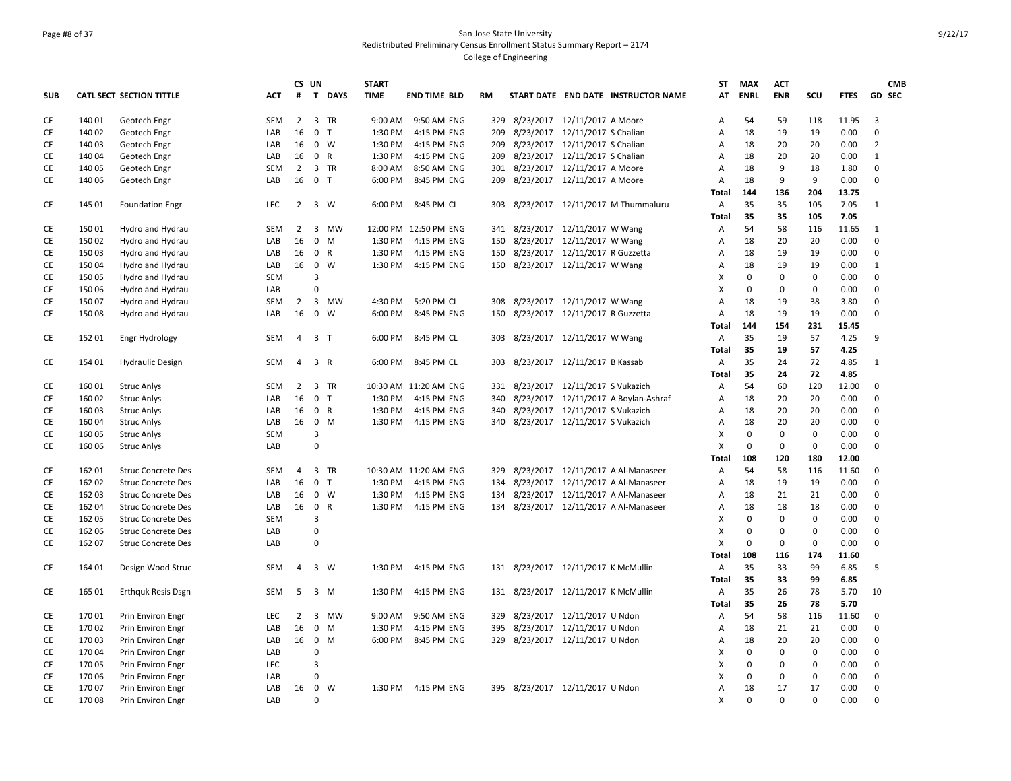### Page #8 of 37 San Jose State University Redistributed Preliminary Census Enrollment Status Summary Report – 2174 College of Engineering

|     |        |                           |            | CS UN          |                                      | <b>START</b> |                       |     |           |                                     |                                        | <b>ST</b>    | <b>MAX</b>   | <b>ACT</b>   |             |             | <b>CMB</b>              |
|-----|--------|---------------------------|------------|----------------|--------------------------------------|--------------|-----------------------|-----|-----------|-------------------------------------|----------------------------------------|--------------|--------------|--------------|-------------|-------------|-------------------------|
| SUB |        | CATL SECT SECTION TITTLE  | ACT        | #              | $\mathbf{T}$<br><b>DAYS</b>          | <b>TIME</b>  | <b>END TIME BLD</b>   | RM  |           |                                     | START DATE END DATE INSTRUCTOR NAME    | AT           | <b>ENRL</b>  | <b>ENR</b>   | scu         | <b>FTES</b> | GD SEC                  |
| CE  | 140 01 | Geotech Engr              | <b>SEM</b> | $2^{\circ}$    | 3 TR                                 |              | 9:00 AM 9:50 AM ENG   | 329 |           | 8/23/2017 12/11/2017 A Moore        |                                        | Α            | 54           | 59           | 118         | 11.95       | $\overline{\mathbf{3}}$ |
| CE  | 140 02 | Geotech Engr              | LAB        | 16             | 0 <sub>T</sub>                       | 1:30 PM      | 4:15 PM ENG           | 209 |           | 8/23/2017 12/11/2017 S Chalian      |                                        | Α            | 18           | 19           | 19          | 0.00        | $\mathbf 0$             |
| CE  | 140 03 | Geotech Engr              | LAB        | 16             | $\mathbf{0}$<br>W                    | 1:30 PM      | 4:15 PM ENG           | 209 | 8/23/2017 | 12/11/2017 S Chalian                |                                        | Α            | 18           | 20           | 20          | 0.00        | $\overline{2}$          |
| CE  | 140 04 | Geotech Engr              | LAB        | 16             | 0 R                                  | 1:30 PM      | 4:15 PM ENG           | 209 |           | 8/23/2017 12/11/2017 S Chalian      |                                        | Α            | 18           | 20           | 20          | 0.00        | $\mathbf{1}$            |
| CE  | 140 05 | Geotech Engr              | <b>SEM</b> | $\overline{2}$ | 3 TR                                 | 8:00 AM      | 8:50 AM ENG           | 301 |           | 8/23/2017 12/11/2017 A Moore        |                                        | A            | 18           | 9            | 18          | 1.80        | $\mathbf 0$             |
| CE  | 140 06 | Geotech Engr              | LAB        | 16             | 0 T                                  | 6:00 PM      | 8:45 PM ENG           | 209 |           | 8/23/2017  12/11/2017 A Moore       |                                        | Α            | 18           | 9            | 9           | 0.00        | $\mathbf 0$             |
|     |        |                           |            |                |                                      |              |                       |     |           |                                     |                                        | <b>Total</b> | 144          | 136          | 204         | 13.75       |                         |
| CE  | 145 01 | <b>Foundation Engr</b>    | LEC        | $\overline{2}$ | 3 W                                  |              | 6:00 PM 8:45 PM CL    |     |           |                                     | 303 8/23/2017 12/11/2017 M Thummaluru  | Α            | 35           | 35           | 105         | 7.05        | 1                       |
|     |        |                           |            |                |                                      |              |                       |     |           |                                     |                                        | <b>Total</b> | 35           | 35           | 105         | 7.05        |                         |
| CE  | 15001  | Hydro and Hydrau          | SEM        | $\overline{2}$ | $\overline{\mathbf{3}}$<br><b>MW</b> |              | 12:00 PM 12:50 PM ENG | 341 |           | 8/23/2017 12/11/2017 W Wang         |                                        | Α            | 54           | 58           | 116         | 11.65       | 1                       |
| CE  | 150 02 | Hydro and Hydrau          | LAB        | 16             | $\mathbf 0$<br>M                     |              | 1:30 PM 4:15 PM ENG   | 150 |           | 8/23/2017 12/11/2017 W Wang         |                                        | Α            | 18           | 20           | 20          | 0.00        | $\Omega$                |
| CE  | 150 03 | Hydro and Hydrau          | LAB        | 16             | $\mathsf{R}$<br>$\mathbf{0}$         | 1:30 PM      | 4:15 PM ENG           | 150 |           | 8/23/2017 12/11/2017 R Guzzetta     |                                        | Α            | 18           | 19           | 19          | 0.00        | $\mathbf 0$             |
| CE  | 150 04 | Hydro and Hydrau          | LAB        | 16             | 0 W                                  |              | 1:30 PM 4:15 PM ENG   |     |           | 150 8/23/2017 12/11/2017 W Wang     |                                        | Α            | 18           | 19           | 19          | 0.00        | 1                       |
| CE  | 150 05 | Hydro and Hydrau          | <b>SEM</b> |                | $\overline{3}$                       |              |                       |     |           |                                     |                                        | X            | $\mathbf 0$  | $\mathbf{0}$ | $\mathbf 0$ | 0.00        | $\mathbf 0$             |
| CE  | 150 06 | Hydro and Hydrau          | LAB        |                | 0                                    |              |                       |     |           |                                     |                                        | X            | $\mathbf 0$  | $\mathbf 0$  | $\mathbf 0$ | 0.00        | $\mathbf 0$             |
| CE  | 150 07 | Hydro and Hydrau          | SEM        | $\overline{2}$ | 3 MW                                 |              | 4:30 PM 5:20 PM CL    | 308 |           | 8/23/2017 12/11/2017 W Wang         |                                        | Α            | 18           | 19           | 38          | 3.80        | $\mathbf 0$             |
| CE  | 150 08 | Hydro and Hydrau          | LAB        | 16             | $\overline{0}$<br>W                  |              | 6:00 PM 8:45 PM ENG   | 150 |           | 8/23/2017 12/11/2017 R Guzzetta     |                                        | Α            | 18           | 19           | 19          | 0.00        | $\Omega$                |
|     |        |                           |            |                |                                      |              |                       |     |           |                                     |                                        | <b>Total</b> | 144          | 154          | 231         | 15.45       |                         |
| CE  | 152 01 | Engr Hydrology            | SEM        | 4              | 3 <sub>1</sub>                       | 6:00 PM      | 8:45 PM CL            | 303 |           | 8/23/2017 12/11/2017 W Wang         |                                        | Α            | 35           | 19           | 57          | 4.25        | 9                       |
|     |        |                           |            |                |                                      |              |                       |     |           |                                     |                                        | <b>Total</b> | 35           | 19           | 57          | 4.25        |                         |
| CE  | 154 01 | <b>Hydraulic Design</b>   | <b>SEM</b> | $\overline{4}$ | 3 R                                  |              | 6:00 PM 8:45 PM CL    | 303 |           | 8/23/2017 12/11/2017 B Kassab       |                                        | Α            | 35           | 24           | 72          | 4.85        | 1                       |
|     |        |                           |            |                |                                      |              |                       |     |           |                                     |                                        | <b>Total</b> | 35           | 24           | 72          | 4.85        |                         |
| CE  | 160 01 | <b>Struc Anlys</b>        | SEM        | $\overline{2}$ | 3 TR                                 |              | 10:30 AM 11:20 AM ENG | 331 |           | 8/23/2017 12/11/2017 S Vukazich     |                                        | Α            | 54           | 60           | 120         | 12.00       | 0                       |
| CE  | 160 02 | <b>Struc Anlys</b>        | LAB        | 16             | 0 <sub>T</sub>                       |              | 1:30 PM 4:15 PM ENG   | 340 |           |                                     | 8/23/2017 12/11/2017 A Boylan-Ashraf   | Α            | 18           | 20           | 20          | 0.00        | $\Omega$                |
| CE  | 160 03 | <b>Struc Anlys</b>        | LAB        |                | 16 0 R                               |              | 1:30 PM 4:15 PM ENG   | 340 |           | 8/23/2017 12/11/2017 S Vukazich     |                                        | Α            | 18           | 20           | 20          | 0.00        | $\Omega$                |
| CE  | 160 04 | <b>Struc Anlys</b>        | LAB        | 16             | 0 M                                  |              | 1:30 PM 4:15 PM ENG   | 340 |           | 8/23/2017 12/11/2017 S Vukazich     |                                        | Α            | 18           | 20           | 20          | 0.00        | $\mathbf 0$             |
| CE  | 160 05 | <b>Struc Anlys</b>        | <b>SEM</b> |                | 3                                    |              |                       |     |           |                                     |                                        | X            | $\mathbf 0$  | $\mathbf 0$  | $\mathbf 0$ | 0.00        | $\mathbf 0$             |
| CE  | 160 06 | <b>Struc Anlys</b>        | LAB        |                | $\mathbf 0$                          |              |                       |     |           |                                     |                                        | X            | $\mathbf 0$  | $\mathbf{0}$ | $\mathbf 0$ | 0.00        | $\mathbf 0$             |
|     |        |                           |            |                |                                      |              |                       |     |           |                                     |                                        | Total        | 108          | 120          | 180         | 12.00       |                         |
| CE  | 162 01 | <b>Struc Concrete Des</b> | SEM        | 4              | 3 TR                                 |              | 10:30 AM 11:20 AM ENG | 329 |           |                                     | 8/23/2017 12/11/2017 A Al-Manaseer     | Α            | 54           | 58           | 116         | 11.60       | $\mathbf 0$             |
| CE  | 162 02 | <b>Struc Concrete Des</b> | LAB        | 16             | 0 <sub>T</sub>                       |              | 1:30 PM 4:15 PM ENG   | 134 |           |                                     | 8/23/2017 12/11/2017 A Al-Manaseer     | Α            | 18           | 19           | 19          | 0.00        | $\mathbf 0$             |
| CE  | 162 03 | <b>Struc Concrete Des</b> | LAB        |                | 16 0 W                               |              | 1:30 PM 4:15 PM ENG   | 134 |           |                                     | 8/23/2017 12/11/2017 A Al-Manaseer     | Α            | 18           | 21           | 21          | 0.00        | $\Omega$                |
| CE  | 162 04 | <b>Struc Concrete Des</b> | LAB        | 16 0           | R                                    |              | 1:30 PM 4:15 PM ENG   |     |           |                                     | 134 8/23/2017 12/11/2017 A Al-Manaseer | Α            | 18           | 18           | 18          | 0.00        | $\mathbf 0$             |
| CE  | 162 05 | <b>Struc Concrete Des</b> | <b>SEM</b> |                | 3                                    |              |                       |     |           |                                     |                                        | X            | $\mathbf 0$  | $\mathbf{0}$ | $\mathbf 0$ | 0.00        | $\mathbf 0$             |
| CE  | 162 06 | <b>Struc Concrete Des</b> | LAB        |                | 0                                    |              |                       |     |           |                                     |                                        | Χ            | $\mathbf 0$  | $\mathbf 0$  | $\mathbf 0$ | 0.00        | $\mathbf 0$             |
| CE  | 162 07 | <b>Struc Concrete Des</b> | LAB        |                | $\mathbf 0$                          |              |                       |     |           |                                     |                                        | X            | $\mathbf 0$  | 0            | $\mathbf 0$ | 0.00        | $\mathbf 0$             |
|     |        |                           |            |                |                                      |              |                       |     |           |                                     |                                        | <b>Total</b> | 108          | 116          | 174         | 11.60       |                         |
| CE  | 164 01 | Design Wood Struc         | <b>SEM</b> | 4              | 3 W                                  | 1:30 PM      | 4:15 PM ENG           |     |           | 131 8/23/2017 12/11/2017 K McMullin |                                        | Α            | 35           | 33           | 99          | 6.85        | 5                       |
|     |        |                           |            |                |                                      |              |                       |     |           |                                     |                                        | Total        | 35           | 33           | 99          | 6.85        |                         |
| CE  | 165 01 | <b>Erthquk Resis Dsgn</b> | SEM        | 5              | 3 M                                  |              | 1:30 PM 4:15 PM ENG   |     |           | 131 8/23/2017 12/11/2017 K McMullin |                                        | Α            | 35           | 26           | 78          | 5.70        | 10                      |
|     |        |                           |            |                |                                      |              |                       |     |           |                                     |                                        | <b>Total</b> | 35           | 26           | 78          | 5.70        |                         |
| CE  | 170 01 | Prin Environ Engr         | LEC        | 2              | $\overline{\mathbf{3}}$<br>MW        | 9:00 AM      | 9:50 AM ENG           | 329 |           | 8/23/2017 12/11/2017 U Ndon         |                                        | Α            | 54           | 58           | 116         | 11.60       | $\mathbf 0$             |
| CE  | 170 02 | Prin Environ Engr         | LAB        | 16             | $\mathbf 0$<br>M                     | 1:30 PM      | 4:15 PM ENG           | 395 |           | 8/23/2017 12/11/2017 U Ndon         |                                        | Α            | 18           | 21           | 21          | 0.00        | $\mathbf 0$             |
| CE  | 170 03 | Prin Environ Engr         | LAB        | 16             | $\overline{0}$<br>M                  |              | 6:00 PM 8:45 PM ENG   | 329 |           | 8/23/2017 12/11/2017 U Ndon         |                                        | Α            | 18           | 20           | 20          | 0.00        | $\mathbf 0$             |
| CE  | 170 04 | Prin Environ Engr         | LAB        |                | $\mathbf 0$                          |              |                       |     |           |                                     |                                        | X            | $\mathbf{0}$ | $\mathbf 0$  | $\mathbf 0$ | 0.00        | $\mathbf 0$             |
| CE  | 170 05 | Prin Environ Engr         | LEC        |                | $\overline{\mathbf{3}}$              |              |                       |     |           |                                     |                                        | X            | 0            | 0            | $\pmb{0}$   | 0.00        | $\mathbf 0$             |
| CE  | 170 06 | Prin Environ Engr         | LAB        |                | 0                                    |              |                       |     |           |                                     |                                        | х            | $\mathbf 0$  | $\mathbf 0$  | $\mathbf 0$ | 0.00        | $\mathbf 0$             |
| CE  | 170 07 | Prin Environ Engr         | LAB        | 16             | $\overline{0}$<br>W                  |              | 1:30 PM 4:15 PM ENG   |     |           | 395 8/23/2017 12/11/2017 U Ndon     |                                        | A            | 18           | 17           | 17          | 0.00        | $\Omega$                |
| CE  | 170 08 | Prin Environ Engr         | LAB        |                | 0                                    |              |                       |     |           |                                     |                                        | X            | $\Omega$     | $\mathbf 0$  | $\mathbf 0$ | 0.00        | $\mathbf 0$             |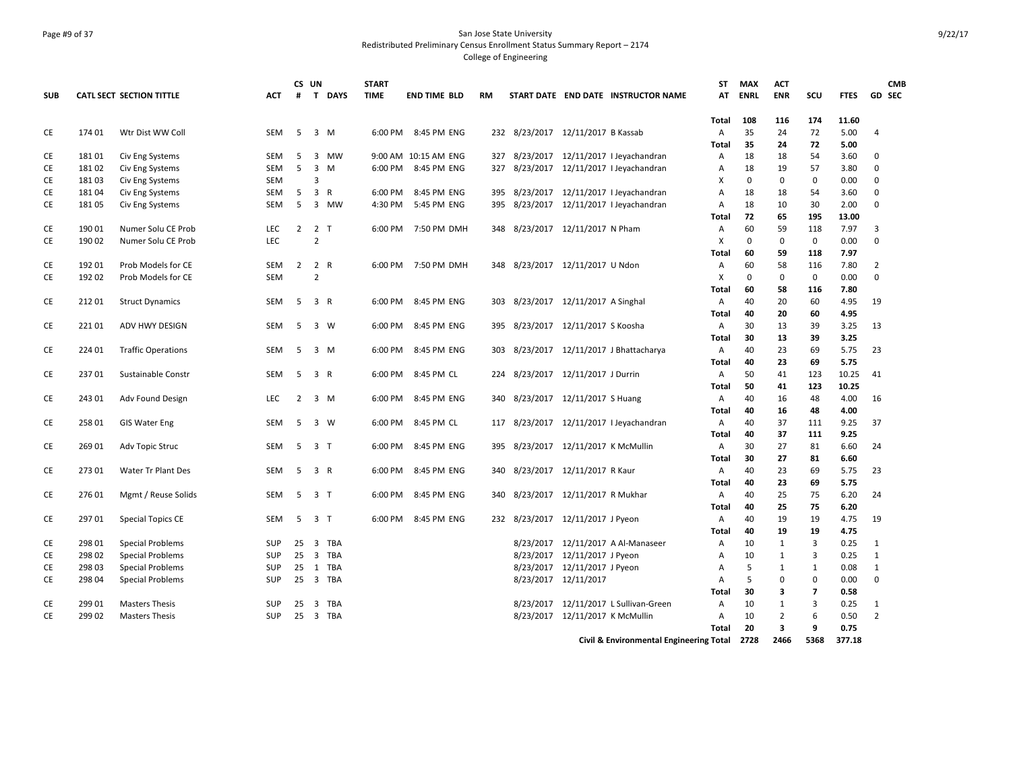### Page #9 of 37 San Jose State University Redistributed Preliminary Census Enrollment Status Summary Report – 2174 College of Engineering

|            |        |                           |            |                | CS UN                                | <b>START</b> |                      |           |                                    |                                 |                                              | <b>ST</b>    | <b>MAX</b>  | <b>ACT</b>       |                |             | <b>CMB</b>     |
|------------|--------|---------------------------|------------|----------------|--------------------------------------|--------------|----------------------|-----------|------------------------------------|---------------------------------|----------------------------------------------|--------------|-------------|------------------|----------------|-------------|----------------|
| <b>SUB</b> |        | CATL SECT SECTION TITTLE  | <b>ACT</b> | #              | $\mathbf{T}$<br><b>DAYS</b>          | <b>TIME</b>  | <b>END TIME BLD</b>  | <b>RM</b> |                                    |                                 | START DATE END DATE INSTRUCTOR NAME          | AT           | <b>ENRL</b> | <b>ENR</b>       | SCU            | <b>FTES</b> | <b>GD SEC</b>  |
|            |        |                           |            |                |                                      |              |                      |           |                                    |                                 |                                              | Total        | 108         | 116              | 174            | 11.60       |                |
| CE         | 174 01 | Wtr Dist WW Coll          | SEM        | 5              | 3 M                                  |              | 6:00 PM 8:45 PM ENG  |           | 232 8/23/2017 12/11/2017 B Kassab  |                                 |                                              | Α            | 35          | 24               | 72             | 5.00        | $\overline{4}$ |
|            |        |                           |            |                |                                      |              |                      |           |                                    |                                 |                                              | Total        | 35          | 24               | 72             | 5.00        |                |
| CE         | 18101  | Civ Eng Systems           | <b>SEM</b> | 5              | <b>MW</b><br>$\overline{\mathbf{3}}$ |              | 9:00 AM 10:15 AM ENG | 327       |                                    |                                 | 8/23/2017 12/11/2017 I Jeyachandran          | Α            | 18          | 18               | 54             | 3.60        | 0              |
| CE         | 181 02 | Civ Eng Systems           | SEM        | 5              | $\overline{\mathbf{3}}$<br>M         |              | 6:00 PM 8:45 PM ENG  | 327       |                                    |                                 | 8/23/2017 12/11/2017 I Jeyachandran          | Α            | 18          | 19               | 57             | 3.80        | $\mathbf 0$    |
| CE         | 181 03 | Civ Eng Systems           | <b>SEM</b> |                | 3                                    |              |                      |           |                                    |                                 |                                              | Χ            | $\mathbf 0$ | 0                | $\mathbf 0$    | 0.00        | 0              |
| CE         | 18104  | Civ Eng Systems           | SEM        | 5              | $\overline{\mathbf{3}}$<br>R         | 6:00 PM      | 8:45 PM ENG          | 395       |                                    |                                 | 8/23/2017 12/11/2017 I Jeyachandran          | Α            | 18          | 18               | 54             | 3.60        | 0              |
| CE         | 181 05 | Civ Eng Systems           | <b>SEM</b> | 5              | $\overline{\mathbf{3}}$<br>MW        | 4:30 PM      | 5:45 PM ENG          | 395       |                                    |                                 | 8/23/2017 12/11/2017 I Jeyachandran          | Α            | 18          | 10               | 30             | 2.00        | 0              |
|            |        |                           |            |                |                                      |              |                      |           |                                    |                                 |                                              | Total        | 72          | 65               | 195            | 13.00       |                |
| CE         | 190 01 | Numer Solu CE Prob        | <b>LEC</b> | $\overline{2}$ | 2 T                                  | 6:00 PM      | 7:50 PM DMH          | 348       | 8/23/2017 12/11/2017 N Pham        |                                 |                                              | Α            | 60          | 59               | 118            | 7.97        | 3              |
| CE         | 190 02 | Numer Solu CE Prob        | LEC        |                | $\overline{2}$                       |              |                      |           |                                    |                                 |                                              | X            | $\mathbf 0$ | 0                | $\mathbf{0}$   | 0.00        | $\mathbf 0$    |
|            |        |                           |            |                |                                      |              |                      |           |                                    |                                 |                                              | Total        | 60          | 59               | 118            | 7.97        |                |
| CE         | 192 01 | Prob Models for CE        | SEM        | $\overline{2}$ | 2 R                                  | 6:00 PM      | 7:50 PM DMH          | 348       |                                    | 8/23/2017 12/11/2017 U Ndon     |                                              | А            | 60          | 58               | 116            | 7.80        | $\overline{2}$ |
| CE         | 192 02 | Prob Models for CE        | <b>SEM</b> |                | $\overline{2}$                       |              |                      |           |                                    |                                 |                                              | Χ            | $\mathbf 0$ | 0                | 0              | 0.00        | 0              |
|            |        |                           |            |                |                                      |              |                      |           |                                    |                                 |                                              | Total        | 60          | 58               | 116            | 7.80        |                |
| CE         | 212 01 | <b>Struct Dynamics</b>    | <b>SEM</b> | 5              | 3 R                                  |              | 6:00 PM 8:45 PM ENG  |           | 303 8/23/2017 12/11/2017 A Singhal |                                 |                                              | Α            | 40          | 20               | 60             | 4.95        | 19             |
|            |        |                           |            |                |                                      |              |                      |           |                                    |                                 |                                              | Total        | 40          | 20               | 60             | 4.95        |                |
| CE         | 221 01 | ADV HWY DESIGN            | <b>SEM</b> | 5              | $\overline{\mathbf{3}}$<br>W         | 6:00 PM      | 8:45 PM ENG          | 395       | 8/23/2017 12/11/2017 S Koosha      |                                 |                                              | Α            | 30          | 13               | 39             | 3.25        | 13             |
|            |        |                           |            |                |                                      |              |                      |           |                                    |                                 |                                              | Total        | 30          | 13               | 39             | 3.25        |                |
| CE         | 224 01 | <b>Traffic Operations</b> | SEM        | 5              | $\overline{\mathbf{3}}$<br>M         | 6:00 PM      | 8:45 PM ENG          | 303       |                                    |                                 | 8/23/2017 12/11/2017 J Bhattacharya          | Α            | 40          | 23               | 69             | 5.75        | 23             |
|            |        |                           |            |                |                                      |              |                      |           |                                    |                                 |                                              | Total        | 40          | 23               | 69             | 5.75        |                |
| CE         | 23701  | Sustainable Constr        | <b>SEM</b> | 5              | 3 R                                  | 6:00 PM      | 8:45 PM CL           | 224       | 8/23/2017 12/11/2017 J Durrin      |                                 |                                              | Α            | 50          | 41               | 123            | 10.25       | 41             |
|            |        |                           |            |                |                                      |              |                      |           |                                    |                                 |                                              | Total        | 50          | 41               | 123            | 10.25       |                |
| CE         | 243 01 | Adv Found Design          | <b>LEC</b> | 2              | 3 M                                  | 6:00 PM      | 8:45 PM ENG          | 340       | 8/23/2017 12/11/2017 S Huang       |                                 |                                              | Α            | 40          | 16               | 48             | 4.00        | 16             |
|            |        |                           |            |                |                                      |              |                      |           |                                    |                                 |                                              | Total        | 40          | 16               | 48             | 4.00        |                |
| CE         | 258 01 | GIS Water Eng             | <b>SEM</b> | 5              | 3 W                                  |              | 6:00 PM 8:45 PM CL   |           |                                    |                                 | 117 8/23/2017 12/11/2017 I Jeyachandran      | Α            | 40          | 37               | 111            | 9.25        | 37             |
|            |        |                           |            |                |                                      |              |                      |           |                                    |                                 |                                              | Total        | 40          | 37               | 111            | 9.25        |                |
| CE         | 269 01 | Adv Topic Struc           | <b>SEM</b> | 5              | 3 <sub>1</sub>                       | 6:00 PM      | 8:45 PM ENG          | 395       | 8/23/2017 12/11/2017 K McMullin    |                                 |                                              | A            | 30          | 27               | 81             | 6.60        | 24             |
|            |        |                           |            |                |                                      |              |                      |           |                                    |                                 |                                              | Total        | 30          | 27               | 81             | 6.60        |                |
| CE         | 27301  | Water Tr Plant Des        | <b>SEM</b> | 5              | 3 R                                  | 6:00 PM      | 8:45 PM ENG          | 340       |                                    | 8/23/2017 12/11/2017 R Kaur     |                                              | Α            | 40          | 23               | 69             | 5.75        | 23             |
|            |        |                           |            |                |                                      |              |                      |           |                                    |                                 |                                              | Total        | 40          | 23               | 69             | 5.75        |                |
| CE         | 276 01 | Mgmt / Reuse Solids       | SEM        | 5              | 3 T                                  | 6:00 PM      | 8:45 PM ENG          | 340       | 8/23/2017  12/11/2017 R Mukhar     |                                 |                                              | A            | 40          | 25               | 75             | 6.20        | 24             |
|            |        |                           |            |                |                                      |              |                      |           |                                    |                                 |                                              | Total        | 40          | 25               | 75             | 6.20        |                |
| CE         | 29701  | <b>Special Topics CE</b>  | <b>SEM</b> | 5              | 3 T                                  | 6:00 PM      | 8:45 PM ENG          | 232       | 8/23/2017 12/11/2017 J Pyeon       |                                 |                                              | Α            | 40          | 19               | 19             | 4.75        | 19             |
|            |        |                           |            |                |                                      |              |                      |           |                                    |                                 |                                              | Total        | 40          | 19               | 19             | 4.75        |                |
| CE         | 298 01 | <b>Special Problems</b>   | <b>SUP</b> |                | 25 3 TBA                             |              |                      |           |                                    |                                 | 8/23/2017 12/11/2017 A Al-Manaseer           | Α            | 10          | 1                | 3              | 0.25        | 1              |
| CE         | 298 02 | <b>Special Problems</b>   | <b>SUP</b> | 25             | 3 TBA                                |              |                      |           |                                    | 8/23/2017 12/11/2017 J Pyeon    |                                              | Α            | 10          | 1                | 3              | 0.25        | 1              |
| CE         | 298 03 | <b>Special Problems</b>   | <b>SUP</b> |                | 25 1 TBA                             |              |                      |           |                                    | 8/23/2017 12/11/2017 J Pyeon    |                                              | А            | -5<br>5     | 1<br>$\mathbf 0$ | 1              | 0.08        | 1              |
| CE         | 298 04 | <b>Special Problems</b>   | <b>SUP</b> | 25             | 3 TBA                                |              |                      |           |                                    | 8/23/2017 12/11/2017            |                                              | A            |             |                  | $\mathbf 0$    | 0.00        | $\mathbf 0$    |
|            |        |                           |            |                |                                      |              |                      |           |                                    |                                 |                                              | <b>Total</b> | 30          | 3                | $\overline{ }$ | 0.58        |                |
| CE         | 299 01 | <b>Masters Thesis</b>     | <b>SUP</b> | 25             | $\overline{\mathbf{3}}$<br>TBA       |              |                      |           |                                    |                                 | 8/23/2017 12/11/2017 L Sullivan-Green        | Α            | 10          | 1                | 3              | 0.25        | 1              |
| <b>CE</b>  | 299 02 | <b>Masters Thesis</b>     | <b>SUP</b> |                | 25 3 TBA                             |              |                      |           |                                    | 8/23/2017 12/11/2017 K McMullin |                                              | A            | 10          | $\overline{2}$   | 6              | 0.50        | $\overline{2}$ |
|            |        |                           |            |                |                                      |              |                      |           |                                    |                                 |                                              | Total        | 20          | 3                | 9              | 0.75        |                |
|            |        |                           |            |                |                                      |              |                      |           |                                    |                                 | Civil & Environmental Engineering Total 2728 |              |             | 2466             | 5368           | 377.18      |                |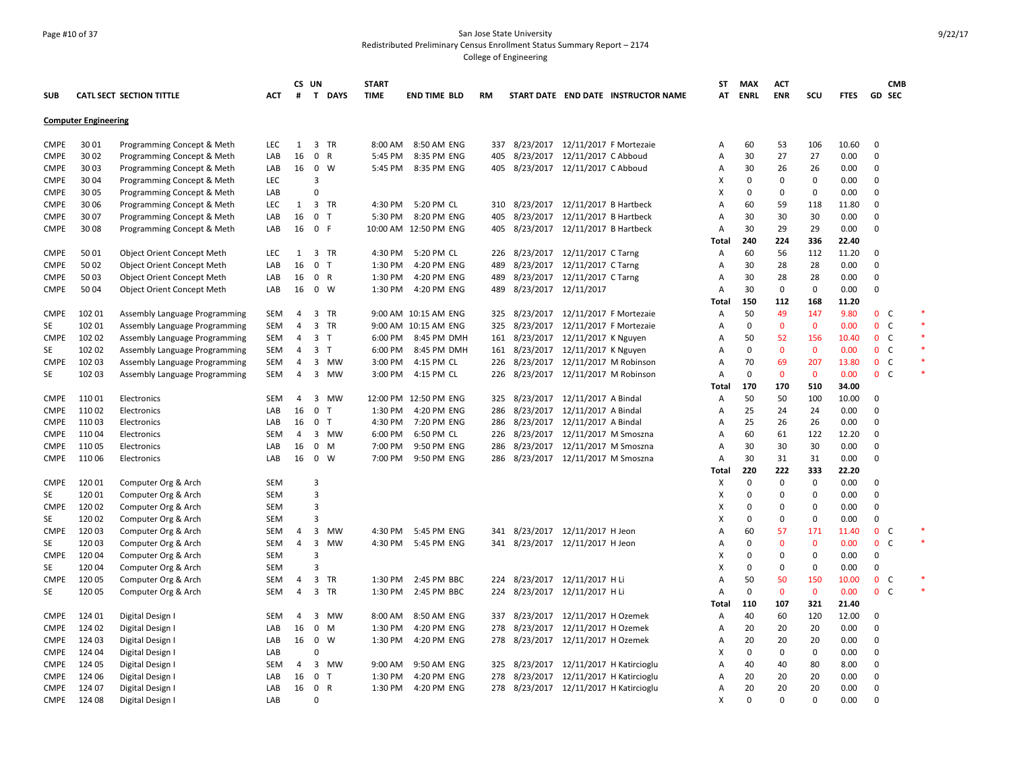### Page #10 of 37 San Jose State University Redistributed Preliminary Census Enrollment Status Summary Report – 2174 College of Engineering

|             |                             |                                                          |                          |              | CS UN                            |              | <b>START</b> |                           |     |                                      |                                  |                                        | <b>ST</b>           | <b>MAX</b>     | <b>ACT</b>         |                          |               |                                       | <b>CMB</b> |
|-------------|-----------------------------|----------------------------------------------------------|--------------------------|--------------|----------------------------------|--------------|--------------|---------------------------|-----|--------------------------------------|----------------------------------|----------------------------------------|---------------------|----------------|--------------------|--------------------------|---------------|---------------------------------------|------------|
| <b>SUB</b>  |                             | <b>CATL SECT SECTION TITTLE</b>                          | АСТ                      | #            | T.                               | <b>DAYS</b>  | <b>TIME</b>  | <b>END TIME BLD</b>       | RM  |                                      |                                  | START DATE END DATE INSTRUCTOR NAME    | AT                  | <b>ENRL</b>    | <b>ENR</b>         | SCU                      | <b>FTES</b>   | GD SEC                                |            |
|             | <b>Computer Engineering</b> |                                                          |                          |              |                                  |              |              |                           |     |                                      |                                  |                                        |                     |                |                    |                          |               |                                       |            |
| <b>CMPE</b> | 3001                        | Programming Concept & Meth                               | LEC                      | 1            |                                  | 3 TR         | 8:00 AM      | 8:50 AM ENG               |     | 337 8/23/2017 12/11/2017 F Mortezaie |                                  |                                        | A                   | 60             | 53                 | 106                      | 10.60         | 0                                     |            |
| <b>CMPE</b> | 30 02                       | Programming Concept & Meth                               | LAB                      | 16           | $\mathbf 0$                      | $\mathsf{R}$ | 5:45 PM      | 8:35 PM ENG               | 405 |                                      | 8/23/2017 12/11/2017 C Abboud    |                                        | A                   | 30             | 27                 | 27                       | 0.00          | $\mathbf 0$                           |            |
| <b>CMPE</b> | 3003                        |                                                          | LAB                      | 16           | $\mathbf 0$                      | W            | 5:45 PM      | 8:35 PM ENG               |     | 405 8/23/2017 12/11/2017 C Abboud    |                                  |                                        | A                   | 30             | 26                 | 26                       | 0.00          | $\mathbf 0$                           |            |
| <b>CMPE</b> | 30 04                       | Programming Concept & Meth                               | <b>LEC</b>               |              | 3                                |              |              |                           |     |                                      |                                  |                                        | X                   | 0              | $\mathbf 0$        | $\mathbf 0$              | 0.00          | $\mathbf 0$                           |            |
| <b>CMPE</b> | 3005                        | Programming Concept & Meth                               | LAB                      |              | $\Omega$                         |              |              |                           |     |                                      |                                  |                                        | X                   | 0              | $\mathbf 0$        | $\mathbf 0$              | 0.00          | $\mathbf 0$                           |            |
| <b>CMPE</b> | 30 06                       | Programming Concept & Meth<br>Programming Concept & Meth | LEC                      | $\mathbf{1}$ |                                  | 3 TR         | 4:30 PM      | 5:20 PM CL                |     | 310 8/23/2017 12/11/2017 B Hartbeck  |                                  |                                        | A                   | 60             | 59                 | 118                      | 11.80         | $\mathbf 0$                           |            |
| <b>CMPE</b> | 30 07                       | Programming Concept & Meth                               | LAB                      | 16           | $\mathbf 0$                      | $\mathsf{T}$ | 5:30 PM      | 8:20 PM ENG               | 405 |                                      | 8/23/2017 12/11/2017 B Hartbeck  |                                        | A                   | 30             | 30                 | 30                       | 0.00          | $\Omega$                              |            |
| CMPE        | 3008                        | Programming Concept & Meth                               | LAB                      | 16           | 0 F                              |              |              | 10:00 AM 12:50 PM ENG     | 405 |                                      | 8/23/2017 12/11/2017 B Hartbeck  |                                        | $\overline{A}$      | 30             | 29                 | 29                       | 0.00          | $\Omega$                              |            |
|             |                             |                                                          |                          |              |                                  |              |              |                           |     |                                      |                                  |                                        |                     | 240            | 224                | 336                      | 22.40         |                                       |            |
| <b>CMPE</b> | 5001                        |                                                          | <b>LEC</b>               | 1            |                                  | 3 TR         | 4:30 PM      | 5:20 PM CL                |     | 226 8/23/2017 12/11/2017 C Tarng     |                                  |                                        | Total               |                |                    | 112                      | 11.20         | $\mathbf 0$                           |            |
| <b>CMPE</b> | 5002                        | <b>Object Orient Concept Meth</b>                        | LAB                      | 16           | $\mathbf 0$                      | $\top$       | 1:30 PM      | 4:20 PM ENG               | 489 |                                      | 8/23/2017 12/11/2017 C Tarng     |                                        | Α<br>A              | 60             | 56<br>28           | 28                       | 0.00          | $\Omega$                              |            |
|             | 5003                        | Object Orient Concept Meth                               |                          |              | 0 R                              |              | 1:30 PM      | 4:20 PM ENG               |     |                                      | 8/23/2017 12/11/2017 C Tarng     |                                        |                     | 30<br>30       | 28                 | 28                       | 0.00          | 0                                     |            |
| <b>CMPE</b> |                             | Object Orient Concept Meth                               | LAB                      | 16           |                                  |              |              |                           | 489 |                                      |                                  |                                        | A                   |                |                    | $\mathbf 0$              |               | $\mathbf 0$                           |            |
| <b>CMPE</b> | 50 04                       | <b>Object Orient Concept Meth</b>                        | LAB                      | 16           | $0 \quad W$                      |              | 1:30 PM      | 4:20 PM ENG               | 489 | 8/23/2017 12/11/2017                 |                                  |                                        | A                   | 30<br>150      | $\mathbf 0$<br>112 |                          | 0.00          |                                       |            |
|             |                             |                                                          |                          |              |                                  |              |              |                           |     |                                      |                                  |                                        | Total               |                | 49                 | 168                      | 11.20<br>9.80 | C                                     |            |
| <b>CMPE</b> | 102 01                      | Assembly Language Programming                            | SEM                      | 4            |                                  | 3 TR         |              | 9:00 AM 10:15 AM ENG      | 325 |                                      | 8/23/2017 12/11/2017 F Mortezaie |                                        | Α                   | 50             |                    | 147<br>$\mathbf{0}$      |               | $\mathbf{0}$                          |            |
| SE          | 102 01                      | Assembly Language Programming                            | SEM                      | 4            |                                  | 3 TR         | 9:00 AM      | 10:15 AM ENG              | 325 |                                      | 8/23/2017 12/11/2017 F Mortezaie |                                        | A                   | 0              | $\mathbf{0}$       |                          | 0.00          | $\mathbf{0}$<br>C                     |            |
| <b>CMPE</b> | 102 02                      | Assembly Language Programming                            | SEM                      | 4            | 3 <sub>7</sub>                   |              | 6:00 PM      | 8:45 PM DMH               | 161 |                                      | 8/23/2017 12/11/2017 K Nguyen    |                                        | A                   | 50<br>$\Omega$ | 52                 | 156                      | 10.40         | 0 <sub>c</sub><br>$\mathsf{C}$        |            |
| SE          | 102 02<br>102 03            | Assembly Language Programming                            | SEM                      | 4            | 3 <sub>T</sub>                   |              | 6:00 PM      | 8:45 PM DMH               | 161 |                                      | 8/23/2017 12/11/2017 K Nguyen    |                                        | A<br>A              | 70             | $\mathbf{0}$<br>69 | $\mathbf{0}$<br>207      | 0.00<br>13.80 | 0<br>$\mathbf{0}$<br>C                |            |
| <b>CMPE</b> |                             | Assembly Language Programming                            | SEM                      | 4            | 3                                | MW           | 3:00 PM      | 4:15 PM CL                | 226 |                                      | 8/23/2017 12/11/2017 M Robinson  |                                        |                     |                |                    |                          |               |                                       |            |
| SE          | 102 03                      | Assembly Language Programming                            | <b>SEM</b>               | 4            |                                  | 3 MW         | 3:00 PM      | 4:15 PM CL                | 226 |                                      | 8/23/2017 12/11/2017 M Robinson  |                                        | A                   | 0              | $\mathbf 0$        | $\mathbf 0$              | 0.00          | $0-$                                  |            |
| <b>CMPE</b> | 11001                       | Electronics                                              | <b>SEM</b>               | 4            | 3                                | <b>MW</b>    | 12:00 PM     | 12:50 PM ENG              |     |                                      | 8/23/2017 12/11/2017 A Bindal    |                                        | Total               | 170            | 170<br>50          | 510                      | 34.00         | $\Omega$                              |            |
|             |                             |                                                          |                          |              |                                  |              |              |                           | 325 |                                      |                                  |                                        | А                   | 50             |                    | 100                      | 10.00         | $\Omega$                              |            |
| <b>CMPE</b> | 110 02                      | Electronics                                              | LAB                      | 16           | $\mathbf 0$                      | Т            | 1:30 PM      | 4:20 PM ENG               | 286 |                                      | 8/23/2017 12/11/2017 A Bindal    |                                        | A                   | 25             | 24                 | 24                       | 0.00          |                                       |            |
| <b>CMPE</b> | 110 03                      | Electronics                                              | LAB                      | 16           | $\mathbf 0$                      | $\top$       | 4:30 PM      | 7:20 PM ENG<br>6:50 PM CL | 286 |                                      | 8/23/2017 12/11/2017 A Bindal    |                                        | A                   | 25             | 26                 | 26<br>122                | 0.00          | $\Omega$<br>$\Omega$                  |            |
| <b>CMPE</b> | 110 04                      | Electronics                                              | <b>SEM</b>               | 4            | 3                                | MW           | 6:00 PM      |                           | 226 |                                      | 8/23/2017 12/11/2017 M Smoszna   |                                        | A                   | 60             | 61                 |                          | 12.20         | $\mathbf 0$                           |            |
| <b>CMPE</b> | 110 05                      | Electronics                                              | LAB                      | 16           | $\mathbf 0$                      | M            | 7:00 PM      | 9:50 PM ENG               | 286 |                                      | 8/23/2017 12/11/2017 M Smoszna   |                                        | A                   | 30             | 30                 | 30                       | 0.00          |                                       |            |
| <b>CMPE</b> | 110 06                      | Electronics                                              | LAB                      | 16           |                                  | $0 \quad W$  | 7:00 PM      | 9:50 PM ENG               | 286 |                                      | 8/23/2017 12/11/2017 M Smoszna   |                                        | $\overline{A}$      | 30             | 31                 | 31                       | 0.00          | $\mathbf 0$                           |            |
|             |                             |                                                          |                          |              |                                  |              |              |                           |     |                                      |                                  |                                        | Total               | 220            | 222                | 333                      | 22.20         |                                       |            |
| <b>CMPE</b> | 12001                       | Computer Org & Arch                                      | <b>SEM</b>               |              | $\overline{3}$                   |              |              |                           |     |                                      |                                  |                                        | х                   | 0              | $\mathbf 0$        | $\mathbf 0$              | 0.00          | $\Omega$                              |            |
| SE          | 120 01                      | Computer Org & Arch                                      | <b>SEM</b>               |              | $\overline{3}$<br>$\overline{3}$ |              |              |                           |     |                                      |                                  |                                        | X                   | $\Omega$       | $\Omega$           | $\mathbf 0$              | 0.00          | $\Omega$                              |            |
| <b>CMPE</b> | 120 02                      | Computer Org & Arch                                      | <b>SEM</b>               |              |                                  |              |              |                           |     |                                      |                                  |                                        | X                   | $\Omega$       | $\mathbf 0$        | $\mathbf 0$              | 0.00          | $\mathbf 0$                           |            |
| SE          | 120 02                      | Computer Org & Arch                                      | <b>SEM</b><br><b>SEM</b> |              | $\overline{3}$<br>3              | MW           | 4:30 PM      | 5:45 PM ENG               |     |                                      |                                  |                                        | X<br>A              | 0<br>60        | 0                  | $\pmb{0}$<br>171         | 0.00          | 0                                     |            |
| <b>CMPE</b> | 120 03                      | Computer Org & Arch                                      |                          | 4<br>4       |                                  |              |              |                           | 341 |                                      | 8/23/2017 12/11/2017 H Jeon      |                                        | $\overline{A}$      | $\Omega$       | 57                 |                          | 11.40         | 0<br>C<br>$\mathbf 0$<br>$\mathsf{C}$ |            |
| SE          | 120 03<br>12004             | Computer Org & Arch                                      | SEM                      |              | 3                                | MW           | 4:30 PM      | 5:45 PM ENG               |     | 341 8/23/2017 12/11/2017 H Jeon      |                                  |                                        |                     |                | $\mathbf 0$        | $\mathbf 0$<br>$\pmb{0}$ | 0.00<br>0.00  | $\mathsf 0$                           |            |
| <b>CMPE</b> |                             | Computer Org & Arch                                      | SEM                      |              | 3<br>3                           |              |              |                           |     |                                      |                                  |                                        | X                   | 0              | 0                  | $\mathbf 0$              |               | $\mathbf 0$                           |            |
| SE          | 120 04                      | Computer Org & Arch                                      | <b>SEM</b>               |              |                                  |              |              |                           |     |                                      |                                  |                                        | X<br>$\overline{A}$ | 0              | 0                  |                          | 0.00          |                                       |            |
| <b>CMPE</b> | 120 05                      | Computer Org & Arch                                      | <b>SEM</b>               | 4            | 3                                | TR           | 1:30 PM      | 2:45 PM BBC               | 224 |                                      | 8/23/2017 12/11/2017 H Li        |                                        |                     | 50             | 50                 | 150                      | 10.00         | $\mathbf 0$<br>C                      |            |
| SE          | 120 05                      | Computer Org & Arch                                      | SEM                      | 4            |                                  | 3 TR         | 1:30 PM      | 2:45 PM BBC               | 224 |                                      | 8/23/2017 12/11/2017 H Li        |                                        | A                   | 0              | $\mathbf 0$        | $\mathbf{0}$             | 0.00          | 0 <sup>o</sup>                        |            |
|             |                             |                                                          |                          |              |                                  |              |              |                           |     |                                      |                                  |                                        | Total               | 110            | 107                | 321                      | 21.40         |                                       |            |
| <b>CMPE</b> | 124 01                      | Digital Design I                                         | <b>SEM</b>               | 4            | 3                                | MW           | 8:00 AM      | 8:50 AM ENG               | 337 |                                      | 8/23/2017 12/11/2017 H Ozemek    |                                        | Α                   | 40             | 60                 | 120                      | 12.00         | $\Omega$                              |            |
| <b>CMPE</b> | 124 02                      | Digital Design I                                         | LAB                      | 16           | $\mathbf 0$                      | M            | 1:30 PM      | 4:20 PM ENG               | 278 |                                      | 8/23/2017 12/11/2017 H Ozemek    |                                        | Α                   | 20             | 20                 | 20                       | 0.00          | $\Omega$                              |            |
| <b>CMPE</b> | 124 03                      | Digital Design I                                         | LAB                      | 16           | $\mathbf 0$                      | W            | 1:30 PM      | 4:20 PM ENG               | 278 |                                      | 8/23/2017 12/11/2017 H Ozemek    |                                        | A                   | 20             | 20                 | 20                       | 0.00          | $\mathbf 0$                           |            |
| <b>CMPE</b> | 124 04                      | Digital Design I                                         | LAB                      |              | $\Omega$                         |              |              |                           |     |                                      |                                  |                                        | X                   | 0              | $\mathbf 0$        | $\mathbf 0$              | 0.00          | $\mathbf 0$                           |            |
| <b>CMPE</b> | 124 05                      | Digital Design I                                         | SEM                      | 4            | 3                                | MW           | 9:00 AM      | 9:50 AM ENG               |     |                                      |                                  | 325 8/23/2017 12/11/2017 H Katircioglu | A                   | 40             | 40                 | 80                       | 8.00          | $\Omega$                              |            |
| <b>CMPE</b> | 124 06                      | Digital Design I                                         | LAB                      | 16           | $\mathbf 0$                      | ℸ            | 1:30 PM      | 4:20 PM ENG               | 278 |                                      |                                  | 8/23/2017 12/11/2017 H Katircioglu     | $\overline{A}$      | 20             | 20                 | 20                       | 0.00          | $\Omega$                              |            |
| CMPE        | 124 07                      | Digital Design I                                         | LAB                      | 16           | $\mathbf 0$                      | R            | 1:30 PM      | 4:20 PM ENG               |     |                                      |                                  | 278 8/23/2017 12/11/2017 H Katircioglu | A                   | 20             | 20                 | 20                       | 0.00          | $\mathbf 0$                           |            |
| <b>CMPE</b> | 124 08                      | Digital Design I                                         | LAB                      |              | $\Omega$                         |              |              |                           |     |                                      |                                  |                                        | X                   | $\Omega$       | $\Omega$           | $\Omega$                 | 0.00          | $\Omega$                              |            |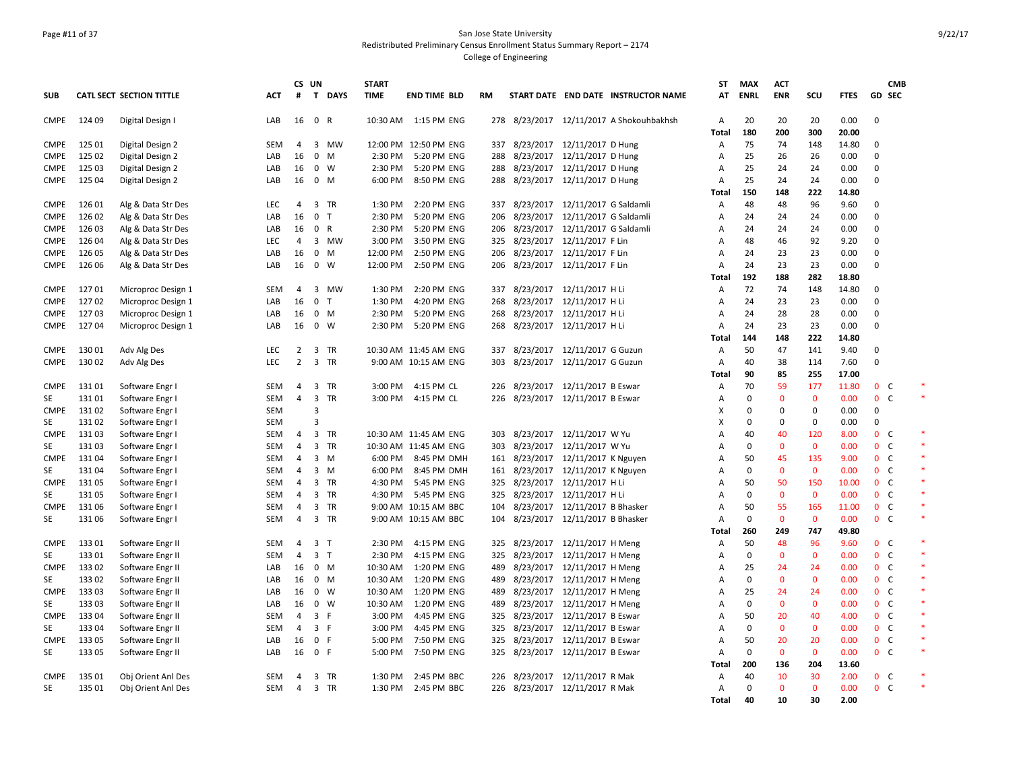### Page #11 of 37 San Jose State University Redistributed Preliminary Census Enrollment Status Summary Report – 2174 College of Engineering

|             |        |                                 |            | CS UN          |                |        | <b>START</b> |                       |     |                                   |                                 |                                          | <b>ST</b>      | <b>MAX</b>  | <b>ACT</b>   |              |             |                | <b>CMB</b>   |  |
|-------------|--------|---------------------------------|------------|----------------|----------------|--------|--------------|-----------------------|-----|-----------------------------------|---------------------------------|------------------------------------------|----------------|-------------|--------------|--------------|-------------|----------------|--------------|--|
| <b>SUB</b>  |        | <b>CATL SECT SECTION TITTLE</b> | ACT        | #              |                | T DAYS | <b>TIME</b>  | <b>END TIME BLD</b>   | RM  |                                   |                                 | START DATE END DATE INSTRUCTOR NAME      | AT             | <b>ENRL</b> | <b>ENR</b>   | SCU          | <b>FTES</b> | GD SEC         |              |  |
| CMPE        | 124 09 | Digital Design I                | LAB        | 16             | $\mathbf{0}$   | R      |              | 10:30 AM  1:15 PM ENG |     |                                   |                                 | 278 8/23/2017 12/11/2017 A Shokouhbakhsh | $\overline{A}$ | 20          | 20           | 20           | 0.00        | $\mathbf 0$    |              |  |
|             |        |                                 |            |                |                |        |              |                       |     |                                   |                                 |                                          | <b>Total</b>   | 180         | 200          | 300          | 20.00       |                |              |  |
| <b>CMPE</b> | 125 01 | Digital Design 2                | <b>SEM</b> | $\overline{4}$ | 3              | MW     | 12:00 PM     | 12:50 PM ENG          | 337 | 8/23/2017 12/11/2017 D Hung       |                                 |                                          | Α              | 75          | 74           | 148          | 14.80       | $\mathbf 0$    |              |  |
| <b>CMPE</b> | 125 02 | Digital Design 2                | LAB        | 16             | 0              | M      | 2:30 PM      | 5:20 PM ENG           | 288 | 8/23/2017 12/11/2017 D Hung       |                                 |                                          | Α              | 25          | 26           | 26           | 0.00        | $\Omega$       |              |  |
| <b>CMPE</b> | 125 03 | Digital Design 2                | LAB        | 16             | $0 \quad W$    |        | 2:30 PM      | 5:20 PM ENG           | 288 | 8/23/2017 12/11/2017 D Hung       |                                 |                                          | A              | 25          | 24           | 24           | 0.00        | $\Omega$       |              |  |
| CMPE        | 125 04 | Digital Design 2                | LAB        | 16             | $\mathbf{0}$   | M      | 6:00 PM      | 8:50 PM ENG           | 288 | 8/23/2017 12/11/2017 D Hung       |                                 |                                          | A              | 25          | 24           | 24           | 0.00        | $\Omega$       |              |  |
|             |        |                                 |            |                |                |        |              |                       |     |                                   |                                 |                                          | Total          | 150         | 148          | 222          | 14.80       |                |              |  |
| CMPE        | 126 01 | Alg & Data Str Des              | LEC        | 4              | 3 TR           |        | 1:30 PM      | 2:20 PM ENG           | 337 | 8/23/2017 12/11/2017 G Saldamli   |                                 |                                          | Α              | 48          | 48           | 96           | 9.60        | $\Omega$       |              |  |
| <b>CMPE</b> | 126 02 | Alg & Data Str Des              | LAB        | 16             | $\mathbf{0}$   | $\top$ | 2:30 PM      | 5:20 PM ENG           | 206 |                                   | 8/23/2017 12/11/2017 G Saldamli |                                          | Α              | 24          | 24           | 24           | 0.00        | $\Omega$       |              |  |
| CMPE        | 126 03 | Alg & Data Str Des              | LAB        | 16             | $\mathbf{0}$   | R      | 2:30 PM      | 5:20 PM ENG           | 206 | 8/23/2017 12/11/2017 G Saldamli   |                                 |                                          | $\overline{A}$ | 24          | 24           | 24           | 0.00        | $\mathbf 0$    |              |  |
| <b>CMPE</b> | 126 04 | Alg & Data Str Des              | LEC        | 4              |                | 3 MW   | 3:00 PM      | 3:50 PM ENG           |     | 325 8/23/2017 12/11/2017 F Lin    |                                 |                                          | $\overline{A}$ | 48          | 46           | 92           | 9.20        | $\Omega$       |              |  |
| CMPE        | 126 05 | Alg & Data Str Des              | LAB        | 16             | $\mathbf 0$    | M      | 12:00 PM     | 2:50 PM ENG           | 206 | 8/23/2017 12/11/2017 F Lin        |                                 |                                          | A              | 24          | 23           | 23           | 0.00        | $\mathbf 0$    |              |  |
| <b>CMPE</b> | 126 06 | Alg & Data Str Des              | LAB        | 16             | $0 \quad W$    |        | 12:00 PM     | 2:50 PM ENG           | 206 | 8/23/2017  12/11/2017 F Lin       |                                 |                                          | A              | 24          | 23           | 23           | 0.00        | $\Omega$       |              |  |
|             |        |                                 |            |                |                |        |              |                       |     |                                   |                                 |                                          | Total          | 192         | 188          | 282          | 18.80       |                |              |  |
| <b>CMPE</b> | 12701  | Microproc Design 1              | SEM        | 4              |                | 3 MW   | 1:30 PM      | 2:20 PM ENG           | 337 | 8/23/2017 12/11/2017 H Li         |                                 |                                          | Α              | 72          | 74           | 148          | 14.80       | $\Omega$       |              |  |
| CMPE        | 12702  | Microproc Design 1              | LAB        | 16             | $\mathbf 0$    | $\top$ | 1:30 PM      | 4:20 PM ENG           | 268 |                                   | 8/23/2017 12/11/2017 H Li       |                                          | A              | 24          | 23           | 23           | 0.00        | $\mathbf 0$    |              |  |
| CMPE        | 12703  | Microproc Design 1              | LAB        | 16             | $0$ M          |        | 2:30 PM      | 5:20 PM ENG           | 268 | 8/23/2017 12/11/2017 H Li         |                                 |                                          | Α              | 24          | 28           | 28           | 0.00        | $\mathbf 0$    |              |  |
| CMPE        | 12704  | Microproc Design 1              | LAB        | 16             | $0 \quad W$    |        | 2:30 PM      | 5:20 PM ENG           | 268 | 8/23/2017 12/11/2017 H Li         |                                 |                                          | A              | 24          | 23           | 23           | 0.00        | $\Omega$       |              |  |
|             |        |                                 |            |                |                |        |              |                       |     |                                   |                                 |                                          | Total          | 144         | 148          | 222          | 14.80       |                |              |  |
| <b>CMPE</b> | 130 01 | Adv Alg Des                     | LEC        | $\overline{2}$ | 3 TR           |        |              | 10:30 AM 11:45 AM ENG | 337 | 8/23/2017 12/11/2017 G Guzun      |                                 |                                          | A              | 50          | 47           | 141          | 9.40        | $\Omega$       |              |  |
| CMPE        | 130 02 | Adv Alg Des                     | <b>LEC</b> | 2              | 3 TR           |        |              | 9:00 AM 10:15 AM ENG  | 303 |                                   | 8/23/2017 12/11/2017 G Guzun    |                                          | A              | 40          | 38           | 114          | 7.60        | 0              |              |  |
|             |        |                                 |            |                |                |        |              |                       |     |                                   |                                 |                                          | Total          | 90          | 85           | 255          | 17.00       |                |              |  |
| <b>CMPE</b> | 131 01 | Software Engr I                 | <b>SEM</b> | 4              | 3              | TR     | 3:00 PM      | 4:15 PM CL            | 226 |                                   | 8/23/2017 12/11/2017 B Eswar    |                                          | Α              | 70          | 59           | 177          | 11.80       | 0 <sup>o</sup> |              |  |
| SE          | 131 01 | Software Engr I                 | SEM        | $\overline{4}$ | 3 TR           |        | 3:00 PM      | 4:15 PM CL            | 226 | 8/23/2017 12/11/2017 B Eswar      |                                 |                                          | A              | 0           | $\mathbf{0}$ | $\mathbf{0}$ | 0.00        | 0 <sup>o</sup> |              |  |
| CMPE        | 13102  | Software Engr I                 | SEM        |                | $\overline{3}$ |        |              |                       |     |                                   |                                 |                                          | X              | 0           | 0            | 0            | 0.00        | 0              |              |  |
| SE          | 131 02 | Software Engr I                 | <b>SEM</b> |                | 3              |        |              |                       |     |                                   |                                 |                                          | X              | $\mathbf 0$ | $\mathbf 0$  | 0            | 0.00        | 0              |              |  |
| CMPE        | 13103  | Software Engr I                 | SEM        | 4              | 3 TR           |        |              | 10:30 AM 11:45 AM ENG | 303 | 8/23/2017 12/11/2017 W Yu         |                                 |                                          | A              | 40          | 40           | 120          | 8.00        | $\mathbf{0}$   | C            |  |
| SE          | 13103  | Software Engr I                 | SEM        | $\overline{4}$ | 3 TR           |        |              | 10:30 AM 11:45 AM ENG | 303 | 8/23/2017 12/11/2017 W Yu         |                                 |                                          | A              | $\mathbf 0$ | $\mathbf{0}$ | $\mathbf{0}$ | 0.00        | $\mathbf{0}$   | C            |  |
| <b>CMPE</b> | 13104  | Software Engr I                 | SEM        | $\overline{4}$ | $3 \, M$       |        | 6:00 PM      | 8:45 PM DMH           |     | 161 8/23/2017 12/11/2017 K Nguyen |                                 |                                          | Α              | 50          | 45           | 135          | 9.00        | 0 <sub>c</sub> |              |  |
| SE          | 13104  | Software Engr I                 | SEM        | $\overline{4}$ | 3              | M      | 6:00 PM      | 8:45 PM DMH           |     | 161 8/23/2017 12/11/2017 K Nguyen |                                 |                                          | A              | 0           | $\mathbf{0}$ | $\mathbf{0}$ | 0.00        | $\mathbf{0}$   | C            |  |
| CMPE        | 131 05 | Software Engr I                 | SEM        | 4              | 3 TR           |        | 4:30 PM      | 5:45 PM ENG           |     | 325 8/23/2017 12/11/2017 H Li     |                                 |                                          | Α              | 50          | 50           | 150          | 10.00       | 0 <sup>o</sup> |              |  |
| SE          | 131 05 | Software Engr I                 | <b>SEM</b> | 4              | 3 TR           |        | 4:30 PM      | 5:45 PM ENG           | 325 | 8/23/2017 12/11/2017 H Li         |                                 |                                          | $\overline{A}$ | $\mathbf 0$ | $\mathbf{0}$ | $\mathbf{0}$ | 0.00        | 0 <sup>o</sup> |              |  |
| <b>CMPE</b> | 131 06 | Software Engr I                 | SEM        | 4              | 3 TR           |        |              | 9:00 AM 10:15 AM BBC  | 104 | 8/23/2017 12/11/2017 B Bhasker    |                                 |                                          | A              | 50          | 55           | 165          | 11.00       | 0 <sup>o</sup> |              |  |
| SE          | 13106  | Software Engr I                 | <b>SEM</b> | $\overline{4}$ | 3 TR           |        |              | 9:00 AM 10:15 AM BBC  | 104 | 8/23/2017 12/11/2017 B Bhasker    |                                 |                                          | $\overline{A}$ | 0           | $\mathbf{0}$ | $\mathbf{0}$ | 0.00        | 0 <sup>o</sup> |              |  |
|             |        |                                 |            |                |                |        |              |                       |     |                                   |                                 |                                          | Total          | 260         | 249          | 747          | 49.80       |                |              |  |
| <b>CMPE</b> | 13301  | Software Engr II                | SEM        | 4              | 3 <sub>1</sub> |        | 2:30 PM      | 4:15 PM ENG           | 325 | 8/23/2017 12/11/2017 H Meng       |                                 |                                          | Α              | 50          | 48           | 96           | 9.60        | 0 <sup>o</sup> |              |  |
| SE          | 13301  | Software Engr II                | <b>SEM</b> | $\overline{4}$ | 3 <sub>T</sub> |        | 2:30 PM      | 4:15 PM ENG           | 325 | 8/23/2017 12/11/2017 H Meng       |                                 |                                          | $\overline{A}$ | $\mathbf 0$ | $\mathbf{0}$ | $\mathbf{0}$ | 0.00        | $\mathbf{0}$   | <sub>c</sub> |  |
| <b>CMPE</b> | 13302  | Software Engr II                | LAB        | 16             | $0$ M          |        | 10:30 AM     | 1:20 PM ENG           |     | 489 8/23/2017 12/11/2017 H Meng   |                                 |                                          | Α              | 25          | 24           | 24           | 0.00        | 0 <sup>o</sup> |              |  |
| SE          | 133 02 | Software Engr II                | LAB        | 16             | 0 M            |        | 10:30 AM     | 1:20 PM ENG           | 489 |                                   | 8/23/2017 12/11/2017 H Meng     |                                          | Α              | 0           | $\mathbf{0}$ | $\mathbf{0}$ | 0.00        | $\mathbf{0}$   | C            |  |
| <b>CMPE</b> | 13303  | Software Engr II                | LAB        | 16             | $0 \quad W$    |        | 10:30 AM     | 1:20 PM ENG           | 489 |                                   | 8/23/2017 12/11/2017 H Meng     |                                          | Α              | 25          | 24           | 24           | 0.00        | 0 <sup>o</sup> |              |  |
| SE          | 133 03 | Software Engr II                | LAB        | 16             | $0 \quad W$    |        | 10:30 AM     | 1:20 PM ENG           | 489 |                                   | 8/23/2017 12/11/2017 H Meng     |                                          | Α              | 0           | $\mathbf{0}$ | $\mathbf{0}$ | 0.00        | $0-$           |              |  |
| <b>CMPE</b> | 13304  | Software Engr II                | <b>SEM</b> | 4              | 3 F            |        | 3:00 PM      | 4:45 PM ENG           |     | 325 8/23/2017 12/11/2017 B Eswar  |                                 |                                          | A              | 50          | 20           | 40           | 4.00        | 0 <sup>o</sup> |              |  |
| SE          | 13304  | Software Engr II                | <b>SEM</b> | $\overline{4}$ | 3 F            |        | 3:00 PM      | 4:45 PM ENG           | 325 | 8/23/2017 12/11/2017 B Eswar      |                                 |                                          | $\overline{A}$ | 0           | $\mathbf{0}$ | $\mathbf{0}$ | 0.00        | $\mathbf{0}$   | <sub>c</sub> |  |
| CMPE        | 133 05 | Software Engr II                | LAB        | 16             | $\mathbf 0$    | -F     | 5:00 PM      | 7:50 PM ENG           | 325 |                                   | 8/23/2017 12/11/2017 B Eswar    |                                          | $\overline{A}$ | 50          | 20           | 20           | 0.00        | 0 <sub>c</sub> |              |  |
| SE          | 133 05 | Software Engr II                | LAB        | 16             | $\mathbf{0}$   | -F     | 5:00 PM      | 7:50 PM ENG           | 325 | 8/23/2017 12/11/2017 B Eswar      |                                 |                                          | $\overline{A}$ | $\mathbf 0$ | $\mathbf{0}$ | $\mathbf{0}$ | 0.00        | 0 <sup>o</sup> |              |  |
|             |        |                                 |            |                |                |        |              |                       |     |                                   |                                 |                                          | Total          | 200         | 136          | 204          | 13.60       |                |              |  |
| <b>CMPE</b> | 13501  | Obj Orient Anl Des              | SEM        | 4              | 3 TR           |        | 1:30 PM      | 2:45 PM BBC           | 226 | 8/23/2017 12/11/2017 R Mak        |                                 |                                          | Α              | 40          | 10           | 30           | 2.00        | 0 <sup>o</sup> |              |  |
| SE          | 135 01 | Obj Orient Anl Des              | <b>SEM</b> | 4              | 3 TR           |        | 1:30 PM      | 2:45 PM BBC           |     | 226 8/23/2017 12/11/2017 R Mak    |                                 |                                          | Α              | $\mathbf 0$ | $\mathbf{0}$ | $\mathbf{0}$ | 0.00        | 0 <sup>o</sup> |              |  |
|             |        |                                 |            |                |                |        |              |                       |     |                                   |                                 |                                          | <b>Total</b>   | 40          | 10           | 30           | 2.00        |                |              |  |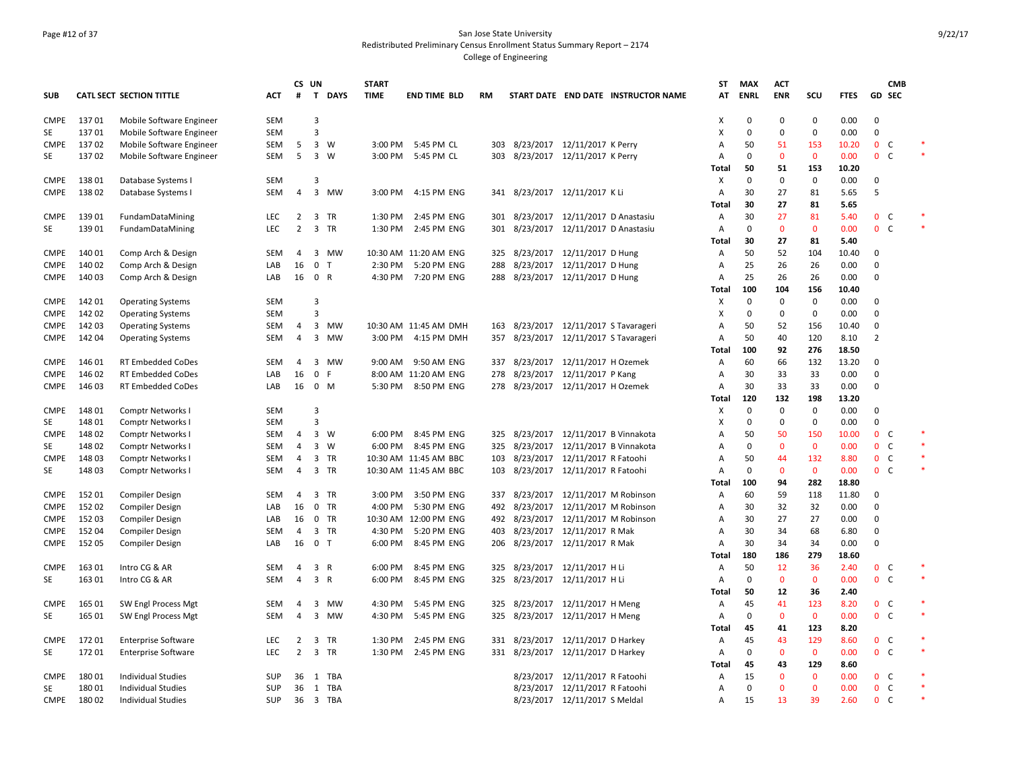### Page #12 of 37 San Jose State University Redistributed Preliminary Census Enrollment Status Summary Report – 2174 College of Engineering

|                            |        |                                                      |                   |                | CS UN                   |                | <b>START</b> |                       |     |                                       |                                   |                                     | ST           | <b>MAX</b>  | <b>ACT</b>         |                     |               |                            | <b>CMB</b>   |                  |
|----------------------------|--------|------------------------------------------------------|-------------------|----------------|-------------------------|----------------|--------------|-----------------------|-----|---------------------------------------|-----------------------------------|-------------------------------------|--------------|-------------|--------------------|---------------------|---------------|----------------------------|--------------|------------------|
| <b>SUB</b>                 |        | <b>CATL SECT SECTION TITTLE</b>                      | ACT               | #              | $\mathbf{T}$            | <b>DAYS</b>    | <b>TIME</b>  | <b>END TIME BLD</b>   | RM  |                                       |                                   | START DATE END DATE INSTRUCTOR NAME | AT           | <b>ENRL</b> | <b>ENR</b>         | scu                 | <b>FTES</b>   |                            | GD SEC       |                  |
| <b>CMPE</b>                | 13701  | Mobile Software Engineer                             | SEM               |                | 3                       |                |              |                       |     |                                       |                                   |                                     | Χ            | $\Omega$    | $\mathbf 0$        | 0                   | 0.00          | $\mathbf 0$                |              |                  |
| SE                         | 13701  | Mobile Software Engineer                             | SEM               |                | 3                       |                |              |                       |     |                                       |                                   |                                     | X            | $\mathbf 0$ | $\mathbf 0$        | $\mathbf 0$         | 0.00          | $\mathbf 0$                |              |                  |
| <b>CMPE</b>                | 13702  | Mobile Software Engineer                             | <b>SEM</b>        | 5              | $\overline{3}$          | W              |              | 3:00 PM 5:45 PM CL    |     | 303 8/23/2017 12/11/2017 K Perry      |                                   |                                     | A            | 50          | 51                 | 153                 | 10.20         | $\mathbf{0}$               | C            |                  |
| SE                         | 137 02 | Mobile Software Engineer                             | <b>SEM</b>        | 5              |                         | 3 W            |              | 3:00 PM 5:45 PM CL    |     | 303 8/23/2017 12/11/2017 K Perry      |                                   |                                     | A            | $\Omega$    | $\mathbf{0}$       | $\mathbf{0}$        | 0.00          | 0 <sup>o</sup>             |              |                  |
|                            |        |                                                      |                   |                |                         |                |              |                       |     |                                       |                                   |                                     | Total        | 50          | 51                 | 153                 | 10.20         |                            |              |                  |
| <b>CMPE</b>                | 138 01 | Database Systems I                                   | SEM               |                | 3                       |                |              |                       |     |                                       |                                   |                                     | X            | $\Omega$    | $\mathbf 0$        | $\mathbf 0$         | 0.00          | $\mathbf 0$                |              |                  |
| <b>CMPE</b>                | 138 02 | Database Systems I                                   | <b>SEM</b>        | $\overline{4}$ | $\overline{\mathbf{3}}$ | MW             | 3:00 PM      | 4:15 PM ENG           |     | 341 8/23/2017 12/11/2017 KLi          |                                   |                                     | А            | 30          | 27                 | 81                  | 5.65          | 5                          |              |                  |
|                            |        |                                                      |                   |                |                         |                |              |                       |     |                                       |                                   |                                     | Total        | 30          | 27                 | 81                  | 5.65          |                            |              |                  |
| <b>CMPE</b>                | 139 01 | FundamDataMining                                     | <b>LEC</b>        | 2              |                         | 3 TR           | 1:30 PM      | 2:45 PM ENG           |     | 301 8/23/2017 12/11/2017 D Anastasiu  |                                   |                                     | Α            | 30          | 27                 | 81                  | 5.40          | 0 <sup>o</sup>             |              | $\ast$<br>$\ast$ |
| SE                         | 139 01 | FundamDataMining                                     | <b>LEC</b>        | 2              | $\overline{3}$          | TR             | 1:30 PM      | 2:45 PM ENG           | 301 |                                       | 8/23/2017 12/11/2017 D Anastasiu  |                                     | Α            | 0           | $\mathbf 0$        | $\mathbf{0}$        | 0.00          | 0 <sup>o</sup>             |              |                  |
|                            |        |                                                      |                   |                |                         |                |              |                       |     |                                       |                                   |                                     | Total        | 30          | 27                 | 81                  | 5.40          |                            |              |                  |
| <b>CMPE</b>                | 140 01 | Comp Arch & Design                                   | <b>SEM</b>        | 4              | 3                       | MW             |              | 10:30 AM 11:20 AM ENG | 325 |                                       | 8/23/2017 12/11/2017 D Hung       |                                     | А            | 50          | 52                 | 104                 | 10.40         | $\mathbf 0$                |              |                  |
| <b>CMPE</b>                | 140 02 | Comp Arch & Design                                   | LAB               | 16             | $\mathbf 0$             | $\mathsf{T}$   | 2:30 PM      | 5:20 PM ENG           | 288 |                                       | 8/23/2017 12/11/2017 D Hung       |                                     | А            | 25          | 26                 | 26                  | 0.00          | $\mathbf 0$<br>$\mathbf 0$ |              |                  |
| <b>CMPE</b>                | 140 03 | Comp Arch & Design                                   | LAB               | 16             | $\mathbf 0$             | R              | 4:30 PM      | 7:20 PM ENG           | 288 |                                       | 8/23/2017 12/11/2017 D Hung       |                                     | А            | 25<br>100   | 26                 | 26                  | 0.00          |                            |              |                  |
|                            | 142 01 |                                                      |                   |                | 3                       |                |              |                       |     |                                       |                                   |                                     | <b>Total</b> | $\Omega$    | 104<br>0           | 156<br>$\mathbf 0$  | 10.40<br>0.00 | 0                          |              |                  |
| <b>CMPE</b><br><b>CMPE</b> | 142 02 | <b>Operating Systems</b>                             | SEM<br><b>SEM</b> |                | 3                       |                |              |                       |     |                                       |                                   |                                     | X<br>X       | $\mathbf 0$ | $\mathbf 0$        | $\Omega$            | 0.00          | $\mathbf 0$                |              |                  |
| <b>CMPE</b>                | 142 03 | <b>Operating Systems</b>                             | SEM               | $\overline{4}$ | 3                       | MW             |              | 10:30 AM 11:45 AM DMH |     | 163 8/23/2017 12/11/2017 S Tavarageri |                                   |                                     | Α            | 50          | 52                 | 156                 | 10.40         | $\mathbf 0$                |              |                  |
| <b>CMPE</b>                | 142 04 | <b>Operating Systems</b><br><b>Operating Systems</b> | SEM               | $\overline{4}$ | 3                       | MW             |              | 3:00 PM 4:15 PM DMH   | 357 |                                       | 8/23/2017 12/11/2017 S Tavarageri |                                     | A            | 50          | 40                 | 120                 | 8.10          | $\overline{2}$             |              |                  |
|                            |        |                                                      |                   |                |                         |                |              |                       |     |                                       |                                   |                                     | Total        | 100         | 92                 | 276                 | 18.50         |                            |              |                  |
| <b>CMPE</b>                | 146 01 | RT Embedded CoDes                                    | <b>SEM</b>        | 4              | 3                       | MW             | 9:00 AM      | 9:50 AM ENG           | 337 |                                       | 8/23/2017 12/11/2017 H Ozemek     |                                     | Α            | 60          | 66                 | 132                 | 13.20         | $\mathbf 0$                |              |                  |
| <b>CMPE</b>                | 146 02 | <b>RT Embedded CoDes</b>                             | LAB               | 16             | 0                       | F              |              | 8:00 AM 11:20 AM ENG  | 278 |                                       | 8/23/2017 12/11/2017 P Kang       |                                     | Α            | 30          | 33                 | 33                  | 0.00          | $\mathbf 0$                |              |                  |
| <b>CMPE</b>                | 146 03 | <b>RT Embedded CoDes</b>                             | LAB               | 16             |                         | $0 \mathsf{M}$ | 5:30 PM      | 8:50 PM ENG           |     | 278 8/23/2017 12/11/2017 H Ozemek     |                                   |                                     | A            | 30          | 33                 | 33                  | 0.00          | $\Omega$                   |              |                  |
|                            |        |                                                      |                   |                |                         |                |              |                       |     |                                       |                                   |                                     | Total        | 120         | 132                | 198                 | 13.20         |                            |              |                  |
| <b>CMPE</b>                | 148 01 | Comptr Networks I                                    | <b>SEM</b>        |                | 3                       |                |              |                       |     |                                       |                                   |                                     | Χ            | 0           | $\mathbf 0$        | $\Omega$            | 0.00          | $\mathbf 0$                |              |                  |
| SE                         | 148 01 | Comptr Networks                                      | <b>SEM</b>        |                | 3                       |                |              |                       |     |                                       |                                   |                                     | X            | $\Omega$    | $\Omega$           | $\Omega$            | 0.00          | $\Omega$                   |              |                  |
| <b>CMPE</b>                | 148 02 | Comptr Networks                                      | SEM               | 4              |                         | 3 W            | 6:00 PM      | 8:45 PM ENG           | 325 |                                       | 8/23/2017 12/11/2017 B Vinnakota  |                                     | А            | 50          | 50                 | 150                 | 10.00         | $\mathbf{0}$               | C            |                  |
| SE                         | 148 02 | Comptr Networks                                      | <b>SEM</b>        | 4              |                         | 3 W            | 6:00 PM      | 8:45 PM ENG           | 325 |                                       | 8/23/2017 12/11/2017 B Vinnakota  |                                     | Α            | $\Omega$    | $\mathbf{0}$       | $\mathbf{0}$        | 0.00          | $\mathbf{0}$               | C            | $\ast$           |
| <b>CMPE</b>                | 148 03 | Comptr Networks                                      | SEM               | 4              |                         | 3 TR           |              | 10:30 AM 11:45 AM BBC | 103 |                                       | 8/23/2017 12/11/2017 R Fatoohi    |                                     | Α            | 50          | 44                 | 132                 | 8.80          | 0 <sup>o</sup>             |              |                  |
| SE                         | 148 03 | Comptr Networks                                      | <b>SEM</b>        | 4              |                         | 3 TR           |              | 10:30 AM 11:45 AM BBC | 103 |                                       | 8/23/2017 12/11/2017 R Fatoohi    |                                     | A            | $\Omega$    | $\mathbf{0}$       | $\mathbf{0}$        | 0.00          | 0 <sup>o</sup>             |              | $\ast$           |
|                            |        |                                                      |                   |                |                         |                |              |                       |     |                                       |                                   |                                     | Total        | 100         | 94                 | 282                 | 18.80         |                            |              |                  |
| <b>CMPE</b>                | 152 01 | <b>Compiler Design</b>                               | <b>SEM</b>        | 4              |                         | 3 TR           | 3:00 PM      | 3:50 PM ENG           |     | 337 8/23/2017 12/11/2017 M Robinson   |                                   |                                     | Α            | 60          | 59                 | 118                 | 11.80         | $\mathbf 0$                |              |                  |
| <b>CMPE</b>                | 152 02 | <b>Compiler Design</b>                               | LAB               | 16             | $\mathbf{0}$            | TR             | 4:00 PM      | 5:30 PM ENG           |     | 492 8/23/2017 12/11/2017 M Robinson   |                                   |                                     | Α            | 30          | 32                 | 32                  | 0.00          | $\Omega$                   |              |                  |
| <b>CMPE</b>                | 152 03 | <b>Compiler Design</b>                               | LAB               | 16             |                         | $0$ TR         |              | 10:30 AM 12:00 PM ENG |     | 492 8/23/2017 12/11/2017 M Robinson   |                                   |                                     | A            | 30          | 27                 | 27                  | 0.00          | 0                          |              |                  |
| <b>CMPE</b>                | 152 04 | <b>Compiler Design</b>                               | <b>SEM</b>        | 4              |                         | 3 TR           | 4:30 PM      | 5:20 PM ENG           | 403 |                                       | 8/23/2017 12/11/2017 R Mak        |                                     | А            | 30          | 34                 | 68                  | 6.80          | $\Omega$                   |              |                  |
| <b>CMPE</b>                | 152 05 | <b>Compiler Design</b>                               | LAB               | 16             | 0 <sub>T</sub>          |                | 6:00 PM      | 8:45 PM ENG           |     | 206 8/23/2017 12/11/2017 R Mak        |                                   |                                     | Α            | 30          | 34                 | 34                  | 0.00          | $\mathbf 0$                |              |                  |
|                            |        |                                                      |                   |                |                         |                |              |                       |     |                                       |                                   |                                     | Total        | 180         | 186                | 279                 | 18.60         |                            |              |                  |
| <b>CMPE</b>                | 163 01 | Intro CG & AR                                        | <b>SEM</b>        | 4              | 3 R                     |                | 6:00 PM      | 8:45 PM ENG           |     | 325 8/23/2017 12/11/2017 H Li         |                                   |                                     | А            | 50          | 12                 | 36                  | 2.40          | 0 <sub>c</sub>             |              |                  |
| SE                         | 163 01 | Intro CG & AR                                        | SEM               | 4              | $\overline{3}$          | $\mathsf{R}$   | 6:00 PM      | 8:45 PM ENG           |     | 325 8/23/2017 12/11/2017 H Li         |                                   |                                     | А            | 0           | $\mathbf 0$        | $\mathbf{0}$        | 0.00          | 0 <sub>c</sub>             |              | $\ast$           |
|                            |        |                                                      |                   |                |                         |                |              |                       |     |                                       |                                   |                                     | Total        | 50          | 12                 | 36                  | 2.40          |                            |              |                  |
| <b>CMPE</b>                | 165 01 | SW Engl Process Mgt                                  | <b>SEM</b>        | $\overline{4}$ | 3                       | MW             | 4:30 PM      | 5:45 PM ENG           |     | 325 8/23/2017 12/11/2017 H Meng       |                                   |                                     | А            | 45          | 41                 | 123                 | 8.20          | 0 <sub>c</sub>             |              | $\ast$           |
| SE                         | 165 01 | SW Engl Process Mgt                                  | SEM               | 4              | 3                       | MW             | 4:30 PM      | 5:45 PM ENG           | 325 |                                       | 8/23/2017 12/11/2017 H Meng       |                                     | А            | $\Omega$    | $\mathbf{0}$       | $\mathbf{0}$        | 0.00          | $0-$                       |              |                  |
|                            |        |                                                      |                   |                |                         |                |              |                       |     |                                       |                                   |                                     | Total        | 45          | 41                 | 123                 | 8.20          |                            |              | *                |
| <b>CMPE</b>                | 17201  | <b>Enterprise Software</b>                           | LEC               | $\overline{2}$ | $\overline{3}$          | TR             | 1:30 PM      | 2:45 PM ENG           | 331 |                                       | 8/23/2017 12/11/2017 D Harkey     |                                     | Α            | 45          | 43                 | 129                 | 8.60          | 0 <sup>o</sup>             |              | $\ast$           |
| SE                         | 17201  | <b>Enterprise Software</b>                           | <b>LEC</b>        | $\overline{2}$ |                         | 3 TR           | 1:30 PM      | 2:45 PM ENG           |     | 331 8/23/2017 12/11/2017 D Harkey     |                                   |                                     | A            | 0<br>45     | $\mathbf{0}$       | $\mathbf{0}$<br>129 | 0.00<br>8.60  | 0 <sup>o</sup>             |              |                  |
| <b>CMPE</b>                | 18001  |                                                      | <b>SUP</b>        | 36             |                         | TBA            |              |                       |     |                                       | 8/23/2017 12/11/2017 R Fatoohi    |                                     | Total<br>Α   | 15          | 43<br>$\mathbf{0}$ | $\mathbf{0}$        | 0.00          | 0 <sup>o</sup>             |              |                  |
| SE                         | 180 01 | Individual Studies<br><b>Individual Studies</b>      | <b>SUP</b>        | 36             | 1<br>1                  | TBA            |              |                       |     |                                       | 8/23/2017 12/11/2017 R Fatoohi    |                                     | A            | $\Omega$    | $\mathbf{0}$       | $\Omega$            | 0.00          | 0 <sub>c</sub>             |              |                  |
| <b>CMPE</b>                | 180 02 | <b>Individual Studies</b>                            | SUP               |                | $36 \quad 3$            | TBA            |              |                       |     |                                       | 8/23/2017 12/11/2017 S Meldal     |                                     | A            | 15          | 13                 | 39                  | 2.60          | $\mathbf{0}$               | <sub>c</sub> |                  |
|                            |        |                                                      |                   |                |                         |                |              |                       |     |                                       |                                   |                                     |              |             |                    |                     |               |                            |              |                  |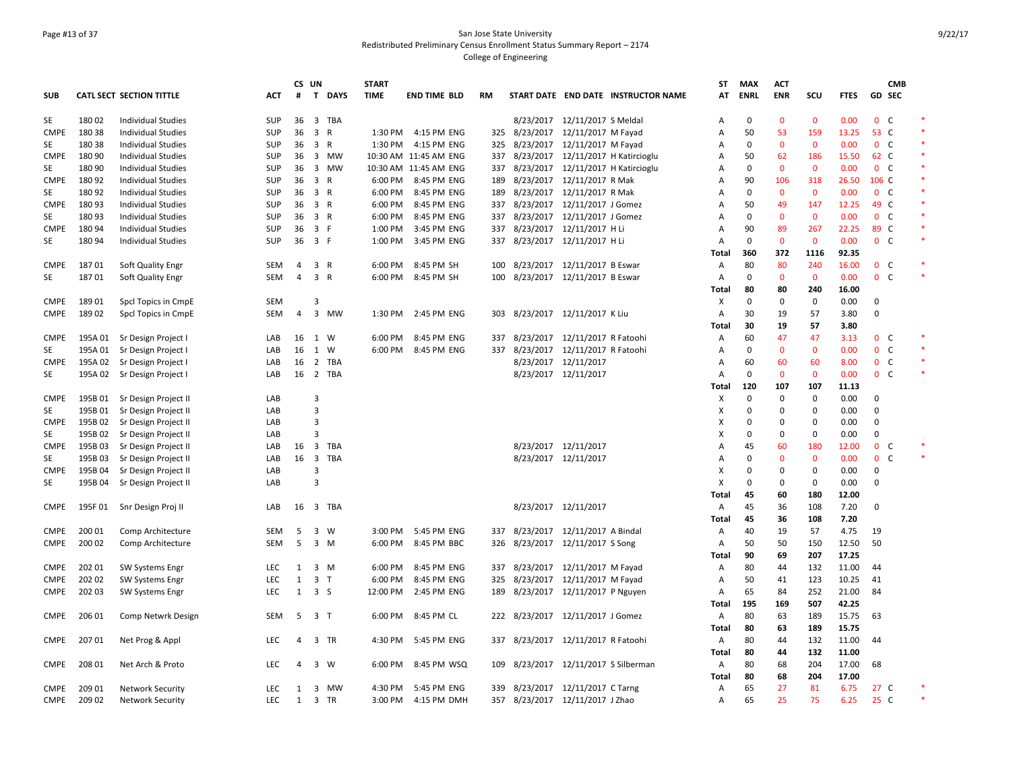### Page #13 of 37 San Jose State University Redistributed Preliminary Census Enrollment Status Summary Report – 2174 College of Engineering

|             |         |                                 |            | CS UN |                         |          | <b>START</b> |                       |           |                      |                                    |                                     | ST    | <b>MAX</b>  | <b>ACT</b>   |              |             |                 | <b>CMB</b>   |        |
|-------------|---------|---------------------------------|------------|-------|-------------------------|----------|--------------|-----------------------|-----------|----------------------|------------------------------------|-------------------------------------|-------|-------------|--------------|--------------|-------------|-----------------|--------------|--------|
| <b>SUB</b>  |         | <b>CATL SECT SECTION TITTLE</b> | <b>ACT</b> | #     |                         | T DAYS   | <b>TIME</b>  | <b>END TIME BLD</b>   | <b>RM</b> |                      |                                    | START DATE END DATE INSTRUCTOR NAME | AT    | <b>ENRL</b> | <b>ENR</b>   | SCU          | <b>FTES</b> | <b>GD SEC</b>   |              |        |
| SE          | 180 02  | <b>Individual Studies</b>       | SUP        | 36    |                         | 3 TBA    |              |                       |           |                      | 8/23/2017 12/11/2017 S Meldal      |                                     | Α     | $\mathbf 0$ | $\mathbf 0$  | $\mathbf{0}$ | 0.00        | 0 <sup>o</sup>  |              |        |
| <b>CMPE</b> | 180 38  | <b>Individual Studies</b>       | SUP        | 36    | 3 R                     |          | 1:30 PM      | 4:15 PM ENG           | 325       |                      | 8/23/2017 12/11/2017 M Fayad       |                                     | Α     | 50          | 53           | 159          | 13.25       | 53 C            |              | $\ast$ |
| SE          | 180 38  | Individual Studies              | SUP        | 36    | 3 R                     |          | 1:30 PM      | 4:15 PM ENG           | 325       |                      | 8/23/2017 12/11/2017 M Fayad       |                                     | A     | $\mathbf 0$ | $\mathbf 0$  | $\mathbf{0}$ | 0.00        | 0 <sub>c</sub>  |              |        |
| <b>CMPE</b> | 180 90  | <b>Individual Studies</b>       | <b>SUP</b> | 36    |                         | 3 MW     |              | 10:30 AM 11:45 AM ENG | 337       |                      | 8/23/2017 12/11/2017 H Katircioglu |                                     | A     | 50          | 62           | 186          | 15.50       | 62 C            |              | $\ast$ |
| SE          | 180 90  | Individual Studies              | SUP        | 36    |                         | 3 MW     |              | 10:30 AM 11:45 AM ENG | 337       |                      | 8/23/2017 12/11/2017 H Katircioglu |                                     | A     | $\mathbf 0$ | $\mathbf 0$  | $\mathbf{0}$ | 0.00        | 0 <sub>c</sub>  |              |        |
| <b>CMPE</b> | 180 92  | <b>Individual Studies</b>       | <b>SUP</b> | 36    | 3 R                     |          |              | 6:00 PM 8:45 PM ENG   | 189       |                      | 8/23/2017 12/11/2017 R Mak         |                                     | A     | 90          | 106          | 318          | 26.50       | 106 C           |              | $\ast$ |
| SE          | 180 92  | <b>Individual Studies</b>       | SUP        | 36    | 3 R                     |          | 6:00 PM      | 8:45 PM ENG           | 189       | 8/23/2017            | 12/11/2017 R Mak                   |                                     | A     | $\Omega$    | $\mathbf 0$  | $\mathbf{0}$ | 0.00        | 0 <sub>c</sub>  |              |        |
| <b>CMPE</b> | 180 93  | <b>Individual Studies</b>       | SUP        | 36    | 3 R                     |          | 6:00 PM      | 8:45 PM ENG           |           |                      | 337 8/23/2017 12/11/2017 J Gomez   |                                     | A     | 50          | 49           | 147          | 12.25       | 49 C            |              |        |
| SE          | 180 93  | <b>Individual Studies</b>       | <b>SUP</b> | 36    | 3 R                     |          | 6:00 PM      | 8:45 PM ENG           | 337       |                      | 8/23/2017 12/11/2017 J Gomez       |                                     | A     | $\Omega$    | $\mathbf{0}$ | $\Omega$     | 0.00        | 0 <sup>o</sup>  |              | $\ast$ |
| <b>CMPE</b> | 180 94  | Individual Studies              | SUP        | 36    | 3 F                     |          | 1:00 PM      | 3:45 PM ENG           | 337       |                      | 8/23/2017 12/11/2017 H Li          |                                     | Α     | 90          | 89           | 267          | 22.25       | 89 C            |              |        |
| SE          | 180 94  | <b>Individual Studies</b>       | SUP        | 36    | 3 F                     |          | 1:00 PM      | 3:45 PM ENG           |           |                      | 337 8/23/2017 12/11/2017 H Li      |                                     | A     | $\mathbf 0$ | $\mathbf{0}$ | $\mathbf{0}$ | 0.00        | 0 <sup>o</sup>  |              | $\ast$ |
|             |         |                                 |            |       |                         |          |              |                       |           |                      |                                    |                                     | Total | 360         | 372          | 1116         | 92.35       |                 |              |        |
| <b>CMPE</b> | 18701   | Soft Quality Engr               | SEM        | 4     | 3 R                     |          | 6:00 PM      | 8:45 PM SH            | 100       |                      | 8/23/2017 12/11/2017 B Eswar       |                                     | A     | 80          | 80           | 240          | 16.00       | 0 <sup>o</sup>  |              |        |
| SE          | 18701   | Soft Quality Engr               | SEM        | 4     | 3 R                     |          | 6:00 PM      | 8:45 PM SH            | 100       |                      | 8/23/2017 12/11/2017 B Eswar       |                                     | A     | $\mathbf 0$ | $\mathbf{0}$ | $\mathbf{0}$ | 0.00        | 0 <sup>o</sup>  |              | $\ast$ |
|             |         |                                 |            |       |                         |          |              |                       |           |                      |                                    |                                     | Total | 80          | 80           | 240          | 16.00       |                 |              |        |
| <b>CMPE</b> | 18901   | Spcl Topics in CmpE             | SEM        |       | 3                       |          |              |                       |           |                      |                                    |                                     | х     | $\mathbf 0$ | 0            | $\mathbf 0$  | 0.00        | 0               |              |        |
| <b>CMPE</b> | 18902   | Spcl Topics in CmpE             | SEM        | 4     | 3                       | MW       | 1:30 PM      | 2:45 PM ENG           | 303       |                      | 8/23/2017 12/11/2017 K Liu         |                                     | Α     | 30          | 19           | 57           | 3.80        | 0               |              |        |
|             |         |                                 |            |       |                         |          |              |                       |           |                      |                                    |                                     | Total | 30          | 19           | 57           | 3.80        |                 |              |        |
| <b>CMPE</b> |         | 195A 01 Sr Design Project       | LAB        | 16    | 1 W                     |          | 6:00 PM      | 8:45 PM ENG           | 337       |                      | 8/23/2017 12/11/2017 R Fatoohi     |                                     | A     | 60          | 47           | 47           | 3.13        | 0 <sup>o</sup>  |              | $\ast$ |
| SE          | 195A 01 | Sr Design Project I             | LAB        | 16    | 1                       | W        | 6:00 PM      | 8:45 PM ENG           | 337       |                      | 8/23/2017 12/11/2017 R Fatoohi     |                                     | A     | $\mathbf 0$ | $\mathbf{0}$ | $\mathbf{0}$ | 0.00        | 0 <sup>o</sup>  |              | $\ast$ |
| <b>CMPE</b> | 195A 02 | Sr Design Project I             | LAB        | 16    |                         | 2 TBA    |              |                       |           | 8/23/2017 12/11/2017 |                                    |                                     | A     | 60          | 60           | 60           | 8.00        | 0 <sup>o</sup>  |              |        |
| SE          |         | 195A 02 Sr Design Project I     | LAB        |       |                         | 16 2 TBA |              |                       |           |                      | 8/23/2017 12/11/2017               |                                     | Α     | $\mathbf 0$ | $\mathbf 0$  | $\mathbf 0$  | 0.00        | 0 <sup>o</sup>  |              |        |
|             |         |                                 |            |       |                         |          |              |                       |           |                      |                                    |                                     | Total | 120         | 107          | 107          | 11.13       |                 |              |        |
| <b>CMPE</b> | 195B 01 | Sr Design Project II            | LAB        |       | 3                       |          |              |                       |           |                      |                                    |                                     | X     | $\mathbf 0$ | 0            | $\mathbf 0$  | 0.00        | 0               |              |        |
| SE          | 195B 01 | Sr Design Project II            | LAB        |       | $\overline{3}$          |          |              |                       |           |                      |                                    |                                     | х     | $\Omega$    | 0            | 0            | 0.00        | 0               |              |        |
| <b>CMPE</b> | 195B02  | Sr Design Project II            | LAB        |       | 3                       |          |              |                       |           |                      |                                    |                                     | х     | $\Omega$    | $\mathbf 0$  | 0            | 0.00        | $\mathbf 0$     |              |        |
| SE          | 195B 02 | Sr Design Project II            | LAB        |       | 3                       |          |              |                       |           |                      |                                    |                                     | X     | $\Omega$    | 0            | 0            | 0.00        | $\mathbf 0$     |              |        |
| <b>CMPE</b> | 195B 03 | Sr Design Project II            | LAB        | 16    | $\overline{\mathbf{3}}$ | TBA      |              |                       |           |                      | 8/23/2017 12/11/2017               |                                     | A     | 45          | 60           | 180          | 12.00       | $\mathbf 0$     | C            |        |
| SE          | 195B03  | Sr Design Project II            | LAB        | 16    |                         | 3 TBA    |              |                       |           | 8/23/2017 12/11/2017 |                                    |                                     | A     | $\mathbf 0$ | $\mathbf{0}$ | $\mathbf{0}$ | 0.00        | $\mathbf{0}$    | $\mathsf{C}$ |        |
| <b>CMPE</b> | 195B 04 | Sr Design Project II            | LAB        |       | 3                       |          |              |                       |           |                      |                                    |                                     | х     | $\Omega$    | 0            | 0            | 0.00        | 0               |              |        |
| SE          | 195B 04 | Sr Design Project II            | LAB        |       | 3                       |          |              |                       |           |                      |                                    |                                     | X     | 0           | $\mathbf 0$  | 0            | 0.00        | 0               |              |        |
|             |         |                                 |            |       |                         |          |              |                       |           |                      |                                    |                                     | Total | 45          | 60           | 180          | 12.00       |                 |              |        |
| <b>CMPE</b> | 195F 01 | Snr Design Proj II              | LAB        | 16    |                         | 3 TBA    |              |                       |           |                      | 8/23/2017 12/11/2017               |                                     | A     | 45          | 36           | 108          | 7.20        | $\mathbf 0$     |              |        |
|             |         |                                 |            |       |                         |          |              |                       |           |                      |                                    |                                     | Total | 45          | 36           | 108          | 7.20        |                 |              |        |
| CMPE        | 200 01  | Comp Architecture               | SEM        | -5    | 3                       | W        | 3:00 PM      | 5:45 PM ENG           | 337       |                      | 8/23/2017 12/11/2017 A Bindal      |                                     | Α     | 40          | 19           | 57           | 4.75        | 19              |              |        |
| <b>CMPE</b> | 200 02  | Comp Architecture               | SEM        | - 5   |                         | 3 M      | 6:00 PM      | 8:45 PM BBC           |           |                      | 326 8/23/2017 12/11/2017 S Song    |                                     | Α     | 50          | 50           | 150          | 12.50       | 50              |              |        |
|             |         |                                 |            |       |                         |          |              |                       |           |                      |                                    |                                     | Total | 90          | 69           | 207          | 17.25       |                 |              |        |
| <b>CMPE</b> | 202 01  | <b>SW Systems Engr</b>          | <b>LEC</b> | 1     | $\overline{\mathbf{3}}$ | M        | 6:00 PM      | 8:45 PM ENG           |           |                      | 337 8/23/2017 12/11/2017 M Fayad   |                                     | Α     | 80          | 44           | 132          | 11.00       | 44              |              |        |
| <b>CMPE</b> | 202 02  | <b>SW Systems Engr</b>          | <b>LEC</b> | 1     | 3 <sub>1</sub>          |          | 6:00 PM      | 8:45 PM ENG           |           |                      | 325 8/23/2017 12/11/2017 M Fayad   |                                     | A     | 50          | 41           | 123          | 10.25       | 41              |              |        |
| CMPE        | 202 03  | <b>SW Systems Engr</b>          | LEC        | 1     | 3 S                     |          | 12:00 PM     | 2:45 PM ENG           |           |                      | 189 8/23/2017 12/11/2017 P Nguyen  |                                     | Α     | 65          | 84           | 252          | 21.00       | 84              |              |        |
|             |         |                                 |            |       |                         |          |              |                       |           |                      |                                    |                                     | Total | 195         | 169          | 507          | 42.25       |                 |              |        |
| <b>CMPE</b> | 206 01  | Comp Netwrk Design              | SEM        | -5    | 3 <sub>1</sub>          |          | 6:00 PM      | 8:45 PM CL            |           |                      | 222 8/23/2017 12/11/2017 J Gomez   |                                     | Α     | 80          | 63           | 189          | 15.75       | 63              |              |        |
|             |         |                                 |            |       |                         |          |              |                       |           |                      |                                    |                                     | Total | 80          | 63           | 189          | 15.75       |                 |              |        |
| <b>CMPE</b> | 207 01  | Net Prog & Appl                 | <b>LEC</b> | 4     |                         | 3 TR     | 4:30 PM      | 5:45 PM ENG           |           |                      | 337 8/23/2017 12/11/2017 R Fatoohi |                                     | Α     | 80          | 44           | 132          | 11.00       | 44              |              |        |
|             |         |                                 |            |       |                         |          |              |                       |           |                      |                                    |                                     | Total | 80          | 44           | 132          | 11.00       |                 |              |        |
| <b>CMPE</b> | 208 01  | Net Arch & Proto                | <b>LEC</b> | 4     |                         | 3 W      | 6:00 PM      | 8:45 PM WSQ           | 109       |                      | 8/23/2017 12/11/2017 S Silberman   |                                     | Α     | 80          | 68           | 204          | 17.00       | 68              |              |        |
|             |         |                                 |            |       |                         |          |              |                       |           |                      |                                    |                                     | Total | 80          | 68           | 204          | 17.00       |                 |              |        |
| <b>CMPE</b> | 209 01  | <b>Network Security</b>         | <b>LEC</b> | 1     |                         | 3 MW     | 4:30 PM      | 5:45 PM ENG           |           |                      | 339 8/23/2017 12/11/2017 C Tarng   |                                     | A     | 65          | 27           | 81           | 6.75        | 27 <sub>c</sub> |              |        |
| CMPE        | 209 02  | <b>Network Security</b>         | LEC        | 1     |                         | 3 TR     | 3:00 PM      | 4:15 PM DMH           | 357       |                      | 8/23/2017 12/11/2017 J Zhao        |                                     | A     | 65          | 25           | 75           | 6.25        | 25 C            |              |        |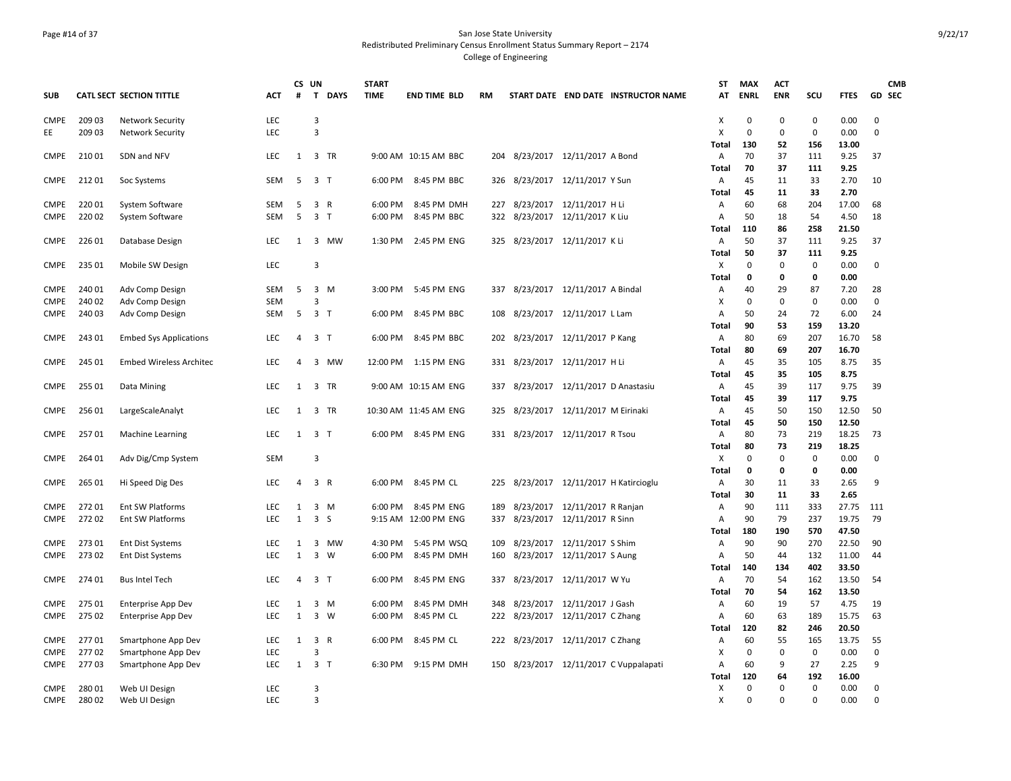### Page #14 of 37 San Jose State University Redistributed Preliminary Census Enrollment Status Summary Report – 2174 College of Engineering

|                            |                |                                |                   | CS UN          |                       | <b>START</b>               |                            |     |                                   |                                  |                                     | ST           | <b>MAX</b>  | <b>ACT</b>        |                    |               | <b>CMB</b>  |
|----------------------------|----------------|--------------------------------|-------------------|----------------|-----------------------|----------------------------|----------------------------|-----|-----------------------------------|----------------------------------|-------------------------------------|--------------|-------------|-------------------|--------------------|---------------|-------------|
| <b>SUB</b>                 |                | CATL SECT SECTION TITTLE       | ACT               | #              | $\mathbf{T}$          | <b>DAYS</b><br><b>TIME</b> | <b>END TIME BLD</b>        | RM  |                                   |                                  | START DATE END DATE INSTRUCTOR NAME | AT           | <b>ENRL</b> | <b>ENR</b>        | scu                | <b>FTES</b>   | GD SEC      |
| <b>CMPE</b>                | 209 03         | <b>Network Security</b>        | LEC               |                | 3                     |                            |                            |     |                                   |                                  |                                     | х            | 0           | $\mathbf 0$       | $\mathbf 0$        | 0.00          | $\mathbf 0$ |
| EE                         | 209 03         | <b>Network Security</b>        | <b>LEC</b>        |                | $\overline{3}$        |                            |                            |     |                                   |                                  |                                     | X            | $\mathbf 0$ | $\mathbf 0$       | $\mathbf 0$        | 0.00          | $\mathbf 0$ |
|                            |                |                                |                   |                |                       |                            |                            |     |                                   |                                  |                                     | Total        | 130         | 52                | 156                | 13.00         |             |
| <b>CMPE</b>                | 210 01         | SDN and NFV                    | <b>LEC</b>        |                | 1 3 TR                |                            | 9:00 AM 10:15 AM BBC       |     | 204 8/23/2017 12/11/2017 A Bond   |                                  |                                     | Α            | 70          | 37                | 111                | 9.25          | 37          |
|                            |                |                                |                   |                |                       |                            |                            |     |                                   |                                  |                                     | <b>Total</b> | 70          | 37                | 111                | 9.25          |             |
| CMPE                       | 212 01         | Soc Systems                    | SEM               | 5              | 3 <sub>1</sub>        | 6:00 PM                    | 8:45 PM BBC                | 326 |                                   | 8/23/2017 12/11/2017 Y Sun       |                                     | Α            | 45          | 11                | 33                 | 2.70          | 10          |
|                            |                |                                |                   |                |                       |                            |                            |     |                                   |                                  |                                     | Total        | 45          | 11                | 33                 | 2.70          |             |
| <b>CMPE</b>                | 22001          | System Software                | SEM<br><b>SEM</b> | 5<br>5         | 3 R<br>3 <sub>1</sub> | 6:00 PM                    | 8:45 PM DMH<br>8:45 PM BBC | 227 |                                   | 8/23/2017 12/11/2017 H Li        |                                     | Α            | 60          | 68                | 204                | 17.00         | 68<br>18    |
| <b>CMPE</b>                | 220 02         | System Software                |                   |                |                       | 6:00 PM                    |                            | 322 |                                   | 8/23/2017 12/11/2017 K Liu       |                                     | Α<br>Total   | 50<br>110   | 18<br>86          | 54<br>258          | 4.50<br>21.50 |             |
| <b>CMPE</b>                | 226 01         | Database Design                | LEC               | 1              | 3 MW                  |                            | 1:30 PM 2:45 PM ENG        |     | 325 8/23/2017 12/11/2017 K Li     |                                  |                                     |              | 50          | 37                | 111                | 9.25          | 37          |
|                            |                |                                |                   |                |                       |                            |                            |     |                                   |                                  |                                     | A<br>Total   | 50          | 37                | 111                | 9.25          |             |
| <b>CMPE</b>                | 235 01         | Mobile SW Design               | <b>LEC</b>        |                | $\overline{3}$        |                            |                            |     |                                   |                                  |                                     | X            | $\Omega$    | $\mathbf 0$       | $\mathbf 0$        | 0.00          | $\mathbf 0$ |
|                            |                |                                |                   |                |                       |                            |                            |     |                                   |                                  |                                     | Total        | 0           | 0                 | 0                  | 0.00          |             |
| <b>CMPE</b>                | 240 01         | Adv Comp Design                | SEM               | 5              | 3 M                   |                            | 3:00 PM 5:45 PM ENG        |     | 337 8/23/2017 12/11/2017 A Bindal |                                  |                                     | Α            | 40          | 29                | 87                 | 7.20          | 28          |
| <b>CMPE</b>                | 240 02         | Adv Comp Design                | <b>SEM</b>        |                | $\overline{3}$        |                            |                            |     |                                   |                                  |                                     | х            | $\mathbf 0$ | $\mathbf 0$       | $\mathbf 0$        | 0.00          | $\mathbf 0$ |
| <b>CMPE</b>                | 240 03         | Adv Comp Design                | SEM               | 5              | 3 <sub>7</sub>        | 6:00 PM                    | 8:45 PM BBC                | 108 |                                   | 8/23/2017 12/11/2017 L Lam       |                                     | Α            | 50          | 24                | 72                 | 6.00          | 24          |
|                            |                |                                |                   |                |                       |                            |                            |     |                                   |                                  |                                     | Total        | 90          | 53                | 159                | 13.20         |             |
| <b>CMPE</b>                | 243 01         | <b>Embed Sys Applications</b>  | LEC               | $\overline{4}$ | 3 <sub>1</sub>        | 6:00 PM                    | 8:45 PM BBC                |     | 202 8/23/2017 12/11/2017 P Kang   |                                  |                                     | Α            | 80          | 69                | 207                | 16.70         | 58          |
|                            |                |                                |                   |                |                       |                            |                            |     |                                   |                                  |                                     | Total        | 80          | 69                | 207                | 16.70         |             |
| CMPE                       | 245 01         | <b>Embed Wireless Architec</b> | <b>LEC</b>        | $\overline{4}$ | 3<br>MW               | 12:00 PM                   | 1:15 PM ENG                | 331 |                                   | 8/23/2017 12/11/2017 H Li        |                                     | Α            | 45          | 35                | 105                | 8.75          | 35          |
|                            |                |                                |                   |                |                       |                            |                            |     |                                   |                                  |                                     | Total        | 45          | 35                | 105                | 8.75          |             |
| <b>CMPE</b>                | 25501          | Data Mining                    | <b>LEC</b>        | 1              | 3 TR                  |                            | 9:00 AM 10:15 AM ENG       | 337 |                                   | 8/23/2017 12/11/2017 D Anastasiu |                                     | Α            | 45          | 39                | 117                | 9.75          | 39          |
|                            |                |                                |                   |                |                       |                            |                            |     |                                   |                                  |                                     | <b>Total</b> | 45          | 39                | 117                | 9.75          |             |
| <b>CMPE</b>                | 25601          | LargeScaleAnalyt               | <b>LEC</b>        | 1              | 3 TR                  |                            | 10:30 AM 11:45 AM ENG      | 325 |                                   | 8/23/2017 12/11/2017 M Eirinaki  |                                     | Α            | 45          | 50                | 150                | 12.50         | 50          |
|                            |                |                                |                   |                |                       |                            |                            |     |                                   |                                  |                                     | Total        | 45          | 50                | 150                | 12.50         |             |
| <b>CMPE</b>                | 25701          | <b>Machine Learning</b>        | <b>LEC</b>        | 1              | 3 <sub>1</sub>        |                            | 6:00 PM 8:45 PM ENG        |     | 331 8/23/2017 12/11/2017 R Tsou   |                                  |                                     | А            | 80          | 73                | 219                | 18.25         | -73         |
|                            |                |                                |                   |                |                       |                            |                            |     |                                   |                                  |                                     | Total        | 80          | 73                | 219                | 18.25         |             |
| <b>CMPE</b>                | 264 01         | Adv Dig/Cmp System             | SEM               |                | 3                     |                            |                            |     |                                   |                                  |                                     | X            | 0           | $\mathbf 0$       | $\mathbf 0$        | 0.00          | $\mathbf 0$ |
|                            |                |                                |                   |                |                       |                            |                            |     |                                   |                                  |                                     | <b>Total</b> | 0           | 0                 | 0                  | 0.00          |             |
| <b>CMPE</b>                | 265 01         | Hi Speed Dig Des               | LEC               | $\overline{4}$ | 3 R                   | 6:00 PM                    | 8:45 PM CL                 | 225 |                                   |                                  | 8/23/2017  12/11/2017 H Katircioglu | Α            | 30          | 11                | 33                 | 2.65          | 9           |
|                            |                |                                |                   |                |                       |                            |                            |     |                                   |                                  |                                     | <b>Total</b> | 30          | 11                | 33                 | 2.65          |             |
| <b>CMPE</b>                | 272 01         | Ent SW Platforms               | LEC               | 1              | 3 M                   | 6:00 PM                    | 8:45 PM ENG                | 189 |                                   | 8/23/2017 12/11/2017 R Ranjan    |                                     | Α            | 90          | 111               | 333                | 27.75         | 111         |
| <b>CMPE</b>                | 272 02         | <b>Ent SW Platforms</b>        | <b>LEC</b>        | 1              | 3S                    |                            | 9:15 AM 12:00 PM ENG       | 337 |                                   | 8/23/2017 12/11/2017 R Sinn      |                                     | Α            | 90          | 79                | 237                | 19.75         | -79         |
|                            |                |                                |                   |                |                       |                            |                            |     |                                   |                                  |                                     | <b>Total</b> | 180         | 190               | 570                | 47.50         |             |
| CMPE                       | 273 01         | <b>Ent Dist Systems</b>        | LEC               | 1              | 3 MW                  | 4:30 PM                    | 5:45 PM WSQ                | 109 |                                   | 8/23/2017 12/11/2017 S Shim      |                                     | Α            | 90          | 90                | 270                | 22.50         | 90          |
| <b>CMPE</b>                | 273 02         | Ent Dist Systems               | <b>LEC</b>        | 1              | 3<br>W                | 6:00 PM                    | 8:45 PM DMH                | 160 |                                   | 8/23/2017 12/11/2017 S Aung      |                                     | Α            | 50          | 44                | 132                | 11.00         | 44          |
|                            |                |                                |                   |                |                       |                            |                            |     |                                   |                                  |                                     | Total        | 140         | 134               | 402                | 33.50         |             |
| <b>CMPE</b>                | 274 01         | <b>Bus Intel Tech</b>          | <b>LEC</b>        | $\overline{4}$ | 3 <sub>1</sub>        | 6:00 PM                    | 8:45 PM ENG                | 337 |                                   | 8/23/2017 12/11/2017 W Yu        |                                     | Α            | 70          | 54                | 162                | 13.50         | 54          |
|                            |                |                                |                   |                |                       |                            |                            |     |                                   |                                  |                                     | Total        | 70          | 54                | 162                | 13.50         |             |
| <b>CMPE</b>                | 275 01         | Enterprise App Dev             | LEC               | 1              | 3 M                   | 6:00 PM                    | 8:45 PM DMH                | 348 |                                   | 8/23/2017 12/11/2017 J Gash      |                                     | Α            | 60          | 19                | 57                 | 4.75          | 19          |
| <b>CMPE</b>                | 275 02         | Enterprise App Dev             | <b>LEC</b>        | 1              | 3 W                   | 6:00 PM                    | 8:45 PM CL                 | 222 | 8/23/2017 12/11/2017 C Zhang      |                                  |                                     | Α            | 60          | 63                | 189                | 15.75         | 63          |
|                            |                |                                |                   |                |                       |                            |                            |     |                                   |                                  |                                     | <b>Total</b> | 120         | 82                | 246                | 20.50         |             |
| <b>CMPE</b>                | 27701          | Smartphone App Dev             | LEC<br><b>LEC</b> | 1              | 3 R<br>3              | 6:00 PM                    | 8:45 PM CL                 |     | 222 8/23/2017 12/11/2017 C Zhang  |                                  |                                     | Α            | 60          | 55<br>$\mathbf 0$ | 165<br>$\mathbf 0$ | 13.75<br>0.00 | 55          |
| <b>CMPE</b><br><b>CMPE</b> | 27702<br>27703 | Smartphone App Dev             | <b>LEC</b>        | 1              | 3 <sub>7</sub>        | 6:30 PM                    | 9:15 PM DMH                | 150 |                                   |                                  |                                     | x            | 0<br>60     | 9                 | 27                 | 2.25          | 0<br>9      |
|                            |                | Smartphone App Dev             |                   |                |                       |                            |                            |     |                                   |                                  | 8/23/2017 12/11/2017 C Vuppalapati  | Α<br>Total   | 120         | 64                | 192                | 16.00         |             |
| <b>CMPE</b>                | 280 01         | Web UI Design                  | <b>LEC</b>        |                | $\overline{3}$        |                            |                            |     |                                   |                                  |                                     | x            | 0           | $\mathbf 0$       | 0                  | 0.00          | $\mathbf 0$ |
| CMPE                       | 280 02         | Web UI Design                  | <b>LEC</b>        |                | $\overline{3}$        |                            |                            |     |                                   |                                  |                                     | x            | $\Omega$    | $\Omega$          | $\Omega$           | 0.00          | $\mathbf 0$ |
|                            |                |                                |                   |                |                       |                            |                            |     |                                   |                                  |                                     |              |             |                   |                    |               |             |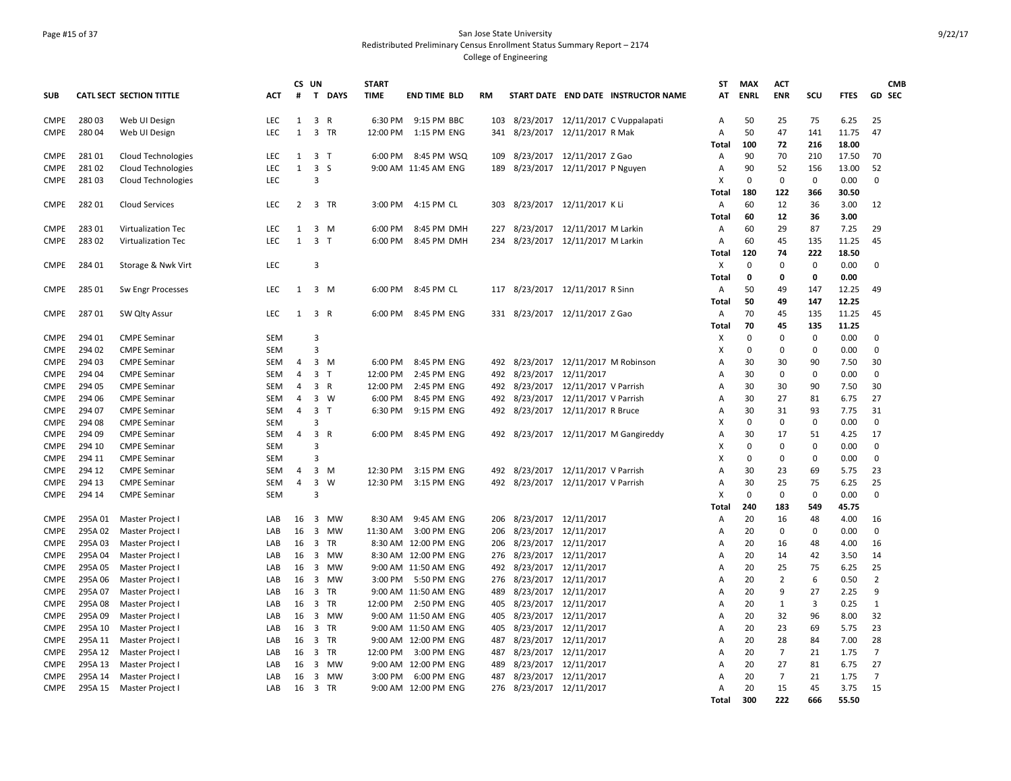### Page #15 of 37 San Jose State University Redistributed Preliminary Census Enrollment Status Summary Report – 2174 College of Engineering

|                            |                  |                                            |            | CS UN        |                                      | <b>START</b> |                      |     |                                    |                                 |                                       | ST     | <b>MAX</b>        | <b>ACT</b>        |                   |              | <b>CMB</b>        |
|----------------------------|------------------|--------------------------------------------|------------|--------------|--------------------------------------|--------------|----------------------|-----|------------------------------------|---------------------------------|---------------------------------------|--------|-------------------|-------------------|-------------------|--------------|-------------------|
| <b>SUB</b>                 |                  | <b>CATL SECT SECTION TITTLE</b>            | ACT        | #            | $\mathbf{T}$<br><b>DAYS</b>          | <b>TIME</b>  | <b>END TIME BLD</b>  | RM  |                                    |                                 | START DATE END DATE INSTRUCTOR NAME   | AT     | <b>ENRL</b>       | <b>ENR</b>        | scu               | <b>FTES</b>  | <b>GD SEC</b>     |
| <b>CMPE</b>                | 280 03           | Web UI Design                              | <b>LEC</b> | 1            | 3 R                                  | 6:30 PM      | 9:15 PM BBC          | 103 |                                    |                                 | 8/23/2017 12/11/2017 C Vuppalapati    | А      | 50                | 25                | 75                | 6.25         | 25                |
| <b>CMPE</b>                | 280 04           | Web UI Design                              | LEC        | $\mathbf{1}$ | 3 TR                                 |              | 12:00 PM 1:15 PM ENG | 341 | 8/23/2017 12/11/2017 R Mak         |                                 |                                       | A      | 50                | 47                | 141               | 11.75        | 47                |
|                            |                  |                                            |            |              |                                      |              |                      |     |                                    |                                 |                                       | Total  | 100               | 72                | 216               | 18.00        |                   |
| <b>CMPE</b>                | 281 01           | <b>Cloud Technologies</b>                  | <b>LEC</b> | 1            | 3 <sub>1</sub>                       |              | 6:00 PM 8:45 PM WSQ  | 109 |                                    | 8/23/2017 12/11/2017 Z Gao      |                                       | Α      | 90                | 70                | 210               | 17.50        | 70                |
| <b>CMPE</b>                | 281 02           | <b>Cloud Technologies</b>                  | LEC        | 1            | $\overline{3}$<br><sub>S</sub>       |              | 9:00 AM 11:45 AM ENG | 189 |                                    | 8/23/2017 12/11/2017 P Nguyen   |                                       | Α      | 90                | 52                | 156               | 13.00        | 52                |
| <b>CMPE</b>                | 281 03           | <b>Cloud Technologies</b>                  | LEC        |              | 3                                    |              |                      |     |                                    |                                 |                                       | X      | 0                 | $\mathbf 0$       | $\mathbf 0$       | 0.00         | $\mathbf 0$       |
|                            |                  |                                            |            |              |                                      |              |                      |     |                                    |                                 |                                       | Total  | 180               | 122               | 366               | 30.50        |                   |
| <b>CMPE</b>                | 282 01           | <b>Cloud Services</b>                      | <b>LEC</b> | 2            | 3 TR                                 | 3:00 PM      | 4:15 PM CL           | 303 | 8/23/2017 12/11/2017 K Li          |                                 |                                       | Α      | 60                | 12                | 36                | 3.00         | 12                |
|                            |                  |                                            |            |              |                                      |              |                      |     |                                    |                                 |                                       | Total  | 60                | 12                | 36                | 3.00         |                   |
| <b>CMPE</b>                | 283 01           | Virtualization Tec                         | LEC        | 1            | $\overline{3}$<br>M                  | 6:00 PM      | 8:45 PM DMH          | 227 |                                    | 8/23/2017 12/11/2017 M Larkin   |                                       | Α      | 60                | 29                | 87                | 7.25         | 29                |
| <b>CMPE</b>                | 283 02           | Virtualization Tec                         | LEC        | 1            | 3 <sub>1</sub>                       | 6:00 PM      | 8:45 PM DMH          |     | 234 8/23/2017 12/11/2017 M Larkin  |                                 |                                       | Α      | 60                | 45                | 135               | 11.25        | 45                |
|                            |                  |                                            |            |              |                                      |              |                      |     |                                    |                                 |                                       | Total  | 120               | 74                | 222               | 18.50        |                   |
| <b>CMPE</b>                | 284 01           | Storage & Nwk Virt                         | LEC        |              | 3                                    |              |                      |     |                                    |                                 |                                       | х      | $\Omega$          | $\mathbf 0$       | $\mathbf 0$       | 0.00         | $\mathbf 0$       |
|                            |                  |                                            |            |              |                                      |              |                      |     |                                    |                                 |                                       | Total  | 0                 | 0                 | 0                 | 0.00         |                   |
| <b>CMPE</b>                | 285 01           | Sw Engr Processes                          | LEC        | 1            | 3 M                                  | 6:00 PM      | 8:45 PM CL           |     | 117 8/23/2017 12/11/2017 R Sinn    |                                 |                                       | Α      | 50                | 49                | 147               | 12.25        | 49                |
|                            |                  |                                            |            |              |                                      |              |                      |     |                                    |                                 |                                       | Total  | 50                | 49                | 147               | 12.25        |                   |
| <b>CMPE</b>                | 28701            | SW Qlty Assur                              | LEC        | 1            | 3 R                                  | 6:00 PM      | 8:45 PM ENG          |     | 331 8/23/2017 12/11/2017 Z Gao     |                                 |                                       | Α      | 70                | 45                | 135               | 11.25        | 45                |
|                            |                  |                                            |            |              |                                      |              |                      |     |                                    |                                 |                                       | Total  | 70                | 45                | 135               | 11.25        |                   |
| <b>CMPE</b>                | 294 01           | <b>CMPE Seminar</b>                        | SEM        |              | 3                                    |              |                      |     |                                    |                                 |                                       | х      | $\mathbf 0$       | $\mathbf 0$       | $\mathbf 0$       | 0.00         | $\Omega$          |
| <b>CMPE</b>                | 294 02           | <b>CMPE Seminar</b>                        | <b>SEM</b> |              | 3                                    |              |                      |     |                                    |                                 |                                       | X      | $\Omega$          | $\Omega$          | 0                 | 0.00         | $\Omega$          |
| <b>CMPE</b>                | 294 03           | <b>CMPE Seminar</b>                        | SEM        | 4            | $\overline{\mathbf{3}}$<br>M         | 6:00 PM      | 8:45 PM ENG          | 492 |                                    | 8/23/2017 12/11/2017 M Robinson |                                       | Α      | 30                | 30                | 90                | 7.50         | 30                |
| <b>CMPE</b>                | 294 04           | <b>CMPE Seminar</b>                        | SEM        | 4            | $\overline{\mathbf{3}}$<br>$\top$    | 12:00 PM     | 2:45 PM ENG          | 492 |                                    | 8/23/2017 12/11/2017            |                                       | A      | 30                | 0                 | 0                 | 0.00         | $\mathbf 0$       |
| <b>CMPE</b>                | 294 05           | <b>CMPE Seminar</b>                        | SEM        | 4            | $\overline{3}$<br>$\mathsf{R}$       | 12:00 PM     | 2:45 PM ENG          | 492 |                                    | 8/23/2017 12/11/2017 V Parrish  |                                       | А      | 30                | 30                | 90                | 7.50         | 30                |
| <b>CMPE</b>                | 294 06           | <b>CMPE Seminar</b>                        | <b>SEM</b> | 4            | 3 W                                  | 6:00 PM      | 8:45 PM ENG          | 492 |                                    | 8/23/2017 12/11/2017 V Parrish  |                                       | A      | 30                | 27                | 81                | 6.75         | 27                |
| <b>CMPE</b>                | 294 07           | <b>CMPE Seminar</b>                        | SEM        | 4            | $\overline{\mathbf{3}}$<br>- T       | 6:30 PM      | 9:15 PM ENG          | 492 |                                    | 8/23/2017 12/11/2017 R Bruce    |                                       | Α      | 30                | 31                | 93                | 7.75         | 31                |
| <b>CMPE</b><br><b>CMPE</b> | 294 08<br>294 09 | <b>CMPE Seminar</b><br><b>CMPE Seminar</b> | SEM<br>SEM |              | 3<br>$\overline{\mathbf{3}}$<br>R    |              | 6:00 PM 8:45 PM ENG  |     |                                    |                                 | 492 8/23/2017 12/11/2017 M Gangireddy | X<br>A | $\mathbf 0$<br>30 | $\mathbf 0$<br>17 | $\mathbf 0$<br>51 | 0.00<br>4.25 | $\mathbf 0$<br>17 |
| <b>CMPE</b>                | 294 10           | <b>CMPE Seminar</b>                        | <b>SEM</b> | 4            | 3                                    |              |                      |     |                                    |                                 |                                       | X      | $\Omega$          | $\Omega$          | $\mathbf 0$       | 0.00         | $\Omega$          |
| <b>CMPE</b>                | 294 11           | <b>CMPE Seminar</b>                        | <b>SEM</b> |              | $\overline{3}$                       |              |                      |     |                                    |                                 |                                       | X      | $\mathbf 0$       | $\mathbf 0$       | $\mathbf 0$       | 0.00         | $\mathbf{0}$      |
| <b>CMPE</b>                | 294 12           | <b>CMPE Seminar</b>                        | SEM        | 4            | $\overline{\mathbf{3}}$<br>М         | 12:30 PM     | 3:15 PM ENG          | 492 |                                    | 8/23/2017 12/11/2017 V Parrish  |                                       | A      | 30                | 23                | 69                | 5.75         | 23                |
| <b>CMPE</b>                | 294 13           | <b>CMPE Seminar</b>                        | SEM        | 4            | $\overline{\mathbf{3}}$<br>W         | 12:30 PM     | 3:15 PM ENG          |     | 492 8/23/2017 12/11/2017 V Parrish |                                 |                                       | A      | 30                | 25                | 75                | 6.25         | 25                |
| <b>CMPE</b>                | 294 14           | <b>CMPE Seminar</b>                        | SEM        |              | $\overline{3}$                       |              |                      |     |                                    |                                 |                                       | X      | $\Omega$          | $\mathbf 0$       | $\Omega$          | 0.00         | $\mathbf 0$       |
|                            |                  |                                            |            |              |                                      |              |                      |     |                                    |                                 |                                       | Total  | 240               | 183               | 549               | 45.75        |                   |
| CMPE                       | 295A 01          | Master Project I                           | LAB        | 16           | 3 MW                                 | 8:30 AM      | 9:45 AM ENG          | 206 |                                    | 8/23/2017 12/11/2017            |                                       | Α      | 20                | 16                | 48                | 4.00         | 16                |
| <b>CMPE</b>                | 295A 02          | Master Project I                           | LAB        | 16           | $\overline{\mathbf{3}}$<br><b>MW</b> |              | 11:30 AM 3:00 PM ENG | 206 |                                    | 8/23/2017 12/11/2017            |                                       | A      | 20                | $\mathbf 0$       | $\mathbf 0$       | 0.00         | $\mathbf{0}$      |
| <b>CMPE</b>                | 295A 03          | Master Project I                           | LAB        |              | 16 3 TR                              |              | 8:30 AM 12:00 PM ENG | 206 |                                    | 8/23/2017 12/11/2017            |                                       | A      | 20                | 16                | 48                | 4.00         | 16                |
| <b>CMPE</b>                | 295A 04          | Master Project I                           | LAB        | 16           | 3<br>MW                              |              | 8:30 AM 12:00 PM ENG | 276 |                                    | 8/23/2017 12/11/2017            |                                       | А      | 20                | 14                | 42                | 3.50         | 14                |
| CMPE                       | 295A 05          | Master Project I                           | LAB        | 16           | 3<br>MW                              |              | 9:00 AM 11:50 AM ENG | 492 |                                    | 8/23/2017 12/11/2017            |                                       | A      | 20                | 25                | 75                | 6.25         | 25                |
| <b>CMPE</b>                | 295A 06          | Master Project I                           | LAB        | 16           | $\overline{3}$<br><b>MW</b>          | 3:00 PM      | 5:50 PM ENG          | 276 | 8/23/2017                          | 12/11/2017                      |                                       | A      | 20                | $\overline{2}$    | 6                 | 0.50         | $\overline{2}$    |
| <b>CMPE</b>                | 295A 07          | Master Project I                           | LAB        | 16           | 3 TR                                 |              | 9:00 AM 11:50 AM ENG | 489 |                                    | 8/23/2017 12/11/2017            |                                       | A      | 20                | 9                 | 27                | 2.25         | 9                 |
| <b>CMPE</b>                | 295A08           | Master Project I                           | LAB        | 16           | $\overline{\mathbf{3}}$<br><b>TR</b> | 12:00 PM     | 2:50 PM ENG          | 405 |                                    | 8/23/2017 12/11/2017            |                                       | Α      | 20                | 1                 | 3                 | 0.25         | $\mathbf{1}$      |
| <b>CMPE</b>                | 295A 09          | Master Project I                           | LAB        | 16           | 3 MW                                 |              | 9:00 AM 11:50 AM ENG | 405 |                                    | 8/23/2017 12/11/2017            |                                       | A      | 20                | 32                | 96                | 8.00         | 32                |
| <b>CMPE</b>                | 295A 10          | Master Project I                           | LAB        | 16           | 3 TR                                 |              | 9:00 AM 11:50 AM ENG | 405 |                                    | 8/23/2017 12/11/2017            |                                       | A      | 20                | 23                | 69                | 5.75         | 23                |
| <b>CMPE</b>                | 295A 11          | Master Project I                           | LAB        | 16           | 3 TR                                 |              | 9:00 AM 12:00 PM ENG | 487 |                                    | 8/23/2017 12/11/2017            |                                       | Α      | 20                | 28                | 84                | 7.00         | 28                |
| <b>CMPE</b>                | 295A 12          | Master Project I                           | LAB        | 16           | $\overline{\mathbf{3}}$<br>TR        |              | 12:00 PM 3:00 PM ENG | 487 |                                    | 8/23/2017 12/11/2017            |                                       | А      | 20                | 7                 | 21                | 1.75         | 7                 |
| <b>CMPE</b>                | 295A 13          | Master Project I                           | LAB        | 16           | 3<br>MW                              |              | 9:00 AM 12:00 PM ENG | 489 |                                    | 8/23/2017 12/11/2017            |                                       | А      | 20                | 27                | 81                | 6.75         | 27                |
| <b>CMPE</b>                | 295A 14          | Master Project                             | LAB        | 16           | $\overline{\mathbf{3}}$<br>MW        | 3:00 PM      | 6:00 PM ENG          | 487 |                                    | 8/23/2017 12/11/2017            |                                       | A      | 20                | $\overline{7}$    | 21                | 1.75         | $\overline{7}$    |
| <b>CMPE</b>                | 295A 15          | Master Project I                           | LAB        | 16           | 3 TR                                 |              | 9:00 AM 12:00 PM ENG |     | 276 8/23/2017 12/11/2017           |                                 |                                       | A      | 20                | 15                | 45                | 3.75         | 15                |
|                            |                  |                                            |            |              |                                      |              |                      |     |                                    |                                 |                                       | Total  | 300               | 222               | 666               | 55.50        |                   |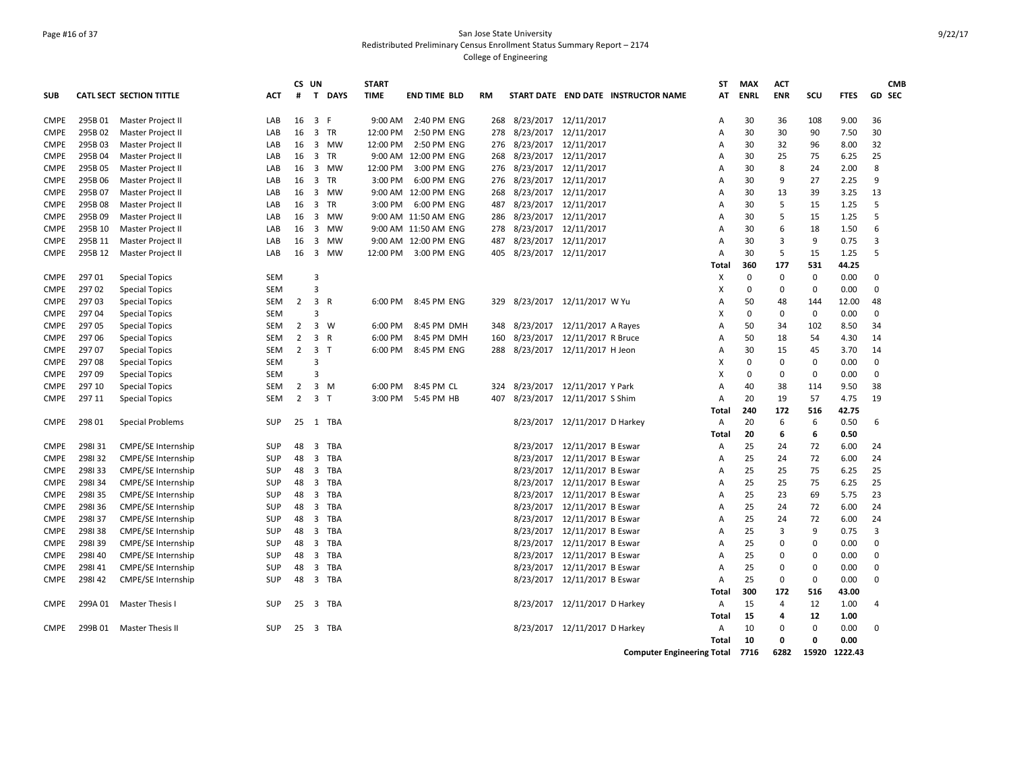### Page #16 of 37 San Jose State University Redistributed Preliminary Census Enrollment Status Summary Report – 2174 College of Engineering

|             |         |                                 |            | CS UN          |                                | <b>START</b> |                      |     |           |                                     | ST           | <b>MAX</b>  | <b>ACT</b>     |             |             | <b>CMB</b>    |
|-------------|---------|---------------------------------|------------|----------------|--------------------------------|--------------|----------------------|-----|-----------|-------------------------------------|--------------|-------------|----------------|-------------|-------------|---------------|
| <b>SUB</b>  |         | <b>CATL SECT SECTION TITTLE</b> | АСТ        | #              | T DAYS                         | <b>TIME</b>  | <b>END TIME BLD</b>  | RM  |           | START DATE END DATE INSTRUCTOR NAME | AΤ           | <b>ENRL</b> | <b>ENR</b>     | scu         | <b>FTES</b> | <b>GD SEC</b> |
| <b>CMPE</b> | 295B 01 | Master Project II               | LAB        | 16             | 3 F                            |              | 9:00 AM 2:40 PM ENG  | 268 |           | 8/23/2017 12/11/2017                | Α            | 30          | 36             | 108         | 9.00        | 36            |
| <b>CMPE</b> | 295B 02 | Master Project II               | LAB        | 16             | $\mathbf{3}$<br><b>TR</b>      | 12:00 PM     | 2:50 PM ENG          | 278 | 8/23/2017 | 12/11/2017                          | А            | 30          | 30             | 90          | 7.50        | 30            |
| <b>CMPE</b> | 295B03  | Master Project II               | LAB        | 16             | 3<br>MW                        | 12:00 PM     | 2:50 PM ENG          | 276 | 8/23/2017 | 12/11/2017                          | Α            | 30          | 32             | 96          | 8.00        | 32            |
| <b>CMPE</b> | 295B 04 | <b>Master Project II</b>        | LAB        | 16             | 3<br>TR                        |              | 9:00 AM 12:00 PM ENG | 268 | 8/23/2017 | 12/11/2017                          | А            | 30          | 25             | 75          | 6.25        | 25            |
| <b>CMPE</b> | 295B 05 | Master Project II               | LAB        | 16             | 3<br><b>MW</b>                 | 12:00 PM     | 3:00 PM ENG          | 276 | 8/23/2017 | 12/11/2017                          | А            | 30          | 8              | 24          | 2.00        | 8             |
| <b>CMPE</b> | 295B 06 | Master Project II               | LAB        | 16             | $\overline{3}$<br><b>TR</b>    | 3:00 PM      | 6:00 PM ENG          | 276 | 8/23/2017 | 12/11/2017                          | А            | 30          | 9              | 27          | 2.25        | 9             |
| <b>CMPE</b> | 295B 07 | Master Project II               | LAB        | 16             | $\overline{3}$<br>MW           |              | 9:00 AM 12:00 PM ENG | 268 | 8/23/2017 | 12/11/2017                          | А            | 30          | 13             | 39          | 3.25        | 13            |
| <b>CMPE</b> | 295B 08 | Master Project II               | LAB        | 16             | $\overline{\mathbf{3}}$<br>TR  |              | 3:00 PM 6:00 PM ENG  | 487 | 8/23/2017 | 12/11/2017                          | Α            | 30          | 5              | 15          | 1.25        | 5             |
| <b>CMPE</b> | 295B 09 | Master Project II               | LAB        | 16             | 3<br>MW                        |              | 9:00 AM 11:50 AM ENG | 286 | 8/23/2017 | 12/11/2017                          | Α            | 30          | 5              | 15          | 1.25        | .5            |
| <b>CMPE</b> | 295B 10 | Master Project II               | LAB        | 16             | 3<br>MW                        |              | 9:00 AM 11:50 AM ENG | 278 | 8/23/2017 | 12/11/2017                          | Α            | 30          | 6              | 18          | 1.50        | 6             |
| <b>CMPE</b> | 295B 11 | Master Project II               | LAB        | 16             | 3<br>MW                        |              | 9:00 AM 12:00 PM ENG | 487 | 8/23/2017 | 12/11/2017                          | Α            | 30          | 3              | 9           | 0.75        | 3             |
| <b>CMPE</b> | 295B 12 | <b>Master Project II</b>        | LAB        | 16             | 3<br><b>MW</b>                 | 12:00 PM     | 3:00 PM ENG          | 405 | 8/23/2017 | 12/11/2017                          | Α            | 30          | 5              | 15          | 1.25        | .5            |
|             |         |                                 |            |                |                                |              |                      |     |           |                                     | Total        | 360         | 177            | 531         | 44.25       |               |
| <b>CMPE</b> | 297 01  | <b>Special Topics</b>           | <b>SEM</b> |                | 3                              |              |                      |     |           |                                     | Х            | 0           | $\Omega$       | 0           | 0.00        | $\mathbf 0$   |
| <b>CMPE</b> | 297 02  | <b>Special Topics</b>           | <b>SEM</b> |                | $\overline{3}$                 |              |                      |     |           |                                     | х            | $\Omega$    | $\mathbf 0$    | 0           | 0.00        | $\Omega$      |
| <b>CMPE</b> | 297 03  | <b>Special Topics</b>           | SEM        | $\overline{2}$ | 3 R                            | 6:00 PM      | 8:45 PM ENG          | 329 | 8/23/2017 | 12/11/2017 W Yu                     | A            | 50          | 48             | 144         | 12.00       | 48            |
| <b>CMPE</b> | 297 04  | <b>Special Topics</b>           | <b>SEM</b> |                | 3                              |              |                      |     |           |                                     | х            | $\Omega$    | $\mathbf 0$    | 0           | 0.00        | $\mathbf 0$   |
| <b>CMPE</b> | 297 05  | <b>Special Topics</b>           | SEM        | 2              | 3 W                            | 6:00 PM      | 8:45 PM DMH          | 348 | 8/23/2017 | 12/11/2017 A Rayes                  | А            | 50          | 34             | 102         | 8.50        | 34            |
| <b>CMPE</b> | 297 06  | <b>Special Topics</b>           | SEM        | $\overline{2}$ | 3 R                            | 6:00 PM      | 8:45 PM DMH          | 160 | 8/23/2017 | 12/11/2017 R Bruce                  | A            | 50          | 18             | 54          | 4.30        | 14            |
| <b>CMPE</b> | 297 07  | <b>Special Topics</b>           | SEM        | $\overline{2}$ | $\mathbf{3}$<br>$\mathsf{T}$   | 6:00 PM      | 8:45 PM ENG          |     |           | 288 8/23/2017 12/11/2017 H Jeon     | Α            | 30          | 15             | 45          | 3.70        | 14            |
| <b>CMPE</b> | 297 08  | <b>Special Topics</b>           | SEM        |                | 3                              |              |                      |     |           |                                     | х            | 0           | $\mathbf 0$    | 0           | 0.00        | 0             |
| <b>CMPE</b> | 297 09  | <b>Special Topics</b>           | <b>SEM</b> |                | 3                              |              |                      |     |           |                                     | x            | 0           | $\mathbf 0$    | $\mathbf 0$ | 0.00        | $\mathbf 0$   |
| CMPE        | 297 10  | <b>Special Topics</b>           | SEM        | $\overline{2}$ | 3<br>M                         | 6:00 PM      | 8:45 PM CL           | 324 | 8/23/2017 | 12/11/2017 Y Park                   | А            | 40          | 38             | 114         | 9.50        | 38            |
| <b>CMPE</b> | 297 11  | <b>Special Topics</b>           | SEM        | $\overline{2}$ | 3 <sub>1</sub>                 | 3:00 PM      | 5:45 PM HB           | 407 |           | 8/23/2017 12/11/2017 S Shim         | A            | 20          | 19             | 57          | 4.75        | 19            |
|             |         |                                 |            |                |                                |              |                      |     |           |                                     | Total        | 240         | 172            | 516         | 42.75       |               |
| <b>CMPE</b> | 298 01  | Special Problems                | SUP        | 25             | 1 TBA                          |              |                      |     | 8/23/2017 | 12/11/2017 D Harkey                 | Α            | 20          | 6              | 6           | 0.50        | 6             |
|             |         |                                 |            |                |                                |              |                      |     |           |                                     | Total        | 20          | 6              | 6           | 0.50        |               |
| <b>CMPE</b> | 298131  | <b>CMPE/SE Internship</b>       | SUP        | 48             | 3<br>TBA                       |              |                      |     | 8/23/2017 | 12/11/2017 B Eswar                  | Α            | 25          | 24             | 72          | 6.00        | 24            |
| <b>CMPE</b> | 298132  | <b>CMPE/SE Internship</b>       | SUP        | 48             | 3<br>TBA                       |              |                      |     | 8/23/2017 | 12/11/2017 B Eswar                  | Α            | 25          | 24             | 72          | 6.00        | 24            |
| <b>CMPE</b> | 298133  | <b>CMPE/SE Internship</b>       | SUP        | 48             | 3<br>TBA                       |              |                      |     | 8/23/2017 | 12/11/2017 B Eswar                  | А            | 25          | 25             | 75          | 6.25        | 25            |
| <b>CMPE</b> | 298134  | <b>CMPE/SE Internship</b>       | SUP        | 48             | 3<br>TBA                       |              |                      |     | 8/23/2017 | 12/11/2017 B Eswar                  | А            | 25          | 25             | 75          | 6.25        | 25            |
| <b>CMPE</b> | 298135  | <b>CMPE/SE Internship</b>       | <b>SUP</b> | 48             | <b>TBA</b><br>3                |              |                      |     | 8/23/2017 | 12/11/2017 B Eswar                  | А            | 25          | 23             | 69          | 5.75        | 23            |
| <b>CMPE</b> | 298136  | <b>CMPE/SE Internship</b>       | SUP        | 48             | $\overline{3}$<br>TBA          |              |                      |     | 8/23/2017 | 12/11/2017 B Eswar                  | A            | 25          | 24             | 72          | 6.00        | 24            |
| <b>CMPE</b> | 298137  | <b>CMPE/SE Internship</b>       | SUP        | 48             | 3<br>TBA                       |              |                      |     | 8/23/2017 | 12/11/2017 B Eswar                  | А            | 25          | 24             | 72          | 6.00        | 24            |
| <b>CMPE</b> | 298138  | <b>CMPE/SE Internship</b>       | SUP        | 48             | $\overline{\mathbf{3}}$<br>TBA |              |                      |     | 8/23/2017 | 12/11/2017 B Eswar                  | А            | 25          | $\overline{3}$ | 9           | 0.75        | 3             |
| <b>CMPE</b> | 298139  | CMPE/SE Internship              | SUP        | 48             | $\overline{3}$<br>TBA          |              |                      |     | 8/23/2017 | 12/11/2017 B Eswar                  | Α            | 25          | 0              | 0           | 0.00        | $\mathbf 0$   |
| <b>CMPE</b> | 298140  | <b>CMPE/SE Internship</b>       | SUP        | 48             | $\overline{\mathbf{3}}$<br>TBA |              |                      |     | 8/23/2017 | 12/11/2017 B Eswar                  | А            | 25          | $\Omega$       | $\mathbf 0$ | 0.00        | $\Omega$      |
| <b>CMPE</b> | 298141  | <b>CMPE/SE Internship</b>       | SUP        | 48             | 3<br>TBA                       |              |                      |     | 8/23/2017 | 12/11/2017 B Eswar                  | A            | 25          | $\mathbf 0$    | 0           | 0.00        | $\mathbf 0$   |
| <b>CMPE</b> | 298142  | <b>CMPE/SE Internship</b>       | SUP        | 48             | 3<br>TBA                       |              |                      |     | 8/23/2017 | 12/11/2017 B Eswar                  | Α            | 25          | 0              | 0           | 0.00        | $\Omega$      |
|             |         |                                 |            |                |                                |              |                      |     |           |                                     | Total        | 300         | 172            | 516         | 43.00       |               |
| <b>CMPE</b> | 299A 01 | Master Thesis I                 | SUP        | 25             | TBA<br>3                       |              |                      |     | 8/23/2017 | 12/11/2017 D Harkey                 | A            | 15          | $\overline{4}$ | 12          | 1.00        | 4             |
|             |         |                                 |            |                |                                |              |                      |     |           |                                     | Total        | 15          | 4              | 12          | 1.00        |               |
| <b>CMPE</b> | 299B 01 | Master Thesis II                | <b>SUP</b> | 25             | $\overline{3}$<br>TBA          |              |                      |     |           | 8/23/2017 12/11/2017 D Harkey       | $\mathsf{A}$ | 10          | $\Omega$       | 0           | 0.00        | 0             |
|             |         |                                 |            |                |                                |              |                      |     |           |                                     | Total        | 10          | 0              | 0           | 0.00        |               |
|             |         |                                 |            |                |                                |              |                      |     |           | <b>Computer Engineering Total</b>   |              | 7716        | 6282           | 15920       | 1222.43     |               |
|             |         |                                 |            |                |                                |              |                      |     |           |                                     |              |             |                |             |             |               |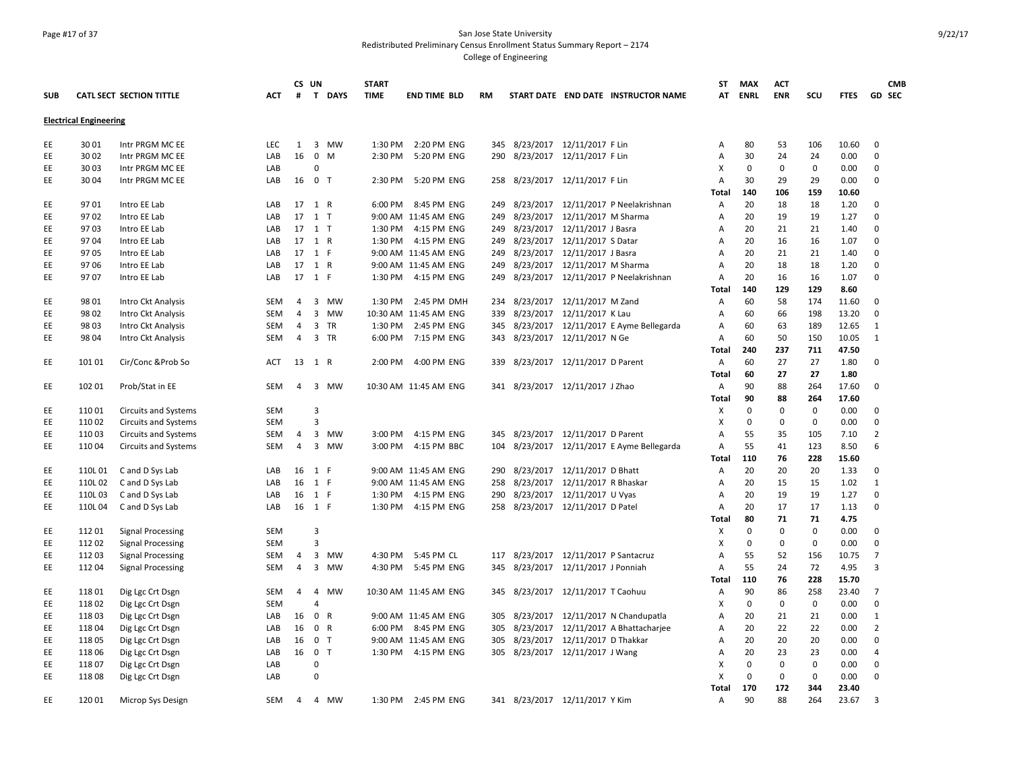### Page #17 of 37 San Jose State University Redistributed Preliminary Census Enrollment Status Summary Report – 2174 College of Engineering

|            |                               |                                 |            |                | CS UN                | <b>START</b> |                       |     |                                        | <b>ST</b>      | <b>MAX</b>  | ACT         |             |             | <b>CMB</b>     |
|------------|-------------------------------|---------------------------------|------------|----------------|----------------------|--------------|-----------------------|-----|----------------------------------------|----------------|-------------|-------------|-------------|-------------|----------------|
| <b>SUB</b> |                               | <b>CATL SECT SECTION TITTLE</b> | ACT        | #              | T DAYS               | <b>TIME</b>  | <b>END TIME BLD</b>   | RM  | START DATE END DATE INSTRUCTOR NAME    | AT             | <b>ENRL</b> | <b>ENR</b>  | scu         | <b>FTES</b> | <b>GD SEC</b>  |
|            | <b>Electrical Engineering</b> |                                 |            |                |                      |              |                       |     |                                        |                |             |             |             |             |                |
| EE         | 30 01                         | Intr PRGM MC EE                 | LEC        | 1              | 3 MW                 |              | 1:30 PM 2:20 PM ENG   |     | 345 8/23/2017 12/11/2017 F Lin         | Α              | 80          | 53          | 106         | 10.60       | 0              |
| EE         | 30 02                         | Intr PRGM MC EE                 | LAB        | 16             | $\mathbf 0$<br>M     | 2:30 PM      | 5:20 PM ENG           | 290 | 8/23/2017 12/11/2017 F Lin             | Α              | 30          | 24          | 24          | 0.00        | $\mathbf 0$    |
| EE.        | 30 03                         | Intr PRGM MC EE                 | LAB        |                | $\Omega$             |              |                       |     |                                        | Χ              | $\Omega$    | $\mathbf 0$ | $\mathbf 0$ | 0.00        | $\Omega$       |
| EE         | 30 04                         | Intr PRGM MC EE                 | LAB        |                | 16 0 T               |              | 2:30 PM 5:20 PM ENG   |     | 258 8/23/2017 12/11/2017 F Lin         | Α              | 30          | 29          | 29          | 0.00        | $\Omega$       |
|            |                               |                                 |            |                |                      |              |                       |     |                                        | Total          | 140         | 106         | 159         | 10.60       |                |
| EE         | 9701                          | Intro EE Lab                    | LAB        |                | 17 1 R               |              | 6:00 PM 8:45 PM ENG   | 249 | 8/23/2017 12/11/2017 P Neelakrishnan   | Α              | 20          | 18          | 18          | 1.20        | $\Omega$       |
| EE         | 9702                          | Intro EE Lab                    | LAB        |                | 17 1 T               |              | 9:00 AM 11:45 AM ENG  | 249 | 8/23/2017 12/11/2017 M Sharma          | Α              | 20          | 19          | 19          | 1.27        | $\mathbf 0$    |
| EE         | 9703                          | Intro EE Lab                    | LAB        |                | 17 1 T               |              | 1:30 PM 4:15 PM ENG   | 249 | 8/23/2017  12/11/2017 J Basra          | Α              | 20          | 21          | 21          | 1.40        | $\Omega$       |
| EE         | 9704                          | Intro EE Lab                    | LAB        |                | 17 1 R               |              | 1:30 PM 4:15 PM ENG   | 249 | 8/23/2017 12/11/2017 S Datar           | Α              | 20          | 16          | 16          | 1.07        | $\Omega$       |
| EE.        | 9705                          | Intro EE Lab                    | LAB        |                | 17 1 F               |              | 9:00 AM 11:45 AM ENG  | 249 | 8/23/2017 12/11/2017 J Basra           | A              | 20          | 21          | 21          | 1.40        | $\Omega$       |
| EE.        | 9706                          | Intro EE Lab                    | LAB        |                | 17 1 R               |              | 9:00 AM 11:45 AM ENG  | 249 | 8/23/2017 12/11/2017 M Sharma          | A              | 20          | 18          | 18          | 1.20        | $\Omega$       |
| EE         | 9707                          | Intro EE Lab                    | LAB        |                | 17 1 F               |              | 1:30 PM 4:15 PM ENG   | 249 | 8/23/2017 12/11/2017 P Neelakrishnan   | Α              | 20          | 16          | 16          | 1.07        | $\Omega$       |
|            |                               |                                 |            |                |                      |              |                       |     |                                        | Total          | 140         | 129         | 129         | 8.60        |                |
| EE         | 98 01                         | Intro Ckt Analysis              | <b>SEM</b> | 4              | 3 MW                 |              | 1:30 PM 2:45 PM DMH   | 234 | 8/23/2017 12/11/2017 M Zand            | A              | 60          | 58          | 174         | 11.60       | $\mathbf 0$    |
| EE.        | 98 02                         | Intro Ckt Analysis              | SEM        | $\overline{4}$ | $\overline{3}$<br>MW |              | 10:30 AM 11:45 AM ENG | 339 | 8/23/2017 12/11/2017 K Lau             | Α              | 60          | 66          | 198         | 13.20       | 0              |
| EE         | 98 03                         | Intro Ckt Analysis              | <b>SEM</b> | 4              | 3<br>TR              |              | 1:30 PM 2:45 PM ENG   | 345 | 8/23/2017 12/11/2017 E Ayme Bellegarda | Α              | 60          | 63          | 189         | 12.65       | 1              |
| EE         | 98 04                         | Intro Ckt Analysis              | <b>SEM</b> | 4              | 3 TR                 |              | 6:00 PM 7:15 PM ENG   |     | 343 8/23/2017 12/11/2017 N Ge          | $\overline{A}$ | 60          | 50          | 150         | 10.05       | 1              |
|            |                               |                                 |            |                |                      |              |                       |     |                                        | <b>Total</b>   | 240         | 237         | 711         | 47.50       |                |
| EE         | 101 01                        | Cir/Conc & Prob So              | ACT        | 13             | 1 R                  | 2:00 PM      | 4:00 PM ENG           | 339 | 8/23/2017 12/11/2017 D Parent          | Α              | 60          | 27          | 27          | 1.80        | $\Omega$       |
|            |                               |                                 |            |                |                      |              |                       |     |                                        | Total          | 60          | 27          | 27          | 1.80        |                |
| EE         | 102 01                        | Prob/Stat in EE                 | <b>SEM</b> | 4              | 3<br><b>MW</b>       |              | 10:30 AM 11:45 AM ENG |     | 341 8/23/2017 12/11/2017 J Zhao        | A              | 90          | 88          | 264         | 17.60       | $\Omega$       |
|            |                               |                                 |            |                |                      |              |                       |     |                                        | <b>Total</b>   | 90          | 88          | 264         | 17.60       |                |
| EE         | 110 01                        | <b>Circuits and Systems</b>     | SEM        |                | 3                    |              |                       |     |                                        | Х              | $\mathbf 0$ | $\mathbf 0$ | $\mathbf 0$ | 0.00        | $\mathbf 0$    |
| EE         | 110 02                        | <b>Circuits and Systems</b>     | <b>SEM</b> |                | $\overline{3}$       |              |                       |     |                                        | X              | $\mathbf 0$ | 0           | $\mathbf 0$ | 0.00        | $\Omega$       |
| EE         | 110 03                        | <b>Circuits and Systems</b>     | <b>SEM</b> | 4              | 3<br><b>MW</b>       | 3:00 PM      | 4:15 PM ENG           | 345 | 8/23/2017 12/11/2017 D Parent          | $\overline{A}$ | 55          | 35          | 105         | 7.10        | $\overline{2}$ |
| EE.        | 110 04                        | <b>Circuits and Systems</b>     | SEM        | $\overline{4}$ | 3<br>MW              |              | 3:00 PM 4:15 PM BBC   | 104 | 8/23/2017 12/11/2017 E Ayme Bellegarda | A              | 55          | 41          | 123         | 8.50        | 6              |
|            |                               |                                 |            |                |                      |              |                       |     |                                        | Total          | 110         | 76          | 228         | 15.60       |                |
| EE         | 110L 01                       | C and D Sys Lab                 | LAB        |                | 16 1 F               |              | 9:00 AM 11:45 AM ENG  | 290 | 8/23/2017 12/11/2017 D Bhatt           | Α              | 20          | 20          | 20          | 1.33        | $\Omega$       |
| EE         | 110L02                        | C and D Sys Lab                 | LAB        | 16             | 1 F                  |              | 9:00 AM 11:45 AM ENG  | 258 | 8/23/2017 12/11/2017 R Bhaskar         | $\overline{A}$ | 20          | 15          | 15          | 1.02        | $\mathbf{1}$   |
| EE         | 110L03                        | C and D Sys Lab                 | LAB        | 16             | 1 F                  |              | 1:30 PM 4:15 PM ENG   | 290 | 8/23/2017 12/11/2017 U Vyas            | A              | 20          | 19          | 19          | 1.27        | $\mathbf 0$    |
| EE         | 110L04                        | C and D Sys Lab                 | LAB        |                | 16 1 F               |              | 1:30 PM 4:15 PM ENG   |     | 258 8/23/2017 12/11/2017 D Patel       | Α              | 20          | 17          | 17          | 1.13        | $\mathbf 0$    |
|            |                               |                                 |            |                |                      |              |                       |     |                                        | Total          | 80          | 71          | 71          | 4.75        |                |
| EE         | 11201                         | <b>Signal Processing</b>        | <b>SEM</b> |                | 3                    |              |                       |     |                                        | Х              | $\mathbf 0$ | $\mathbf 0$ | $\mathbf 0$ | 0.00        | $\Omega$       |
| EE         | 112 02                        | Signal Processing               | SEM        |                | $\overline{3}$       |              |                       |     |                                        | х              | $\mathbf 0$ | 0           | 0           | 0.00        | $\Omega$       |
| EE.        | 112 03                        | <b>Signal Processing</b>        | SEM        | 4              | 3<br>MW              |              | 4:30 PM 5:45 PM CL    | 117 | 8/23/2017 12/11/2017 P Santacruz       | Α              | 55          | 52          | 156         | 10.75       | $\overline{7}$ |
| EE         | 112 04                        | <b>Signal Processing</b>        | <b>SEM</b> | $\overline{4}$ | 3 MW                 |              | 4:30 PM 5:45 PM ENG   |     | 345 8/23/2017 12/11/2017 J Ponniah     | A              | 55          | 24          | 72          | 4.95        | з              |
|            |                               |                                 |            |                |                      |              |                       |     |                                        | Total          | 110         | 76          | 228         | 15.70       |                |
| EE         | 118 01                        | Dig Lgc Crt Dsgn                | SEM        | 4              | 4<br>MW              |              | 10:30 AM 11:45 AM ENG |     | 345 8/23/2017 12/11/2017 T Caohuu      | Α              | 90          | 86          | 258         | 23.40       | 7              |
| EE         | 118 02                        | Dig Lgc Crt Dsgn                | SEM        |                | $\overline{4}$       |              |                       |     |                                        | X              | 0           | $\mathbf 0$ | $\mathbf 0$ | 0.00        | $\mathbf 0$    |
| EE         | 118 03                        | Dig Lgc Crt Dsgn                | LAB        | 16             | 0 R                  |              | 9:00 AM 11:45 AM ENG  | 305 | 8/23/2017 12/11/2017 N Chandupatla     | Α              | 20          | 21          | 21          | 0.00        | 1              |
| EE         | 118 04                        | Dig Lgc Crt Dsgn                | LAB        | 16             | 0 R                  |              | 6:00 PM 8:45 PM ENG   | 305 | 8/23/2017 12/11/2017 A Bhattacharjee   | Α              | 20          | 22          | 22          | 0.00        | $\overline{2}$ |
| EE         | 118 05                        | Dig Lgc Crt Dsgn                | LAB        | 16             | 0 <sub>T</sub>       |              | 9:00 AM 11:45 AM ENG  | 305 | 8/23/2017  12/11/2017 D Thakkar        | А              | 20          | 20          | 20          | 0.00        | $\mathbf 0$    |
| EE         | 11806                         | Dig Lgc Crt Dsgn                | LAB        |                | 16 0 T               |              | 1:30 PM 4:15 PM ENG   |     | 305 8/23/2017 12/11/2017 J Wang        | Α              | 20          | 23          | 23          | 0.00        | 4              |
| EE         | 11807                         | Dig Lgc Crt Dsgn                | LAB        |                | $\Omega$             |              |                       |     |                                        | X              | $\Omega$    | $\mathbf 0$ | 0           | 0.00        | $\Omega$       |
| EE         | 11808                         | Dig Lgc Crt Dsgn                | LAB        |                | $\Omega$             |              |                       |     |                                        | X              | $\Omega$    | $\mathbf 0$ | $\mathbf 0$ | 0.00        | $\Omega$       |
|            |                               |                                 |            |                |                      |              |                       |     |                                        | Total          | 170         | 172         | 344         | 23.40       |                |
| EE         | 120 01                        | Microp Sys Design               | SEM        | $\overline{4}$ | 4 MW                 |              | 1:30 PM 2:45 PM ENG   |     | 341 8/23/2017 12/11/2017 Y Kim         | A              | 90          | 88          | 264         | 23.67       | 3              |
|            |                               |                                 |            |                |                      |              |                       |     |                                        |                |             |             |             |             |                |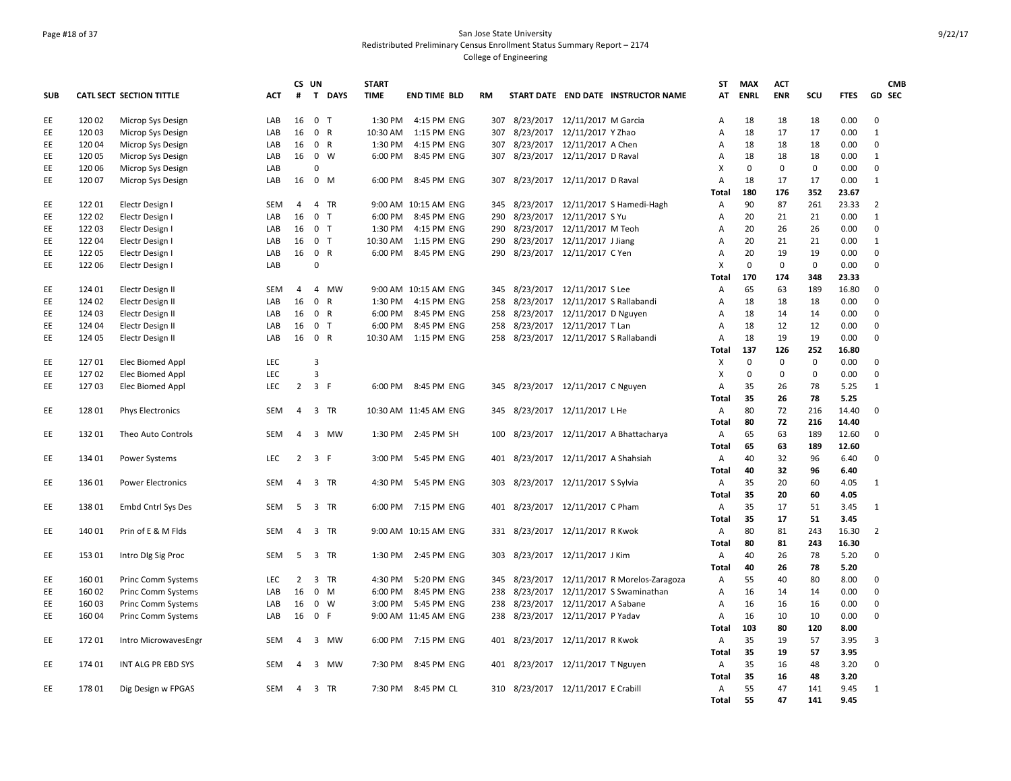### Page #18 of 37 San Jose State University Redistributed Preliminary Census Enrollment Status Summary Report – 2174 College of Engineering

|            |        |                           |            | CS UN          |                               | <b>START</b> |                        |           |                                     |                               |                                         | ST           | <b>MAX</b>  | <b>ACT</b>  |             |              | <b>CMB</b>     |
|------------|--------|---------------------------|------------|----------------|-------------------------------|--------------|------------------------|-----------|-------------------------------------|-------------------------------|-----------------------------------------|--------------|-------------|-------------|-------------|--------------|----------------|
| <b>SUB</b> |        | CATL SECT SECTION TITTLE  | <b>ACT</b> | #              | $\mathbf{T}$<br><b>DAYS</b>   | <b>TIME</b>  | <b>END TIME BLD</b>    | <b>RM</b> |                                     |                               | START DATE END DATE INSTRUCTOR NAME     | AT           | <b>ENRL</b> | <b>ENR</b>  | SCU         | <b>FTES</b>  | <b>GD SEC</b>  |
| EE         | 120 02 | Microp Sys Design         | LAB        | 16             | 0 <sub>T</sub>                |              | 1:30 PM 4:15 PM ENG    | 307       |                                     | 8/23/2017 12/11/2017 M Garcia |                                         | А            | 18          | 18          | 18          | 0.00         | $\mathbf 0$    |
| EE         | 120 03 | Microp Sys Design         | LAB        | 16             | 0 R                           |              | 10:30 AM  1:15 PM ENG  | 307       |                                     | 8/23/2017 12/11/2017 Y Zhao   |                                         | А            | 18          | 17          | 17          | 0.00         | 1              |
| EE         | 120 04 | Microp Sys Design         | LAB        | 16             | 0 R                           |              | 1:30 PM 4:15 PM ENG    | 307       |                                     | 8/23/2017 12/11/2017 A Chen   |                                         | Α            | 18          | 18          | 18          | 0.00         | $\mathbf 0$    |
| EE         | 120 05 | Microp Sys Design         | LAB        | 16             | 0 W                           |              | 6:00 PM 8:45 PM ENG    |           | 307 8/23/2017 12/11/2017 D Raval    |                               |                                         | А            | 18          | 18          | 18          | 0.00         | 1              |
| EE         | 120 06 | Microp Sys Design         | LAB        |                | 0                             |              |                        |           |                                     |                               |                                         | X            | $\mathbf 0$ | $\mathbf 0$ | $\mathbf 0$ | 0.00         | $\mathbf 0$    |
| EE         | 120 07 | Microp Sys Design         | LAB        | 16             | $0$ M                         |              | 6:00 PM 8:45 PM ENG    | 307       |                                     | 8/23/2017 12/11/2017 D Raval  |                                         | А            | 18          | 17          | 17          | 0.00         | 1              |
|            |        |                           |            |                |                               |              |                        |           |                                     |                               |                                         | <b>Total</b> | 180         | 176         | 352         | 23.67        |                |
| EE         | 122 01 | Electr Design I           | <b>SEM</b> | 4              | 4 TR                          |              | 9:00 AM 10:15 AM ENG   | 345       |                                     |                               | 8/23/2017 12/11/2017 S Hamedi-Hagh      | Α            | 90          | 87          | 261         | 23.33        | $\overline{2}$ |
| EE         | 122 02 | Electr Design I           | LAB        | 16             | 0 <sub>T</sub>                |              | 6:00 PM 8:45 PM ENG    | 290       |                                     | 8/23/2017 12/11/2017 S Yu     |                                         | Α            | 20          | 21          | 21          | 0.00         | 1              |
| EE         | 122 03 | Electr Design I           | LAB        | 16             | 0 T                           |              | 1:30 PM 4:15 PM ENG    | 290       |                                     | 8/23/2017 12/11/2017 M Teoh   |                                         | А            | 20          | 26          | 26          | 0.00         | $\mathbf 0$    |
| EE         | 122 04 | Electr Design I           | LAB        |                | 16 0 T                        |              | 10:30 AM   1:15 PM ENG | 290       |                                     | 8/23/2017 12/11/2017 J Jiang  |                                         | А            | 20          | 21          | 21          | 0.00         | 1              |
| EE         | 122 05 | Electr Design I           | LAB        | 16             | $\mathbf{0}$<br>R             |              | 6:00 PM 8:45 PM ENG    | 290       |                                     | 8/23/2017 12/11/2017 C Yen    |                                         | A            | 20          | 19          | 19          | 0.00         | $\mathbf 0$    |
| EE         | 122 06 | Electr Design I           | LAB        |                | 0                             |              |                        |           |                                     |                               |                                         | Χ            | $\mathbf 0$ | $\mathbf 0$ | $\mathbf 0$ | 0.00         | $\Omega$       |
|            |        |                           |            |                |                               |              |                        |           |                                     |                               |                                         | Total        | 170         | 174         | 348         | 23.33        |                |
| EE         | 124 01 | Electr Design II          | SEM        | $\overline{4}$ | 4 MW                          |              | 9:00 AM 10:15 AM ENG   | 345       |                                     | 8/23/2017 12/11/2017 S Lee    |                                         | А            | 65          | 63          | 189         | 16.80        | $\mathbf 0$    |
| EE         | 124 02 | Electr Design II          | LAB        | 16             | $\overline{0}$<br>R           |              | 1:30 PM 4:15 PM ENG    | 258       |                                     |                               | 8/23/2017 12/11/2017 S Rallabandi       | А            | 18          | 18          | 18          | 0.00         | $\Omega$       |
| EE.        | 124 03 | Electr Design II          | LAB        | 16             | 0 R                           |              | 6:00 PM 8:45 PM ENG    | 258       | 8/23/2017 12/11/2017 D Nguyen       |                               |                                         | A            | 18          | 14          | 14          | 0.00         | $\Omega$       |
| EE         | 124 04 | Electr Design II          | LAB        | 16             | 0 <sub>T</sub>                | 6:00 PM      | 8:45 PM ENG            | 258       |                                     | 8/23/2017 12/11/2017 T Lan    |                                         | А            | 18          | 12          | 12          | 0.00         | $\mathbf 0$    |
| EE         | 124 05 | Electr Design II          | LAB        |                | 16 0 R                        |              | 10:30 AM  1:15 PM ENG  |           |                                     |                               | 258 8/23/2017 12/11/2017 S Rallabandi   | А            | 18          | 19          | 19          | 0.00         | $\mathbf 0$    |
|            |        |                           |            |                |                               |              |                        |           |                                     |                               |                                         | Total        | 137         | 126         | 252         | 16.80        |                |
| EE         | 127 01 | Elec Biomed Appl          | <b>LEC</b> |                | 3                             |              |                        |           |                                     |                               |                                         | X            | $\mathbf 0$ | $\mathbf 0$ | $\mathbf 0$ | 0.00         | $\mathbf 0$    |
| EE         | 127 02 | Elec Biomed Appl          | LEC        |                | 3                             |              |                        |           |                                     |                               |                                         | Χ            | $\mathbf 0$ | $\mathbf 0$ | $\mathbf 0$ | 0.00         | $\mathbf 0$    |
| EE         | 12703  | Elec Biomed Appl          | LEC        | $2^{\circ}$    | 3 F                           |              | 6:00 PM 8:45 PM ENG    | 345       |                                     | 8/23/2017 12/11/2017 C Nguyen |                                         | А            | 35          | 26          | 78          | 5.25         | 1              |
|            |        |                           |            |                |                               |              |                        |           |                                     |                               |                                         | <b>Total</b> | 35          | 26          | 78          | 5.25         |                |
| EE         | 128 01 | <b>Phys Electronics</b>   | <b>SEM</b> | 4              | 3 TR                          |              | 10:30 AM 11:45 AM ENG  | 345       | 8/23/2017 12/11/2017 L He           |                               |                                         | Α            | 80          | 72          | 216         | 14.40        | $\mathbf 0$    |
|            |        |                           |            |                |                               |              |                        |           |                                     |                               |                                         | <b>Total</b> | 80          | 72          | 216         | 14.40        |                |
| EE         | 132 01 | Theo Auto Controls        | SEM        | 4              | 3 MW                          |              | 1:30 PM 2:45 PM SH     | 100       |                                     |                               | 8/23/2017 12/11/2017 A Bhattacharya     | Α            | 65          | 63          | 189         | 12.60        | $\mathbf 0$    |
|            |        |                           |            |                |                               |              |                        |           |                                     |                               |                                         | <b>Total</b> | 65          | 63          | 189         | 12.60        |                |
| EE         | 134 01 | Power Systems             | <b>LEC</b> |                | $2 \quad 3 \quad F$           |              | 3:00 PM 5:45 PM ENG    |           | 401 8/23/2017 12/11/2017 A Shahsiah |                               |                                         | Α            | 40          | 32          | 96          | 6.40         | $\mathbf 0$    |
|            |        |                           |            |                |                               |              |                        |           |                                     |                               |                                         | Total        | 40          | 32          | 96          | 6.40         |                |
| EE         | 136 01 | <b>Power Electronics</b>  | <b>SEM</b> | $\overline{4}$ | 3 TR                          |              | 4:30 PM 5:45 PM ENG    |           | 303 8/23/2017 12/11/2017 S Sylvia   |                               |                                         | А            | 35          | 20          | 60          | 4.05         | 1              |
|            |        |                           |            |                |                               |              |                        |           |                                     |                               |                                         |              | 35          | 20          |             | 4.05         |                |
|            |        |                           |            |                |                               |              |                        |           |                                     |                               |                                         | Total        | 35          |             | 60          |              | 1              |
| EE         | 138 01 | Embd Cntrl Sys Des        | SEM        | - 5            | 3 TR                          |              | 6:00 PM 7:15 PM ENG    |           | 401 8/23/2017 12/11/2017 C Pham     |                               |                                         | Α            | 35          | 17          | 51<br>51    | 3.45<br>3.45 |                |
|            |        |                           |            |                |                               |              |                        |           |                                     |                               |                                         | Total        | 80          | 17          |             |              | $\overline{2}$ |
| EE         | 140 01 | Prin of E & M Flds        | <b>SEM</b> | 4              | 3 TR                          |              | 9:00 AM 10:15 AM ENG   | 331       |                                     | 8/23/2017 12/11/2017 R Kwok   |                                         | Α            |             | 81          | 243         | 16.30        |                |
|            |        |                           |            |                |                               |              |                        |           |                                     |                               |                                         | <b>Total</b> | 80          | 81          | 243         | 16.30        |                |
| EE         | 153 01 | Intro DIg Sig Proc        | SEM        | 5              | 3 TR                          |              | 1:30 PM 2:45 PM ENG    | 303       | 8/23/2017 12/11/2017 J Kim          |                               |                                         | Α            | 40          | 26          | 78          | 5.20         | $\mathbf 0$    |
|            |        |                           |            |                |                               |              |                        |           |                                     |                               |                                         | Total        | 40          | 26          | 78          | 5.20         |                |
| EE         | 160 01 | <b>Princ Comm Systems</b> | LEC        | 2              | 3 TR                          | 4:30 PM      | 5:20 PM ENG            | 345       |                                     |                               | 8/23/2017 12/11/2017 R Morelos-Zaragoza | А            | 55          | 40          | 80          | 8.00         | $\mathbf 0$    |
| EE         | 160 02 | <b>Princ Comm Systems</b> | LAB        | 16             | $\mathbf{0}$<br>M             | 6:00 PM      | 8:45 PM ENG            | 238       |                                     |                               | 8/23/2017 12/11/2017 S Swaminathan      | А            | 16          | 14          | 14          | 0.00         | $\mathbf 0$    |
| EE         | 160 03 | Princ Comm Systems        | LAB        | 16             | $0 \quad W$                   |              | 3:00 PM 5:45 PM ENG    | 238       |                                     | 8/23/2017 12/11/2017 A Sabane |                                         | Α            | 16          | 16          | 16          | 0.00         | $\mathbf 0$    |
| EE         | 160 04 | <b>Princ Comm Systems</b> | LAB        | 16             | 0 F                           |              | 9:00 AM 11:45 AM ENG   |           | 238 8/23/2017 12/11/2017 P Yadav    |                               |                                         | Α            | 16          | 10          | 10          | 0.00         | $\Omega$       |
|            |        |                           |            |                |                               |              |                        |           |                                     |                               |                                         | Total        | 103         | 80          | 120         | 8.00         |                |
| EE         | 172 01 | Intro MicrowavesEngr      | <b>SEM</b> | 4              | 3 MW                          |              | 6:00 PM 7:15 PM ENG    |           | 401 8/23/2017 12/11/2017 R Kwok     |                               |                                         | Α            | 35          | 19          | 57          | 3.95         | 3              |
|            |        |                           |            |                |                               |              |                        |           |                                     |                               |                                         | <b>Total</b> | 35          | 19          | 57          | 3.95         |                |
| EE         | 174 01 | INT ALG PR EBD SYS        | <b>SEM</b> | $\overline{a}$ | $\overline{\mathbf{3}}$<br>MW | 7:30 PM      | 8:45 PM ENG            | 401       |                                     | 8/23/2017 12/11/2017 T Nguyen |                                         | Α            | 35          | 16          | 48          | 3.20         | $\mathbf 0$    |
|            |        |                           |            |                |                               |              |                        |           |                                     |                               |                                         | Total        | 35          | 16          | 48          | 3.20         |                |
| EE         | 178 01 | Dig Design w FPGAS        | SEM        | 4              | 3 TR                          |              | 7:30 PM 8:45 PM CL     |           | 310 8/23/2017 12/11/2017 E Crabill  |                               |                                         | Α            | 55          | 47          | 141         | 9.45         | 1              |
|            |        |                           |            |                |                               |              |                        |           |                                     |                               |                                         | Total        | 55          | 47          | 141         | 9.45         |                |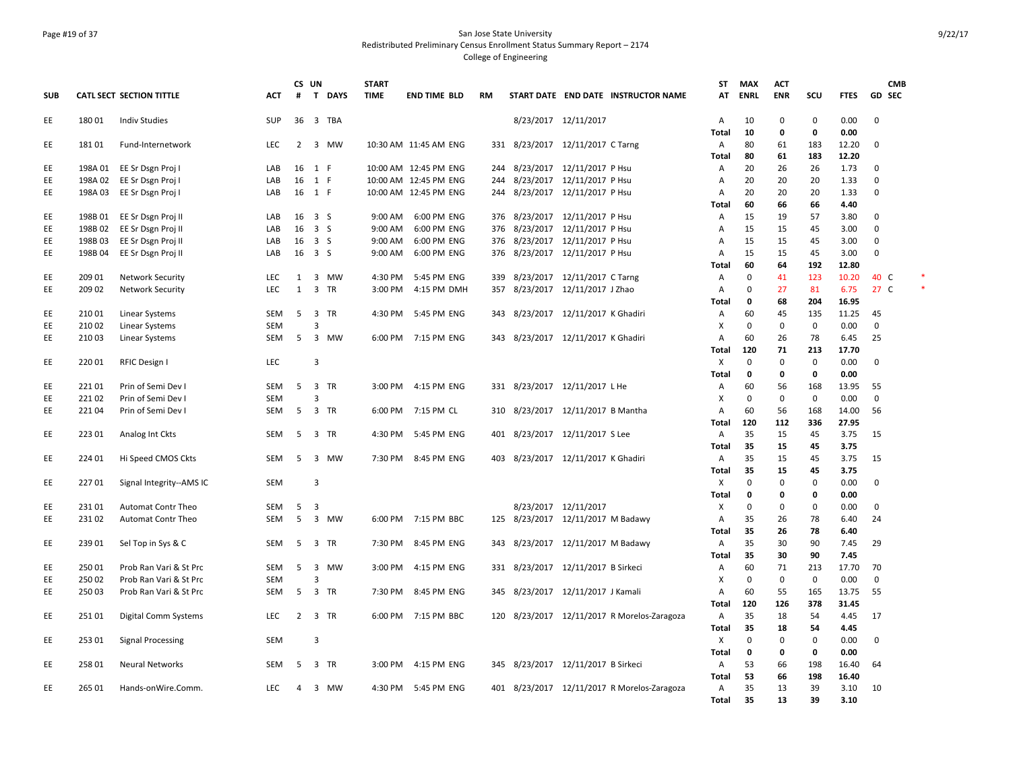### Page #19 of 37 San Jose State University Redistributed Preliminary Census Enrollment Status Summary Report – 2174 College of Engineering

|            |         |                                        |            | CS UN                |                         |             | <b>START</b> |                       |            |                                    |                                |                                             | <b>ST</b>         | <b>MAX</b>        | <b>ACT</b>        |                   |               | <b>CMB</b>      |  |
|------------|---------|----------------------------------------|------------|----------------------|-------------------------|-------------|--------------|-----------------------|------------|------------------------------------|--------------------------------|---------------------------------------------|-------------------|-------------------|-------------------|-------------------|---------------|-----------------|--|
| <b>SUB</b> |         | <b>CATL SECT SECTION TITTLE</b>        | <b>ACT</b> | #                    | T                       | <b>DAYS</b> | <b>TIME</b>  | <b>END TIME BLD</b>   | <b>RM</b>  |                                    |                                | START DATE END DATE INSTRUCTOR NAME         | AT                | <b>ENRL</b>       | <b>ENR</b>        | scu               | <b>FTES</b>   | GD SEC          |  |
| EE         | 180 01  | <b>Indiv Studies</b>                   | <b>SUP</b> | 36                   |                         | 3 TBA       |              |                       |            |                                    | 8/23/2017 12/11/2017           |                                             | $\overline{A}$    | 10                | $\mathbf 0$       | $\mathbf 0$       | 0.00          | $\overline{0}$  |  |
|            |         |                                        |            |                      |                         |             |              |                       |            |                                    |                                |                                             | <b>Total</b>      | 10                | 0                 | 0                 | 0.00          |                 |  |
| EE         | 18101   | Fund-Internetwork                      | <b>LEC</b> | $\overline{2}$       | 3                       | MW          |              | 10:30 AM 11:45 AM ENG |            | 331 8/23/2017 12/11/2017 C Tarng   |                                |                                             | $\overline{A}$    | 80                | 61                | 183               | 12.20         | $\mathbf 0$     |  |
|            | 198A 01 |                                        | LAB        | 16                   |                         |             |              | 10:00 AM 12:45 PM ENG |            |                                    | 8/23/2017 12/11/2017 P Hsu     |                                             | Total<br>Α        | 80<br>20          | 61<br>26          | 183<br>26         | 12.20<br>1.73 | 0               |  |
| EE<br>EE   | 198A 02 | EE Sr Dsgn Proj I<br>EE Sr Dsgn Proj I | LAB        | 16                   | 1 F<br>1 F              |             |              | 10:00 AM 12:45 PM ENG | 244<br>244 |                                    | 8/23/2017 12/11/2017 P Hsu     |                                             | A                 | 20                | 20                | 20                | 1.33          | 0               |  |
| EE         | 198A 03 | EE Sr Dsgn Proj I                      | LAB        | 16                   | 1 F                     |             |              | 10:00 AM 12:45 PM ENG | 244        |                                    | 8/23/2017 12/11/2017 P Hsu     |                                             | A                 | 20                | 20                | 20                | 1.33          | $\mathbf 0$     |  |
|            |         |                                        |            |                      |                         |             |              |                       |            |                                    |                                |                                             | <b>Total</b>      | 60                | 66                | 66                | 4.40          |                 |  |
| EE         | 198B 01 | EE Sr Dsgn Proj II                     | LAB        | 16                   | 3 S                     |             | 9:00 AM      | 6:00 PM ENG           | 376        |                                    | 8/23/2017 12/11/2017 P Hsu     |                                             | Α                 | 15                | 19                | 57                | 3.80          | 0               |  |
| EE         | 198B 02 | EE Sr Dsgn Proj II                     | LAB        | 16                   | 3S                      |             | 9:00 AM      | 6:00 PM ENG           | 376        | 8/23/2017 12/11/2017 P Hsu         |                                |                                             | A                 | 15                | 15                | 45                | 3.00          | $\mathbf 0$     |  |
| EE         | 198B03  | EE Sr Dsgn Proj II                     | LAB        | 16                   | 3S                      |             | 9:00 AM      | 6:00 PM ENG           |            | 376 8/23/2017 12/11/2017 P Hsu     |                                |                                             | A                 | 15                | 15                | 45                | 3.00          | $\mathbf 0$     |  |
| EE         | 198B 04 | EE Sr Dsgn Proj II                     | LAB        | $16 \quad 3 \quad S$ |                         |             | 9:00 AM      | 6:00 PM ENG           |            | 376 8/23/2017 12/11/2017 P Hsu     |                                |                                             | $\overline{A}$    | 15                | 15                | 45                | 3.00          | $\mathbf 0$     |  |
|            |         |                                        |            |                      |                         |             |              |                       |            |                                    |                                |                                             | <b>Total</b>      | 60                | 64                | 192               | 12.80         |                 |  |
| EE         | 209 01  | <b>Network Security</b>                | <b>LEC</b> | 1                    | 3                       | MW          | 4:30 PM      | 5:45 PM ENG           | 339        |                                    | 8/23/2017 12/11/2017 C Tarng   |                                             | Α                 | 0                 | 41                | 123               | 10.20         | 40 C            |  |
| EE         | 209 02  | <b>Network Security</b>                | LEC        | 1                    | 3 TR                    |             | 3:00 PM      | 4:15 PM DMH           |            | 357 8/23/2017 12/11/2017 J Zhao    |                                |                                             | Α                 | 0                 | 27                | 81                | 6.75          | 27 <sub>c</sub> |  |
|            |         |                                        |            |                      |                         |             |              |                       |            |                                    |                                |                                             | Total             | $\mathbf 0$       | 68                | 204               | 16.95         |                 |  |
| EE         | 210 01  | Linear Systems                         | <b>SEM</b> | 5                    | $\overline{3}$          | <b>TR</b>   | 4:30 PM      | 5:45 PM ENG           | 343        |                                    | 8/23/2017 12/11/2017 K Ghadiri |                                             | $\overline{A}$    | 60                | 45                | 135               | 11.25         | 45              |  |
| EE         | 210 02  | Linear Systems                         | <b>SEM</b> |                      | 3                       |             |              |                       |            |                                    |                                |                                             | X                 | $\mathbf 0$       | $\pmb{0}$         | $\mathbf 0$       | 0.00          | $\pmb{0}$       |  |
| EE         | 210 03  | Linear Systems                         | <b>SEM</b> | 5                    | $\overline{\mathbf{3}}$ | MW          |              | 6:00 PM 7:15 PM ENG   |            | 343 8/23/2017 12/11/2017 K Ghadiri |                                |                                             | A                 | 60                | 26                | 78                | 6.45          | 25              |  |
|            |         |                                        |            |                      |                         |             |              |                       |            |                                    |                                |                                             | <b>Total</b>      | 120               | 71                | 213               | 17.70         |                 |  |
| EE         | 220 01  | <b>RFIC Design I</b>                   | <b>LEC</b> |                      | $\overline{3}$          |             |              |                       |            |                                    |                                |                                             | X                 | $\mathbf 0$       | $\mathbf 0$       | $\mathbf 0$       | 0.00          | $\mathbf 0$     |  |
|            |         |                                        |            |                      |                         |             |              |                       |            |                                    |                                |                                             | Total             | 0                 | 0                 | 0                 | 0.00          |                 |  |
| EE         | 221 01  | Prin of Semi Dev I                     | SEM        | 5                    | 3 TR                    |             | 3:00 PM      | 4:15 PM ENG           |            | 331 8/23/2017 12/11/2017 L He      |                                |                                             | Α                 | 60                | 56                | 168               | 13.95         | 55              |  |
| EE         | 221 02  | Prin of Semi Dev I                     | <b>SEM</b> |                      | 3                       |             |              |                       |            |                                    |                                |                                             | X                 | 0                 | 0                 | 0                 | 0.00          | 0               |  |
| EE         | 221 04  | Prin of Semi Dev I                     | <b>SEM</b> | 5                    | 3 TR                    |             | 6:00 PM      | 7:15 PM CL            |            | 310 8/23/2017 12/11/2017 B Mantha  |                                |                                             | Α                 | 60                | 56                | 168               | 14.00         | 56              |  |
|            |         |                                        |            |                      |                         |             |              |                       |            |                                    |                                |                                             | <b>Total</b>      | 120               | 112               | 336               | 27.95         |                 |  |
| EE         | 223 01  | Analog Int Ckts                        | <b>SEM</b> | 5                    | 3 TR                    |             | 4:30 PM      | 5:45 PM ENG           |            | 401 8/23/2017 12/11/2017 S Lee     |                                |                                             | A                 | 35                | 15                | 45                | 3.75          | 15              |  |
|            |         |                                        |            |                      |                         |             |              |                       |            |                                    |                                |                                             | <b>Total</b>      | 35                | 15                | 45                | 3.75          |                 |  |
| EE         | 224 01  | Hi Speed CMOS Ckts                     | <b>SEM</b> | 5                    |                         | 3 MW        |              | 7:30 PM 8:45 PM ENG   |            | 403 8/23/2017 12/11/2017 K Ghadiri |                                |                                             | Α                 | 35                | 15                | 45                | 3.75          | 15              |  |
| EE         | 227 01  |                                        | <b>SEM</b> |                      | $\overline{3}$          |             |              |                       |            |                                    |                                |                                             | <b>Total</b><br>X | 35<br>$\mathbf 0$ | 15<br>$\mathbf 0$ | 45<br>$\mathbf 0$ | 3.75<br>0.00  | $\mathbf 0$     |  |
|            |         | Signal Integrity--AMS IC               |            |                      |                         |             |              |                       |            |                                    |                                |                                             | <b>Total</b>      | 0                 | 0                 | 0                 | 0.00          |                 |  |
| EE         | 231 01  | Automat Contr Theo                     | SEM        | 5                    | 3                       |             |              |                       |            |                                    | 8/23/2017 12/11/2017           |                                             | х                 | 0                 | 0                 | $\mathbf 0$       | 0.00          | 0               |  |
| EE         | 231 02  | <b>Automat Contr Theo</b>              | <b>SEM</b> | 5                    | $\overline{3}$          | MW          |              | 6:00 PM 7:15 PM BBC   |            | 125 8/23/2017 12/11/2017 M Badawy  |                                |                                             | Α                 | 35                | 26                | 78                | 6.40          | 24              |  |
|            |         |                                        |            |                      |                         |             |              |                       |            |                                    |                                |                                             | Total             | 35                | 26                | 78                | 6.40          |                 |  |
| EE         | 239 01  | Sel Top in Sys & C                     | <b>SEM</b> | 5                    | 3 TR                    |             | 7:30 PM      | 8:45 PM ENG           |            | 343 8/23/2017 12/11/2017 M Badawy  |                                |                                             | $\overline{A}$    | 35                | 30                | 90                | 7.45          | 29              |  |
|            |         |                                        |            |                      |                         |             |              |                       |            |                                    |                                |                                             | Total             | 35                | 30                | 90                | 7.45          |                 |  |
| EE         | 250 01  | Prob Ran Vari & St Prc                 | SEM        | 5                    | $\overline{\mathbf{3}}$ | <b>MW</b>   | 3:00 PM      | 4:15 PM ENG           |            | 331 8/23/2017 12/11/2017 B Sirkeci |                                |                                             | Α                 | 60                | 71                | 213               | 17.70         | 70              |  |
| EE         | 250 02  | Prob Ran Vari & St Prc                 | <b>SEM</b> |                      | 3                       |             |              |                       |            |                                    |                                |                                             | X                 | $\mathbf 0$       | $\mathbf 0$       | $\mathbf 0$       | 0.00          | $\mathbf 0$     |  |
| EE         | 250 03  | Prob Ran Vari & St Prc                 | <b>SEM</b> | 5                    | 3 TR                    |             | 7:30 PM      | 8:45 PM ENG           |            | 345 8/23/2017 12/11/2017 J Kamali  |                                |                                             | $\overline{A}$    | 60                | 55                | 165               | 13.75         | 55              |  |
|            |         |                                        |            |                      |                         |             |              |                       |            |                                    |                                |                                             | Total             | 120               | 126               | 378               | 31.45         |                 |  |
| EE         | 251 01  | Digital Comm Systems                   | LEC        | $\overline{2}$       | 3 TR                    |             | 6:00 PM      | 7:15 PM BBC           |            |                                    |                                | 120 8/23/2017 12/11/2017 R Morelos-Zaragoza | Α                 | 35                | 18                | 54                | 4.45          | 17              |  |
|            |         |                                        |            |                      |                         |             |              |                       |            |                                    |                                |                                             | <b>Total</b>      | 35                | 18                | 54                | 4.45          |                 |  |
| EE         | 253 01  | Signal Processing                      | <b>SEM</b> |                      | $\overline{3}$          |             |              |                       |            |                                    |                                |                                             | X                 | $\mathbf 0$       | $\mathbf 0$       | $\mathbf 0$       | 0.00          | $\mathbf 0$     |  |
|            |         |                                        |            |                      |                         |             |              |                       |            |                                    |                                |                                             | <b>Total</b>      | $\mathbf 0$       | 0                 | 0                 | 0.00          |                 |  |
| EE         | 258 01  | <b>Neural Networks</b>                 | <b>SEM</b> | 5                    | 3 TR                    |             | 3:00 PM      | 4:15 PM ENG           |            | 345 8/23/2017 12/11/2017 B Sirkeci |                                |                                             | Α                 | 53                | 66                | 198               | 16.40         | 64              |  |
|            |         |                                        |            |                      |                         |             |              |                       |            |                                    |                                |                                             | <b>Total</b>      | 53                | 66                | 198               | 16.40         |                 |  |
| EE         | 265 01  | Hands-onWire.Comm.                     | LEC        | 4                    |                         | 3 MW        | 4:30 PM      | 5:45 PM ENG           |            |                                    |                                | 401 8/23/2017 12/11/2017 R Morelos-Zaragoza | Α                 | 35                | 13                | 39                | 3.10          | 10              |  |
|            |         |                                        |            |                      |                         |             |              |                       |            |                                    |                                |                                             | <b>Total</b>      | 35                | 13                | 39                | 3.10          |                 |  |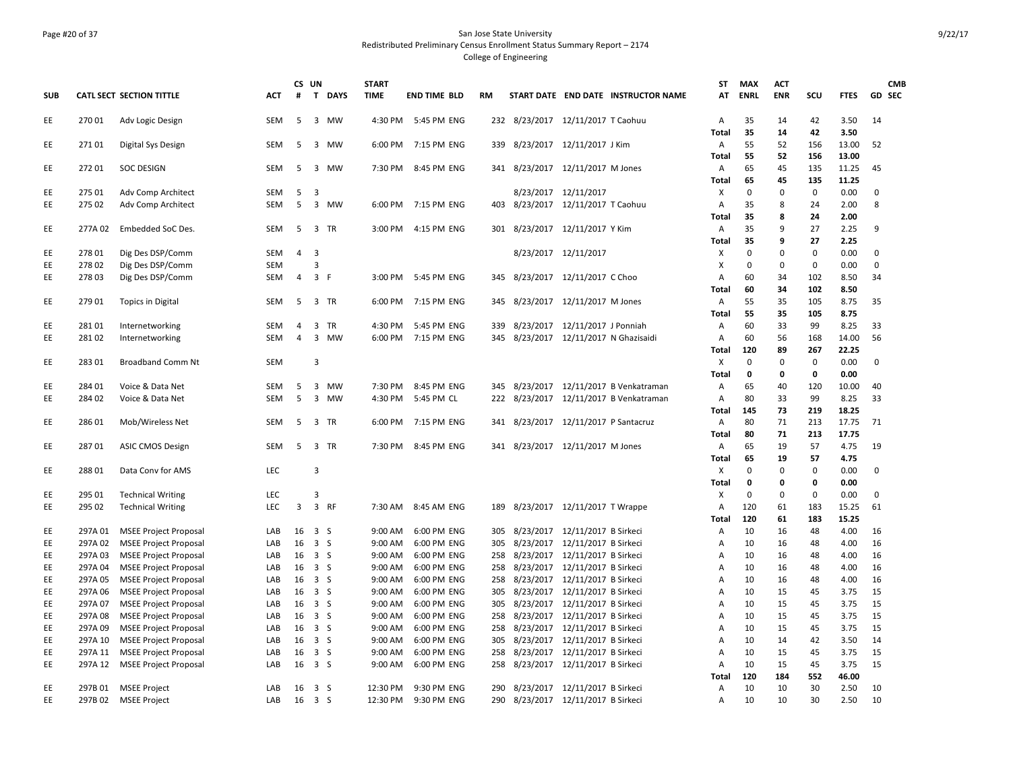### Page #20 of 37 San Jose State University Redistributed Preliminary Census Enrollment Status Summary Report – 2174 College of Engineering

|            |                  |                                 |            | CS UN          |                                      | <b>START</b>       |                            |     |                                        | ST                | <b>MAX</b>        | <b>ACT</b>  |                    |              | <b>CMB</b>       |
|------------|------------------|---------------------------------|------------|----------------|--------------------------------------|--------------------|----------------------------|-----|----------------------------------------|-------------------|-------------------|-------------|--------------------|--------------|------------------|
| <b>SUB</b> |                  | <b>CATL SECT SECTION TITTLE</b> | <b>ACT</b> | #              | $\mathbf{T}$<br><b>DAYS</b>          | <b>TIME</b>        | <b>END TIME BLD</b>        | RM  | START DATE END DATE INSTRUCTOR NAME    | AT                | <b>ENRL</b>       | <b>ENR</b>  | scu                | <b>FTES</b>  | GD SEC           |
| EE         | 270 01           | Adv Logic Design                | SEM        | 5              | $\overline{\mathbf{3}}$<br>MW        | 4:30 PM            | 5:45 PM ENG                |     | 232 8/23/2017 12/11/2017 T Caohuu      | Α                 | 35                | 14          | 42                 | 3.50         | 14               |
|            |                  |                                 |            |                |                                      |                    |                            |     |                                        | Total             | 35                | 14          | 42                 | 3.50         |                  |
| EE         | 27101            | Digital Sys Design              | SEM        | 5              | 3<br>MW                              | 6:00 PM            | 7:15 PM ENG                | 339 | 8/23/2017 12/11/2017 J Kim             | Α                 | 55                | 52          | 156                | 13.00        | 52               |
|            |                  |                                 |            |                |                                      |                    |                            |     |                                        | Total             | 55                | 52          | 156                | 13.00        |                  |
| EE         | 27201            | <b>SOC DESIGN</b>               | <b>SEM</b> | 5              | $\overline{\mathbf{3}}$<br>MW        | 7:30 PM            | 8:45 PM ENG                | 341 | 8/23/2017 12/11/2017 M Jones           | Α                 | 65                | 45          | 135                | 11.25        | 45               |
|            |                  |                                 |            |                |                                      |                    |                            |     |                                        | Total             | 65<br>$\mathbf 0$ | 45          | 135<br>$\mathbf 0$ | 11.25        |                  |
| EE.<br>EE  | 275 01<br>275 02 | Adv Comp Architect              | <b>SEM</b> | 5<br>5         | -3<br>3<br><b>MW</b>                 |                    |                            | 403 | 8/23/2017 12/11/2017                   | Χ                 | 35                | 0<br>8      | 24                 | 0.00<br>2.00 | $\mathbf 0$<br>8 |
|            |                  | Adv Comp Architect              | SEM        |                |                                      | 6:00 PM            | 7:15 PM ENG                |     | 8/23/2017 12/11/2017 T Caohuu          | А<br><b>Total</b> | 35                | 8           | 24                 | 2.00         |                  |
| EE.        | 277A 02          | Embedded SoC Des.               | SEM        | 5              | $\overline{\mathbf{3}}$<br><b>TR</b> | 3:00 PM            | 4:15 PM ENG                | 301 | 8/23/2017 12/11/2017 Y Kim             | Α                 | 35                | 9           | 27                 | 2.25         | 9                |
|            |                  |                                 |            |                |                                      |                    |                            |     |                                        | Total             | 35                | 9           | 27                 | 2.25         |                  |
| EE         | 278 01           | Dig Des DSP/Comm                | <b>SEM</b> | $\overline{4}$ | $\overline{3}$                       |                    |                            |     | 8/23/2017 12/11/2017                   | Х                 | $\mathbf 0$       | $\mathbf 0$ | $\mathbf 0$        | 0.00         | $\mathbf 0$      |
| EE         | 278 02           | Dig Des DSP/Comm                | SEM        |                | $\overline{3}$                       |                    |                            |     |                                        | X                 | $\mathbf 0$       | 0           | $\mathbf 0$        | 0.00         | $\mathbf 0$      |
| EE         | 278 03           | Dig Des DSP/Comm                | SEM        | 4              | 3 F                                  | 3:00 PM            | 5:45 PM ENG                | 345 | 8/23/2017 12/11/2017 C Choo            | Α                 | 60                | 34          | 102                | 8.50         | 34               |
|            |                  |                                 |            |                |                                      |                    |                            |     |                                        | Total             | 60                | 34          | 102                | 8.50         |                  |
| EE         | 279 01           | <b>Topics in Digital</b>        | <b>SEM</b> | 5              | 3 TR                                 | 6:00 PM            | 7:15 PM ENG                | 345 | 8/23/2017 12/11/2017 M Jones           | Α                 | 55                | 35          | 105                | 8.75         | 35               |
|            |                  |                                 |            |                |                                      |                    |                            |     |                                        | Total             | 55                | 35          | 105                | 8.75         |                  |
| EE         | 281 01           | Internetworking                 | SEM        | 4              | 3<br>TR                              | 4:30 PM            | 5:45 PM ENG                | 339 | 8/23/2017 12/11/2017 J Ponniah         | А                 | 60                | 33          | 99                 | 8.25         | 33               |
| EE.        | 281 02           | Internetworking                 | <b>SEM</b> | 4              | 3<br>MW                              | 6:00 PM            | 7:15 PM ENG                | 345 | 8/23/2017 12/11/2017 N Ghazisaidi      | A                 | 60                | 56          | 168                | 14.00        | 56               |
|            |                  |                                 |            |                |                                      |                    |                            |     |                                        | Total             | 120               | 89          | 267                | 22.25        |                  |
| EE         | 283 01           | <b>Broadband Comm Nt</b>        | SEM        |                | 3                                    |                    |                            |     |                                        | X                 | $\mathbf{0}$      | $\pmb{0}$   | 0                  | 0.00         | 0                |
|            |                  |                                 |            |                |                                      |                    |                            |     |                                        | Total             | 0                 | 0           | 0                  | 0.00         |                  |
| EE         | 284 01           | Voice & Data Net                | <b>SEM</b> | 5              | 3<br>MW                              | 7:30 PM            | 8:45 PM ENG                | 345 | 8/23/2017 12/11/2017 B Venkatraman     | Α                 | 65                | 40          | 120                | 10.00        | 40               |
| EE         | 284 02           | Voice & Data Net                | SEM        | 5              | $\overline{\mathbf{3}}$<br>MW        | 4:30 PM            | 5:45 PM CL                 |     | 222 8/23/2017 12/11/2017 B Venkatraman | Α                 | 80                | 33          | 99                 | 8.25         | 33               |
|            |                  |                                 |            |                |                                      |                    |                            |     |                                        | Total             | 145               | 73          | 219                | 18.25        |                  |
| EE         | 286 01           | Mob/Wireless Net                | <b>SEM</b> | 5              | $\overline{3}$<br>TR                 | 6:00 PM            | 7:15 PM ENG                |     | 341 8/23/2017 12/11/2017 P Santacruz   | Α                 | 80                | 71          | 213                | 17.75        | 71               |
|            |                  |                                 |            |                |                                      |                    |                            |     |                                        | Total             | 80                | 71          | 213                | 17.75        |                  |
| EE         | 287 01           | <b>ASIC CMOS Design</b>         | SEM        | 5              | 3<br>TR                              | 7:30 PM            | 8:45 PM ENG                |     | 341 8/23/2017 12/11/2017 M Jones       | Α                 | 65                | 19          | 57                 | 4.75         | 19               |
|            |                  |                                 |            |                |                                      |                    |                            |     |                                        | Total             | 65                | 19          | 57                 | 4.75         |                  |
| EE         | 288 01           | Data Cony for AMS               | LEC        |                | $\overline{3}$                       |                    |                            |     |                                        | X                 | $\Omega$          | 0           | $\mathbf 0$        | 0.00         | 0                |
|            |                  |                                 |            |                |                                      |                    |                            |     |                                        | Total             | $\mathbf 0$       | 0           | $\mathbf 0$        | 0.00         |                  |
| EE         | 295 01           | <b>Technical Writing</b>        | LEC        |                | 3                                    |                    |                            |     |                                        | х                 | $\mathbf 0$       | $\mathbf 0$ | $\mathbf 0$        | 0.00         | $\mathbf 0$      |
| EE         | 295 02           | <b>Technical Writing</b>        | <b>LEC</b> | 3              | $\overline{\mathbf{3}}$<br><b>RF</b> |                    | 7:30 AM 8:45 AM ENG        | 189 | 8/23/2017 12/11/2017 T Wrappe          | Α                 | 120               | 61          | 183                | 15.25        | 61               |
|            |                  |                                 |            |                |                                      |                    |                            |     |                                        | <b>Total</b>      | 120               | 61          | 183                | 15.25        |                  |
| EE         | 297A 01          | <b>MSEE Project Proposal</b>    | LAB        | 16             | 3 <sup>5</sup>                       | 9:00 AM            | 6:00 PM ENG                | 305 | 8/23/2017 12/11/2017 B Sirkeci         | А                 | 10                | 16          | 48                 | 4.00         | 16               |
| EE         | 297A 02          | <b>MSEE Project Proposal</b>    | LAB        | 16             | 3S                                   | 9:00 AM            | 6:00 PM ENG                | 305 | 8/23/2017 12/11/2017 B Sirkeci         | А                 | 10                | 16          | 48                 | 4.00         | 16               |
| EE         | 297A03           | <b>MSEE Project Proposal</b>    | LAB        |                | 16 3 S                               | 9:00 AM            | 6:00 PM ENG                | 258 | 8/23/2017 12/11/2017 B Sirkeci         | А                 | 10                | 16          | 48                 | 4.00         | 16               |
| EE         | 297A 04          | <b>MSEE Project Proposal</b>    | LAB        | 16             | 3S                                   | 9:00 AM            | 6:00 PM ENG                | 258 | 8/23/2017 12/11/2017 B Sirkeci         | Α                 | 10                | 16          | 48                 | 4.00         | 16               |
| EE         | 297A 05          | <b>MSEE Project Proposal</b>    | LAB        | 16             | 3S                                   | 9:00 AM            | 6:00 PM ENG                | 258 | 8/23/2017 12/11/2017 B Sirkeci         | А                 | 10                | 16          | 48                 | 4.00         | 16               |
| EE         | 297A 06          | <b>MSEE Project Proposal</b>    | LAB        | 16             | 3S                                   | 9:00 AM            | 6:00 PM ENG                | 305 | 8/23/2017 12/11/2017 B Sirkeci         | А                 | 10                | 15          | 45                 | 3.75         | 15               |
| EE         | 297A 07          | <b>MSEE Project Proposal</b>    | LAB        |                | $16 \quad 3 \quad S$                 | 9:00 AM            | 6:00 PM ENG                | 305 | 8/23/2017 12/11/2017 B Sirkeci         | Α                 | 10                | 15          | 45                 | 3.75         | 15               |
| EE         | 297A 08          | <b>MSEE Project Proposal</b>    | LAB        |                | 16 3 S                               | 9:00 AM            | 6:00 PM ENG                | 258 | 8/23/2017 12/11/2017 B Sirkeci         | А                 | 10                | 15          | 45                 | 3.75         | 15               |
| EE         | 297A 09          | <b>MSEE Project Proposal</b>    | LAB        |                | $16 \quad 3 \quad S$                 | 9:00 AM            | 6:00 PM ENG                | 258 | 8/23/2017 12/11/2017 B Sirkeci         | Α                 | 10                | 15          | 45                 | 3.75         | 15               |
| EE         | 297A 10          | <b>MSEE Project Proposal</b>    | LAB        | 16             | 3S                                   | 9:00 AM<br>9:00 AM | 6:00 PM ENG                | 305 | 8/23/2017 12/11/2017 B Sirkeci         | А                 | 10<br>10          | 14          | 42                 | 3.50         | 14               |
| EE<br>EE   | 297A 11          | <b>MSEE Project Proposal</b>    | LAB<br>LAB | 16             | 3 <sub>5</sub><br>16 3 S             | 9:00 AM            | 6:00 PM ENG<br>6:00 PM ENG | 258 | 8/23/2017 12/11/2017 B Sirkeci         | Α                 | 10                | 15<br>15    | 45<br>45           | 3.75<br>3.75 | 15<br>15         |
|            | 297A 12          | <b>MSEE Project Proposal</b>    |            |                |                                      |                    |                            | 258 | 8/23/2017 12/11/2017 B Sirkeci         | А<br>Total        | 120               | 184         | 552                | 46.00        |                  |
| EE         | 297B 01          | <b>MSEE Project</b>             | LAB        |                | 16 3 S                               | 12:30 PM           | 9:30 PM ENG                | 290 | 8/23/2017 12/11/2017 B Sirkeci         | Α                 | 10                | 10          | 30                 | 2.50         | 10               |
| EE         | 297B 02          | <b>MSEE Project</b>             | LAB        |                | 16 3 S                               | 12:30 PM           | 9:30 PM ENG                | 290 | 8/23/2017 12/11/2017 B Sirkeci         | Α                 | 10                | 10          | 30                 | 2.50         | 10               |
|            |                  |                                 |            |                |                                      |                    |                            |     |                                        |                   |                   |             |                    |              |                  |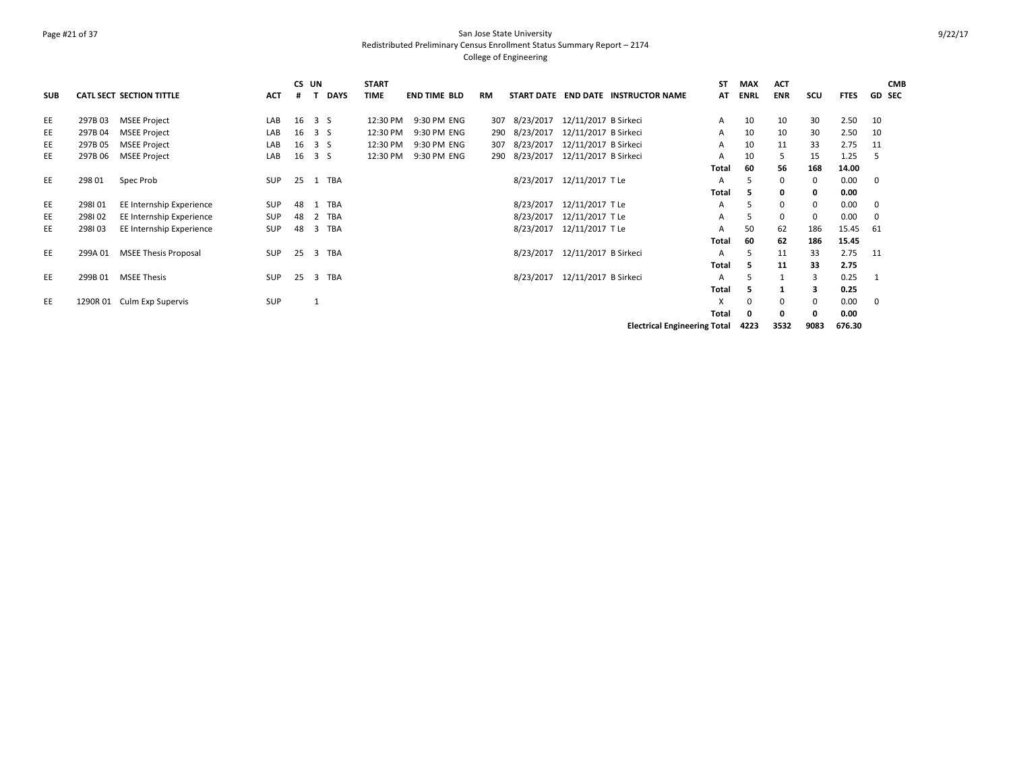### Page #21 of 37 San Jose State University Redistributed Preliminary Census Enrollment Status Summary Report – 2174 College of Engineering

|            |         |                                 |            | CS UN |                       | <b>START</b> |                     |           |           |                                |                                     | ST           | <b>MAX</b>  | <b>ACT</b>  |          |             | <b>CMB</b>    |
|------------|---------|---------------------------------|------------|-------|-----------------------|--------------|---------------------|-----------|-----------|--------------------------------|-------------------------------------|--------------|-------------|-------------|----------|-------------|---------------|
| <b>SUB</b> |         | <b>CATL SECT SECTION TITTLE</b> | <b>ACT</b> |       | <b>DAYS</b>           | <b>TIME</b>  | <b>END TIME BLD</b> | <b>RM</b> |           |                                | START DATE END DATE INSTRUCTOR NAME | AT           | <b>ENRL</b> | <b>ENR</b>  | scu      | <b>FTES</b> | <b>GD SEC</b> |
| EE         | 297B03  | <b>MSEE Project</b>             | LAB        | 16    | 3 S                   | 12:30 PM     | 9:30 PM ENG         | 307       | 8/23/2017 | 12/11/2017 B Sirkeci           |                                     | A            | 10          | 10          | 30       | 2.50        | 10            |
| EE         | 297B 04 | <b>MSEE Project</b>             | LAB        | 16    | 3 S                   | 12:30 PM     | 9:30 PM ENG         | 290       | 8/23/2017 | 12/11/2017 B Sirkeci           |                                     | A            | 10          | 10          | 30       | 2.50        | 10            |
| EE         | 297B 05 | <b>MSEE Project</b>             | LAB        | 16    | 3 S                   | 12:30 PM     | 9:30 PM ENG         | 307       | 8/23/2017 | 12/11/2017 B Sirkeci           |                                     | A            | 10          | 11          | 33       | 2.75        | -11           |
| EE         | 297B 06 | <b>MSEE Project</b>             | LAB        | 16    | 3 S                   | 12:30 PM     | 9:30 PM ENG         | 290       | 8/23/2017 | 12/11/2017 B Sirkeci           |                                     | A            | 10          | 5           | 15       | 1.25        | -5            |
|            |         |                                 |            |       |                       |              |                     |           |           |                                |                                     | Total        | 60          | 56          | 168      | 14.00       |               |
| EE         | 298 01  | Spec Prob                       | <b>SUP</b> | 25    | TBA                   |              |                     |           |           | 8/23/2017 12/11/2017 T Le      |                                     | A            | 5           | 0           | $\Omega$ | 0.00        | 0             |
|            |         |                                 |            |       |                       |              |                     |           |           |                                |                                     | Total        | 5           | 0           | 0        | 0.00        |               |
| EE         | 298101  | EE Internship Experience        | SUP        | 48    | TBA                   |              |                     |           | 8/23/2017 | 12/11/2017 T Le                |                                     | A            | 5           | $\mathbf 0$ | 0        | 0.00        | 0             |
| EE         | 298102  | EE Internship Experience        | <b>SUP</b> | 48    | TBA<br>2              |              |                     |           | 8/23/2017 | 12/11/2017 T Le                |                                     | A            | 5           | $\mathbf 0$ |          | 0.00        | 0             |
| EE         | 298103  | EE Internship Experience        | <b>SUP</b> | 48    | TBA<br>3              |              |                     |           | 8/23/2017 | 12/11/2017 T Le                |                                     | A            | 50          | 62          | 186      | 15.45       | 61            |
|            |         |                                 |            |       |                       |              |                     |           |           |                                |                                     | <b>Total</b> | 60          | 62          | 186      | 15.45       |               |
| EE         | 299A 01 | <b>MSEE Thesis Proposal</b>     | <b>SUP</b> | 25    | TBA<br>$\overline{3}$ |              |                     |           |           | 8/23/2017 12/11/2017 B Sirkeci |                                     | A            | 5           | 11          | 33       | 2.75        | -11           |
|            |         |                                 |            |       |                       |              |                     |           |           |                                |                                     | Total        | 5           | 11          | 33       | 2.75        |               |
| EE         | 299B 01 | <b>MSEE Thesis</b>              | <b>SUP</b> | 25    | TBA<br>3              |              |                     |           | 8/23/2017 | 12/11/2017 B Sirkeci           |                                     | A            | 5           |             |          | 0.25        |               |
|            |         |                                 |            |       |                       |              |                     |           |           |                                |                                     | <b>Total</b> | э           |             |          | 0.25        |               |
| EE         |         | 1290R 01 Culm Exp Supervis      | SUP        |       |                       |              |                     |           |           |                                |                                     | x            | $\Omega$    | $\mathbf 0$ | $\Omega$ | 0.00        | $\mathbf 0$   |
|            |         |                                 |            |       |                       |              |                     |           |           |                                |                                     | <b>Total</b> | 0           | 0           |          | 0.00        |               |
|            |         |                                 |            |       |                       |              |                     |           |           |                                | <b>Electrical Engineering Total</b> |              | 4223        | 3532        | 9083     | 676.30      |               |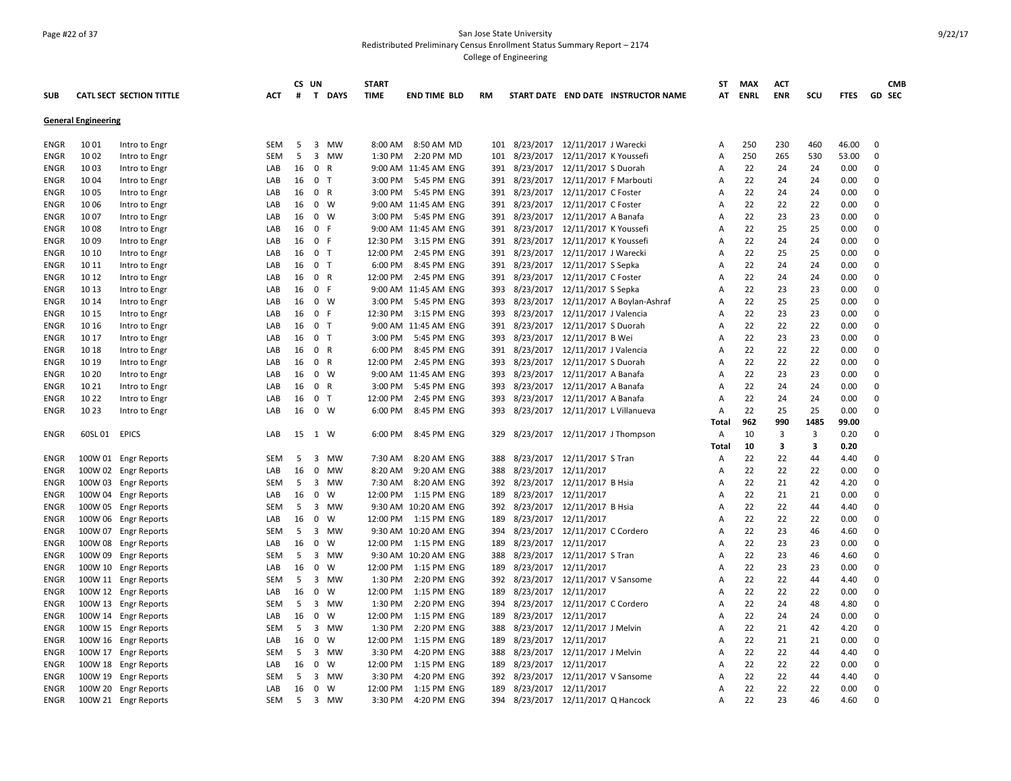### Page #22 of 37 San Jose State University Redistributed Preliminary Census Enrollment Status Summary Report – 2174 College of Engineering

|             |                            |                                 |            | CS UN |                                      | <b>START</b> |                          |     |                                    |                                  |                                      | SΤ             | <b>MAX</b> | <b>ACT</b> |      |             | <b>CMB</b>    |
|-------------|----------------------------|---------------------------------|------------|-------|--------------------------------------|--------------|--------------------------|-----|------------------------------------|----------------------------------|--------------------------------------|----------------|------------|------------|------|-------------|---------------|
| <b>SUB</b>  |                            | <b>CATL SECT SECTION TITTLE</b> | ACT        | #     | T DAYS                               | <b>TIME</b>  | <b>END TIME BLD</b>      | RM  |                                    |                                  | START DATE END DATE INSTRUCTOR NAME  | AT             | ENRL       | <b>ENR</b> | scu  | <b>FTES</b> | <b>GD SEC</b> |
|             | <b>General Engineering</b> |                                 |            |       |                                      |              |                          |     |                                    |                                  |                                      |                |            |            |      |             |               |
| ENGR        | 1001                       | Intro to Engr                   | SEM        | 5     | $\overline{3}$<br>MW                 |              | 8:00 AM 8:50 AM MD       | 101 | 8/23/2017 12/11/2017 J Warecki     |                                  |                                      | A              | 250        | 230        | 460  | 46.00       | $\mathbf 0$   |
| <b>ENGR</b> | 1002                       | Intro to Engr                   | SEM        | 5     | $\overline{\mathbf{3}}$<br><b>MW</b> |              | 1:30 PM 2:20 PM MD       | 101 |                                    | 8/23/2017  12/11/2017 K Youssefi |                                      | Α              | 250        | 265        | 530  | 53.00       | 0             |
| ENGR        | 1003                       | Intro to Engr                   | LAB        | 16    | $\overline{0}$<br>R                  |              | 9:00 AM 11:45 AM ENG     | 391 |                                    | 8/23/2017 12/11/2017 S Duorah    |                                      | A              | 22         | 24         | 24   | 0.00        | 0             |
| ENGR        | 1004                       | Intro to Engr                   | LAB        | 16    | 0 <sub>T</sub>                       | 3:00 PM      | 5:45 PM ENG              | 391 | 8/23/2017 12/11/2017 F Marbouti    |                                  |                                      | Α              | 22         | 24         | 24   | 0.00        | 0             |
| ENGR        | 10 05                      | Intro to Engr                   | LAB        | 16    | $\mathbf{0}$<br>R                    | 3:00 PM      | 5:45 PM ENG              | 391 |                                    | 8/23/2017 12/11/2017 C Foster    |                                      | A              | 22         | 24         | 24   | 0.00        | 0             |
| ENGR        | 1006                       | Intro to Engr                   | LAB        | 16    | 0 W                                  |              | 9:00 AM 11:45 AM ENG     | 391 | 8/23/2017  12/11/2017 C Foster     |                                  |                                      | Α              | 22         | 22         | 22   | 0.00        | 0             |
| ENGR        | 1007                       | Intro to Engr                   | LAB        | 16    | 0 W                                  | 3:00 PM      | 5:45 PM ENG              | 391 |                                    | 8/23/2017 12/11/2017 A Banafa    |                                      | A              | 22         | 23         | 23   | 0.00        | $\Omega$      |
| ENGR        | 1008                       | Intro to Engr                   | LAB        | 16    | 0 F                                  |              | 9:00 AM 11:45 AM ENG     | 391 | 8/23/2017  12/11/2017 K Youssefi   |                                  |                                      | A              | 22         | 25         | 25   | 0.00        | $\mathbf 0$   |
| ENGR        | 1009                       | Intro to Engr                   | LAB        | 16    | 0 F                                  | 12:30 PM     | 3:15 PM ENG              | 391 | 8/23/2017  12/11/2017 K Youssefi   |                                  |                                      | А              | 22         | 24         | 24   | 0.00        | 0             |
| ENGR        | 10 10                      | Intro to Engr                   | LAB        | 16    | 0 <sub>T</sub>                       | 12:00 PM     | 2:45 PM ENG              | 391 |                                    | 8/23/2017 12/11/2017 J Warecki   |                                      | Α              | 22         | 25         | 25   | 0.00        | 0             |
| ENGR        | 10 11                      | Intro to Engr                   | LAB        | 16    | 0 <sub>T</sub>                       | 6:00 PM      | 8:45 PM ENG              | 391 | 8/23/2017 12/11/2017 S Sepka       |                                  |                                      | A              | 22         | 24         | 24   | 0.00        | 0             |
| ENGR        | 10 12                      | Intro to Engr                   | LAB        | 16    | 0 R                                  | 12:00 PM     | 2:45 PM ENG              | 391 |                                    | 8/23/2017 12/11/2017 C Foster    |                                      | A              | 22         | 24         | 24   | 0.00        | $\mathbf 0$   |
| ENGR        | 10 13                      | Intro to Engr                   | LAB        | 16    | 0 F                                  |              | 9:00 AM 11:45 AM ENG     | 393 | 8/23/2017 12/11/2017 S Sepka       |                                  |                                      | A              | 22         | 23         | 23   | 0.00        | $\mathbf 0$   |
| ENGR        | 10 14                      | Intro to Engr                   | LAB        | 16    | 0 W                                  | 3:00 PM      | 5:45 PM ENG              | 393 |                                    |                                  | 8/23/2017 12/11/2017 A Boylan-Ashraf | A              | 22         | 25         | 25   | 0.00        | 0             |
| ENGR        | 10 15                      | Intro to Engr                   | LAB        | 16    | 0 F                                  | 12:30 PM     | 3:15 PM ENG              | 393 | 8/23/2017  12/11/2017 J Valencia   |                                  |                                      | A              | 22         | 23         | 23   | 0.00        | 0             |
| <b>ENGR</b> | 10 16                      | Intro to Engr                   | LAB        | 16    | 0 <sub>T</sub>                       |              | 9:00 AM 11:45 AM ENG     | 391 |                                    | 8/23/2017 12/11/2017 S Duorah    |                                      | A              | 22         | 22         | 22   | 0.00        | $\mathbf 0$   |
| ENGR        | 10 17                      | Intro to Engr                   | LAB        | 16    | 0 T                                  | 3:00 PM      | 5:45 PM ENG              | 393 |                                    | 8/23/2017 12/11/2017 B Wei       |                                      | A              | 22         | 23         | 23   | 0.00        | 0             |
| ENGR        | 10 18                      | Intro to Engr                   | LAB        | 16    | 0 R                                  | 6:00 PM      | 8:45 PM ENG              | 391 | 8/23/2017 12/11/2017 J Valencia    |                                  |                                      | Α              | 22         | 22         | 22   | 0.00        | 0             |
| ENGR        | 10 19                      | Intro to Engr                   | LAB        | 16    | 0 R                                  | 12:00 PM     | 2:45 PM ENG              | 393 |                                    | 8/23/2017 12/11/2017 S Duorah    |                                      | A              | 22         | 22         | 22   | 0.00        | 0             |
| <b>ENGR</b> | 10 20                      | Intro to Engr                   | LAB        | 16    | 0 W                                  |              | 9:00 AM 11:45 AM ENG     | 393 |                                    | 8/23/2017 12/11/2017 A Banafa    |                                      | A              | 22         | 23         | 23   | 0.00        | 0             |
| ENGR        | 10 21                      | Intro to Engr                   | LAB        | 16    | $\mathbf{0}$<br>R                    | 3:00 PM      | 5:45 PM ENG              | 393 |                                    | 8/23/2017 12/11/2017 A Banafa    |                                      | A              | 22         | 24         | 24   | 0.00        | $\mathbf 0$   |
| ENGR        | 10 22                      | Intro to Engr                   | LAB        | 16    | 0 <sub>T</sub>                       | 12:00 PM     | 2:45 PM ENG              | 393 | 8/23/2017 12/11/2017 A Banafa      |                                  |                                      | Α              | 22         | 24         | 24   | 0.00        | 0             |
| <b>ENGR</b> | 10 23                      | Intro to Engr                   | LAB        | 16    | 0 W                                  | 6:00 PM      | 8:45 PM ENG              | 393 |                                    |                                  | 8/23/2017 12/11/2017 L Villanueva    | Α              | 22         | 25         | 25   | 0.00        | $\mathbf 0$   |
|             |                            |                                 |            |       |                                      |              |                          |     |                                    |                                  |                                      | Total          | 962        | 990        | 1485 | 99.00       |               |
| ENGR        | 60SL 01                    | <b>EPICS</b>                    | LAB        |       | 15 1 W                               | 6:00 PM      | 8:45 PM ENG              | 329 |                                    |                                  | 8/23/2017  12/11/2017 J Thompson     | A              | 10         | 3          | 3    | 0.20        | 0             |
|             |                            |                                 |            |       |                                      |              |                          |     |                                    |                                  |                                      | Total          | 10         | 3          | з    | 0.20        |               |
| <b>ENGR</b> |                            | 100W 01 Engr Reports            | <b>SEM</b> | 5     | $\overline{\mathbf{3}}$<br><b>MW</b> | 7:30 AM      | 8:20 AM ENG              | 388 | 8/23/2017 12/11/2017 S Tran        |                                  |                                      | Α              | 22         | 22         | 44   | 4.40        | 0             |
| ENGR        | 100W 02                    | <b>Engr Reports</b>             | LAB        | 16    | <b>MW</b><br>$\mathbf 0$             | 8:20 AM      | 9:20 AM ENG              | 388 |                                    | 8/23/2017 12/11/2017             |                                      | A              | 22         | 22         | 22   | 0.00        | $\mathbf 0$   |
| ENGR        | 100W 03                    | <b>Engr Reports</b>             | <b>SEM</b> | 5     | $\overline{\mathbf{3}}$<br>MW        | 7:30 AM      | 8:20 AM ENG              | 392 | 8/23/2017 12/11/2017 B Hsia        |                                  |                                      | A              | 22         | 21         | 42   | 4.20        | 0             |
| ENGR        | 100W 04                    | <b>Engr Reports</b>             | LAB        | 16    | $\mathbf 0$<br>W                     |              | 12:00 PM 1:15 PM ENG     | 189 |                                    | 8/23/2017 12/11/2017             |                                      | A              | 22         | 21         | 21   | 0.00        | 0             |
| ENGR        |                            | 100W 05 Engr Reports            | <b>SEM</b> | 5     | $\overline{\mathbf{3}}$<br>MW        |              | 9:30 AM 10:20 AM ENG     | 392 | 8/23/2017 12/11/2017 B Hsia        |                                  |                                      | Α              | 22         | 22         | 44   | 4.40        | 0             |
| ENGR        |                            | 100W 06 Engr Reports            | LAB        | 16    | $\overline{0}$<br>W                  |              | 12:00 PM   1:15 PM   ENG | 189 |                                    | 8/23/2017 12/11/2017             |                                      | A              | 22         | 22         | 22   | 0.00        | $\Omega$      |
| ENGR        | 100W 07                    | Engr Reports                    | <b>SEM</b> | 5     | 3<br>MW                              |              | 9:30 AM 10:20 AM ENG     | 394 | 8/23/2017 12/11/2017 C Cordero     |                                  |                                      | A              | 22         | 23         | 46   | 4.60        | 0             |
| ENGR        |                            | 100W 08 Engr Reports            | LAB        | 16    | $\overline{0}$<br>W                  |              | 12:00 PM 1:15 PM ENG     | 189 |                                    | 8/23/2017 12/11/2017             |                                      | Α              | 22         | 23         | 23   | 0.00        | 0             |
| ENGR        | 100W 09                    | <b>Engr Reports</b>             | SEM        | 5     | 3<br><b>MW</b>                       |              | 9:30 AM 10:20 AM ENG     | 388 |                                    | 8/23/2017 12/11/2017 S Tran      |                                      | A              | 22         | 23         | 46   | 4.60        | 0             |
| ENGR        |                            | 100W 10 Engr Reports            | LAB        | 16    | $\overline{0}$<br>W                  |              | 12:00 PM   1:15 PM   ENG | 189 |                                    | 8/23/2017 12/11/2017             |                                      | A              | 22         | 23         | 23   | 0.00        | 0             |
| ENGR        | 100W 11                    | <b>Engr Reports</b>             | <b>SEM</b> | 5     | $\overline{\mathbf{3}}$<br>MW        | 1:30 PM      | 2:20 PM ENG              | 392 |                                    | 8/23/2017 12/11/2017 V Sansome   |                                      | A              | 22         | 22         | 44   | 4.40        | 0             |
| ENGR        |                            | 100W 12 Engr Reports            | LAB        | 16    | $\mathbf 0$<br>W                     | 12:00 PM     | 1:15 PM ENG              | 189 |                                    | 8/23/2017 12/11/2017             |                                      | A              | 22         | 22         | 22   | 0.00        | 0             |
| ENGR        |                            | 100W 13 Engr Reports            | SEM        | 5     | $\overline{\mathbf{3}}$<br>MW        | 1:30 PM      | 2:20 PM ENG              | 394 |                                    | 8/23/2017 12/11/2017 C Cordero   |                                      | Α              | 22         | 24         | 48   | 4.80        | $\Omega$      |
| ENGR        |                            | 100W 14 Engr Reports            | LAB        | 16    | $\overline{0}$<br>W                  | 12:00 PM     | 1:15 PM ENG              | 189 |                                    | 8/23/2017 12/11/2017             |                                      | A              | 22         | 24         | 24   | 0.00        | 0             |
| <b>ENGR</b> |                            | 100W 15 Engr Reports            | <b>SEM</b> | 5     | MW<br>$\overline{3}$                 | 1:30 PM      | 2:20 PM ENG              | 388 |                                    | 8/23/2017 12/11/2017 J Melvin    |                                      | Α              | 22         | 21         | 42   | 4.20        | $\mathbf 0$   |
| ENGR        |                            | 100W 16 Engr Reports            | LAB        | 16    | $\mathbf 0$<br>W                     | 12:00 PM     | 1:15 PM ENG              | 189 |                                    | 8/23/2017 12/11/2017             |                                      | A              | 22         | 21         | 21   | 0.00        | 0             |
| ENGR        |                            | 100W 17 Engr Reports            | SEM        | 5     | $\overline{\mathbf{3}}$<br>MW        | 3:30 PM      | 4:20 PM ENG              | 388 |                                    | 8/23/2017 12/11/2017 J Melvin    |                                      | A              | 22         | 22         | 44   | 4.40        | 0             |
| ENGR        |                            | 100W 18 Engr Reports            | LAB        | 16    | $\overline{0}$<br>W                  | 12:00 PM     | 1:15 PM ENG              | 189 |                                    | 8/23/2017 12/11/2017             |                                      | A              | 22         | 22         | 22   | 0.00        | 0             |
| <b>ENGR</b> |                            | 100W 19 Engr Reports            | <b>SEM</b> | 5     | 3 MW                                 | 3:30 PM      | 4:20 PM ENG              | 392 |                                    | 8/23/2017 12/11/2017 V Sansome   |                                      | A              | 22         | 22         | 44   | 4.40        | $\mathbf 0$   |
| ENGR        |                            | 100W 20 Engr Reports            | LAB        | 16    | $\mathbf 0$<br>W                     | 12:00 PM     | 1:15 PM ENG              | 189 |                                    | 8/23/2017 12/11/2017             |                                      | Α              | 22         | 22         | 22   | 0.00        | $\mathbf 0$   |
| ENGR        |                            | 100W 21 Engr Reports            | <b>SEM</b> | 5     | 3 MW                                 | 3:30 PM      | 4:20 PM ENG              |     | 394 8/23/2017 12/11/2017 Q Hancock |                                  |                                      | $\overline{A}$ | 22         | 23         | 46   | 4.60        | $\Omega$      |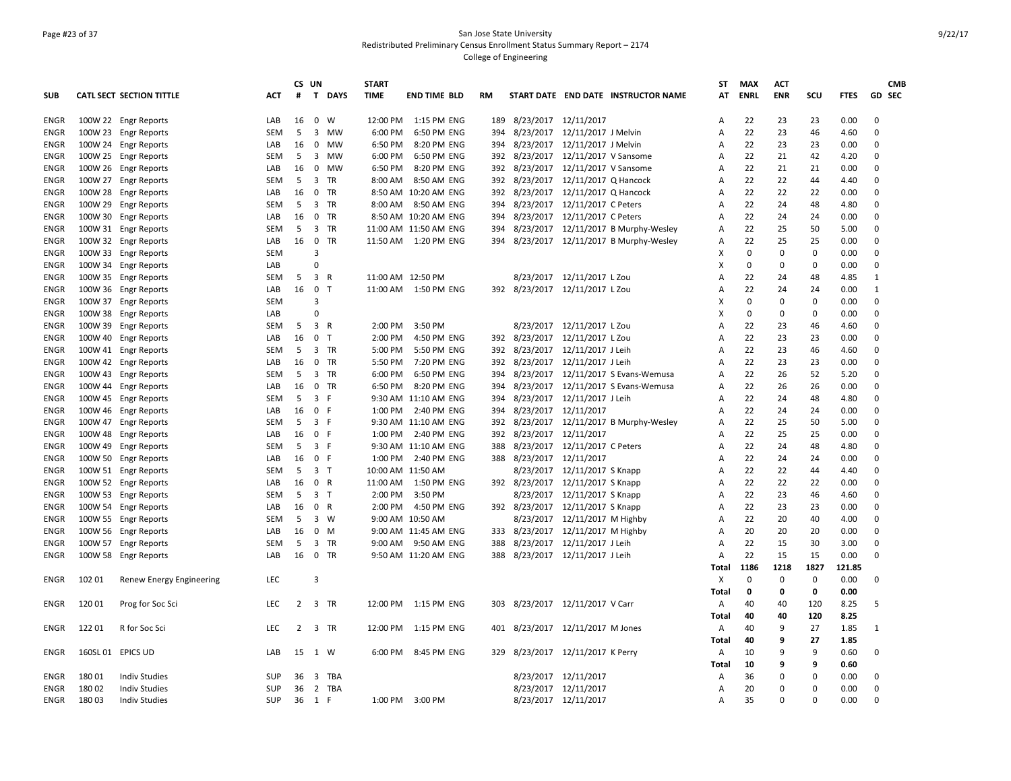### Page #23 of 37 San Jose State University Redistributed Preliminary Census Enrollment Status Summary Report – 2174 College of Engineering

|             |                   |                                 |            | CS UN          |                                | <b>START</b> |                          |     |                          |                                     |                                          | <b>ST</b>      | <b>MAX</b>  | <b>ACT</b>  |             |             |               | <b>CMB</b> |
|-------------|-------------------|---------------------------------|------------|----------------|--------------------------------|--------------|--------------------------|-----|--------------------------|-------------------------------------|------------------------------------------|----------------|-------------|-------------|-------------|-------------|---------------|------------|
| <b>SUB</b>  |                   | <b>CATL SECT SECTION TITTLE</b> | ACT        | #              | T DAYS                         | <b>TIME</b>  | <b>END TIME BLD</b>      | RM  |                          |                                     | START DATE END DATE INSTRUCTOR NAME      | AT             | <b>ENRL</b> | <b>ENR</b>  | scu         | <b>FTES</b> | <b>GD SEC</b> |            |
| <b>ENGR</b> |                   | 100W 22 Engr Reports            | LAB        | 16             | $\mathbf 0$<br>W               |              | 12:00 PM   1:15 PM   ENG | 189 |                          | 8/23/2017 12/11/2017                |                                          | A              | 22          | 23          | 23          | 0.00        | $\mathbf 0$   |            |
| ENGR        |                   | 100W 23 Engr Reports            | SEM        | 5              | 3<br>MW                        | 6:00 PM      | 6:50 PM ENG              | 394 |                          | 8/23/2017 12/11/2017 J Melvin       |                                          | Α              | 22          | 23          | 46          | 4.60        | $\Omega$      |            |
| ENGR        |                   | 100W 24 Engr Reports            | LAB        | 16             | $\mathbf 0$<br><b>MW</b>       | 6:50 PM      | 8:20 PM ENG              | 394 | 8/23/2017                | 12/11/2017 J Melvin                 |                                          | $\overline{A}$ | 22          | 23          | 23          | 0.00        | $\Omega$      |            |
| ENGR        |                   | 100W 25 Engr Reports            | SEM        | 5              | 3<br>MW                        | 6:00 PM      | 6:50 PM ENG              | 392 |                          | 8/23/2017 12/11/2017 V Sansome      |                                          | Α              | 22          | 21          | 42          | 4.20        | $\Omega$      |            |
| ENGR        |                   | 100W 26 Engr Reports            | LAB        | 16             | 0<br>MW                        | 6:50 PM      | 8:20 PM ENG              | 392 | 8/23/2017                | 12/11/2017 V Sansome                |                                          | Α              | 22          | 21          | 21          | 0.00        | $\mathbf 0$   |            |
| <b>ENGR</b> | 100W 27           | <b>Engr Reports</b>             | <b>SEM</b> | 5              | 3<br><b>TR</b>                 | 8:00 AM      | 8:50 AM ENG              | 392 |                          | 8/23/2017 12/11/2017 Q Hancock      |                                          | Α              | 22          | 22          | 44          | 4.40        | $\Omega$      |            |
| ENGR        |                   | 100W 28 Engr Reports            | LAB        | 16             | 0<br>TR                        |              | 8:50 AM 10:20 AM ENG     | 392 |                          | 8/23/2017 12/11/2017 Q Hancock      |                                          | Α              | 22          | 22          | 22          | 0.00        | $\Omega$      |            |
| ENGR        |                   | 100W 29 Engr Reports            | SEM        | 5              | 3 TR                           |              | 8:00 AM 8:50 AM ENG      | 394 | 8/23/2017                | 12/11/2017 C Peters                 |                                          | Α              | 22          | 24          | 48          | 4.80        | $\Omega$      |            |
| <b>ENGR</b> |                   | 100W 30 Engr Reports            | LAB        | 16             | $\mathbf 0$<br>TR              |              | 8:50 AM 10:20 AM ENG     | 394 |                          | 8/23/2017 12/11/2017 C Peters       |                                          | Α              | 22          | 24          | 24          | 0.00        | $\Omega$      |            |
| ENGR        |                   | 100W 31 Engr Reports            | SEM        | 5              | 3<br>TR                        |              | 11:00 AM 11:50 AM ENG    | 394 |                          |                                     | 8/23/2017 12/11/2017 B Murphy-Wesley     | Α              | 22          | 25          | 50          | 5.00        | $\Omega$      |            |
| ENGR        |                   | 100W 32 Engr Reports            | LAB        | 16             | $\mathbf 0$<br><b>TR</b>       |              | 11:50 AM  1:20 PM ENG    |     |                          |                                     | 394 8/23/2017 12/11/2017 B Murphy-Wesley | $\overline{A}$ | 22          | 25          | 25          | 0.00        | $\Omega$      |            |
| ENGR        | 100W 33           | <b>Engr Reports</b>             | SEM        |                | $\overline{3}$                 |              |                          |     |                          |                                     |                                          | Χ              | $\mathbf 0$ | $\mathbf 0$ | $\mathbf 0$ | 0.00        | $\mathbf 0$   |            |
| ENGR        |                   | 100W 34 Engr Reports            | LAB        |                | $\Omega$                       |              |                          |     |                          |                                     |                                          | х              | $\mathbf 0$ | $\mathbf 0$ | $\mathbf 0$ | 0.00        | $\mathbf 0$   |            |
| ENGR        |                   | 100W 35 Engr Reports            | <b>SEM</b> | 5              | 3 R                            |              | 11:00 AM 12:50 PM        |     |                          | 8/23/2017 12/11/2017 L Zou          |                                          | $\overline{A}$ | 22          | 24          | 48          | 4.85        | 1             |            |
| ENGR        |                   | 100W 36 Engr Reports            | LAB        | 16             | $\mathbf 0$<br>$\top$          |              | 11:00 AM  1:50 PM ENG    |     |                          | 392 8/23/2017 12/11/2017 L Zou      |                                          | A              | 22          | 24          | 24          | 0.00        | 1             |            |
| ENGR        |                   | 100W 37 Engr Reports            | SEM        |                | 3                              |              |                          |     |                          |                                     |                                          | х              | $\Omega$    | $\mathbf 0$ | 0           | 0.00        | $\Omega$      |            |
| <b>ENGR</b> |                   | 100W 38 Engr Reports            | LAB        |                | $\Omega$                       |              |                          |     |                          |                                     |                                          | х              | $\Omega$    | $\mathbf 0$ | 0           | 0.00        | $\Omega$      |            |
| ENGR        |                   | 100W 39 Engr Reports            | SEM        | 5              | 3 R                            | 2:00 PM      | 3:50 PM                  |     |                          | 8/23/2017 12/11/2017 L Zou          |                                          | Α              | 22          | 23          | 46          | 4.60        | $\Omega$      |            |
| ENGR        | 100W 40           | <b>Engr Reports</b>             | LAB        | 16             | $\mathbf 0$<br>$\top$          | 2:00 PM      | 4:50 PM ENG              | 392 | 8/23/2017                | 12/11/2017 L Zou                    |                                          | Α              | 22          | 23          | 23          | 0.00        | $\Omega$      |            |
| <b>ENGR</b> |                   | 100W 41 Engr Reports            | SEM        | 5              | 3 TR                           | 5:00 PM      | 5:50 PM ENG              | 392 |                          | 8/23/2017 12/11/2017 J Leih         |                                          | A              | 22          | 23          | 46          | 4.60        | $\mathbf 0$   |            |
| ENGR        |                   | 100W 42 Engr Reports            | LAB        | 16             | 0<br>TR                        | 5:50 PM      | 7:20 PM ENG              | 392 |                          | 8/23/2017 12/11/2017 J Leih         |                                          | $\overline{A}$ | 22          | 23          | 23          | 0.00        | $\Omega$      |            |
| ENGR        |                   | 100W 43 Engr Reports            | <b>SEM</b> | -5             | 3 TR                           | 6:00 PM      | 6:50 PM ENG              | 394 |                          | 8/23/2017 12/11/2017 S Evans-Wemusa |                                          | $\overline{A}$ | 22          | 26          | 52          | 5.20        | $\Omega$      |            |
| ENGR        |                   | 100W 44 Engr Reports            | LAB        | 16             | $0$ TR                         | 6:50 PM      | 8:20 PM ENG              | 394 | 8/23/2017                | 12/11/2017 S Evans-Wemusa           |                                          | Α              | 22          | 26          | 26          | 0.00        | $\mathbf 0$   |            |
| ENGR        | 100W 45           | <b>Engr Reports</b>             | <b>SEM</b> | 5              | 3 F                            |              | 9:30 AM 11:10 AM ENG     | 394 |                          | 8/23/2017 12/11/2017 J Leih         |                                          | Α              | 22          | 24          | 48          | 4.80        | $\Omega$      |            |
| <b>ENGR</b> |                   | 100W 46 Engr Reports            | LAB        | 16             | 0 F                            |              | 1:00 PM 2:40 PM ENG      | 394 |                          | 8/23/2017 12/11/2017                |                                          | Α              | 22          | 24          | 24          | 0.00        | $\Omega$      |            |
| ENGR        | 100W 47           | <b>Engr Reports</b>             | SEM        | 5              | 3 F                            |              | 9:30 AM 11:10 AM ENG     | 392 | 8/23/2017                |                                     | 12/11/2017 B Murphy-Wesley               | Α              | 22          | 25          | 50          | 5.00        | $\Omega$      |            |
| ENGR        | 100W 48           | <b>Engr Reports</b>             | LAB        | 16             | 0 F                            |              | 1:00 PM 2:40 PM ENG      | 392 | 8/23/2017 12/11/2017     |                                     |                                          | A              | 22          | 25          | 25          | 0.00        | $\mathbf 0$   |            |
| ENGR        | 100W 49           | <b>Engr Reports</b>             | SEM        | 5              | 3 F                            |              | 9:30 AM 11:10 AM ENG     | 388 |                          | 8/23/2017 12/11/2017 C Peters       |                                          | Α              | 22          | 24          | 48          | 4.80        | $\Omega$      |            |
| ENGR        |                   | 100W 50 Engr Reports            | LAB        | 16             | 0 F                            |              | 1:00 PM 2:40 PM ENG      |     | 388 8/23/2017 12/11/2017 |                                     |                                          | Α              | 22          | 24          | 24          | 0.00        | $\Omega$      |            |
| ENGR        |                   | 100W 51 Engr Reports            | <b>SEM</b> | 5              | 3 <sub>1</sub>                 |              | 10:00 AM 11:50 AM        |     | 8/23/2017                | 12/11/2017 S Knapp                  |                                          | Α              | 22          | 22          | 44          | 4.40        | $\Omega$      |            |
| <b>ENGR</b> |                   | 100W 52 Engr Reports            | LAB        | 16             | 0 R                            |              | 11:00 AM  1:50 PM ENG    |     |                          | 392 8/23/2017 12/11/2017 S Knapp    |                                          | Α              | 22          | 22          | 22          | 0.00        | $\Omega$      |            |
| ENGR        |                   | 100W 53 Engr Reports            | SEM        | 5              | 3 <sub>T</sub>                 |              | 2:00 PM 3:50 PM          |     |                          | 8/23/2017 12/11/2017 S Knapp        |                                          | Α              | 22          | 23          | 46          | 4.60        | $\Omega$      |            |
| ENGR        | 100W 54           | <b>Engr Reports</b>             | LAB        | 16             | 0 R                            | 2:00 PM      | 4:50 PM ENG              | 392 |                          | 8/23/2017 12/11/2017 S Knapp        |                                          | $\overline{A}$ | 22          | 23          | 23          | 0.00        | $\Omega$      |            |
| ENGR        | 100W 55           | <b>Engr Reports</b>             | SEM        | 5              | $3 \quad W$                    |              | 9:00 AM 10:50 AM         |     |                          | 8/23/2017 12/11/2017 M Highby       |                                          | A              | 22          | 20          | 40          | 4.00        | $\mathbf 0$   |            |
| ENGR        |                   | 100W 56 Engr Reports            | LAB        | 16             | $\mathbf 0$<br>M               |              | 9:00 AM 11:45 AM ENG     | 333 |                          | 8/23/2017 12/11/2017 M Highby       |                                          | Α              | 20          | 20          | 20          | 0.00        | $\mathbf 0$   |            |
| <b>ENGR</b> |                   | 100W 57 Engr Reports            | SEM        | 5              | 3<br>TR                        |              | 9:00 AM 9:50 AM ENG      | 388 |                          | 8/23/2017 12/11/2017 J Leih         |                                          | A              | 22          | 15          | 30          | 3.00        | $\Omega$      |            |
| ENGR        |                   | 100W 58 Engr Reports            | LAB        | 16             | $\mathbf 0$<br>TR              |              | 9:50 AM 11:20 AM ENG     | 388 |                          | 8/23/2017  12/11/2017 J Leih        |                                          | Α              | 22          | 15          | 15          | 0.00        | $\Omega$      |            |
|             |                   |                                 |            |                |                                |              |                          |     |                          |                                     |                                          | Total          | 1186        | 1218        | 1827        | 121.85      |               |            |
| ENGR        | 102 01            | Renew Energy Engineering        | LEC        |                | $\overline{3}$                 |              |                          |     |                          |                                     |                                          | Х              | $\Omega$    | $\mathbf 0$ | 0           | 0.00        | $\Omega$      |            |
|             |                   |                                 |            |                |                                |              |                          |     |                          |                                     |                                          | Total          | 0           | 0           | 0           | 0.00        |               |            |
| ENGR        | 120 01            | Prog for Soc Sci                | <b>LEC</b> | $\overline{2}$ | 3 TR                           |              | 12:00 PM   1:15 PM   ENG | 303 |                          | 8/23/2017 12/11/2017 V Carr         |                                          | Α              | 40          | 40          | 120         | 8.25        | .5            |            |
|             |                   |                                 |            |                |                                |              |                          |     |                          |                                     |                                          | <b>Total</b>   | 40          | 40          | 120         | 8.25        |               |            |
| ENGR        | 122 01            | R for Soc Sci                   | <b>LEC</b> | $\overline{2}$ | 3 TR                           |              | 12:00 PM 1:15 PM ENG     |     |                          | 401 8/23/2017 12/11/2017 M Jones    |                                          | Α              | 40          | 9           | 27          | 1.85        | 1             |            |
|             |                   |                                 |            |                |                                |              |                          |     |                          |                                     |                                          | Total          | 40          | 9           | 27          | 1.85        |               |            |
| ENGR        | 160SL 01 EPICS UD |                                 | LAB        | 15             | 1 W                            | 6:00 PM      | 8:45 PM ENG              | 329 |                          | 8/23/2017 12/11/2017 K Perry        |                                          | A              | 10          | 9           | 9           | 0.60        | $\mathbf 0$   |            |
|             |                   |                                 |            |                |                                |              |                          |     |                          |                                     |                                          | Total          | 10          | 9           | 9           | 0.60        |               |            |
| ENGR        | 180 01            | <b>Indiv Studies</b>            | SUP        | 36             | $\overline{\mathbf{3}}$<br>TBA |              |                          |     |                          | 8/23/2017 12/11/2017                |                                          | Α              | 36          | $\mathbf 0$ | $\Omega$    | 0.00        | $\Omega$      |            |
| ENGR        | 180 02            | <b>Indiv Studies</b>            | SUP        | 36             | $\overline{2}$<br>TBA          |              |                          |     |                          | 8/23/2017 12/11/2017                |                                          | Α              | 20          | $\Omega$    | 0           | 0.00        | $\Omega$      |            |
| ENGR        | 180 03            | <b>Indiv Studies</b>            | SUP        |                | 36 1 F                         |              | 1:00 PM 3:00 PM          |     |                          | 8/23/2017 12/11/2017                |                                          | Α              | 35          | $\Omega$    | $\Omega$    | 0.00        | $\Omega$      |            |
|             |                   |                                 |            |                |                                |              |                          |     |                          |                                     |                                          |                |             |             |             |             |               |            |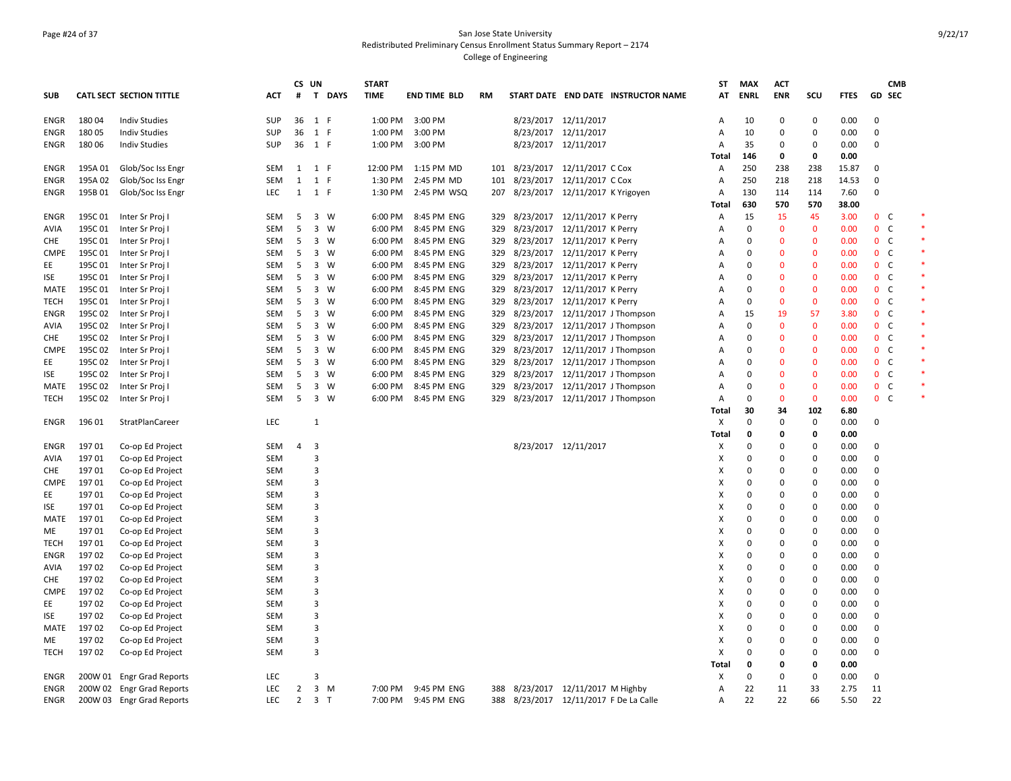### Page #24 of 37 San Jose State University Redistributed Preliminary Census Enrollment Status Summary Report – 2174 College of Engineering

|             |         |                           |                   |                | CS UN                   |             | <b>START</b> |                     |           |                                |                                  |                                     | <b>ST</b>      | <b>MAX</b>  | <b>ACT</b>   |                |             |                              | <b>CMB</b> |
|-------------|---------|---------------------------|-------------------|----------------|-------------------------|-------------|--------------|---------------------|-----------|--------------------------------|----------------------------------|-------------------------------------|----------------|-------------|--------------|----------------|-------------|------------------------------|------------|
| <b>SUB</b>  |         | CATL SECT SECTION TITTLE  | <b>ACT</b>        | #              | $\mathbf{T}$            | <b>DAYS</b> | <b>TIME</b>  | <b>END TIME BLD</b> | <b>RM</b> |                                |                                  | START DATE END DATE INSTRUCTOR NAME | AT             | <b>ENRL</b> | <b>ENR</b>   | scu            | <b>FTES</b> | <b>GD SEC</b>                |            |
| <b>ENGR</b> | 180 04  | <b>Indiv Studies</b>      | SUP               | 36             | 1 F                     |             | 1:00 PM      | 3:00 PM             |           |                                | 8/23/2017 12/11/2017             |                                     | Α              | 10          | 0            | $\mathbf 0$    | 0.00        | $\mathbf 0$                  |            |
| <b>ENGR</b> | 180 05  | <b>Indiv Studies</b>      | <b>SUP</b>        | 36             | 1 F                     |             | 1:00 PM      | 3:00 PM             |           |                                | 8/23/2017 12/11/2017             |                                     | $\overline{A}$ | 10          | $\mathbf 0$  | $\mathbf 0$    | 0.00        | 0                            |            |
| ENGR        | 180 06  | <b>Indiv Studies</b>      | <b>SUP</b>        | 36             | 1 F                     |             | 1:00 PM      | 3:00 PM             |           |                                | 8/23/2017 12/11/2017             |                                     | Α              | 35          | 0            | $\mathbf 0$    | 0.00        | $\mathbf 0$                  |            |
|             |         |                           |                   |                |                         |             |              |                     |           |                                |                                  |                                     | Total          | 146         | 0            | $\mathbf{0}$   | 0.00        |                              |            |
| <b>ENGR</b> | 195A 01 | Glob/Soc Iss Engr         | SEM               | 1              | 1 F                     |             | 12:00 PM     | 1:15 PM MD          |           | 101 8/23/2017 12/11/2017 C Cox |                                  |                                     | Α              | 250         | 238          | 238            | 15.87       | $\mathbf 0$                  |            |
| ENGR        | 195A 02 | Glob/Soc Iss Engr         | SEM               | 1              | 1 F                     |             | 1:30 PM      | 2:45 PM MD          |           | 101 8/23/2017 12/11/2017 C Cox |                                  |                                     | Α              | 250         | 218          | 218            | 14.53       | $\Omega$                     |            |
| <b>ENGR</b> | 195B01  | Glob/Soc Iss Engr         | <b>LEC</b>        | 1              | 1 F                     |             | 1:30 PM      | 2:45 PM WSQ         | 207       |                                | 8/23/2017 12/11/2017 K Yrigoyen  |                                     | A              | 130         | 114          | 114            | 7.60        | 0                            |            |
|             |         |                           |                   |                |                         |             |              |                     |           |                                |                                  |                                     | Total          | 630         | 570          | 570            | 38.00       |                              |            |
| <b>ENGR</b> | 195C 01 | Inter Sr Proj I           | SEM               | 5              |                         | 3 W         | 6:00 PM      | 8:45 PM ENG         | 329       |                                | 8/23/2017 12/11/2017 K Perry     |                                     | Α              | 15          | 15           | 45             | 3.00        | $\mathbf{0}$<br>C            |            |
| <b>AVIA</b> | 195C 01 | Inter Sr Proj I           | <b>SEM</b>        | 5              |                         | $3 \quad W$ | 6:00 PM      | 8:45 PM ENG         | 329       |                                | 8/23/2017 12/11/2017 K Perry     |                                     | $\overline{A}$ | 0           | $\mathbf{0}$ | $\mathbf{0}$   | 0.00        | $\mathbf{0}$<br><sub>c</sub> |            |
| <b>CHE</b>  | 195C 01 | Inter Sr Proj I           | SEM               | 5              |                         | 3 W         | 6:00 PM      | 8:45 PM ENG         | 329       |                                | 8/23/2017 12/11/2017 K Perry     |                                     | Α              | 0           | $\mathbf{0}$ | $\mathbf 0$    | 0.00        | 0 <sup>o</sup>               |            |
| <b>CMPE</b> | 195C01  | Inter Sr Proj I           | SEM               | 5              |                         | 3 W         | 6:00 PM      | 8:45 PM ENG         | 329       |                                | 8/23/2017 12/11/2017 K Perry     |                                     | Α              | $\mathbf 0$ | $\mathbf{0}$ | $\mathbf{0}$   | 0.00        | $\mathbf 0$<br>C             |            |
| EE          | 195C 01 | Inter Sr Proj I           | <b>SEM</b>        | 5              |                         | 3 W         | 6:00 PM      | 8:45 PM ENG         | 329       | 8/23/2017 12/11/2017 K Perry   |                                  |                                     | $\overline{A}$ | $\Omega$    | $\mathbf{0}$ | $\mathbf{0}$   | 0.00        | 0 <sup>o</sup>               |            |
| ISE         | 195C 01 | Inter Sr Proj             | SEM               | 5              | 3                       | W           | 6:00 PM      | 8:45 PM ENG         | 329       | 8/23/2017                      | 12/11/2017 K Perry               |                                     | Α              | 0           | $\Omega$     | $\Omega$       | 0.00        | $\mathbf{0}$<br>C            |            |
| MATE        | 195C01  | Inter Sr Proj I           | SEM               | 5              |                         | 3 W         | 6:00 PM      | 8:45 PM ENG         | 329       |                                | 8/23/2017 12/11/2017 K Perry     |                                     | Α              | $\mathbf 0$ | $\Omega$     | $\mathbf{0}$   | 0.00        | 0 <sup>o</sup>               |            |
| <b>TECH</b> | 195C 01 | Inter Sr Proj I           | SEM               | 5              |                         | 3 W         | 6:00 PM      | 8:45 PM ENG         | 329       |                                | 8/23/2017 12/11/2017 K Perry     |                                     | Α              | 0           | $\mathbf 0$  | $\mathbf 0$    | 0.00        | $\mathbf 0$<br>C             |            |
| ENGR        | 195C 02 | Inter Sr Proj I           | <b>SEM</b>        | 5              |                         | 3 W         | 6:00 PM      | 8:45 PM ENG         | 329       |                                | 8/23/2017  12/11/2017 J Thompson |                                     | Α              | 15          | 19           | -57            | 3.80        | 0 <sup>o</sup>               |            |
| <b>AVIA</b> | 195C 02 | Inter Sr Proj I           | <b>SEM</b>        | 5              |                         | $3 \quad W$ | 6:00 PM      | 8:45 PM ENG         | 329       |                                | 8/23/2017 12/11/2017 J Thompson  |                                     | $\overline{A}$ | $\Omega$    | $\Omega$     | $\mathbf{0}$   | 0.00        | $\mathsf{C}$<br>$\mathbf{0}$ |            |
| <b>CHE</b>  | 195C 02 | Inter Sr Proj I           | SEM               | 5              |                         | 3 W         | 6:00 PM      | 8:45 PM ENG         | 329       |                                | 8/23/2017 12/11/2017 J Thompson  |                                     | Α              | 0           | $\mathbf 0$  | $\mathbf 0$    | 0.00        | $\mathbf{0}$<br>$\mathsf{C}$ |            |
| <b>CMPE</b> | 195C 02 | Inter Sr Proj I           | SEM               | 5              |                         | 3 W         | 6:00 PM      | 8:45 PM ENG         | 329       |                                | 8/23/2017 12/11/2017 J Thompson  |                                     | Α              | 0           | $\mathbf{0}$ | $\mathbf{0}$   | 0.00        | 0 <sup>o</sup>               |            |
| EE          | 195C 02 | Inter Sr Proj I           | <b>SEM</b>        | 5              | 3                       | W           | 6:00 PM      | 8:45 PM ENG         | 329       |                                | 8/23/2017 12/11/2017 J Thompson  |                                     | $\overline{A}$ | $\Omega$    | $\Omega$     | $\Omega$       | 0.00        | $\mathbf{0}$<br>C            |            |
| ISE         | 195C02  | Inter Sr Proj             | SEM               | 5              |                         | 3 W         | 6:00 PM      | 8:45 PM ENG         | 329       |                                | 8/23/2017 12/11/2017 J Thompson  |                                     | Α              | $\Omega$    | $\Omega$     | $\mathbf 0$    | 0.00        | $0-$                         |            |
| MATE        | 195C02  | Inter Sr Proj I           | SEM               | 5              |                         | 3 W         | 6:00 PM      | 8:45 PM ENG         | 329       |                                | 8/23/2017 12/11/2017 J Thompson  |                                     | Α              | 0           | $\mathbf{0}$ | $\mathbf{0}$   | 0.00        | $\mathbf 0$<br>C             |            |
| <b>TECH</b> | 195C02  | Inter Sr Proj I           | <b>SEM</b>        | 5              |                         | 3 W         | 6:00 PM      | 8:45 PM ENG         | 329       |                                | 8/23/2017 12/11/2017 J Thompson  |                                     | $\overline{A}$ | $\Omega$    | $\Omega$     | $\Omega$       | 0.00        | 0 <sup>o</sup>               |            |
|             |         |                           |                   |                |                         |             |              |                     |           |                                |                                  |                                     | Total          | 30          | 34           | 102            | 6.80        |                              |            |
| ENGR        | 196 01  | StratPlanCareer           | LEC               |                | 1                       |             |              |                     |           |                                |                                  |                                     | X              | $\Omega$    | $\mathbf 0$  | 0              | 0.00        | $\mathbf 0$                  |            |
|             |         |                           |                   |                |                         |             |              |                     |           |                                |                                  |                                     | <b>Total</b>   | 0           | 0            | $\mathbf{0}$   | 0.00        |                              |            |
| <b>ENGR</b> | 19701   | Co-op Ed Project          | SEM               | 4              | 3                       |             |              |                     |           |                                | 8/23/2017 12/11/2017             |                                     | х              | $\Omega$    | $\Omega$     | $\Omega$       | 0.00        | $\Omega$                     |            |
| <b>AVIA</b> | 19701   | Co-op Ed Project          | <b>SEM</b>        |                | $\overline{\mathbf{3}}$ |             |              |                     |           |                                |                                  |                                     | X              | $\Omega$    | $\Omega$     | $\Omega$       | 0.00        | $\Omega$                     |            |
| <b>CHE</b>  | 19701   | Co-op Ed Project          | SEM               |                | $\overline{3}$          |             |              |                     |           |                                |                                  |                                     | X              | 0           | 0            | $\mathbf 0$    | 0.00        | $\mathbf 0$                  |            |
| <b>CMPE</b> | 197 01  | Co-op Ed Project          | SEM               |                | 3                       |             |              |                     |           |                                |                                  |                                     | X              | 0           | $\mathbf 0$  | $\mathbf 0$    | 0.00        | $\Omega$                     |            |
| EE          | 19701   | Co-op Ed Project          | <b>SEM</b>        |                | 3                       |             |              |                     |           |                                |                                  |                                     | X              | $\Omega$    | $\mathbf 0$  | $\Omega$       | 0.00        | $\Omega$                     |            |
| <b>ISE</b>  | 19701   | Co-op Ed Project          | SEM               |                | 3                       |             |              |                     |           |                                |                                  |                                     | X              | 0           | $\mathbf 0$  | $\mathbf 0$    | 0.00        | $\Omega$                     |            |
| MATE        | 19701   | Co-op Ed Project          | SEM               |                | 3                       |             |              |                     |           |                                |                                  |                                     | X              | $\mathbf 0$ | $\mathbf 0$  | $\mathbf 0$    | 0.00        | $\Omega$                     |            |
| ME          | 19701   | Co-op Ed Project          | SEM               |                | 3                       |             |              |                     |           |                                |                                  |                                     | X              | $\Omega$    | $\Omega$     | $\Omega$       | 0.00        | $\Omega$                     |            |
| TECH        | 19701   | Co-op Ed Project          | SEM               |                | 3                       |             |              |                     |           |                                |                                  |                                     | х              | $\Omega$    | $\mathbf 0$  | $\mathbf 0$    | 0.00        | $\Omega$                     |            |
| <b>ENGR</b> | 19702   | Co-op Ed Project          | SEM               |                | $\overline{3}$          |             |              |                     |           |                                |                                  |                                     | X              | $\Omega$    | $\Omega$     | $\Omega$       | 0.00        | $\Omega$                     |            |
| AVIA        | 19702   | Co-op Ed Project          | SEM               |                | 3                       |             |              |                     |           |                                |                                  |                                     | X              | 0           | 0            | 0              | 0.00        | $\mathbf 0$                  |            |
| <b>CHE</b>  | 19702   | Co-op Ed Project          | <b>SEM</b>        |                | 3                       |             |              |                     |           |                                |                                  |                                     | X              | $\Omega$    | $\Omega$     | $\Omega$       | 0.00        | $\Omega$                     |            |
| <b>CMPE</b> | 19702   | Co-op Ed Project          | <b>SEM</b>        |                | $\overline{\mathbf{3}}$ |             |              |                     |           |                                |                                  |                                     | X              | $\Omega$    | $\Omega$     | $\Omega$       | 0.00        | $\Omega$                     |            |
| EE          | 197 02  | Co-op Ed Project          | SEM               |                | $\overline{3}$          |             |              |                     |           |                                |                                  |                                     | X              | 0           | 0            | $\mathbf 0$    | 0.00        | $\mathbf 0$                  |            |
| <b>ISE</b>  | 19702   | Co-op Ed Project          | <b>SEM</b>        |                | 3                       |             |              |                     |           |                                |                                  |                                     | X              | $\Omega$    | $\mathbf 0$  | $\Omega$       | 0.00        | $\Omega$                     |            |
| MATE        | 19702   | Co-op Ed Project          | <b>SEM</b>        |                | 3                       |             |              |                     |           |                                |                                  |                                     | х              | $\Omega$    | 0            | $\Omega$       | 0.00        | $\Omega$                     |            |
| МE          | 197 02  | Co-op Ed Project          | <b>SEM</b>        |                | $\overline{3}$          |             |              |                     |           |                                |                                  |                                     | X              | 0           | 0            | $\mathbf 0$    | 0.00        | $\mathbf 0$                  |            |
| <b>TECH</b> | 197 02  | Co-op Ed Project          | <b>SEM</b>        |                | 3                       |             |              |                     |           |                                |                                  |                                     | X              | 0           | $\mathbf 0$  | $\mathbf 0$    | 0.00        | $\Omega$                     |            |
|             |         |                           |                   |                |                         |             |              |                     |           |                                |                                  |                                     | Total          | 0           | 0            | $\mathbf{0}$   | 0.00        |                              |            |
| ENGR        | 200W 01 | <b>Engr Grad Reports</b>  | <b>LEC</b>        |                | 3                       |             |              |                     |           |                                |                                  |                                     | х              | $\Omega$    | $\mathbf 0$  | $\Omega$<br>33 | 0.00        | $\mathbf 0$                  |            |
| ENGR        |         | 200W 02 Engr Grad Reports | <b>LEC</b><br>LEC | $\overline{2}$ |                         | $3 \, M$    | 7:00 PM      | 9:45 PM ENG         | 388       |                                | 8/23/2017 12/11/2017 M Highby    |                                     | A              | 22<br>22    | 11           | 66             | 2.75        | 11                           |            |
| ENGR        |         | 200W 03 Engr Grad Reports |                   | $\overline{2}$ | 3 <sub>1</sub>          |             | 7:00 PM      | 9:45 PM ENG         | 388       |                                |                                  | 8/23/2017 12/11/2017 F De La Calle  | A              |             | 22           |                | 5.50        | 22                           |            |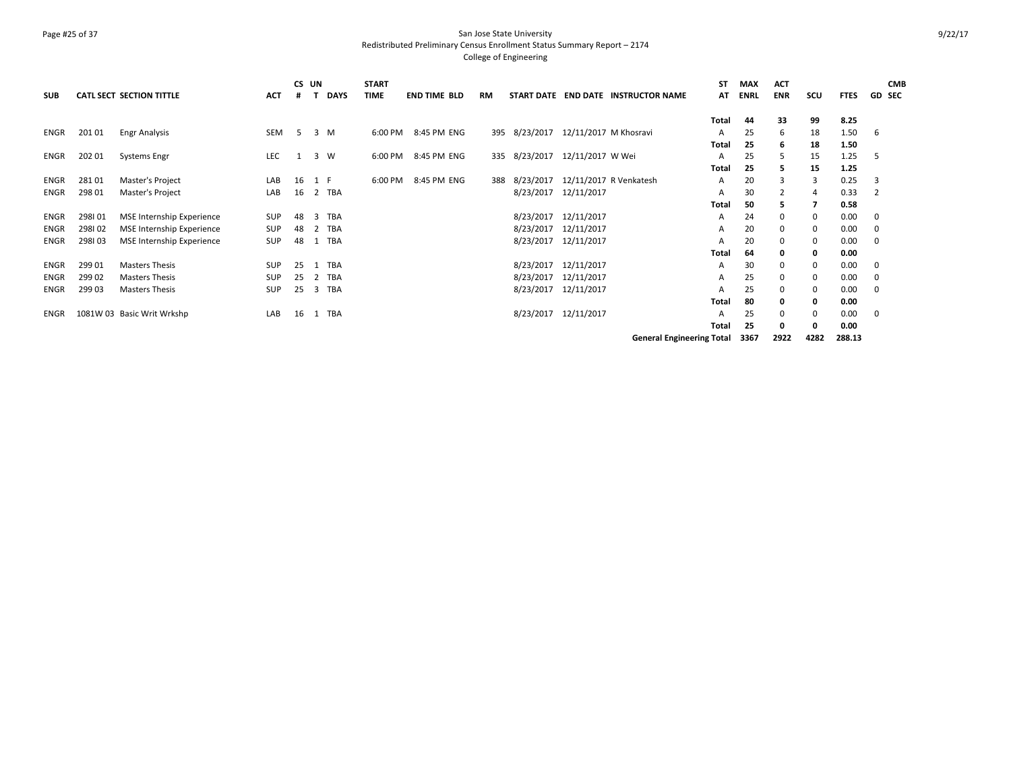### Page #25 of 37 San Jose State University Redistributed Preliminary Census Enrollment Status Summary Report – 2174 College of Engineering

|             |        |                                 |            | CS UN |                     | <b>START</b> |                     |     |           |                                 |                                     | ST    | <b>MAX</b>  | <b>ACT</b>     |          |             | <b>CMB</b>     |
|-------------|--------|---------------------------------|------------|-------|---------------------|--------------|---------------------|-----|-----------|---------------------------------|-------------------------------------|-------|-------------|----------------|----------|-------------|----------------|
| <b>SUB</b>  |        | <b>CATL SECT SECTION TITTLE</b> | ACT        |       | <b>DAYS</b>         | <b>TIME</b>  | <b>END TIME BLD</b> | RM  |           |                                 | START DATE END DATE INSTRUCTOR NAME | AT    | <b>ENRL</b> | <b>ENR</b>     | scu      | <b>FTES</b> | <b>GD SEC</b>  |
|             |        |                                 |            |       |                     |              |                     |     |           |                                 |                                     | Total | 44          | 33             | 99       | 8.25        |                |
| ENGR        | 201 01 | Engr Analysis                   | SEM        | 5     | $\overline{3}$<br>M | 6:00 PM      | 8:45 PM ENG         | 395 |           | 8/23/2017 12/11/2017 M Khosravi |                                     | A     | 25          | 6              | 18       | 1.50        | 6              |
|             |        |                                 |            |       |                     |              |                     |     |           |                                 |                                     | Total | 25          | 6              | 18       | 1.50        |                |
| ENGR        | 202 01 | <b>Systems Engr</b>             | <b>LEC</b> |       | 3<br>W              | 6:00 PM      | 8:45 PM ENG         | 335 |           | 8/23/2017 12/11/2017 W Wei      |                                     | A     | 25          | 5              | 15       | 1.25        | .5             |
|             |        |                                 |            |       |                     |              |                     |     |           |                                 |                                     | Total | 25          | 5.             | 15       | 1.25        |                |
| ENGR        | 28101  | Master's Project                | LAB        | 16    | 1 F                 | 6:00 PM      | 8:45 PM ENG         | 388 | 8/23/2017 |                                 | 12/11/2017 R Venkatesh              | A     | 20          | 3              |          | 0.25        | 3              |
| ENGR        | 298 01 | Master's Project                | LAB        | 16    | TBA<br>2            |              |                     |     |           | 8/23/2017 12/11/2017            |                                     | A     | 30          | $\overline{2}$ | 4        | 0.33        | $\overline{2}$ |
|             |        |                                 |            |       |                     |              |                     |     |           |                                 |                                     | Total | 50          | 5.             |          | 0.58        |                |
| ENGR        | 298101 | MSE Internship Experience       | SUP        | 48    | TBA                 |              |                     |     | 8/23/2017 | 12/11/2017                      |                                     | A     | 24          | 0              |          | 0.00        | 0              |
| ENGR        | 298102 | MSE Internship Experience       | SUP        | 48    | TBA<br>2            |              |                     |     | 8/23/2017 | 12/11/2017                      |                                     | A     | 20          | $\mathbf 0$    | $\Omega$ | 0.00        | $\mathbf 0$    |
| <b>ENGR</b> | 298103 | MSE Internship Experience       | <b>SUP</b> | 48    | TBA                 |              |                     |     |           | 8/23/2017 12/11/2017            |                                     | Α     | 20          | $\mathbf 0$    | 0        | 0.00        | $\mathbf 0$    |
|             |        |                                 |            |       |                     |              |                     |     |           |                                 |                                     | Total | 64          | 0              |          | 0.00        |                |
| ENGR        | 299 01 | <b>Masters Thesis</b>           | <b>SUP</b> | 25    | TBA                 |              |                     |     | 8/23/2017 | 12/11/2017                      |                                     | A     | 30          | $\mathbf 0$    | 0        | 0.00        | 0              |
| <b>ENGR</b> | 299 02 | <b>Masters Thesis</b>           | <b>SUP</b> | 25    | TBA<br>2            |              |                     |     | 8/23/2017 | 12/11/2017                      |                                     | A     | 25          | $\mathbf 0$    | $\Omega$ | 0.00        | 0              |
| ENGR        | 299 03 | <b>Masters Thesis</b>           | <b>SUP</b> | 25    | TBA<br>3            |              |                     |     | 8/23/2017 | 12/11/2017                      |                                     | A     | 25          | $\mathbf 0$    |          | 0.00        | $\mathbf 0$    |
|             |        |                                 |            |       |                     |              |                     |     |           |                                 |                                     | Total | 80          | 0              |          | 0.00        |                |
| <b>ENGR</b> |        | 1081W 03 Basic Writ Wrkshp      | LAB        | 16    | TBA                 |              |                     |     |           | 8/23/2017 12/11/2017            |                                     | A     | 25          | $\mathbf 0$    | $\Omega$ | 0.00        | $\mathbf 0$    |
|             |        |                                 |            |       |                     |              |                     |     |           |                                 |                                     | Total | 25          | 0              |          | 0.00        |                |
|             |        |                                 |            |       |                     |              |                     |     |           |                                 | <b>General Engineering Total</b>    |       | 3367        | 2922           | 4282     | 288.13      |                |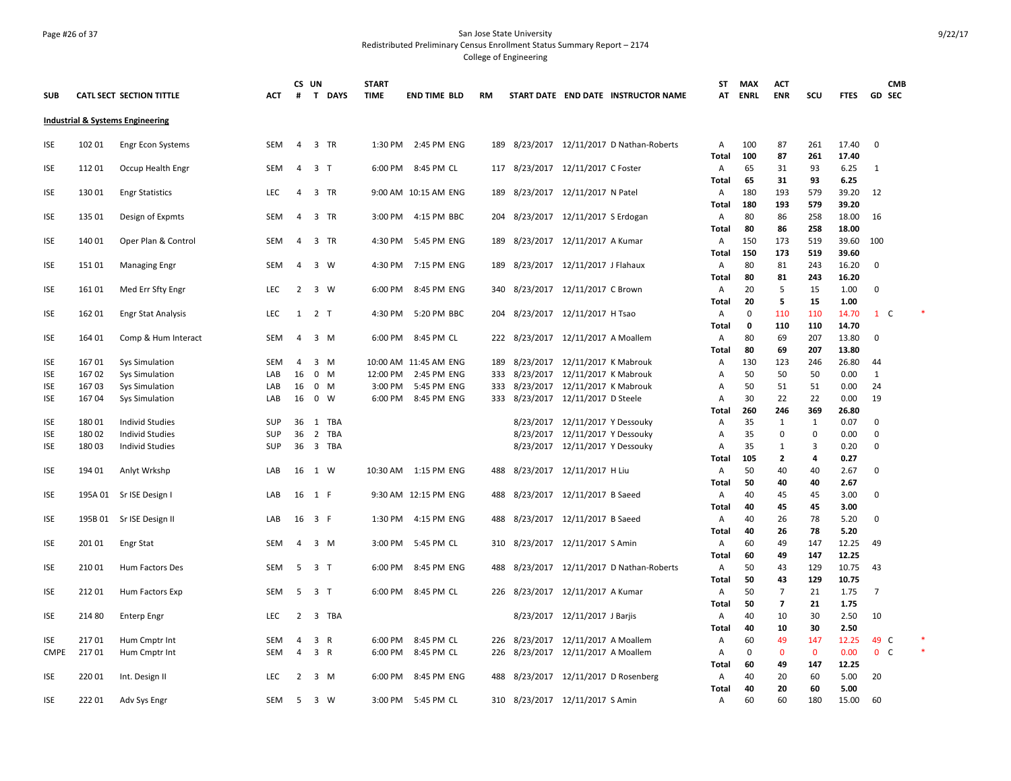### Page #26 of 37 San Jose State University Redistributed Preliminary Census Enrollment Status Summary Report – 2174 College of Engineering

| SUB         |                | <b>CATL SECT SECTION TITTLE</b>                | <b>ACT</b> | CS UN<br>#     |                            | T DAYS | <b>START</b><br><b>TIME</b> | <b>END TIME BLD</b>        | <b>RM</b> |                                                                         |                                 | START DATE END DATE INSTRUCTOR NAME       | ST<br>AT          | MAX<br>ENRL | <b>ACT</b><br><b>ENR</b> | SCU         | <b>FTES</b>    | СМВ<br><b>GD SEC</b> |  |
|-------------|----------------|------------------------------------------------|------------|----------------|----------------------------|--------|-----------------------------|----------------------------|-----------|-------------------------------------------------------------------------|---------------------------------|-------------------------------------------|-------------------|-------------|--------------------------|-------------|----------------|----------------------|--|
|             |                |                                                |            |                |                            |        |                             |                            |           |                                                                         |                                 |                                           |                   |             |                          |             |                |                      |  |
|             |                | <b>Industrial &amp; Systems Engineering</b>    |            |                |                            |        |                             |                            |           |                                                                         |                                 |                                           |                   |             |                          |             |                |                      |  |
| <b>ISE</b>  | 102 01         | <b>Engr Econ Systems</b>                       | <b>SEM</b> | $\overline{4}$ | 3 TR                       |        | 1:30 PM                     | 2:45 PM ENG                |           |                                                                         |                                 | 189 8/23/2017 12/11/2017 D Nathan-Roberts | Α                 | 100         | 87                       | 261         | 17.40          | $\mathbf 0$          |  |
|             |                |                                                |            |                |                            |        |                             |                            |           |                                                                         |                                 |                                           | Total             | 100         | 87                       | 261         | 17.40          |                      |  |
| ISE         | 11201          | Occup Health Engr                              | <b>SEM</b> | $\overline{4}$ | 3 <sub>1</sub>             |        |                             | 6:00 PM 8:45 PM CL         |           | 117 8/23/2017 12/11/2017 C Foster                                       |                                 |                                           | Α                 | 65          | 31                       | 93          | 6.25           | 1                    |  |
|             |                |                                                |            |                |                            |        |                             |                            |           |                                                                         |                                 |                                           | Total             | 65          | 31                       | 93          | 6.25           |                      |  |
| ISE         | 130 01         | <b>Engr Statistics</b>                         | <b>LEC</b> | $\overline{4}$ | 3 TR                       |        |                             | 9:00 AM 10:15 AM ENG       | 189       |                                                                         | 8/23/2017 12/11/2017 N Patel    |                                           | Α                 | 180         | 193                      | 579         | 39.20          | 12                   |  |
| ISE         | 135 01         | Design of Expmts                               | SEM        | $\overline{4}$ | 3 TR                       |        | 3:00 PM                     | 4:15 PM BBC                | 204       |                                                                         | 8/23/2017 12/11/2017 S Erdogan  |                                           | Total<br>Α        | 180<br>80   | 193<br>86                | 579<br>258  | 39.20<br>18.00 | 16                   |  |
|             |                |                                                |            |                |                            |        |                             |                            |           |                                                                         |                                 |                                           | Total             | 80          | 86                       | 258         | 18.00          |                      |  |
| <b>ISE</b>  | 140 01         | Oper Plan & Control                            | <b>SEM</b> | $\overline{4}$ | 3 TR                       |        | 4:30 PM                     | 5:45 PM ENG                | 189       |                                                                         | 8/23/2017 12/11/2017 A Kumar    |                                           | Α                 | 150         | 173                      | 519         | 39.60          | 100                  |  |
|             |                |                                                |            |                |                            |        |                             |                            |           |                                                                         |                                 |                                           | Total             | 150         | 173                      | 519         | 39.60          |                      |  |
| <b>ISE</b>  | 15101          | <b>Managing Engr</b>                           | <b>SEM</b> | $\overline{4}$ | 3 W                        |        | 4:30 PM                     | 7:15 PM ENG                | 189       | 8/23/2017 12/11/2017 J Flahaux                                          |                                 |                                           | Α                 | 80          | 81                       | 243         | 16.20          | $\mathbf 0$          |  |
|             |                |                                                |            |                |                            |        |                             |                            |           |                                                                         |                                 |                                           | Total             | 80          | 81                       | 243         | 16.20          |                      |  |
| <b>ISE</b>  | 161 01         | Med Err Sfty Engr                              | <b>LEC</b> | $\overline{2}$ | 3 W                        |        | 6:00 PM                     | 8:45 PM ENG                |           | 340 8/23/2017 12/11/2017 C Brown                                        |                                 |                                           | Α                 | 20          | 5                        | 15          | 1.00           | $\mathbf 0$          |  |
|             |                |                                                |            |                |                            |        |                             |                            |           |                                                                         |                                 |                                           | Total             | 20          | 5                        | 15          | 1.00           |                      |  |
| ISE         | 162 01         | <b>Engr Stat Analysis</b>                      | <b>LEC</b> | 1 2 T          |                            |        | 4:30 PM                     | 5:20 PM BBC                |           | 204 8/23/2017 12/11/2017 H Tsao                                         |                                 |                                           | Α                 | 0           | 110                      | 110         | 14.70          | 1 C                  |  |
|             |                |                                                |            |                |                            |        |                             |                            |           |                                                                         |                                 |                                           | <b>Total</b>      | $\mathbf 0$ | 110                      | 110         | 14.70          |                      |  |
| <b>ISE</b>  | 164 01         | Comp & Hum Interact                            | <b>SEM</b> | $\overline{4}$ | 3 M                        |        |                             | 6:00 PM 8:45 PM CL         |           | 222 8/23/2017 12/11/2017 A Moallem                                      |                                 |                                           | Α                 | 80          | 69                       | 207         | 13.80          | $\mathbf 0$          |  |
|             |                |                                                |            |                |                            |        |                             |                            |           |                                                                         |                                 |                                           | <b>Total</b>      | 80          | 69                       | 207         | 13.80          |                      |  |
| <b>ISE</b>  | 16701          | <b>Sys Simulation</b>                          | <b>SEM</b> | 4              | 3 M                        |        |                             | 10:00 AM 11:45 AM ENG      | 189       |                                                                         | 8/23/2017 12/11/2017 K Mabrouk  |                                           | Α                 | 130         | 123                      | 246         | 26.80          | 44                   |  |
| <b>ISE</b>  | 16702          | <b>Sys Simulation</b>                          | LAB        | 16             | $0$ M                      |        | 12:00 PM                    | 2:45 PM ENG                |           | 333 8/23/2017 12/11/2017 K Mabrouk                                      |                                 |                                           | А                 | 50          | 50                       | 50          | 0.00           | 1                    |  |
| ISE<br>ISE  | 16703<br>16704 | <b>Sys Simulation</b><br><b>Sys Simulation</b> | LAB<br>LAB | 16<br>16       | $0 \quad M$<br>$0 \quad W$ |        | 3:00 PM<br>6:00 PM          | 5:45 PM ENG<br>8:45 PM ENG |           | 333 8/23/2017 12/11/2017 K Mabrouk<br>333 8/23/2017 12/11/2017 D Steele |                                 |                                           | Α<br>A            | 50<br>30    | 51<br>22                 | 51<br>22    | 0.00<br>0.00   | 24<br>19             |  |
|             |                |                                                |            |                |                            |        |                             |                            |           |                                                                         |                                 |                                           | <b>Total</b>      | 260         | 246                      | 369         | 26.80          |                      |  |
| <b>ISE</b>  | 180 01         | <b>Individ Studies</b>                         | <b>SUP</b> | 36 1 TBA       |                            |        |                             |                            |           |                                                                         | 8/23/2017 12/11/2017 Y Dessouky |                                           | Α                 | 35          | 1                        | 1           | 0.07           | 0                    |  |
| <b>ISE</b>  | 180 02         | <b>Individ Studies</b>                         | <b>SUP</b> | 36             |                            | 2 TBA  |                             |                            |           |                                                                         | 8/23/2017 12/11/2017 Y Dessouky |                                           | Α                 | 35          | 0                        | 0           | 0.00           | 0                    |  |
| <b>ISE</b>  | 18003          | <b>Individ Studies</b>                         | <b>SUP</b> | 36             |                            | 3 TBA  |                             |                            |           |                                                                         | 8/23/2017 12/11/2017 Y Dessouky |                                           | A                 | 35          | 1                        | 3           | 0.20           | $\mathbf 0$          |  |
|             |                |                                                |            |                |                            |        |                             |                            |           |                                                                         |                                 |                                           | Total             | 105         | $\overline{2}$           | 4           | 0.27           |                      |  |
| <b>ISE</b>  | 194 01         | Anlyt Wrkshp                                   | LAB        | 16             | 1 W                        |        |                             | 10:30 AM  1:15 PM ENG      | 488       | 8/23/2017 12/11/2017 H Liu                                              |                                 |                                           | Α                 | 50          | 40                       | 40          | 2.67           | $\mathbf 0$          |  |
|             |                |                                                |            |                |                            |        |                             |                            |           |                                                                         |                                 |                                           | Total             | 50          | 40                       | 40          | 2.67           |                      |  |
| ISE         |                | 195A 01 Sr ISE Design I                        | LAB        | 16             | 1 F                        |        |                             | 9:30 AM 12:15 PM ENG       | 488       |                                                                         | 8/23/2017 12/11/2017 B Saeed    |                                           | Α                 | 40          | 45                       | 45          | 3.00           | $\mathbf 0$          |  |
|             |                |                                                |            |                |                            |        |                             |                            |           |                                                                         |                                 |                                           | Total             | 40          | 45                       | 45          | 3.00           |                      |  |
| <b>ISE</b>  | 195B 01        | Sr ISE Design II                               | LAB        | 16             | 3 F                        |        | 1:30 PM                     | 4:15 PM ENG                | 488       |                                                                         | 8/23/2017 12/11/2017 B Saeed    |                                           | Α                 | 40          | 26                       | 78          | 5.20           | $\mathbf 0$          |  |
|             |                |                                                |            |                |                            |        |                             |                            |           |                                                                         |                                 |                                           | Total             | 40          | 26                       | 78          | 5.20           |                      |  |
| ISE         | 20101          | Engr Stat                                      | <b>SEM</b> | $\overline{4}$ | 3 M                        |        | 3:00 PM                     | 5:45 PM CL                 | 310       |                                                                         | 8/23/2017 12/11/2017 S Amin     |                                           | Α                 | 60          | 49                       | 147         | 12.25          | 49                   |  |
|             |                |                                                |            |                |                            |        |                             |                            |           |                                                                         |                                 |                                           | <b>Total</b>      | 60          | 49                       | 147         | 12.25          |                      |  |
| <b>ISE</b>  | 21001          | Hum Factors Des                                | SEM        | 5 3 T          |                            |        | 6:00 PM                     | 8:45 PM ENG                |           |                                                                         |                                 | 488 8/23/2017 12/11/2017 D Nathan-Roberts | Α<br><b>Total</b> | 50<br>50    | 43<br>43                 | 129<br>129  | 10.75<br>10.75 | 43                   |  |
| <b>ISE</b>  | 21201          | Hum Factors Exp                                | <b>SEM</b> | 5              | 3 <sub>1</sub>             |        | 6:00 PM                     | 8:45 PM CL                 |           | 226 8/23/2017 12/11/2017 A Kumar                                        |                                 |                                           | Α                 | 50          | $\overline{7}$           | 21          | 1.75           | 7                    |  |
|             |                |                                                |            |                |                            |        |                             |                            |           |                                                                         |                                 |                                           | <b>Total</b>      | 50          | $\overline{7}$           | 21          | 1.75           |                      |  |
| ISE         | 214 80         | <b>Enterp Engr</b>                             | <b>LEC</b> | $\overline{2}$ |                            | 3 TBA  |                             |                            |           |                                                                         | 8/23/2017 12/11/2017 J Barjis   |                                           | Α                 | 40          | 10                       | 30          | 2.50           | 10                   |  |
|             |                |                                                |            |                |                            |        |                             |                            |           |                                                                         |                                 |                                           | Total             | 40          | 10                       | 30          | 2.50           |                      |  |
| <b>ISE</b>  | 21701          | Hum Cmptr Int                                  | SEM        | 4              | 3 R                        |        | 6:00 PM                     | 8:45 PM CL                 |           | 226 8/23/2017 12/11/2017 A Moallem                                      |                                 |                                           | Α                 | 60          | 49                       | 147         | 12.25          | 49 C                 |  |
| <b>CMPE</b> | 21701          | Hum Cmptr Int                                  | SEM        | $\overline{4}$ | 3 R                        |        | 6:00 PM                     | 8:45 PM CL                 |           | 226 8/23/2017 12/11/2017 A Moallem                                      |                                 |                                           | Α                 | $\mathbf 0$ | $\mathbf 0$              | $\mathbf 0$ | 0.00           | 0 <sup>o</sup>       |  |
|             |                |                                                |            |                |                            |        |                             |                            |           |                                                                         |                                 |                                           | Total             | 60          | 49                       | 147         | 12.25          |                      |  |
| ISE         | 220 01         | Int. Design II                                 | LEC        | $\overline{2}$ | $3 \, M$                   |        | 6:00 PM                     | 8:45 PM ENG                |           | 488 8/23/2017 12/11/2017 D Rosenberg                                    |                                 |                                           | Α                 | 40          | 20                       | 60          | 5.00           | 20                   |  |
|             |                |                                                |            |                |                            |        |                             |                            |           |                                                                         |                                 |                                           | Total             | 40          | 20                       | 60          | 5.00           |                      |  |
| ISE         | 22201          | Adv Sys Engr                                   | SEM        | 5 <sup>7</sup> | 3 W                        |        | 3:00 PM                     | 5:45 PM CL                 |           | 310 8/23/2017 12/11/2017 S Amin                                         |                                 |                                           | Α                 | 60          | 60                       | 180         | 15.00          | 60                   |  |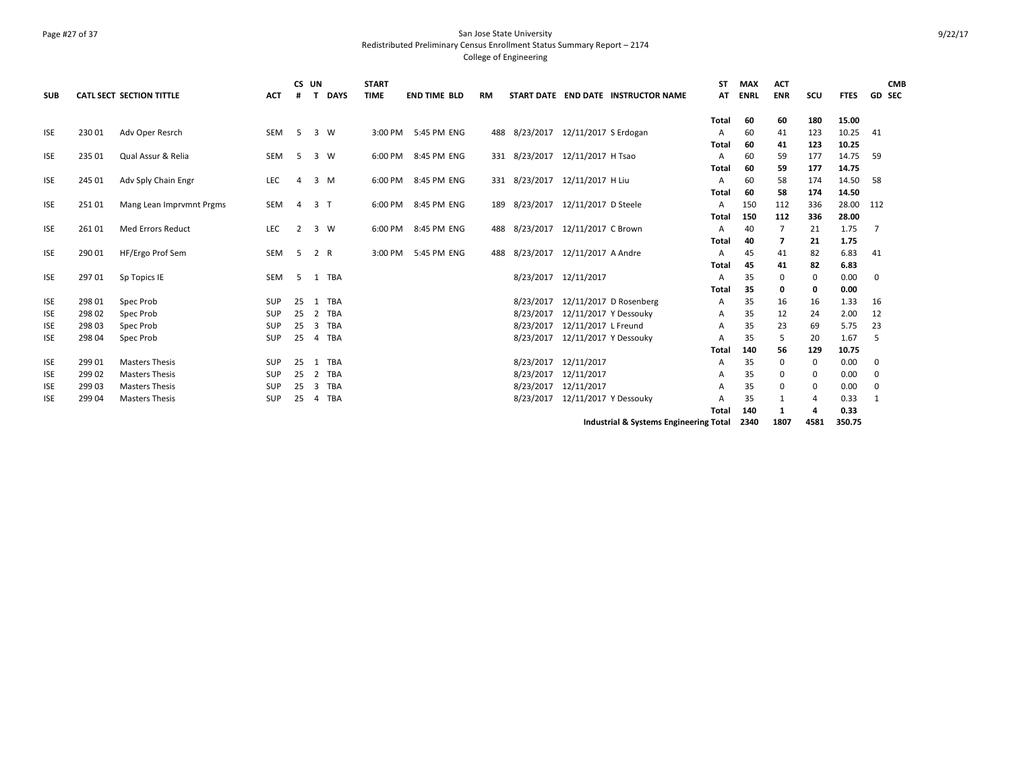### Page #27 of 37 San Jose State University Redistributed Preliminary Census Enrollment Status Summary Report – 2174 College of Engineering

| <b>SUB</b> |        | <b>CATL SECT SECTION TITTLE</b> | <b>ACT</b> | CS UN<br>#     | $\mathbf{T}$<br><b>DAYS</b> | <b>START</b><br><b>TIME</b> | <b>END TIME BLD</b> | <b>RM</b> |           | START DATE END DATE INSTRUCTOR NAME    | SΤ<br>AT     | <b>MAX</b><br><b>ENRL</b> | <b>ACT</b><br><b>ENR</b> | scu      | <b>FTES</b> | <b>CMB</b><br><b>GD SEC</b> |
|------------|--------|---------------------------------|------------|----------------|-----------------------------|-----------------------------|---------------------|-----------|-----------|----------------------------------------|--------------|---------------------------|--------------------------|----------|-------------|-----------------------------|
|            |        |                                 |            |                |                             |                             |                     |           |           |                                        |              |                           |                          |          |             |                             |
|            |        |                                 |            |                |                             |                             |                     |           |           |                                        | <b>Total</b> | 60                        | 60                       | 180      | 15.00       |                             |
| <b>ISE</b> | 230 01 | Adv Oper Resrch                 | SEM        | 5              | $\overline{3}$<br>W         |                             | 3:00 PM 5:45 PM ENG | 488       |           | 8/23/2017 12/11/2017 S Erdogan         | А            | 60                        | 41                       | 123      | 10.25       | 41                          |
|            |        |                                 |            |                |                             |                             |                     |           |           |                                        | Total        | 60                        | 41                       | 123      | 10.25       |                             |
| <b>ISE</b> | 235 01 | Qual Assur & Relia              | SEM        | 5              | 3 W                         | 6:00 PM                     | 8:45 PM ENG         |           |           | 331 8/23/2017 12/11/2017 H Tsao        | A            | 60                        | 59                       | 177      | 14.75       | 59                          |
|            |        |                                 |            |                |                             |                             |                     |           |           |                                        | Total        | 60                        | 59                       | 177      | 14.75       |                             |
| <b>ISE</b> | 245 01 | Adv Sply Chain Engr             | LEC        | $\overline{a}$ | 3 M                         | 6:00 PM                     | 8:45 PM ENG         |           |           | 331 8/23/2017 12/11/2017 H Liu         | А            | 60                        | 58                       | 174      | 14.50       | 58                          |
|            |        |                                 |            |                |                             |                             |                     |           |           |                                        | Total        | 60                        | 58                       | 174      | 14.50       |                             |
| <b>ISE</b> | 251 01 | Mang Lean Imprvmnt Prgms        | SEM        | $\overline{a}$ | 3 <sub>1</sub>              | 6:00 PM                     | 8:45 PM ENG         | 189       |           | 8/23/2017 12/11/2017 D Steele          | A            | 150                       | 112                      | 336      | 28.00       | 112                         |
|            |        |                                 |            |                |                             |                             |                     |           |           |                                        | Total        | 150                       | 112                      | 336      | 28.00       |                             |
| <b>ISE</b> | 261 01 | <b>Med Errors Reduct</b>        | LEC        | 2              | $\overline{3}$<br>W         | 6:00 PM                     | 8:45 PM ENG         | 488       |           | 8/23/2017 12/11/2017 C Brown           | A            | 40                        | 7                        | 21       | 1.75        | 7                           |
|            |        |                                 |            |                |                             |                             |                     |           |           |                                        | Total        | 40                        | 7                        | 21       | 1.75        |                             |
| <b>ISE</b> | 290 01 | HF/Ergo Prof Sem                | SEM        | -5             | 2 R                         | 3:00 PM                     | 5:45 PM ENG         | 488       |           | 8/23/2017 12/11/2017 A Andre           | A            | 45                        | 41                       | 82       | 6.83        | 41                          |
|            |        |                                 |            |                |                             |                             |                     |           |           |                                        | Total        | 45                        | 41                       | 82       | 6.83        |                             |
| <b>ISE</b> | 297 01 | Sp Topics IE                    | SEM        | -5             | TBA<br>1                    |                             |                     |           |           | 8/23/2017 12/11/2017                   | A            | 35                        | 0                        | $\Omega$ | 0.00        | 0                           |
|            |        |                                 |            |                |                             |                             |                     |           |           |                                        | Total        | 35                        | 0                        | 0        | 0.00        |                             |
| <b>ISE</b> | 298 01 | Spec Prob                       | SUP        | 25             | TBA<br>$\overline{1}$       |                             |                     |           | 8/23/2017 | 12/11/2017 D Rosenberg                 | Α            | 35                        | 16                       | 16       | 1.33        | 16                          |
| <b>ISE</b> | 298 02 | Spec Prob                       | SUP        | 25             | TBA<br>$\overline{2}$       |                             |                     |           | 8/23/2017 | 12/11/2017 Y Dessouky                  | A            | 35                        | 12                       | 24       | 2.00        | 12                          |
| <b>ISE</b> | 298 03 | Spec Prob                       | SUP        | 25             | TBA<br>3                    |                             |                     |           | 8/23/2017 | 12/11/2017 L Freund                    | A            | 35                        | 23                       | 69       | 5.75        | 23                          |
| <b>ISE</b> | 298 04 | Spec Prob                       | SUP        | 25             | TBA<br>4                    |                             |                     |           | 8/23/2017 | 12/11/2017 Y Dessouky                  | А            | 35                        | 5                        | 20       | 1.67        | .5                          |
|            |        |                                 |            |                |                             |                             |                     |           |           |                                        | Total        | 140                       | 56                       | 129      | 10.75       |                             |
| <b>ISE</b> | 299 01 | <b>Masters Thesis</b>           | <b>SUP</b> | 25             | TBA<br>-1                   |                             |                     |           | 8/23/2017 | 12/11/2017                             | А            | 35                        | 0                        | $\Omega$ | 0.00        | 0                           |
| <b>ISE</b> | 299 02 | <b>Masters Thesis</b>           | SUP        | 25             | TBA<br>$\overline{2}$       |                             |                     |           | 8/23/2017 | 12/11/2017                             | А            | 35                        | 0                        | 0        | 0.00        | 0                           |
| <b>ISE</b> | 299 03 | <b>Masters Thesis</b>           | <b>SUP</b> | 25             | TBA<br>3                    |                             |                     |           | 8/23/2017 | 12/11/2017                             | А            | 35                        | $\mathbf 0$              | 0        | 0.00        | $\mathbf 0$                 |
| <b>ISE</b> | 299 04 | <b>Masters Thesis</b>           | SUP        | 25             | TBA<br>4                    |                             |                     |           | 8/23/2017 | 12/11/2017 Y Dessouky                  | А            | 35                        | 1                        | 4        | 0.33        | 1                           |
|            |        |                                 |            |                |                             |                             |                     |           |           |                                        | Total        | 140                       | 1                        |          | 0.33        |                             |
|            |        |                                 |            |                |                             |                             |                     |           |           | Industrial & Systems Engineering Total |              | 2340                      | 1807                     | 4581     | 350.75      |                             |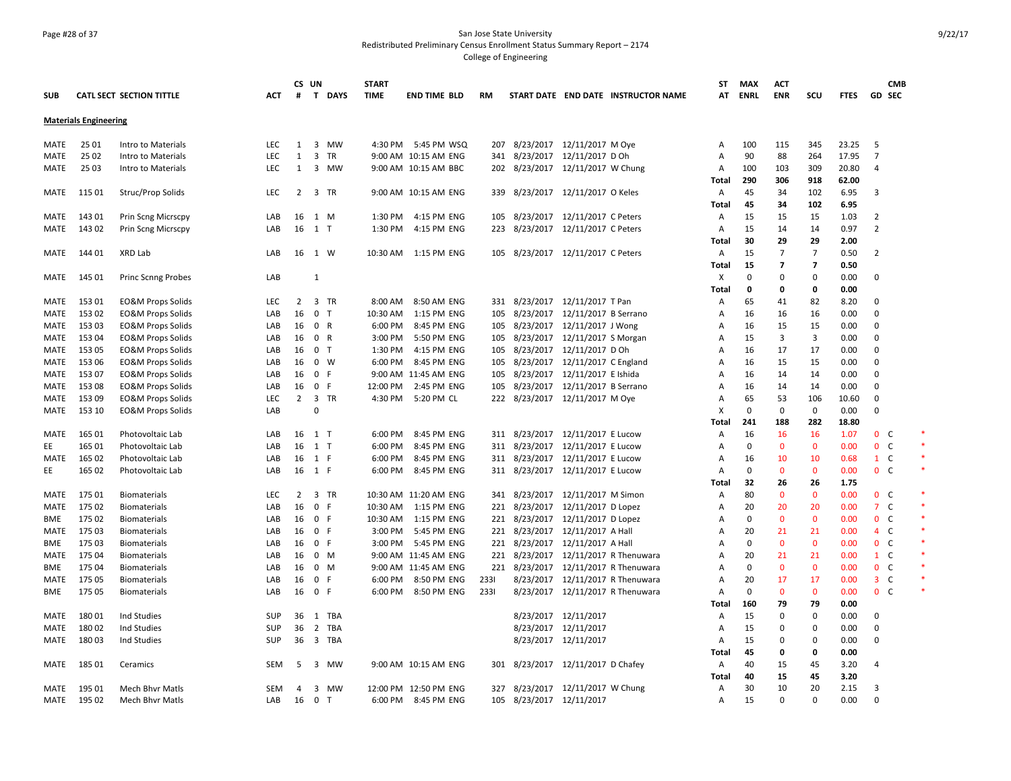### Page #28 of 37 San Jose State University Redistributed Preliminary Census Enrollment Status Summary Report – 2174 College of Engineering

|             |                              |                                 |            | CS UN          |                         |           | <b>START</b> |                       |           |                                   |                                |                                      | <b>ST</b>      | <b>MAX</b>  | <b>ACT</b>     |                |             |                              | <b>CMB</b> |  |
|-------------|------------------------------|---------------------------------|------------|----------------|-------------------------|-----------|--------------|-----------------------|-----------|-----------------------------------|--------------------------------|--------------------------------------|----------------|-------------|----------------|----------------|-------------|------------------------------|------------|--|
| <b>SUB</b>  |                              | <b>CATL SECT SECTION TITTLE</b> | <b>ACT</b> | #              |                         | T DAYS    | <b>TIME</b>  | <b>END TIME BLD</b>   | <b>RM</b> |                                   |                                | START DATE END DATE INSTRUCTOR NAME  | AT             | <b>ENRL</b> | <b>ENR</b>     | scu            | <b>FTES</b> | <b>GD SEC</b>                |            |  |
|             | <b>Materials Engineering</b> |                                 |            |                |                         |           |              |                       |           |                                   |                                |                                      |                |             |                |                |             |                              |            |  |
| <b>MATE</b> | 25 01                        | Intro to Materials              | <b>LEC</b> | 1              |                         | 3 MW      | 4:30 PM      | 5:45 PM WSQ           | 207       |                                   | 8/23/2017 12/11/2017 M Oye     |                                      | Α              | 100         | 115            | 345            | 23.25       | - 5                          |            |  |
| MATE        | 25 02                        | Intro to Materials              | <b>LEC</b> | 1              | 3                       | TR        |              | 9:00 AM 10:15 AM ENG  | 341       |                                   | 8/23/2017 12/11/2017 D Oh      |                                      | A              | 90          | 88             | 264            | 17.95       | 7                            |            |  |
| MATE        | 25 03                        | Intro to Materials              | LEC        | 1              |                         | 3 MW      |              | 9:00 AM 10:15 AM BBC  |           | 202 8/23/2017 12/11/2017 W Chung  |                                |                                      | A              | 100         | 103            | 309            | 20.80       | $\overline{4}$               |            |  |
|             |                              |                                 |            |                |                         |           |              |                       |           |                                   |                                |                                      | Total          | 290         | 306            | 918            | 62.00       |                              |            |  |
| MATE        | 115 01                       | Struc/Prop Solids               | LEC        | $\overline{2}$ | 3 TR                    |           |              | 9:00 AM 10:15 AM ENG  | 339       |                                   | 8/23/2017 12/11/2017 O Keles   |                                      | Α              | 45          | 34             | 102            | 6.95        | 3                            |            |  |
|             |                              |                                 |            |                |                         |           |              |                       |           |                                   |                                |                                      | Total          | 45          | 34             | 102            | 6.95        |                              |            |  |
| MATE        | 143 01                       | Prin Scng Micrscpy              | LAB        | 16             | 1 M                     |           | 1:30 PM      | 4:15 PM ENG           | 105       |                                   | 8/23/2017 12/11/2017 C Peters  |                                      | Α              | 15          | 15             | 15             | 1.03        | $\overline{2}$               |            |  |
| MATE        | 143 02                       | Prin Scng Micrscpy              | LAB        | 16             | 1 T                     |           | 1:30 PM      | 4:15 PM ENG           | 223       |                                   | 8/23/2017 12/11/2017 C Peters  |                                      | Α              | 15          | 14             | 14             | 0.97        | $\overline{2}$               |            |  |
|             |                              |                                 |            |                |                         |           |              |                       |           |                                   |                                |                                      | Total          | 30          | 29             | 29             | 2.00        |                              |            |  |
|             | 144 01                       |                                 |            | 16 1 W         |                         |           |              | 10:30 AM  1:15 PM ENG |           |                                   |                                |                                      | $\overline{A}$ | 15          | $\overline{7}$ | 7              |             | $\overline{2}$               |            |  |
| MATE        |                              | XRD Lab                         | LAB        |                |                         |           |              |                       |           | 105 8/23/2017 12/11/2017 C Peters |                                |                                      |                | 15          | $\overline{7}$ | $\overline{ }$ | 0.50        |                              |            |  |
|             |                              |                                 |            |                |                         |           |              |                       |           |                                   |                                |                                      | <b>Total</b>   | $\Omega$    | $\mathbf 0$    | $\mathbf 0$    | 0.50        |                              |            |  |
| MATE        | 145 01                       | <b>Princ Scnng Probes</b>       | LAB        |                | 1                       |           |              |                       |           |                                   |                                |                                      | X              |             |                |                | 0.00        | $\mathbf 0$                  |            |  |
|             |                              |                                 |            |                |                         |           |              |                       |           |                                   |                                |                                      | <b>Total</b>   | 0           | 0              | 0              | 0.00        |                              |            |  |
| MATE        | 15301                        | <b>EO&amp;M Props Solids</b>    | <b>LEC</b> | $\overline{2}$ | 3 TR                    |           | 8:00 AM      | 8:50 AM ENG           | 331       |                                   | 8/23/2017 12/11/2017 T Pan     |                                      | A              | 65          | 41             | 82             | 8.20        | $\mathbf 0$                  |            |  |
| MATE        | 153 02                       | <b>EO&amp;M Props Solids</b>    | LAB        | 16             | 0 <sub>T</sub>          |           | 10:30 AM     | 1:15 PM ENG           | 105       |                                   | 8/23/2017 12/11/2017 B Serrano |                                      | A              | 16          | 16             | 16             | 0.00        | $\mathbf 0$                  |            |  |
| MATE        | 153 03                       | <b>EO&amp;M Props Solids</b>    | LAB        | 16             | 0 R                     |           | 6:00 PM      | 8:45 PM ENG           | 105       |                                   | 8/23/2017 12/11/2017 J Wong    |                                      | A              | 16          | 15             | 15             | 0.00        | $\mathbf 0$                  |            |  |
| MATE        | 153 04                       | <b>EO&amp;M Props Solids</b>    | LAB        | 16             | 0 R                     |           | 3:00 PM      | 5:50 PM ENG           | 105       |                                   | 8/23/2017 12/11/2017 S Morgan  |                                      | Α              | 15          | 3              | 3              | 0.00        | $\Omega$                     |            |  |
| MATE        | 153 05                       | <b>EO&amp;M Props Solids</b>    | LAB        | 16             | 0 <sub>T</sub>          |           | 1:30 PM      | 4:15 PM ENG           | 105       |                                   | 8/23/2017 12/11/2017 D Oh      |                                      | $\overline{A}$ | 16          | 17             | 17             | 0.00        | $\Omega$                     |            |  |
| MATE        | 153 06                       | EO&M Props Solids               | LAB        | 16             | 0 W                     |           | 6:00 PM      | 8:45 PM ENG           | 105       |                                   | 8/23/2017 12/11/2017 C England |                                      | A              | 16          | 15             | 15             | 0.00        | $\mathbf 0$                  |            |  |
| MATE        | 153 07                       | <b>EO&amp;M Props Solids</b>    | LAB        | 16             | 0 F                     |           |              | 9:00 AM 11:45 AM ENG  | 105       |                                   | 8/23/2017 12/11/2017 E Ishida  |                                      | A              | 16          | 14             | 14             | 0.00        | $\Omega$                     |            |  |
| MATE        | 153 08                       | <b>EO&amp;M Props Solids</b>    | LAB        | 16             | 0 F                     |           | 12:00 PM     | 2:45 PM ENG           | 105       |                                   | 8/23/2017 12/11/2017 B Serrano |                                      | $\overline{A}$ | 16          | 14             | 14             | 0.00        | $\mathbf 0$                  |            |  |
| MATE        | 153 09                       | EO&M Props Solids               | LEC        | $\overline{2}$ | 3 TR                    |           | 4:30 PM      | 5:20 PM CL            |           | 222 8/23/2017 12/11/2017 M Oye    |                                |                                      | A              | 65          | 53             | 106            | 10.60       | 0                            |            |  |
| MATE        | 153 10                       | <b>EO&amp;M Props Solids</b>    | LAB        |                | $\Omega$                |           |              |                       |           |                                   |                                |                                      | X              | $\Omega$    | $\mathbf 0$    | $\mathbf 0$    | 0.00        | $\Omega$                     |            |  |
|             |                              |                                 |            |                |                         |           |              |                       |           |                                   |                                |                                      | Total          | 241         | 188            | 282            | 18.80       |                              |            |  |
| MATE        | 165 01                       | Photovoltaic Lab                | LAB        | 16             | 1 T                     |           | 6:00 PM      | 8:45 PM ENG           | 311       |                                   | 8/23/2017 12/11/2017 E Lucow   |                                      | Α              | 16          | 16             | 16             | 1.07        | $\mathbf 0$<br>C             |            |  |
| EE          | 165 01                       | Photovoltaic Lab                | LAB        | 16             | $1$ T                   |           | 6:00 PM      | 8:45 PM ENG           |           | 311 8/23/2017 12/11/2017 E Lucow  |                                |                                      | A              | 0           | $\mathbf 0$    | $\mathbf{0}$   | 0.00        | $\mathbf{0}$<br>C            |            |  |
| MATE        | 165 02                       | Photovoltaic Lab                | LAB        | 16             | 1 F                     |           | 6:00 PM      | 8:45 PM ENG           |           | 311 8/23/2017 12/11/2017 E Lucow  |                                |                                      | A              | 16          | 10             | 10             | 0.68        | $1\quad C$                   |            |  |
| EE          | 165 02                       | Photovoltaic Lab                | LAB        | 16 1 F         |                         |           | 6:00 PM      | 8:45 PM ENG           |           | 311 8/23/2017 12/11/2017 E Lucow  |                                |                                      | $\overline{A}$ | $\Omega$    | $\mathbf 0$    | $\Omega$       | 0.00        | 0 <sub>c</sub>               |            |  |
|             |                              |                                 |            |                |                         |           |              |                       |           |                                   |                                |                                      | Total          | 32          | 26             | 26             | 1.75        |                              |            |  |
| MATE        | 175 01                       | <b>Biomaterials</b>             | <b>LEC</b> | $\overline{2}$ | 3                       | <b>TR</b> |              | 10:30 AM 11:20 AM ENG |           | 341 8/23/2017 12/11/2017 M Simon  |                                |                                      | A              | 80          | $\mathbf{0}$   | $\mathbf{0}$   | 0.00        | $\mathbf{0}$<br>- C          |            |  |
| MATE        | 175 02                       | <b>Biomaterials</b>             | LAB        | 16             | 0 F                     |           | 10:30 AM     | 1:15 PM ENG           | 221       |                                   | 8/23/2017 12/11/2017 D Lopez   |                                      | $\overline{A}$ | 20          | 20             | 20             | 0.00        | 7 <sup>C</sup>               |            |  |
| BME         | 175 02                       | <b>Biomaterials</b>             | LAB        | 16             | 0 F                     |           | 10:30 AM     | 1:15 PM ENG           | 221       |                                   | 8/23/2017 12/11/2017 D Lopez   |                                      | A              | 0           | $\mathbf 0$    | $\mathbf 0$    | 0.00        | $\mathbf 0$<br>C             |            |  |
| MATE        | 175 03                       | <b>Biomaterials</b>             | LAB        | 16             | 0 F                     |           | 3:00 PM      | 5:45 PM ENG           |           | 221 8/23/2017 12/11/2017 A Hall   |                                |                                      | A              | 20          | 21             | 21             | 0.00        | $4-$                         |            |  |
| <b>BME</b>  | 175 03                       | <b>Biomaterials</b>             | LAB        | 16             | 0 F                     |           | 3:00 PM      | 5:45 PM ENG           | 221       |                                   | 8/23/2017 12/11/2017 A Hall    |                                      | $\overline{A}$ | $\Omega$    | $\mathbf{0}$   | $\mathbf{0}$   | 0.00        | $\mathsf{C}$<br>$\mathbf{0}$ |            |  |
| MATE        | 175 04                       | <b>Biomaterials</b>             | LAB        | 16             | 0 M                     |           |              | 9:00 AM 11:45 AM ENG  |           |                                   |                                | 221 8/23/2017 12/11/2017 R Thenuwara | A              | 20          | 21             | 21             | 0.00        | $1\quad C$                   |            |  |
| BME         | 175 04                       | <b>Biomaterials</b>             | LAB        | 16             | 0 M                     |           |              | 9:00 AM 11:45 AM ENG  |           |                                   |                                | 221 8/23/2017 12/11/2017 R Thenuwara | A              | 0           | $\mathbf{0}$   | $\mathbf{0}$   | 0.00        | 0 <sup>o</sup>               |            |  |
| MATE        | 175 05                       | <b>Biomaterials</b>             | LAB        | 16             | $\mathbf{0}$            | - F       | 6:00 PM      | 8:50 PM ENG           | 2331      |                                   |                                | 8/23/2017 12/11/2017 R Thenuwara     | A              | 20          | 17             | 17             | 0.00        | $3-$                         |            |  |
| <b>BME</b>  | 175 05                       | <b>Biomaterials</b>             | LAB        | 16             | 0 F                     |           | 6:00 PM      | 8:50 PM ENG           | 2331      |                                   |                                | 8/23/2017 12/11/2017 R Thenuwara     | $\overline{A}$ | $\Omega$    | $\mathbf 0$    | $\mathbf 0$    | 0.00        | 0 <sup>o</sup>               |            |  |
|             |                              |                                 |            |                |                         |           |              |                       |           |                                   |                                |                                      | Total          | 160         | 79             | 79             | 0.00        |                              |            |  |
| MATE        | 18001                        | Ind Studies                     | SUP        | 36             | 1 TBA                   |           |              |                       |           |                                   | 8/23/2017 12/11/2017           |                                      | Α              | 15          | 0              | 0              | 0.00        | 0                            |            |  |
| MATE        | 180 02                       | Ind Studies                     | <b>SUP</b> | 36             |                         | 2 TBA     |              |                       |           |                                   | 8/23/2017 12/11/2017           |                                      | Α              | 15          | 0              | $\mathbf 0$    | 0.00        | $\Omega$                     |            |  |
| MATE        | 18003                        | Ind Studies                     | SUP        | 36             | 3 TBA                   |           |              |                       |           |                                   | 8/23/2017 12/11/2017           |                                      | A              | 15          | 0              | $\mathbf 0$    | 0.00        | 0                            |            |  |
|             |                              |                                 |            |                |                         |           |              |                       |           |                                   |                                |                                      | Total          | 45          | 0              | 0              | 0.00        |                              |            |  |
| MATE        | 185 01                       | Ceramics                        | <b>SEM</b> | -5             | $\overline{\mathbf{3}}$ | MW        |              | 9:00 AM 10:15 AM ENG  |           | 301 8/23/2017 12/11/2017 D Chafey |                                |                                      | A              | 40          | 15             | 45             | 3.20        | 4                            |            |  |
|             |                              |                                 |            |                |                         |           |              |                       |           |                                   |                                |                                      | <b>Total</b>   | 40          | 15             | 45             | 3.20        |                              |            |  |
| MATE        | 195 01                       | <b>Mech Bhvr Matls</b>          | SEM        | 4              | 3                       | MW        |              | 12:00 PM 12:50 PM ENG | 327       |                                   | 8/23/2017 12/11/2017 W Chung   |                                      | А              | 30          | 10             | 20             | 2.15        | 3                            |            |  |
| MATE        | 195 02                       | <b>Mech Bhvr Matls</b>          | LAB        | 16             | 0 <sub>T</sub>          |           | 6:00 PM      | 8:45 PM ENG           | 105       | 8/23/2017 12/11/2017              |                                |                                      | Α              | 15          | $\Omega$       | $\Omega$       | 0.00        | $\Omega$                     |            |  |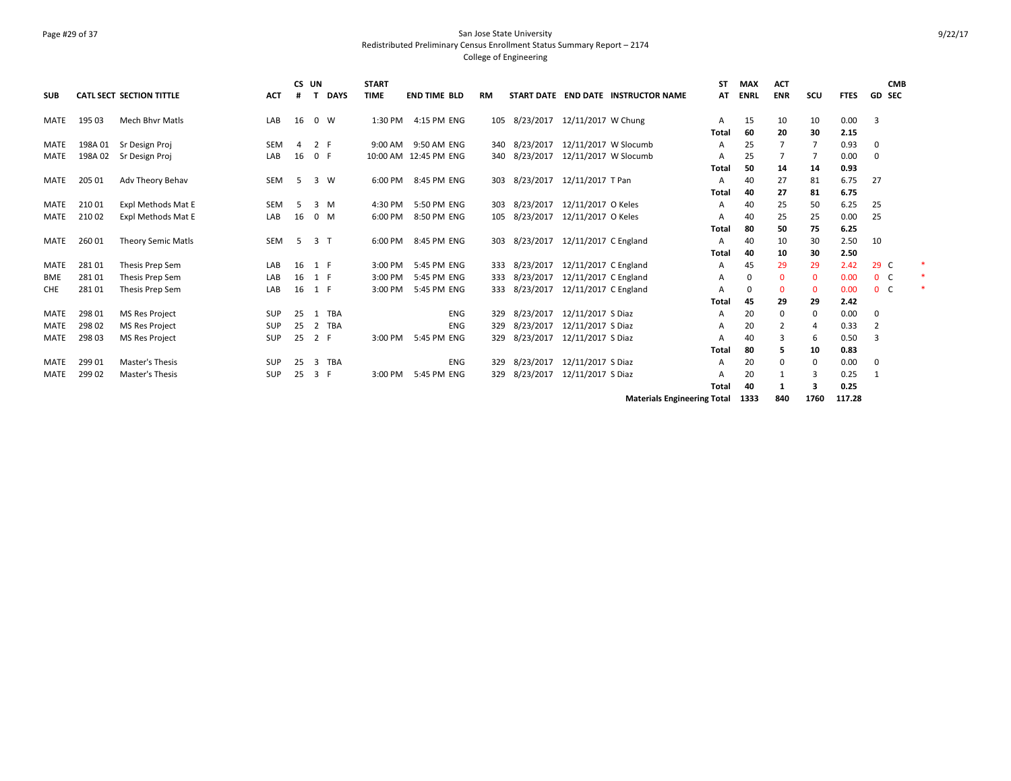### Page #29 of 37 San Jose State University Redistributed Preliminary Census Enrollment Status Summary Report – 2174 College of Engineering

| <b>SUB</b>  |         | <b>CATL SECT SECTION TITTLE</b> | <b>ACT</b> | CS UN |                | <b>DAYS</b> | <b>START</b><br><b>TIME</b> | <b>END TIME BLD</b> |            | <b>RM</b> |                                    |                      | START DATE END DATE INSTRUCTOR NAME | SΤ<br>AT     | <b>MAX</b><br><b>ENRL</b> | <b>ACT</b><br><b>ENR</b> | scu          | <b>FTES</b> | <b>CMB</b><br><b>GD SEC</b> |  |
|-------------|---------|---------------------------------|------------|-------|----------------|-------------|-----------------------------|---------------------|------------|-----------|------------------------------------|----------------------|-------------------------------------|--------------|---------------------------|--------------------------|--------------|-------------|-----------------------------|--|
|             |         |                                 |            |       |                |             |                             |                     |            |           |                                    |                      |                                     |              |                           |                          |              |             |                             |  |
| <b>MATE</b> | 195 03  | <b>Mech Bhyr Matls</b>          | LAB        | 16    | $0 \quad W$    |             | 1:30 PM                     | 4:15 PM ENG         |            |           | 105 8/23/2017 12/11/2017 W Chung   |                      |                                     | А            | 15                        | 10                       | 10           | 0.00        | 3                           |  |
|             |         |                                 |            |       |                |             |                             |                     |            |           |                                    |                      |                                     | <b>Total</b> | 60                        | 20                       | 30           | 2.15        |                             |  |
| <b>MATE</b> | 198A 01 | Sr Design Proj                  | <b>SEM</b> | 4     | 2 F            |             | 9:00 AM                     | 9:50 AM ENG         |            |           | 340 8/23/2017                      | 12/11/2017 W Slocumb |                                     | Α            | 25                        |                          |              | 0.93        | 0                           |  |
| <b>MATE</b> | 198A 02 | Sr Design Proj                  | LAB        | 16    | 0 F            |             | 10:00 AM 12:45 PM ENG       |                     |            |           | 340 8/23/2017                      | 12/11/2017 W Slocumb |                                     | А            | 25                        | 7                        |              | 0.00        | 0                           |  |
|             |         |                                 |            |       |                |             |                             |                     |            |           |                                    |                      |                                     | <b>Total</b> | 50                        | 14                       | 14           | 0.93        |                             |  |
| <b>MATE</b> | 205 01  | Adv Theory Behav                | <b>SEM</b> | -5    | 3 W            |             | 6:00 PM                     | 8:45 PM ENG         |            |           | 303 8/23/2017                      | 12/11/2017 T Pan     |                                     | А            | 40                        | 27                       | 81           | 6.75        | 27                          |  |
|             |         |                                 |            |       |                |             |                             |                     |            |           |                                    |                      |                                     | <b>Total</b> | 40                        | 27                       | 81           | 6.75        |                             |  |
| MATE        | 21001   | Expl Methods Mat E              | <b>SEM</b> | -5    | $3 \, M$       |             | 4:30 PM                     | 5:50 PM ENG         |            | 303       | 8/23/2017                          | 12/11/2017 O Keles   |                                     | А            | 40                        | 25                       | 50           | 6.25        | 25                          |  |
| <b>MATE</b> | 210 02  | Expl Methods Mat E              | LAB        | 16    | $0 \mathsf{M}$ |             | 6:00 PM                     | 8:50 PM ENG         |            |           | 105 8/23/2017                      | 12/11/2017 O Keles   |                                     | А            | 40                        | 25                       | 25           | 0.00        | 25                          |  |
|             |         |                                 |            |       |                |             |                             |                     |            |           |                                    |                      |                                     | Total        | 80                        | 50                       | 75           | 6.25        |                             |  |
| <b>MATE</b> | 260 01  | <b>Theory Semic Matls</b>       | SEM        | -5    | 3 <sub>1</sub> |             | 6:00 PM                     | 8:45 PM ENG         |            |           | 303 8/23/2017 12/11/2017 C England |                      |                                     | А            | 40                        | 10                       | 30           | 2.50        | 10                          |  |
|             |         |                                 |            |       |                |             |                             |                     |            |           |                                    |                      |                                     | Total        | 40                        | 10                       | 30           | 2.50        |                             |  |
| MATE        | 28101   | Thesis Prep Sem                 | LAB        | 16    | 1 F            |             | 3:00 PM                     | 5:45 PM ENG         |            | 333       | 8/23/2017                          | 12/11/2017 C England |                                     | A            | 45                        | 29                       | 29           | 2.42        | 29 C                        |  |
| <b>BME</b>  | 28101   | Thesis Prep Sem                 | LAB        | 16    | 1 F            |             | 3:00 PM                     | 5:45 PM ENG         |            | 333       | 8/23/2017                          | 12/11/2017 C England |                                     | А            |                           | 0                        | $\mathbf 0$  | 0.00        | 0 <sup>o</sup>              |  |
| <b>CHE</b>  | 28101   | Thesis Prep Sem                 | LAB        | 16    | 1 F            |             | 3:00 PM                     | 5:45 PM ENG         |            | 333       | 8/23/2017                          | 12/11/2017 C England |                                     | А            |                           | $\Omega$                 | $\mathbf{0}$ | 0.00        | 0 <sup>o</sup>              |  |
|             |         |                                 |            |       |                |             |                             |                     |            |           |                                    |                      |                                     | Total        | 45                        | 29                       | 29           | 2.42        |                             |  |
| <b>MATE</b> | 298 01  | <b>MS Res Project</b>           | <b>SUP</b> | 25    | 1              | TBA         |                             |                     | ENG        | 329       | 8/23/2017                          | 12/11/2017 S Diaz    |                                     | А            | 20                        | 0                        | 0            | 0.00        | 0                           |  |
| <b>MATE</b> | 298 02  | <b>MS Res Project</b>           | <b>SUP</b> | 25    | 2              | TBA         |                             |                     | <b>ENG</b> | 329       | 8/23/2017                          | 12/11/2017 S Diaz    |                                     | А            | 20                        | 2                        | 4            | 0.33        | -2                          |  |
| <b>MATE</b> | 298 03  | <b>MS Res Project</b>           | <b>SUP</b> | 25    | 2 F            |             | 3:00 PM                     | 5:45 PM ENG         |            | 329       | 8/23/2017                          | 12/11/2017 S Diaz    |                                     | А            | 40                        | 3                        | 6            | 0.50        | 3                           |  |
|             |         |                                 |            |       |                |             |                             |                     |            |           |                                    |                      |                                     | <b>Total</b> | 80                        | 5                        | 10           | 0.83        |                             |  |
| <b>MATE</b> | 299 01  | Master's Thesis                 | <b>SUP</b> | 25    | 3              | TBA         |                             |                     | ENG        | 329       | 8/23/2017                          | 12/11/2017 S Diaz    |                                     | A            | 20                        | $\mathbf 0$              | 0            | 0.00        | 0                           |  |
| <b>MATE</b> | 299 02  | Master's Thesis                 | SUP        | 25    | 3 F            |             | 3:00 PM                     | 5:45 PM ENG         |            | 329       | 8/23/2017                          | 12/11/2017 S Diaz    |                                     | А            | 20                        | 1                        | 3            | 0.25        | -1                          |  |
|             |         |                                 |            |       |                |             |                             |                     |            |           |                                    |                      |                                     | Total        | 40                        |                          | з            | 0.25        |                             |  |

**Materials Engineering Total 1333 840 1760 117.28**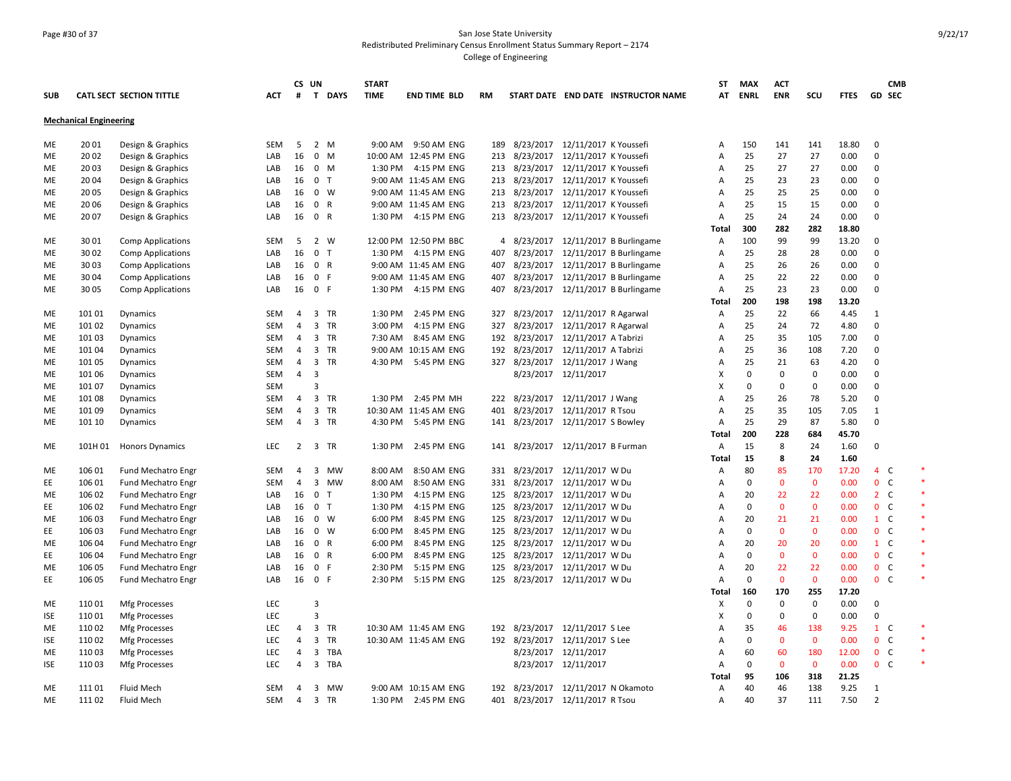### Page #30 of 37 San Jose State University Redistributed Preliminary Census Enrollment Status Summary Report – 2174 College of Engineering

|            |                               |                                 |                          | CS UN          |                |              | <b>START</b> |                       |           |                                     |                      |                                       | <b>ST</b>                 | <b>MAX</b>  | <b>ACT</b>        |              |             | <b>CMB</b>                          |  |
|------------|-------------------------------|---------------------------------|--------------------------|----------------|----------------|--------------|--------------|-----------------------|-----------|-------------------------------------|----------------------|---------------------------------------|---------------------------|-------------|-------------------|--------------|-------------|-------------------------------------|--|
| <b>SUB</b> |                               | <b>CATL SECT SECTION TITTLE</b> | <b>ACT</b>               | #              | $\mathbf{T}$   | <b>DAYS</b>  | <b>TIME</b>  | <b>END TIME BLD</b>   | <b>RM</b> |                                     |                      | START DATE END DATE INSTRUCTOR NAME   |                           | AT ENRL     | <b>ENR</b>        | SCU          | <b>FTES</b> | <b>GD SEC</b>                       |  |
|            | <b>Mechanical Engineering</b> |                                 |                          |                |                |              |              |                       |           |                                     |                      |                                       |                           |             |                   |              |             |                                     |  |
| ME         | 20 01                         | Design & Graphics               | SEM                      | 5              |                | 2 M          |              | 9:00 AM 9:50 AM ENG   |           | 189 8/23/2017 12/11/2017 K Youssefi |                      |                                       | Α                         | 150         | 141               | 141          | 18.80       | $\mathbf 0$                         |  |
| ME         | 20 02                         | Design & Graphics               | LAB                      | 16             |                | $0$ M        |              | 10:00 AM 12:45 PM ENG |           | 213 8/23/2017 12/11/2017 K Youssefi |                      |                                       | $\overline{A}$            | 25          | 27                | 27           | 0.00        | $\mathbf 0$                         |  |
| ME         | 20 03                         | Design & Graphics               | LAB                      | 16             | 0 M            |              | 1:30 PM      | 4:15 PM ENG           |           | 213 8/23/2017 12/11/2017 K Youssefi |                      |                                       | $\overline{A}$            | 25          | 27                | 27           | 0.00        | $\mathbf 0$                         |  |
| ME         | 20 04                         | Design & Graphics               | LAB                      | 16             | 0 <sub>T</sub> |              |              | 9:00 AM 11:45 AM ENG  |           | 213 8/23/2017 12/11/2017 K Youssefi |                      |                                       | A                         | 25          | 23                | 23           | 0.00        | $\mathbf 0$                         |  |
| ME         | 20 05                         | Design & Graphics               | LAB                      | 16             |                | $0 \quad W$  |              | 9:00 AM 11:45 AM ENG  |           | 213 8/23/2017 12/11/2017 K Youssefi |                      |                                       | Α                         | 25          | 25                | 25           | 0.00        | $\Omega$                            |  |
| ME         | 20 06                         | Design & Graphics               | LAB                      | 16             | $\mathbf 0$    | $\mathsf{R}$ |              | 9:00 AM 11:45 AM ENG  |           | 213 8/23/2017 12/11/2017 K Youssefi |                      |                                       | A                         | 25          | 15                | 15           | 0.00        | $\Omega$                            |  |
| ME         | 20 07                         | Design & Graphics               | LAB                      | 16             | 0 R            |              | 1:30 PM      | 4:15 PM ENG           | 213       | 8/23/2017 12/11/2017 K Youssefi     |                      |                                       | Α                         | 25          | 24                | 24           | 0.00        | 0                                   |  |
|            |                               |                                 |                          |                |                |              |              |                       |           |                                     |                      |                                       | Total                     | 300         | 282               | 282          | 18.80       |                                     |  |
| ME         | 3001                          | <b>Comp Applications</b>        | SEM                      | 5              |                | 2 W          |              | 12:00 PM 12:50 PM BBC |           |                                     |                      | 4 8/23/2017 12/11/2017 B Burlingame   | A                         | 100         | 99                | 99           | 13.20       | $\mathbf 0$                         |  |
| ME         | 30 02                         | <b>Comp Applications</b>        | LAB                      | 16             | 0 <sub>T</sub> |              | 1:30 PM      | 4:15 PM ENG           |           |                                     |                      | 407 8/23/2017 12/11/2017 B Burlingame | $\overline{A}$            | 25          | 28                | 28           | 0.00        | $\Omega$                            |  |
| ME         | 3003                          | <b>Comp Applications</b>        | LAB                      | 16             | 0 R            |              |              | 9:00 AM 11:45 AM ENG  |           |                                     |                      | 407 8/23/2017 12/11/2017 B Burlingame | A                         | 25          | 26                | 26           | 0.00        | $\mathbf 0$                         |  |
| ME         | 30 04                         | <b>Comp Applications</b>        | LAB                      | 16             | 0 F            |              |              | 9:00 AM 11:45 AM ENG  |           |                                     |                      | 407 8/23/2017 12/11/2017 B Burlingame | A                         | 25          | 22                | 22           | 0.00        | $\Omega$                            |  |
| <b>ME</b>  | 30 05                         | <b>Comp Applications</b>        | LAB                      | 16             | 0 F            |              |              | 1:30 PM 4:15 PM ENG   |           |                                     |                      | 407 8/23/2017 12/11/2017 B Burlingame | A                         | 25          | 23                | 23           | 0.00        | $\Omega$                            |  |
|            |                               |                                 |                          |                |                |              |              |                       |           |                                     |                      |                                       | Total                     | 200         | 198               | 198          | 13.20       |                                     |  |
| ME         | 101 01                        | Dynamics                        | SEM                      | 4              |                | 3 TR         | 1:30 PM      | 2:45 PM ENG           |           | 327 8/23/2017 12/11/2017 R Agarwal  |                      |                                       | Α                         | 25          | 22                | 66           | 4.45        | $\mathbf{1}$                        |  |
| ME         | 101 02                        | Dynamics                        | <b>SEM</b>               | 4              |                | 3 TR         | 3:00 PM      | 4:15 PM ENG           |           | 327 8/23/2017 12/11/2017 R Agarwal  |                      |                                       | Α                         | 25          | 24                | 72           | 4.80        | $\Omega$                            |  |
| ME         | 101 03                        | <b>Dynamics</b>                 | <b>SEM</b>               | 4              |                | 3 TR         | 7:30 AM      | 8:45 AM ENG           |           | 192 8/23/2017 12/11/2017 A Tabrizi  |                      |                                       | $\overline{A}$            | 25          | 35                | 105          | 7.00        | $\Omega$                            |  |
| ME         | 101 04                        | Dynamics                        | <b>SEM</b>               | 4              |                | 3 TR         |              | 9:00 AM 10:15 AM ENG  |           | 192 8/23/2017 12/11/2017 A Tabrizi  |                      |                                       | $\overline{A}$            | 25          | 36                | 108          | 7.20        | $\mathbf 0$                         |  |
| ME         | 101 05                        | Dynamics                        | <b>SEM</b>               | 4              |                | 3 TR         | 4:30 PM      | 5:45 PM ENG           |           | 327 8/23/2017 12/11/2017 J Wang     |                      |                                       | Α                         | 25          | 21                | 63           | 4.20        | $\Omega$                            |  |
| <b>ME</b>  | 101 06                        | Dynamics                        | <b>SEM</b>               | $\overline{4}$ | 3              |              |              |                       |           |                                     | 8/23/2017 12/11/2017 |                                       | X                         | $\mathbf 0$ | $\mathbf 0$       | $\mathbf 0$  | 0.00        | $\Omega$                            |  |
| ME         | 101 07                        | Dynamics                        | <b>SEM</b>               |                | 3              |              |              |                       |           |                                     |                      |                                       | $\boldsymbol{\mathsf{X}}$ | 0           | 0                 | $\mathbf 0$  | 0.00        | $\mathbf 0$                         |  |
| ME         | 101 08                        | Dynamics                        | <b>SEM</b>               | 4              |                | 3 TR         | 1:30 PM      | 2:45 PM MH            |           | 222 8/23/2017 12/11/2017 J Wang     |                      |                                       | Α                         | 25          | 26                | 78           | 5.20        | $\mathbf 0$                         |  |
| ME         | 101 09                        | Dynamics                        | <b>SEM</b>               | 4              |                | 3 TR         |              | 10:30 AM 11:45 AM ENG | 401       | 8/23/2017 12/11/2017 R Tsou         |                      |                                       | A                         | 25          | 35                | 105          | 7.05        | $\mathbf{1}$                        |  |
| ME         | 101 10                        | Dynamics                        | <b>SEM</b>               | 4              |                | 3 TR         | 4:30 PM      | 5:45 PM ENG           |           | 141 8/23/2017 12/11/2017 S Bowley   |                      |                                       | A                         | 25          | 29                | 87           | 5.80        | 0                                   |  |
|            |                               |                                 |                          |                |                |              |              |                       |           |                                     |                      |                                       | Total                     | 200         | 228               | 684          | 45.70       |                                     |  |
| ME         | 101H 01                       | <b>Honors Dynamics</b>          | LEC                      | $\overline{2}$ |                | 3 TR         | 1:30 PM      | 2:45 PM ENG           | 141       | 8/23/2017 12/11/2017 B Furman       |                      |                                       | Α                         | 15          | 8                 | 24           | 1.60        | $\Omega$                            |  |
|            |                               |                                 |                          |                |                |              |              |                       |           |                                     |                      |                                       | Total                     | 15          | 8                 | 24           | 1.60        |                                     |  |
| ME         | 106 01                        | Fund Mechatro Engr              | <b>SEM</b>               | 4              | 3              | <b>MW</b>    | 8:00 AM      | 8:50 AM ENG           |           | 331 8/23/2017 12/11/2017 W Du       |                      |                                       | A                         | 80          | 85                | 170          | 17.20       | 4 C                                 |  |
| EE         | 106 01                        | Fund Mechatro Engr              | <b>SEM</b>               | 4              | 3              | MW           | 8:00 AM      | 8:50 AM ENG           | 331       | 8/23/2017 12/11/2017 W Du           |                      |                                       | A                         | 0           | $\mathbf 0$       | $\mathbf 0$  | 0.00        | 0 <sub>c</sub>                      |  |
| ME         | 106 02                        | <b>Fund Mechatro Engr</b>       | LAB                      | 16             | $\mathbf{0}$   | $\top$       | 1:30 PM      | 4:15 PM ENG           | 125       | 8/23/2017 12/11/2017 W Du           |                      |                                       | Α                         | 20          | 22                | 22           | 0.00        | 2 <sub>c</sub>                      |  |
| EE         | 106 02                        | <b>Fund Mechatro Engr</b>       | LAB                      | 16             | 0 <sub>T</sub> |              | 1:30 PM      | 4:15 PM ENG           |           | 125 8/23/2017 12/11/2017 W Du       |                      |                                       | $\overline{A}$            | 0           | $\mathbf{0}$      | $\mathbf{0}$ | 0.00        | 0 <sup>o</sup>                      |  |
| ME         | 106 03                        | <b>Fund Mechatro Engr</b>       | LAB                      | 16             |                | $0 \quad W$  | 6:00 PM      | 8:45 PM ENG           |           | 125 8/23/2017 12/11/2017 W Du       |                      |                                       | Α                         | 20          | 21                | 21           | 0.00        | $1\quad C$                          |  |
| EE         | 106 03                        | <b>Fund Mechatro Engr</b>       | LAB                      | 16             |                | $0 \quad W$  | 6:00 PM      | 8:45 PM ENG           |           | 125 8/23/2017 12/11/2017 W Du       |                      |                                       | Α                         | 0           | $\mathbf 0$       | $\mathbf{0}$ | 0.00        | 0 <sup>o</sup>                      |  |
| ME         | 106 04                        | Fund Mechatro Engr              | LAB                      | 16             | 0 R            |              | 6:00 PM      | 8:45 PM ENG           |           | 125 8/23/2017 12/11/2017 W Du       |                      |                                       | $\overline{A}$            | 20          | 20                | 20           | 0.00        | $1 \quad C$                         |  |
| EE.        | 106 04                        | <b>Fund Mechatro Engr</b>       | LAB                      | 16             | $\mathbf{0}$   | $\mathsf{R}$ | 6:00 PM      | 8:45 PM ENG           | 125       | 8/23/2017 12/11/2017 W Du           |                      |                                       | $\overline{A}$            | $\mathbf 0$ | $\mathbf{0}$      | $\mathbf{0}$ | 0.00        | $\mathbf 0$<br><b>C</b>             |  |
| ME         | 106 05                        | <b>Fund Mechatro Engr</b>       | LAB                      | 16             | 0              | F            | 2:30 PM      | 5:15 PM ENG           | 125       | 8/23/2017 12/11/2017 W Du           |                      |                                       | A                         | 20          | 22                | 22           | 0.00        | 0 <sup>o</sup>                      |  |
| EE         | 106 05                        | Fund Mechatro Engr              | LAB                      | 16             | 0 F            |              | 2:30 PM      | 5:15 PM ENG           | 125       | 8/23/2017 12/11/2017 W Du           |                      |                                       | $\overline{A}$            | $\mathbf 0$ | $\mathbf{0}$      | $\mathbf{0}$ | 0.00        | 0 <sup>o</sup>                      |  |
|            |                               |                                 |                          |                |                |              |              |                       |           |                                     |                      |                                       |                           | 160         | 170               | 255          | 17.20       |                                     |  |
| ME         | 11001                         |                                 | <b>LEC</b>               |                | 3              |              |              |                       |           |                                     |                      |                                       | Total<br>х                | 0           | $\mathbf 0$       | $\mathbf 0$  | 0.00        | $\mathbf 0$                         |  |
|            |                               | <b>Mfg Processes</b>            | <b>LEC</b>               |                | 3              |              |              |                       |           |                                     |                      |                                       | X                         | $\mathbf 0$ | $\mathbf 0$       | $\mathbf 0$  | 0.00        | $\mathbf 0$                         |  |
| <b>ISE</b> | 11001                         | Mfg Processes                   |                          |                |                | 3 TR         |              |                       |           |                                     |                      |                                       |                           |             |                   | 138          |             | $1\quad C$                          |  |
| ME         | 110 02                        | Mfg Processes                   | LEC                      | 4              |                |              |              | 10:30 AM 11:45 AM ENG |           | 192 8/23/2017 12/11/2017 S Lee      |                      |                                       | Α                         | 35          | 46                | $\Omega$     | 9.25        |                                     |  |
| <b>ISE</b> | 110 02                        | <b>Mfg Processes</b>            | <b>LEC</b><br><b>LEC</b> | $\overline{4}$ |                | 3 TR         |              | 10:30 AM 11:45 AM ENG |           | 192 8/23/2017 12/11/2017 S Lee      |                      |                                       | Α                         | 0<br>60     | $\mathbf{0}$      | 180          | 0.00        | $\mathbf{0}$<br>C<br>0 <sup>o</sup> |  |
| ME         | 11003                         | Mfg Processes                   |                          | 4              |                | 3 TBA        |              |                       |           |                                     | 8/23/2017 12/11/2017 |                                       | $\overline{A}$            |             | 60<br>$\mathbf 0$ | $\mathbf 0$  | 12.00       | 0 <sup>o</sup>                      |  |
| <b>ISE</b> | 11003                         | Mfg Processes                   | LEC                      | 4              | 3              | TBA          |              |                       |           |                                     | 8/23/2017 12/11/2017 |                                       | Α                         | 0           |                   |              | 0.00        |                                     |  |
|            |                               |                                 |                          |                |                |              |              |                       |           |                                     |                      |                                       | Total                     | 95          | 106               | 318          | 21.25       |                                     |  |
| ME         | 11101                         | Fluid Mech                      | <b>SEM</b>               | $\overline{a}$ |                | 3 MW         |              | 9:00 AM 10:15 AM ENG  |           | 192 8/23/2017 12/11/2017 N Okamoto  |                      |                                       | Α                         | 40          | 46                | 138          | 9.25        | 1                                   |  |
| ME         | 11102                         | Fluid Mech                      | <b>SEM</b>               | 4              |                | 3 TR         |              | 1:30 PM 2:45 PM ENG   | 401       | 8/23/2017 12/11/2017 R Tsou         |                      |                                       | $\overline{A}$            | 40          | 37                | 111          | 7.50        | $\overline{2}$                      |  |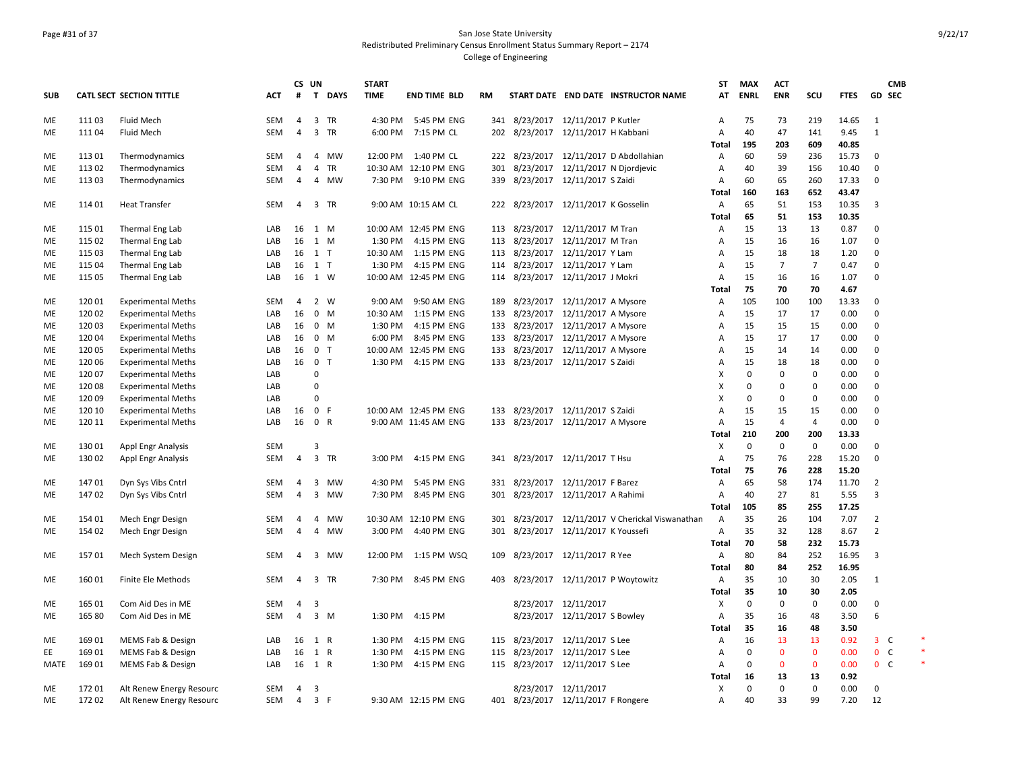### Page #31 of 37 San Jose State University Redistributed Preliminary Census Enrollment Status Summary Report – 2174 College of Engineering

|            |        |                                 |            |                | CS UN          |                | <b>START</b> |                       |     |                                     |                               |                                                  | <b>ST</b>      | <b>MAX</b>  | <b>ACT</b>     |                |             | <b>CMB</b>     |  |
|------------|--------|---------------------------------|------------|----------------|----------------|----------------|--------------|-----------------------|-----|-------------------------------------|-------------------------------|--------------------------------------------------|----------------|-------------|----------------|----------------|-------------|----------------|--|
| <b>SUB</b> |        | <b>CATL SECT SECTION TITTLE</b> | ACT        | #              | $\mathbf{T}$   | <b>DAYS</b>    | <b>TIME</b>  | <b>END TIME BLD</b>   | RM  |                                     |                               | START DATE END DATE INSTRUCTOR NAME              | AT             | <b>ENRL</b> | <b>ENR</b>     | scu            | <b>FTES</b> | GD SEC         |  |
| ME         | 111 03 | Fluid Mech                      | SEM        | 4              |                | 3 TR           |              | 4:30 PM 5:45 PM ENG   |     | 341 8/23/2017 12/11/2017 P Kutler   |                               |                                                  | Α              | 75          | 73             | 219            | 14.65       | $\mathbf{1}$   |  |
| ME         | 111 04 | Fluid Mech                      | <b>SEM</b> | 4              |                | 3 TR           |              | 6:00 PM 7:15 PM CL    |     | 202 8/23/2017 12/11/2017 H Kabbani  |                               |                                                  | A              | 40          | 47             | 141            | 9.45        | 1              |  |
|            |        |                                 |            |                |                |                |              |                       |     |                                     |                               |                                                  | <b>Total</b>   | 195         | 203            | 609            | 40.85       |                |  |
| ME         | 113 01 | Thermodynamics                  | SEM        | 4              |                | 4 MW           |              | 12:00 PM 1:40 PM CL   |     |                                     |                               | 222 8/23/2017 12/11/2017 D Abdollahian           | Α              | 60          | 59             | 236            | 15.73       | $\mathbf{0}$   |  |
| ME         | 113 02 | Thermodynamics                  | SEM        | 4              | 4              | TR             |              | 10:30 AM 12:10 PM ENG | 301 |                                     |                               | 8/23/2017 12/11/2017 N Djordjevic                | Α              | 40          | 39             | 156            | 10.40       | $\mathbf 0$    |  |
| ME         | 113 03 | Thermodynamics                  | <b>SEM</b> | 4              |                | 4 MW           |              | 7:30 PM 9:10 PM ENG   | 339 | 8/23/2017 12/11/2017 S Zaidi        |                               |                                                  | Α              | 60          | 65             | 260            | 17.33       | $\mathbf 0$    |  |
|            |        |                                 |            |                |                |                |              |                       |     |                                     |                               |                                                  | Total          | 160         | 163            | 652            | 43.47       |                |  |
| ME         | 114 01 | <b>Heat Transfer</b>            | <b>SEM</b> | 4              |                | 3 TR           |              | 9:00 AM 10:15 AM CL   |     | 222 8/23/2017 12/11/2017 K Gosselin |                               |                                                  | Α              | 65          | 51             | 153            | 10.35       | 3              |  |
|            |        |                                 |            |                |                |                |              |                       |     |                                     |                               |                                                  | Total          | 65          | 51             | 153            | 10.35       |                |  |
| ME         | 115 01 | Thermal Eng Lab                 | LAB        | 16             | 1 M            |                |              | 10:00 AM 12:45 PM ENG |     | 113 8/23/2017 12/11/2017 M Tran     |                               |                                                  | Α              | 15          | 13             | 13             | 0.87        | $\Omega$       |  |
| ME         | 115 02 | Thermal Eng Lab                 | LAB        |                | 16 1 M         |                |              | 1:30 PM 4:15 PM ENG   |     | 113 8/23/2017 12/11/2017 M Tran     |                               |                                                  | Α              | 15          | 16             | 16             | 1.07        | $\Omega$       |  |
| ME         | 115 03 | Thermal Eng Lab                 | LAB        |                | 16 1 T         |                | 10:30 AM     | 1:15 PM ENG           |     | 113 8/23/2017 12/11/2017 Y Lam      |                               |                                                  | $\overline{A}$ | 15          | 18             | 18             | 1.20        | $\Omega$       |  |
| ME         | 115 04 | Thermal Eng Lab                 | LAB        |                | 16 1 T         |                | 1:30 PM      | 4:15 PM ENG           |     | 114 8/23/2017 12/11/2017 Y Lam      |                               |                                                  | $\overline{A}$ | 15          | $\overline{7}$ | $\overline{7}$ | 0.47        | $\mathbf 0$    |  |
| ME         | 115 05 | Thermal Eng Lab                 | LAB        | 16             | 1 W            |                |              | 10:00 AM 12:45 PM ENG |     | 114 8/23/2017 12/11/2017 J Mokri    |                               |                                                  | Α              | 15          | 16             | 16             | 1.07        | $\Omega$       |  |
|            |        |                                 |            |                |                |                |              |                       |     |                                     |                               |                                                  | Total          | 75          | 70             | 70             | 4.67        |                |  |
| ME         | 120 01 | <b>Experimental Meths</b>       | <b>SEM</b> | 4              |                | 2 W            | 9:00 AM      | 9:50 AM ENG           | 189 | 8/23/2017 12/11/2017 A Mysore       |                               |                                                  | Α              | 105         | 100            | 100            | 13.33       | $\mathbf 0$    |  |
| ME         | 120 02 | <b>Experimental Meths</b>       | LAB        | 16             |                | 0 M            | 10:30 AM     | 1:15 PM ENG           |     | 133 8/23/2017 12/11/2017 A Mysore   |                               |                                                  | Α              | 15          | 17             | 17             | 0.00        | $\mathbf 0$    |  |
| ME         | 120 03 | <b>Experimental Meths</b>       | LAB        | 16             |                | $0 \mathsf{M}$ | 1:30 PM      | 4:15 PM ENG           |     | 133 8/23/2017 12/11/2017 A Mysore   |                               |                                                  | Α              | 15          | 15             | 15             | 0.00        | $\Omega$       |  |
| ME         | 120 04 | <b>Experimental Meths</b>       | LAB        | 16             |                | $0$ M          | 6:00 PM      | 8:45 PM ENG           |     | 133 8/23/2017 12/11/2017 A Mysore   |                               |                                                  | Α              | 15          | 17             | 17             | 0.00        | $\mathbf 0$    |  |
| ME         | 120 05 | <b>Experimental Meths</b>       | LAB        | 16             | 0 <sub>T</sub> |                |              | 10:00 AM 12:45 PM ENG |     | 133 8/23/2017 12/11/2017 A Mysore   |                               |                                                  | Α              | 15          | 14             | 14             | 0.00        | $\Omega$       |  |
| ME         | 120 06 | <b>Experimental Meths</b>       | LAB        |                | 16 0 T         |                |              | 1:30 PM 4:15 PM ENG   | 133 | 8/23/2017 12/11/2017 S Zaidi        |                               |                                                  | Α              | 15          | 18             | 18             | 0.00        | $\Omega$       |  |
| ME         | 120 07 | <b>Experimental Meths</b>       | LAB        |                | $\Omega$       |                |              |                       |     |                                     |                               |                                                  | X              | 0           | $\mathbf 0$    | 0              | 0.00        | $\mathbf 0$    |  |
| ME         | 12008  | <b>Experimental Meths</b>       | LAB        |                | $\Omega$       |                |              |                       |     |                                     |                               |                                                  | X              | 0           | $\mathbf 0$    | $\mathbf 0$    | 0.00        | $\Omega$       |  |
| ME         | 12009  | <b>Experimental Meths</b>       | LAB        |                | $\Omega$       |                |              |                       |     |                                     |                               |                                                  | X              | $\mathbf 0$ | $\mathbf 0$    | $\mathbf 0$    | 0.00        | $\mathbf 0$    |  |
| ME         | 120 10 | <b>Experimental Meths</b>       | LAB        |                | 16 0 F         |                |              | 10:00 AM 12:45 PM ENG |     | 133 8/23/2017 12/11/2017 S Zaidi    |                               |                                                  | $\overline{A}$ | 15          | 15             | 15             | 0.00        | 0              |  |
| ME         | 120 11 | <b>Experimental Meths</b>       | LAB        | 16             | 0 R            |                |              | 9:00 AM 11:45 AM ENG  |     | 133 8/23/2017 12/11/2017 A Mysore   |                               |                                                  | A              | 15          | 4              | 4              | 0.00        | $\mathbf 0$    |  |
|            |        |                                 |            |                |                |                |              |                       |     |                                     |                               |                                                  | <b>Total</b>   | 210         | 200            | 200            | 13.33       |                |  |
| ME         | 130 01 | Appl Engr Analysis              | <b>SEM</b> |                | 3              |                |              |                       |     |                                     |                               |                                                  | X              | 0           | $\mathbf 0$    | $\pmb{0}$      | 0.00        | $\mathbf 0$    |  |
| ME         | 130 02 | Appl Engr Analysis              | SEM        | 4              |                | 3 TR           |              | 3:00 PM 4:15 PM ENG   |     | 341 8/23/2017 12/11/2017 T Hsu      |                               |                                                  | Α              | 75          | 76             | 228            | 15.20       | $\mathbf 0$    |  |
|            |        |                                 |            |                |                |                |              |                       |     |                                     |                               |                                                  | Total          | 75          | 76             | 228            | 15.20       |                |  |
| ME         | 14701  | Dyn Sys Vibs Cntrl              | SEM        | 4              | 3              | MW             | 4:30 PM      | 5:45 PM ENG           |     | 331 8/23/2017 12/11/2017 F Barez    |                               |                                                  | Α              | 65          | 58             | 174            | 11.70       | 2              |  |
| ME         | 14702  | Dyn Sys Vibs Cntrl              | SEM        | 4              |                | 3 MW           |              | 7:30 PM 8:45 PM ENG   |     | 301 8/23/2017 12/11/2017 A Rahimi   |                               |                                                  | A              | 40          | 27             | 81             | 5.55        | 3              |  |
|            |        |                                 |            |                |                |                |              |                       |     |                                     |                               |                                                  | Total          | 105         | 85             | 255            | 17.25       |                |  |
| ME         | 154 01 | Mech Engr Design                | SEM        | 4              | $\overline{4}$ | MW             |              | 10:30 AM 12:10 PM ENG |     |                                     |                               | 301 8/23/2017 12/11/2017 V Cherickal Viswanathan | $\overline{A}$ | 35          | 26             | 104            | 7.07        | $\overline{2}$ |  |
| ME         | 154 02 | Mech Engr Design                | SEM        | 4              | 4              | МW             | 3:00 PM      | 4:40 PM ENG           | 301 | 8/23/2017  12/11/2017 K Youssefi    |                               |                                                  | Α              | 35          | 32             | 128            | 8.67        | $\overline{2}$ |  |
|            |        |                                 |            |                |                |                |              |                       |     |                                     |                               |                                                  | <b>Total</b>   | 70          | 58             | 232            | 15.73       |                |  |
| ME         | 15701  | Mech System Design              | SEM        | 4              |                | 3 MW           | 12:00 PM     | 1:15 PM WSQ           | 109 | 8/23/2017 12/11/2017 R Yee          |                               |                                                  | A              | 80          | 84             | 252            | 16.95       | 3              |  |
|            |        |                                 |            |                |                |                |              |                       |     |                                     |                               |                                                  | Total          | 80          | 84             | 252            | 16.95       |                |  |
| ME         | 16001  | Finite Ele Methods              | <b>SEM</b> | 4              |                | 3 TR           | 7:30 PM      | 8:45 PM ENG           | 403 |                                     |                               | 8/23/2017 12/11/2017 P Woytowitz                 | A              | 35          | 10             | 30             | 2.05        | 1              |  |
|            |        |                                 |            |                |                |                |              |                       |     |                                     |                               |                                                  | Total          | 35          | 10             | 30             | 2.05        |                |  |
| ME         | 165 01 | Com Aid Des in ME               | SEM        | 4              | 3              |                |              |                       |     |                                     | 8/23/2017 12/11/2017          |                                                  | х              | $\mathbf 0$ | $\mathbf 0$    | 0              | 0.00        | $\mathbf 0$    |  |
| ME         | 165 80 | Com Aid Des in ME               | <b>SEM</b> | 4              |                | 3 M            | 1:30 PM      | 4:15 PM               |     |                                     | 8/23/2017 12/11/2017 S Bowley |                                                  | A              | 35          | 16             | 48             | 3.50        | 6              |  |
|            |        |                                 |            |                |                |                |              |                       |     |                                     |                               |                                                  | Total          | 35          | 16             | 48             | 3.50        |                |  |
| ME         | 169 01 | MEMS Fab & Design               | LAB        | 16             | 1 R            |                | 1:30 PM      | 4:15 PM ENG           |     | 115 8/23/2017 12/11/2017 S Lee      |                               |                                                  | Α              | 16          | 13             | 13             | 0.92        | $3-$           |  |
| EE         | 169 01 | MEMS Fab & Design               | LAB        | 16             | 1 R            |                | 1:30 PM      | 4:15 PM ENG           |     | 115 8/23/2017 12/11/2017 S Lee      |                               |                                                  | Α              | 0           | $\mathbf{0}$   | $\mathbf{0}$   | 0.00        | 0 <sup>o</sup> |  |
| MATE       | 169 01 | MEMS Fab & Design               | LAB        | 16             | 1 R            |                | 1:30 PM      | 4:15 PM ENG           |     | 115 8/23/2017 12/11/2017 S Lee      |                               |                                                  | Α              | 0           | $\Omega$       | $\mathbf 0$    | 0.00        | 0 <sup>o</sup> |  |
|            |        |                                 |            |                |                |                |              |                       |     |                                     |                               |                                                  | Total          | 16          | 13             | 13             | 0.92        |                |  |
| ME         | 17201  | Alt Renew Energy Resourc        | <b>SEM</b> | $\overline{4}$ | 3              |                |              |                       |     |                                     | 8/23/2017 12/11/2017          |                                                  | х              | $\mathbf 0$ | $\mathbf 0$    | $\mathbf 0$    | 0.00        | $\mathbf 0$    |  |
| ME         | 172 02 | Alt Renew Energy Resourc        | <b>SEM</b> | $\overline{4}$ | 3 F            |                |              | 9:30 AM 12:15 PM ENG  |     | 401 8/23/2017 12/11/2017 F Rongere  |                               |                                                  | Α              | 40          | 33             | 99             | 7.20        | 12             |  |
|            |        |                                 |            |                |                |                |              |                       |     |                                     |                               |                                                  |                |             |                |                |             |                |  |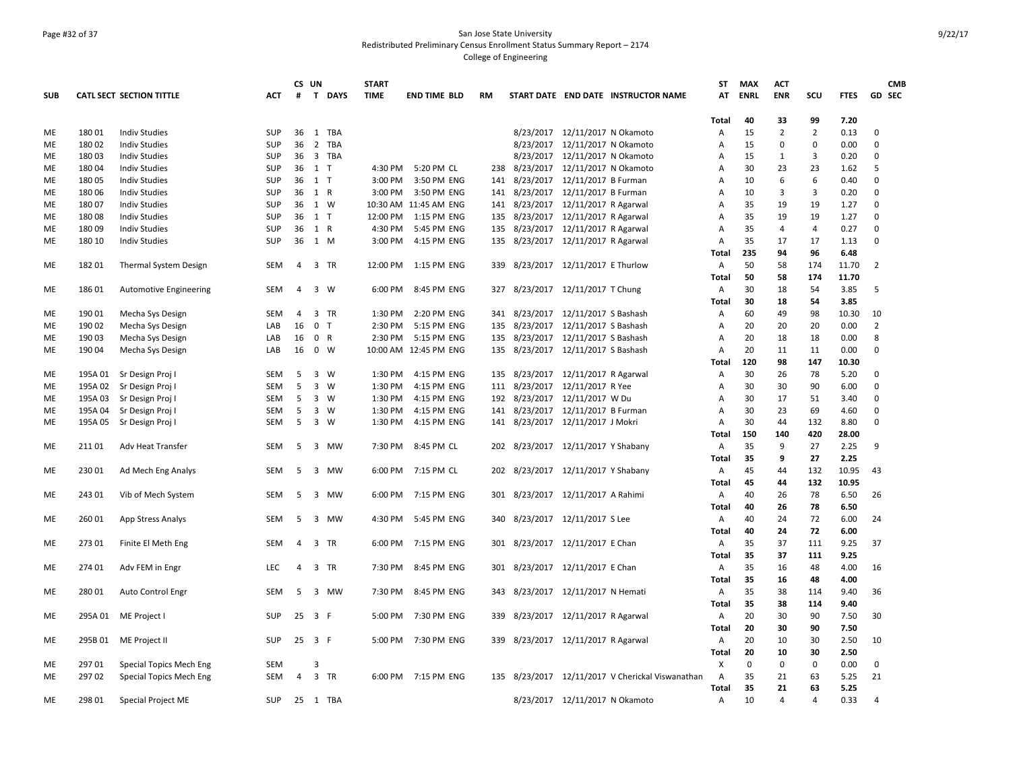### Page #32 of 37 San Jose State University Redistributed Preliminary Census Enrollment Status Summary Report – 2174 College of Engineering

|            |         |                                 |            |                | CS UN                   |             | <b>START</b> |                       |     |                                    |                                |                                                  | <b>ST</b>      | <b>MAX</b> | <b>ACT</b>              |                |             | <b>CMB</b>     |
|------------|---------|---------------------------------|------------|----------------|-------------------------|-------------|--------------|-----------------------|-----|------------------------------------|--------------------------------|--------------------------------------------------|----------------|------------|-------------------------|----------------|-------------|----------------|
| <b>SUB</b> |         | <b>CATL SECT SECTION TITTLE</b> | ACT        | #              | $\mathbf{T}$            | <b>DAYS</b> | <b>TIME</b>  | <b>END TIME BLD</b>   | RM  |                                    |                                | START DATE END DATE INSTRUCTOR NAME              | АТ             | ENRL       | <b>ENR</b>              | scu            | <b>FTES</b> | <b>GD SEC</b>  |
|            |         |                                 |            |                |                         |             |              |                       |     |                                    |                                |                                                  | <b>Total</b>   | 40         | 33                      | 99             | 7.20        |                |
| ME         | 18001   | <b>Indiv Studies</b>            | <b>SUP</b> | 36             |                         | 1 TBA       |              |                       |     |                                    | 8/23/2017 12/11/2017 N Okamoto |                                                  | A              | 15         | $\overline{2}$          | $\overline{2}$ | 0.13        | 0              |
| ME         | 180 02  | <b>Indiv Studies</b>            | SUP        | 36             |                         | 2 TBA       |              |                       |     |                                    | 8/23/2017 12/11/2017 N Okamoto |                                                  | A              | 15         | 0                       | 0              | 0.00        | $\mathbf 0$    |
| ME         | 180 03  | <b>Indiv Studies</b>            | SUP        | 36             |                         | 3 TBA       |              |                       |     |                                    | 8/23/2017 12/11/2017 N Okamoto |                                                  | A              | 15         | 1                       | 3              | 0.20        | $\Omega$       |
| ME         | 180 04  | <b>Indiv Studies</b>            | SUP        |                | 36 1 T                  |             | 4:30 PM      | 5:20 PM CL            |     | 238 8/23/2017                      | 12/11/2017 N Okamoto           |                                                  | Α              | 30         | 23                      | 23             | 1.62        | 5              |
| ME         | 180 05  | <b>Indiv Studies</b>            | <b>SUP</b> | 36             | 1 T                     |             | 3:00 PM      | 3:50 PM ENG           | 141 |                                    | 8/23/2017 12/11/2017 B Furman  |                                                  | A              | 10         | 6                       | 6              | 0.40        | $\Omega$       |
| МE         | 18006   | <b>Indiv Studies</b>            | <b>SUP</b> | 36             | 1 R                     |             | 3:00 PM      | 3:50 PM ENG           | 141 | 8/23/2017                          | 12/11/2017 B Furman            |                                                  | A              | 10         | $\overline{\mathbf{3}}$ | 3              | 0.20        | $\Omega$       |
| ME         | 18007   | <b>Indiv Studies</b>            | SUP        | 36             | 1 W                     |             |              | 10:30 AM 11:45 AM ENG | 141 |                                    | 8/23/2017 12/11/2017 R Agarwal |                                                  | А              | 35         | 19                      | 19             | 1.27        | $\Omega$       |
| ME         | 180 08  | <b>Indiv Studies</b>            | SUP        | 36             | $1$ T                   |             | 12:00 PM     | 1:15 PM ENG           | 135 |                                    | 8/23/2017 12/11/2017 R Agarwal |                                                  | Α              | 35         | 19                      | 19             | 1.27        | $\mathbf 0$    |
| ME         | 18009   | <b>Indiv Studies</b>            | <b>SUP</b> | 36             | 1 R                     |             | 4:30 PM      | 5:45 PM ENG           |     | 135 8/23/2017 12/11/2017 R Agarwal |                                |                                                  | Α              | 35         | $\overline{4}$          | 4              | 0.27        | $\Omega$       |
| ME         | 180 10  | <b>Indiv Studies</b>            | <b>SUP</b> | 36             | 1 M                     |             | 3:00 PM      | 4:15 PM ENG           |     | 135 8/23/2017 12/11/2017 R Agarwal |                                |                                                  | $\overline{A}$ | 35         | 17                      | 17             | 1.13        | $\Omega$       |
|            |         |                                 |            |                |                         |             |              |                       |     |                                    |                                |                                                  | Total          | 235        | 94                      | 96             | 6.48        |                |
| ME         | 182 01  | <b>Thermal System Design</b>    | <b>SEM</b> | $\overline{4}$ |                         | 3 TR        | 12:00 PM     | 1:15 PM ENG           |     | 339 8/23/2017 12/11/2017 E Thurlow |                                |                                                  | Α              | 50         | 58                      | 174            | 11.70       | $\overline{2}$ |
|            |         |                                 |            |                |                         |             |              |                       |     |                                    |                                |                                                  | Total          | 50         | 58                      | 174            | 11.70       |                |
| МE         | 18601   | <b>Automotive Engineering</b>   | <b>SEM</b> | 4              | 3 W                     |             | 6:00 PM      | 8:45 PM ENG           |     | 327 8/23/2017 12/11/2017 T Chung   |                                |                                                  | A              | 30         | 18                      | 54             | 3.85        | 5              |
|            |         |                                 |            |                |                         |             |              |                       |     |                                    |                                |                                                  | Total          | 30         | 18                      | 54             | 3.85        |                |
| ME         | 190 01  | Mecha Sys Design                | SEM        | 4              |                         | 3 TR        | 1:30 PM      | 2:20 PM ENG           |     | 341 8/23/2017 12/11/2017 S Bashash |                                |                                                  | Α              | 60         | 49                      | 98             | 10.30       | 10             |
| ME         | 190 02  | Mecha Sys Design                | LAB        | 16             | 0 <sub>T</sub>          |             | 2:30 PM      | 5:15 PM ENG           |     | 135 8/23/2017 12/11/2017 S Bashash |                                |                                                  | A              | 20         | 20                      | 20             | 0.00        | $\overline{2}$ |
| ME         | 190 03  | Mecha Sys Design                | LAB        | 16             | 0 R                     |             | 2:30 PM      | 5:15 PM ENG           |     | 135 8/23/2017 12/11/2017 S Bashash |                                |                                                  | $\overline{A}$ | 20         | 18                      | 18             | 0.00        | 8              |
| ME         | 190 04  | Mecha Sys Design                | LAB        | 16             | $0 \quad W$             |             |              | 10:00 AM 12:45 PM ENG |     | 135 8/23/2017 12/11/2017 S Bashash |                                |                                                  | Α              | 20         | 11                      | 11             | 0.00        | $\Omega$       |
|            |         |                                 |            |                |                         |             |              |                       |     |                                    |                                |                                                  | Total          | 120        | 98                      | 147            | 10.30       |                |
| ME         | 195A 01 | Sr Design Proj I                | <b>SEM</b> | -5             | 3 W                     |             | 1:30 PM      | 4:15 PM ENG           |     | 135 8/23/2017 12/11/2017 R Agarwal |                                |                                                  | A              | 30         | 26                      | 78             | 5.20        | $\mathbf 0$    |
| МE         | 195A 02 | Sr Design Proj I                | <b>SEM</b> | 5              |                         | 3 W         | 1:30 PM      | 4:15 PM ENG           |     | 111 8/23/2017                      | 12/11/2017 R Yee               |                                                  | $\mathsf{A}$   | 30         | 30                      | 90             | 6.00        | $\Omega$       |
| ME         | 195A 03 | Sr Design Proj I                | <b>SEM</b> | 5              | 3 W                     |             | 1:30 PM      | 4:15 PM ENG           |     | 192 8/23/2017 12/11/2017 W Du      |                                |                                                  | А              | 30         | 17                      | 51             | 3.40        | $\Omega$       |
| ME         | 195A 04 | Sr Design Proj I                | <b>SEM</b> | 5              | $\overline{3}$          | W           | 1:30 PM      | 4:15 PM ENG           | 141 |                                    | 8/23/2017 12/11/2017 B Furman  |                                                  | Α              | 30         | 23                      | 69             | 4.60        | $\mathbf 0$    |
| ME         | 195A 05 | Sr Design Proj I                | <b>SEM</b> | 5              | 3 W                     |             | 1:30 PM      | 4:15 PM ENG           |     | 141 8/23/2017 12/11/2017 J Mokri   |                                |                                                  | Α              | 30         | 44                      | 132            | 8.80        | $\Omega$       |
|            |         |                                 |            |                |                         |             |              |                       |     |                                    |                                |                                                  | <b>Total</b>   | 150        | 140                     | 420            | 28.00       |                |
| ME         | 211 01  | Adv Heat Transfer               | <b>SEM</b> | 5              | $\overline{\mathbf{3}}$ | MW          | 7:30 PM      | 8:45 PM CL            |     | 202 8/23/2017 12/11/2017 Y Shabany |                                |                                                  | Α              | 35         | 9                       | 27             | 2.25        | 9              |
|            |         |                                 |            |                |                         |             |              |                       |     |                                    |                                |                                                  | <b>Total</b>   | 35         | 9                       | 27             | 2.25        |                |
| МE         | 230 01  | Ad Mech Eng Analys              | <b>SEM</b> | -5             |                         | 3 MW        | 6:00 PM      | 7:15 PM CL            |     | 202 8/23/2017 12/11/2017 Y Shabany |                                |                                                  | A              | 45         | 44                      | 132            | 10.95       | 43             |
|            |         |                                 |            |                |                         |             |              |                       |     |                                    |                                |                                                  | Total          | 45         | 44                      | 132            | 10.95       |                |
| МE         | 243 01  | Vib of Mech System              | SEM        | 5              | 3                       | MW          | 6:00 PM      | 7:15 PM ENG           | 301 | 8/23/2017                          | 12/11/2017 A Rahimi            |                                                  | A              | 40         | 26                      | 78             | 6.50        | 26             |
|            |         |                                 |            |                |                         |             |              |                       |     |                                    |                                |                                                  | Total          | 40         | 26                      | 78             | 6.50        |                |
| ME         | 260 01  | App Stress Analys               | <b>SEM</b> | 5              |                         | 3 MW        | 4:30 PM      | 5:45 PM ENG           |     | 340 8/23/2017 12/11/2017 S Lee     |                                |                                                  | Α              | 40         | 24                      | 72             | 6.00        | 24             |
|            |         |                                 |            |                |                         |             |              |                       |     |                                    |                                |                                                  | <b>Total</b>   | 40         | 24                      | 72             | 6.00        |                |
| ME         | 27301   | Finite El Meth Eng              | SEM        | 4              |                         | 3 TR        | 6:00 PM      | 7:15 PM ENG           | 301 |                                    | 8/23/2017 12/11/2017 E Chan    |                                                  | A              | 35         | 37                      | 111            | 9.25        | 37             |
|            |         |                                 |            |                |                         |             |              |                       |     |                                    |                                |                                                  | <b>Total</b>   | 35         | 37                      | 111            | 9.25        |                |
| МE         | 274 01  | Adv FEM in Engr                 | <b>LEC</b> | $\overline{4}$ |                         | 3 TR        | 7:30 PM      | 8:45 PM ENG           |     | 301 8/23/2017 12/11/2017 E Chan    |                                |                                                  | A              | 35         | 16                      | 48             | 4.00        | 16             |
|            |         |                                 |            |                |                         |             |              |                       |     |                                    |                                |                                                  | Total          | 35         | 16                      | 48             | 4.00        |                |
| ME         | 280 01  | Auto Control Engr               | <b>SEM</b> | -5             |                         | 3 MW        | 7:30 PM      | 8:45 PM ENG           |     | 343 8/23/2017 12/11/2017 N Hemati  |                                |                                                  | A              | 35         | 38                      | 114            | 9.40        | 36             |
|            |         |                                 |            |                |                         |             |              |                       |     |                                    |                                |                                                  | <b>Total</b>   | 35         | 38                      | 114            | 9.40        |                |
| ME         | 295A 01 | ME Project I                    | <b>SUP</b> | 25             | 3 F                     |             | 5:00 PM      | 7:30 PM ENG           |     | 339 8/23/2017 12/11/2017 R Agarwal |                                |                                                  | Α              | 20         | 30                      | 90             | 7.50        | 30             |
|            |         |                                 |            |                |                         |             |              |                       |     |                                    |                                |                                                  | <b>Total</b>   | 20         | 30                      | 90             | 7.50        |                |
| ME         |         | 295B 01 ME Project II           | SUP        | 25             | 3 F                     |             | 5:00 PM      | 7:30 PM ENG           |     | 339 8/23/2017 12/11/2017 R Agarwal |                                |                                                  | A              | 20         | 10                      | 30             | 2.50        | 10             |
|            |         |                                 |            |                |                         |             |              |                       |     |                                    |                                |                                                  | Total          | 20         | 10                      | 30             | 2.50        |                |
| ME         | 297 01  | Special Topics Mech Eng         | <b>SEM</b> |                | 3                       |             |              |                       |     |                                    |                                |                                                  | X              | $\Omega$   | $\mathbf{0}$            | 0              | 0.00        | $\mathbf 0$    |
| ME         | 297 02  |                                 | <b>SEM</b> | 4              |                         | 3 TR        |              | 6:00 PM 7:15 PM ENG   |     |                                    |                                | 135 8/23/2017 12/11/2017 V Cherickal Viswanathan | А              | 35         | 21                      | 63             | 5.25        | 21             |
|            |         | Special Topics Mech Eng         |            |                |                         |             |              |                       |     |                                    |                                |                                                  | Total          | 35         | 21                      | 63             | 5.25        |                |
| ME         | 298 01  | <b>Special Project ME</b>       | <b>SUP</b> | 25             |                         | 1 TBA       |              |                       |     |                                    | 8/23/2017 12/11/2017 N Okamoto |                                                  | A              | 10         | $\Delta$                | 4              | 0.33        | 4              |
|            |         |                                 |            |                |                         |             |              |                       |     |                                    |                                |                                                  |                |            |                         |                |             |                |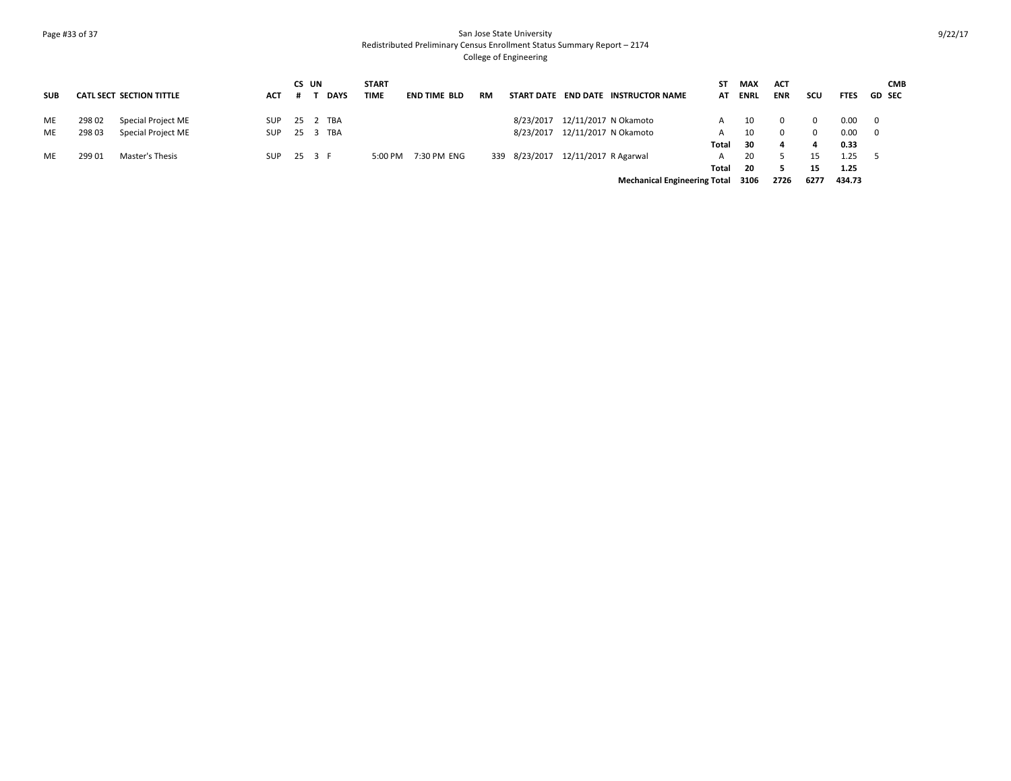### Page #33 of 37 San Jose State University Redistributed Preliminary Census Enrollment Status Summary Report – 2174 College of Engineering

|            |        |                          |            | CS UN |             | <b>START</b> |                     |           |                                     | ST    | MAX  | <b>ACT</b> |             |                 | <b>CMB</b>              |
|------------|--------|--------------------------|------------|-------|-------------|--------------|---------------------|-----------|-------------------------------------|-------|------|------------|-------------|-----------------|-------------------------|
| <b>SUB</b> |        | CATL SECT SECTION TITTLE | <b>ACT</b> |       | <b>DAYS</b> | <b>TIME</b>  | <b>END TIME BLD</b> | <b>RM</b> | START DATE END DATE INSTRUCTOR NAME | AT    | ENRL | <b>ENR</b> | scu         | <b>FTES</b>     | <b>GD SEC</b>           |
| ME         | 298 02 | Special Project ME       | <b>SUP</b> |       | 25 2 TBA    |              |                     |           | 8/23/2017 12/11/2017 N Okamoto      | A     | 10   |            | - 0         | $0.00 \qquad 0$ |                         |
| ME         | 298 03 | Special Project ME       | <b>SUP</b> |       | 25 3 TBA    |              |                     |           | 8/23/2017 12/11/2017 N Okamoto      | A     | 10   | $\Omega$   | $\mathbf 0$ | 0.00            | $\overline{\mathbf{0}}$ |
|            |        |                          |            |       |             |              |                     |           |                                     | Total | -30  | 4          | 4           | 0.33            |                         |
| ME         | 299 01 | Master's Thesis          | <b>SUP</b> |       | 25 3 F      | 5:00 PM      | 7:30 PM ENG         |           | 339 8/23/2017 12/11/2017 R Agarwal  | A     | 20   |            | 15          | $1.25 \t 5$     |                         |
|            |        |                          |            |       |             |              |                     |           |                                     | Total | - 20 |            | 15          | 1.25            |                         |
|            |        |                          |            |       |             |              |                     |           | <b>Mechanical Engineering Total</b> |       | 3106 | 2726       | 6277        | 434.73          |                         |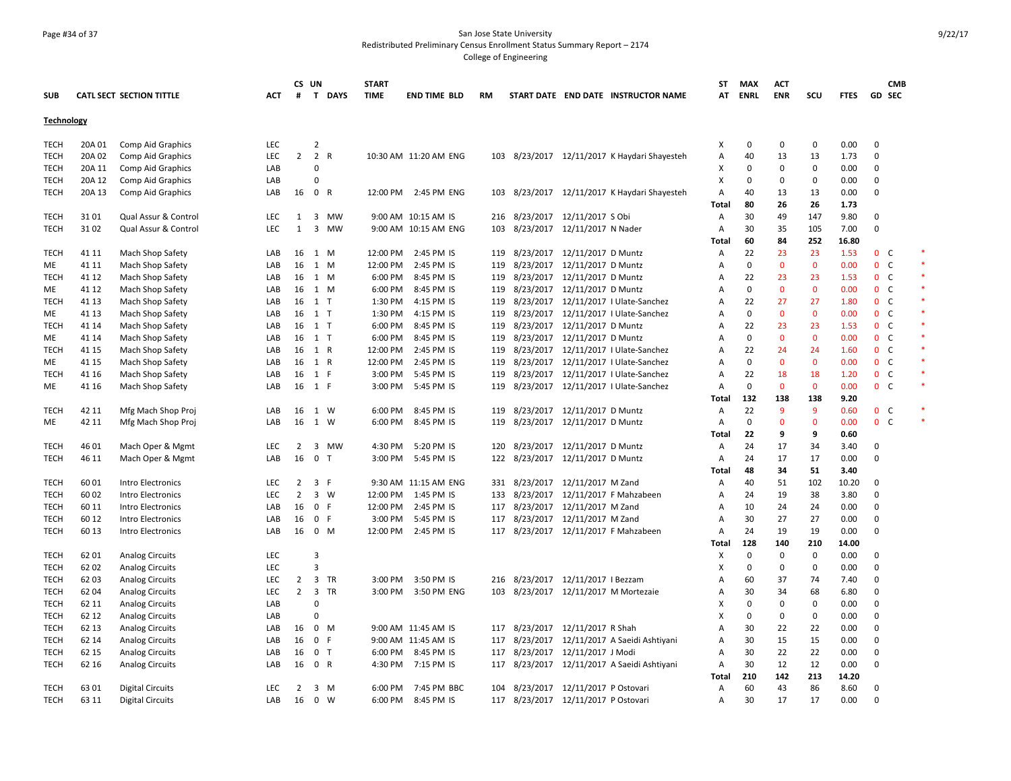## Page #34 of 37 San Jose State University Redistributed Preliminary Census Enrollment Status Summary Report – 2174

College of Engineering

| <b>ENR</b><br><b>CATL SECT SECTION TITTLE</b><br>#<br>T.<br><b>DAYS</b><br><b>TIME</b><br><b>END TIME BLD</b><br>RM<br>START DATE END DATE INSTRUCTOR NAME<br>AT<br><b>ENRL</b><br>scu<br><b>FTES</b><br><b>GD SEC</b><br><b>SUB</b><br>ACT<br>Technology<br>0.00<br>$\overline{2}$<br>0<br>0<br>$\mathbf 0$<br>0<br>TECH<br>20A 01<br>Comp Aid Graphics<br>LEC<br>х<br>$\overline{2}$<br>2 R<br>LEC<br>40<br>13<br>13<br>$\mathbf 0$<br><b>TECH</b><br>20A 02<br><b>Comp Aid Graphics</b><br>10:30 AM 11:20 AM ENG<br>103 8/23/2017 12/11/2017 K Haydari Shayesteh<br>A<br>1.73<br>20A 11<br>LAB<br>$\Omega$<br>0<br>0<br>0.00<br>$\mathbf 0$<br><b>TECH</b><br>Comp Aid Graphics<br>х<br>$\mathbf 0$<br>20A 12<br>Comp Aid Graphics<br>LAB<br>$\Omega$<br>X<br>$\Omega$<br>$\mathbf 0$<br>$\Omega$<br>0.00<br>$\Omega$<br>TECH<br>40<br><b>TECH</b><br>20A 13<br>Comp Aid Graphics<br>LAB<br>16<br>$\mathbf{0}$<br>R<br>12:00 PM<br>2:45 PM ENG<br>8/23/2017 12/11/2017 K Haydari Shayesteh<br>$\overline{A}$<br>13<br>13<br>0.00<br>$\Omega$<br>103<br>1.73<br>80<br>26<br>26<br>Total<br>8/23/2017 12/11/2017 S Obi<br>30<br><b>TECH</b><br>3101<br>Qual Assur & Control<br><b>LEC</b><br>3<br>MW<br>9:00 AM 10:15 AM IS<br>A<br>49<br>147<br>9.80<br>0<br>1<br>216<br>LEC<br>$\mathbf{1}$<br>3<br>103<br>8/23/2017 12/11/2017 N Nader<br>30<br>35<br>105<br>7.00<br>0<br><b>TECH</b><br>3102<br>Qual Assur & Control<br>MW<br>9:00 AM 10:15 AM ENG<br>A<br>252<br>60<br>84<br>16.80<br>Total<br>LAB<br>16<br>12:00 PM<br>2:45 PM IS<br>8/23/2017 12/11/2017 D Muntz<br>22<br>23<br>23<br>1.53<br>$\mathbf{0}$<br><sub>c</sub><br><b>TECH</b><br>41 11<br>Mach Shop Safety<br>1 M<br>119<br>Α<br>LAB<br>16<br>1 M<br>12:00 PM<br>2:45 PM IS<br>119<br>8/23/2017 12/11/2017 D Muntz<br>$\overline{A}$<br>0<br>$\mathbf{0}$<br>$\mathbf{0}$<br>0.00<br>$\mathbf{0}$<br><sub>c</sub><br>ME<br>41 11<br>Mach Shop Safety<br>8/23/2017 12/11/2017 D Muntz<br>22<br>23<br>$\mathbf{0}$<br>41 12<br>Mach Shop Safety<br>16<br>6:00 PM<br>8:45 PM IS<br>119<br>23<br>1.53<br><sub>c</sub><br>TECH<br>LAB<br>1 M<br>A<br>$\mathbf 0$<br>$\mathbf 0$<br>Mach Shop Safety<br>6:00 PM<br>8/23/2017 12/11/2017 D Muntz<br>0<br>0.00<br>0 <sup>o</sup><br>41 12<br>LAB<br>16<br>1 M<br>8:45 PM IS<br>119<br>A<br>ME<br>41 13<br>Mach Shop Safety<br>16<br>$1$ T<br>1:30 PM<br>4:15 PM IS<br>119<br>8/23/2017 12/11/2017   Ulate-Sanchez<br>A<br>22<br>27<br>27<br>1.80<br>$\mathbf 0$<br><b>C</b><br>TECH<br>LAB<br>$\mathbf 0$<br>$\mathbf{0}$<br>$\mathbf{0}$<br>0 <sup>o</sup><br>41 13<br>Mach Shop Safety<br>LAB<br>16<br>1 T<br>1:30 PM<br>4:15 PM IS<br>119<br>8/23/2017  12/11/2017   Ulate-Sanchez<br>$\overline{A}$<br>0.00<br>ME<br>$0-$<br>$1$ T<br>6:00 PM<br>8:45 PM IS<br>8/23/2017 12/11/2017 D Muntz<br>22<br>23<br>23<br>1.53<br><b>TECH</b><br>41 14<br>Mach Shop Safety<br>LAB<br>16<br>119<br>A<br>6:00 PM<br>8:45 PM IS<br>8/23/2017 12/11/2017 D Muntz<br>$\mathbf 0$<br>$\mathbf{0}$<br>$\mathbf{0}$<br>0.00<br>$\mathbf{0}$<br><sub>c</sub><br>41 14<br>Mach Shop Safety<br>LAB<br>16<br>1 T<br>119<br>A<br>ME<br>16<br>1 R<br>12:00 PM<br>2:45 PM IS<br>8/23/2017 12/11/2017 I Ulate-Sanchez<br>22<br>24<br>0 <sup>o</sup><br><b>TECH</b><br>41 15<br>Mach Shop Safety<br>LAB<br>119<br>$\overline{A}$<br>24<br>1.60<br>8/23/2017<br>0<br>$\mathbf 0$<br>$\mathbf{0}$<br>$\mathbf{0}$<br>C<br>1 R<br>12:00 PM<br>12/11/2017   Ulate-Sanchez<br>$\overline{A}$<br>0.00<br>ME<br>41 15<br>Mach Shop Safety<br>LAB<br>16<br>2:45 PM IS<br>119<br>22<br>3:00 PM<br>8/23/2017 12/11/2017   Ulate-Sanchez<br>0 <sup>o</sup><br><b>TECH</b><br>41 16<br>Mach Shop Safety<br>16<br>1<br>- F<br>5:45 PM IS<br>119<br>$\overline{A}$<br>18<br>18<br>1.20<br>LAB<br>16<br>3:00 PM<br>5:45 PM IS<br>8/23/2017 12/11/2017   Ulate-Sanchez<br>A<br>0<br>$\mathbf 0$<br>$\Omega$<br>0.00<br>$0-$<br>41 16<br>Mach Shop Safety<br>LAB<br>1 F<br>119<br>ME<br>Total<br>132<br>138<br>138<br>9.20<br>9<br>8/23/2017 12/11/2017 D Muntz<br>22<br>9<br>0 <sup>o</sup><br><b>TECH</b><br>42 11<br>Mfg Mach Shop Proj<br>LAB<br>16<br>1 W<br>6:00 PM<br>8:45 PM IS<br>119<br>$\overline{A}$<br>0.60<br>0<br>$\mathbf 0$<br>$0-$<br>16<br>6:00 PM<br>8:45 PM IS<br>119<br>8/23/2017 12/11/2017 D Muntz<br>$\overline{A}$<br>$\mathbf{0}$<br>0.00<br>42 11<br>Mfg Mach Shop Proj<br>LAB<br>1 W<br>ME<br>22<br>Total<br>9<br>9<br>0.60<br>8/23/2017 12/11/2017 D Muntz<br>17<br><b>TECH</b><br>46 01<br>Mach Oper & Mgmt<br><b>LEC</b><br>$\overline{2}$<br>3<br>MW<br>4:30 PM<br>5:20 PM IS<br>120<br>$\overline{A}$<br>24<br>34<br>3.40<br>0<br>16<br>8/23/2017 12/11/2017 D Muntz<br>0.00<br>$\mathbf 0$<br>46 11<br>LAB<br>0 <sub>T</sub><br>3:00 PM<br>5:45 PM IS<br>122<br>Α<br>24<br>17<br>17<br>TECH<br>Mach Oper & Mgmt<br>48<br>51<br>34<br>3.40<br>Total<br>60 01<br><b>LEC</b><br>$\overline{2}$<br>3<br>-F<br>9:30 AM 11:15 AM ENG<br>331 8/23/2017 12/11/2017 M Zand<br>40<br>51<br>102<br>10.20<br>$\Omega$<br><b>TECH</b><br>Intro Electronics<br>A<br>$\overline{2}$<br>3 W<br><b>TECH</b><br>60 02<br>Intro Electronics<br><b>LEC</b><br>12:00 PM<br>1:45 PM IS<br>133<br>8/23/2017 12/11/2017 F Mahzabeen<br>$\overline{A}$<br>24<br>19<br>38<br>3.80<br>$\Omega$<br>16<br>$\mathbf{0}$<br>F.<br>12:00 PM<br>2:45 PM IS<br>8/23/2017<br>12/11/2017 M Zand<br>24<br>0.00<br>$\mathbf 0$<br><b>TECH</b><br>60 11<br>Intro Electronics<br>LAB<br>117<br>$\overline{A}$<br>10<br>24<br>30<br>60 12<br>16<br>0 F<br>3:00 PM<br>5:45 PM IS<br>117 8/23/2017 12/11/2017 M Zand<br>$\overline{A}$<br>27<br>27<br>0.00<br>$\Omega$<br>TECH<br>Intro Electronics<br>LAB<br><b>TECH</b><br>60 13<br>Intro Electronics<br>LAB<br>16<br>0 M<br>12:00 PM<br>2:45 PM IS<br>117<br>8/23/2017 12/11/2017 F Mahzabeen<br>$\overline{A}$<br>24<br>19<br>19<br>0.00<br>$\Omega$<br>128<br>210<br>Total<br>140<br>14.00<br>LEC<br>$\overline{3}$<br>0<br>0<br>$\mathbf 0$<br>0.00<br><b>TECH</b><br>6201<br>х<br>$\mathbf 0$<br><b>Analog Circuits</b><br><b>LEC</b><br>X<br>$\mathbf 0$<br>$\Omega$<br>0.00<br><b>TECH</b><br>62 02<br><b>Analog Circuits</b><br>3<br>$\mathbf 0$<br>$\Omega$<br>$\overline{2}$<br>3 TR<br>3:50 PM IS<br>216 8/23/2017 12/11/2017 I Bezzam<br>60<br>37<br>74<br>$\mathbf 0$<br><b>TECH</b><br>62 03<br><b>Analog Circuits</b><br><b>LEC</b><br>3:00 PM<br>A<br>7.40<br>$\overline{2}$<br>8/23/2017 12/11/2017 M Mortezaie<br>68<br>62 04<br><b>LEC</b><br>$\overline{3}$<br>TR<br>3:00 PM<br>3:50 PM ENG<br>103<br>30<br>34<br>6.80<br>0<br>TECH<br><b>Analog Circuits</b><br>А<br>62 11<br>LAB<br>$\Omega$<br>X<br>0<br>0<br>$\mathbf 0$<br>0.00<br>$\Omega$<br><b>TECH</b><br><b>Analog Circuits</b><br><b>TECH</b><br>62 12<br>LAB<br>0<br>X<br>$\Omega$<br>$\mathbf 0$<br>$\Omega$<br>0.00<br>$\Omega$<br><b>Analog Circuits</b><br>117 8/23/2017 12/11/2017 R Shah<br>22<br><b>TECH</b><br>62 13<br><b>Analog Circuits</b><br>LAB<br>16<br>$0 \t M$<br>9:00 AM 11:45 AM IS<br>$\overline{A}$<br>30<br>22<br>0.00<br>$\Omega$<br>15<br>62 14<br>16<br>$\mathbf 0$<br>F<br>9:00 AM 11:45 AM IS<br>117<br>8/23/2017<br>12/11/2017 A Saeidi Ashtiyani<br>30<br>15<br>0.00<br>$\mathbf 0$<br><b>TECH</b><br><b>Analog Circuits</b><br>LAB<br>A<br>30<br>22<br>22<br><b>TECH</b><br>62 15<br><b>Analog Circuits</b><br>LAB<br>16<br>0 <sub>T</sub><br>6:00 PM<br>8:45 PM IS<br>117 8/23/2017 12/11/2017 J Modi<br>A<br>0.00<br>$\Omega$<br>0 R<br>8/23/2017 12/11/2017 A Saeidi Ashtiyani<br>12<br><b>TECH</b><br>62 16<br><b>Analog Circuits</b><br>LAB<br>16<br>4:30 PM<br>7:15 PM IS<br>117<br>$\overline{A}$<br>30<br>12<br>0.00<br>$\Omega$<br>213<br>142<br>14.20<br>Total<br>210<br>63 01<br>6:00 PM<br>8/23/2017 12/11/2017 P Ostovari<br>43<br>86<br><b>TECH</b><br><b>Digital Circuits</b><br><b>LEC</b><br>2<br>3 M<br>7:45 PM BBC<br>104<br>A<br>60<br>8.60<br>$\Omega$<br><b>TECH</b><br>LAB<br>16<br>$0 \quad W$<br>6:00 PM<br>8:45 PM IS<br>117<br>8/23/2017 12/11/2017 P Ostovari<br>30<br>17<br>17<br>0.00<br>$\Omega$<br>63 11<br><b>Digital Circuits</b><br>A |  |  | CS UN | <b>START</b> |  |  | <b>ST</b> | MAX | <b>ACT</b> |  | <b>CMB</b> |  |
|-------------------------------------------------------------------------------------------------------------------------------------------------------------------------------------------------------------------------------------------------------------------------------------------------------------------------------------------------------------------------------------------------------------------------------------------------------------------------------------------------------------------------------------------------------------------------------------------------------------------------------------------------------------------------------------------------------------------------------------------------------------------------------------------------------------------------------------------------------------------------------------------------------------------------------------------------------------------------------------------------------------------------------------------------------------------------------------------------------------------------------------------------------------------------------------------------------------------------------------------------------------------------------------------------------------------------------------------------------------------------------------------------------------------------------------------------------------------------------------------------------------------------------------------------------------------------------------------------------------------------------------------------------------------------------------------------------------------------------------------------------------------------------------------------------------------------------------------------------------------------------------------------------------------------------------------------------------------------------------------------------------------------------------------------------------------------------------------------------------------------------------------------------------------------------------------------------------------------------------------------------------------------------------------------------------------------------------------------------------------------------------------------------------------------------------------------------------------------------------------------------------------------------------------------------------------------------------------------------------------------------------------------------------------------------------------------------------------------------------------------------------------------------------------------------------------------------------------------------------------------------------------------------------------------------------------------------------------------------------------------------------------------------------------------------------------------------------------------------------------------------------------------------------------------------------------------------------------------------------------------------------------------------------------------------------------------------------------------------------------------------------------------------------------------------------------------------------------------------------------------------------------------------------------------------------------------------------------------------------------------------------------------------------------------------------------------------------------------------------------------------------------------------------------------------------------------------------------------------------------------------------------------------------------------------------------------------------------------------------------------------------------------------------------------------------------------------------------------------------------------------------------------------------------------------------------------------------------------------------------------------------------------------------------------------------------------------------------------------------------------------------------------------------------------------------------------------------------------------------------------------------------------------------------------------------------------------------------------------------------------------------------------------------------------------------------------------------------------------------------------------------------------------------------------------------------------------------------------------------------------------------------------------------------------------------------------------------------------------------------------------------------------------------------------------------------------------------------------------------------------------------------------------------------------------------------------------------------------------------------------------------------------------------------------------------------------------------------------------------------------------------------------------------------------------------------------------------------------------------------------------------------------------------------------------------------------------------------------------------------------------------------------------------------------------------------------------------------------------------------------------------------------------------------------------------------------------------------------------------------------------------------------------------------------------------------------------------------------------------------------------------------------------------------------------------------------------------------------------------------------------------------------------------------------------------------------------------------------------------------------------------------------------------------------------------------------------------------------------------------------------------------------------------------------------------------------------------------------------------------------------------------------------------------------------------------------------------------------------------------------------------------------------------------------------------------------------------------------------------------------------------------------------------------------------------------------------------------------------------------------------------------------------------------------------------------------------------------------------------------------------------------------------------------------------------------------------------------------------------------------------------------------------------------------------------------------------------------------------------------------------------------------------------------------------------------------------------------------------------------------------------------------------------------------------------------------------------------------------------------------------------------------------------------------------------------------------------------------------------------------------------------------------------------------------------------------------------------------------------------------------------------------------------------------------------------------------------------------------------------------------------------------------------------------------------------------------------------------------------------------------------------------------------------------------------------------------------------------------|--|--|-------|--------------|--|--|-----------|-----|------------|--|------------|--|
|                                                                                                                                                                                                                                                                                                                                                                                                                                                                                                                                                                                                                                                                                                                                                                                                                                                                                                                                                                                                                                                                                                                                                                                                                                                                                                                                                                                                                                                                                                                                                                                                                                                                                                                                                                                                                                                                                                                                                                                                                                                                                                                                                                                                                                                                                                                                                                                                                                                                                                                                                                                                                                                                                                                                                                                                                                                                                                                                                                                                                                                                                                                                                                                                                                                                                                                                                                                                                                                                                                                                                                                                                                                                                                                                                                                                                                                                                                                                                                                                                                                                                                                                                                                                                                                                                                                                                                                                                                                                                                                                                                                                                                                                                                                                                                                                                                                                                                                                                                                                                                                                                                                                                                                                                                                                                                                                                                                                                                                                                                                                                                                                                                                                                                                                                                                                                                                                                                                                                                                                                                                                                                                                                                                                                                                                                                                                                                                                                                                                                                                                                                                                                                                                                                                                                                                                                                                                                                                                                                                                                                                                                                                                                                                                                                                                                                                                                                                                                                                                                                                                                                                                                                                                                                                                                                                                                                                                                                                                                                                                                                                                                                       |  |  |       |              |  |  |           |     |            |  |            |  |
|                                                                                                                                                                                                                                                                                                                                                                                                                                                                                                                                                                                                                                                                                                                                                                                                                                                                                                                                                                                                                                                                                                                                                                                                                                                                                                                                                                                                                                                                                                                                                                                                                                                                                                                                                                                                                                                                                                                                                                                                                                                                                                                                                                                                                                                                                                                                                                                                                                                                                                                                                                                                                                                                                                                                                                                                                                                                                                                                                                                                                                                                                                                                                                                                                                                                                                                                                                                                                                                                                                                                                                                                                                                                                                                                                                                                                                                                                                                                                                                                                                                                                                                                                                                                                                                                                                                                                                                                                                                                                                                                                                                                                                                                                                                                                                                                                                                                                                                                                                                                                                                                                                                                                                                                                                                                                                                                                                                                                                                                                                                                                                                                                                                                                                                                                                                                                                                                                                                                                                                                                                                                                                                                                                                                                                                                                                                                                                                                                                                                                                                                                                                                                                                                                                                                                                                                                                                                                                                                                                                                                                                                                                                                                                                                                                                                                                                                                                                                                                                                                                                                                                                                                                                                                                                                                                                                                                                                                                                                                                                                                                                                                                       |  |  |       |              |  |  |           |     |            |  |            |  |
|                                                                                                                                                                                                                                                                                                                                                                                                                                                                                                                                                                                                                                                                                                                                                                                                                                                                                                                                                                                                                                                                                                                                                                                                                                                                                                                                                                                                                                                                                                                                                                                                                                                                                                                                                                                                                                                                                                                                                                                                                                                                                                                                                                                                                                                                                                                                                                                                                                                                                                                                                                                                                                                                                                                                                                                                                                                                                                                                                                                                                                                                                                                                                                                                                                                                                                                                                                                                                                                                                                                                                                                                                                                                                                                                                                                                                                                                                                                                                                                                                                                                                                                                                                                                                                                                                                                                                                                                                                                                                                                                                                                                                                                                                                                                                                                                                                                                                                                                                                                                                                                                                                                                                                                                                                                                                                                                                                                                                                                                                                                                                                                                                                                                                                                                                                                                                                                                                                                                                                                                                                                                                                                                                                                                                                                                                                                                                                                                                                                                                                                                                                                                                                                                                                                                                                                                                                                                                                                                                                                                                                                                                                                                                                                                                                                                                                                                                                                                                                                                                                                                                                                                                                                                                                                                                                                                                                                                                                                                                                                                                                                                                                       |  |  |       |              |  |  |           |     |            |  |            |  |
|                                                                                                                                                                                                                                                                                                                                                                                                                                                                                                                                                                                                                                                                                                                                                                                                                                                                                                                                                                                                                                                                                                                                                                                                                                                                                                                                                                                                                                                                                                                                                                                                                                                                                                                                                                                                                                                                                                                                                                                                                                                                                                                                                                                                                                                                                                                                                                                                                                                                                                                                                                                                                                                                                                                                                                                                                                                                                                                                                                                                                                                                                                                                                                                                                                                                                                                                                                                                                                                                                                                                                                                                                                                                                                                                                                                                                                                                                                                                                                                                                                                                                                                                                                                                                                                                                                                                                                                                                                                                                                                                                                                                                                                                                                                                                                                                                                                                                                                                                                                                                                                                                                                                                                                                                                                                                                                                                                                                                                                                                                                                                                                                                                                                                                                                                                                                                                                                                                                                                                                                                                                                                                                                                                                                                                                                                                                                                                                                                                                                                                                                                                                                                                                                                                                                                                                                                                                                                                                                                                                                                                                                                                                                                                                                                                                                                                                                                                                                                                                                                                                                                                                                                                                                                                                                                                                                                                                                                                                                                                                                                                                                                                       |  |  |       |              |  |  |           |     |            |  |            |  |
|                                                                                                                                                                                                                                                                                                                                                                                                                                                                                                                                                                                                                                                                                                                                                                                                                                                                                                                                                                                                                                                                                                                                                                                                                                                                                                                                                                                                                                                                                                                                                                                                                                                                                                                                                                                                                                                                                                                                                                                                                                                                                                                                                                                                                                                                                                                                                                                                                                                                                                                                                                                                                                                                                                                                                                                                                                                                                                                                                                                                                                                                                                                                                                                                                                                                                                                                                                                                                                                                                                                                                                                                                                                                                                                                                                                                                                                                                                                                                                                                                                                                                                                                                                                                                                                                                                                                                                                                                                                                                                                                                                                                                                                                                                                                                                                                                                                                                                                                                                                                                                                                                                                                                                                                                                                                                                                                                                                                                                                                                                                                                                                                                                                                                                                                                                                                                                                                                                                                                                                                                                                                                                                                                                                                                                                                                                                                                                                                                                                                                                                                                                                                                                                                                                                                                                                                                                                                                                                                                                                                                                                                                                                                                                                                                                                                                                                                                                                                                                                                                                                                                                                                                                                                                                                                                                                                                                                                                                                                                                                                                                                                                                       |  |  |       |              |  |  |           |     |            |  |            |  |
|                                                                                                                                                                                                                                                                                                                                                                                                                                                                                                                                                                                                                                                                                                                                                                                                                                                                                                                                                                                                                                                                                                                                                                                                                                                                                                                                                                                                                                                                                                                                                                                                                                                                                                                                                                                                                                                                                                                                                                                                                                                                                                                                                                                                                                                                                                                                                                                                                                                                                                                                                                                                                                                                                                                                                                                                                                                                                                                                                                                                                                                                                                                                                                                                                                                                                                                                                                                                                                                                                                                                                                                                                                                                                                                                                                                                                                                                                                                                                                                                                                                                                                                                                                                                                                                                                                                                                                                                                                                                                                                                                                                                                                                                                                                                                                                                                                                                                                                                                                                                                                                                                                                                                                                                                                                                                                                                                                                                                                                                                                                                                                                                                                                                                                                                                                                                                                                                                                                                                                                                                                                                                                                                                                                                                                                                                                                                                                                                                                                                                                                                                                                                                                                                                                                                                                                                                                                                                                                                                                                                                                                                                                                                                                                                                                                                                                                                                                                                                                                                                                                                                                                                                                                                                                                                                                                                                                                                                                                                                                                                                                                                                                       |  |  |       |              |  |  |           |     |            |  |            |  |
|                                                                                                                                                                                                                                                                                                                                                                                                                                                                                                                                                                                                                                                                                                                                                                                                                                                                                                                                                                                                                                                                                                                                                                                                                                                                                                                                                                                                                                                                                                                                                                                                                                                                                                                                                                                                                                                                                                                                                                                                                                                                                                                                                                                                                                                                                                                                                                                                                                                                                                                                                                                                                                                                                                                                                                                                                                                                                                                                                                                                                                                                                                                                                                                                                                                                                                                                                                                                                                                                                                                                                                                                                                                                                                                                                                                                                                                                                                                                                                                                                                                                                                                                                                                                                                                                                                                                                                                                                                                                                                                                                                                                                                                                                                                                                                                                                                                                                                                                                                                                                                                                                                                                                                                                                                                                                                                                                                                                                                                                                                                                                                                                                                                                                                                                                                                                                                                                                                                                                                                                                                                                                                                                                                                                                                                                                                                                                                                                                                                                                                                                                                                                                                                                                                                                                                                                                                                                                                                                                                                                                                                                                                                                                                                                                                                                                                                                                                                                                                                                                                                                                                                                                                                                                                                                                                                                                                                                                                                                                                                                                                                                                                       |  |  |       |              |  |  |           |     |            |  |            |  |
|                                                                                                                                                                                                                                                                                                                                                                                                                                                                                                                                                                                                                                                                                                                                                                                                                                                                                                                                                                                                                                                                                                                                                                                                                                                                                                                                                                                                                                                                                                                                                                                                                                                                                                                                                                                                                                                                                                                                                                                                                                                                                                                                                                                                                                                                                                                                                                                                                                                                                                                                                                                                                                                                                                                                                                                                                                                                                                                                                                                                                                                                                                                                                                                                                                                                                                                                                                                                                                                                                                                                                                                                                                                                                                                                                                                                                                                                                                                                                                                                                                                                                                                                                                                                                                                                                                                                                                                                                                                                                                                                                                                                                                                                                                                                                                                                                                                                                                                                                                                                                                                                                                                                                                                                                                                                                                                                                                                                                                                                                                                                                                                                                                                                                                                                                                                                                                                                                                                                                                                                                                                                                                                                                                                                                                                                                                                                                                                                                                                                                                                                                                                                                                                                                                                                                                                                                                                                                                                                                                                                                                                                                                                                                                                                                                                                                                                                                                                                                                                                                                                                                                                                                                                                                                                                                                                                                                                                                                                                                                                                                                                                                                       |  |  |       |              |  |  |           |     |            |  |            |  |
|                                                                                                                                                                                                                                                                                                                                                                                                                                                                                                                                                                                                                                                                                                                                                                                                                                                                                                                                                                                                                                                                                                                                                                                                                                                                                                                                                                                                                                                                                                                                                                                                                                                                                                                                                                                                                                                                                                                                                                                                                                                                                                                                                                                                                                                                                                                                                                                                                                                                                                                                                                                                                                                                                                                                                                                                                                                                                                                                                                                                                                                                                                                                                                                                                                                                                                                                                                                                                                                                                                                                                                                                                                                                                                                                                                                                                                                                                                                                                                                                                                                                                                                                                                                                                                                                                                                                                                                                                                                                                                                                                                                                                                                                                                                                                                                                                                                                                                                                                                                                                                                                                                                                                                                                                                                                                                                                                                                                                                                                                                                                                                                                                                                                                                                                                                                                                                                                                                                                                                                                                                                                                                                                                                                                                                                                                                                                                                                                                                                                                                                                                                                                                                                                                                                                                                                                                                                                                                                                                                                                                                                                                                                                                                                                                                                                                                                                                                                                                                                                                                                                                                                                                                                                                                                                                                                                                                                                                                                                                                                                                                                                                                       |  |  |       |              |  |  |           |     |            |  |            |  |
|                                                                                                                                                                                                                                                                                                                                                                                                                                                                                                                                                                                                                                                                                                                                                                                                                                                                                                                                                                                                                                                                                                                                                                                                                                                                                                                                                                                                                                                                                                                                                                                                                                                                                                                                                                                                                                                                                                                                                                                                                                                                                                                                                                                                                                                                                                                                                                                                                                                                                                                                                                                                                                                                                                                                                                                                                                                                                                                                                                                                                                                                                                                                                                                                                                                                                                                                                                                                                                                                                                                                                                                                                                                                                                                                                                                                                                                                                                                                                                                                                                                                                                                                                                                                                                                                                                                                                                                                                                                                                                                                                                                                                                                                                                                                                                                                                                                                                                                                                                                                                                                                                                                                                                                                                                                                                                                                                                                                                                                                                                                                                                                                                                                                                                                                                                                                                                                                                                                                                                                                                                                                                                                                                                                                                                                                                                                                                                                                                                                                                                                                                                                                                                                                                                                                                                                                                                                                                                                                                                                                                                                                                                                                                                                                                                                                                                                                                                                                                                                                                                                                                                                                                                                                                                                                                                                                                                                                                                                                                                                                                                                                                                       |  |  |       |              |  |  |           |     |            |  |            |  |
|                                                                                                                                                                                                                                                                                                                                                                                                                                                                                                                                                                                                                                                                                                                                                                                                                                                                                                                                                                                                                                                                                                                                                                                                                                                                                                                                                                                                                                                                                                                                                                                                                                                                                                                                                                                                                                                                                                                                                                                                                                                                                                                                                                                                                                                                                                                                                                                                                                                                                                                                                                                                                                                                                                                                                                                                                                                                                                                                                                                                                                                                                                                                                                                                                                                                                                                                                                                                                                                                                                                                                                                                                                                                                                                                                                                                                                                                                                                                                                                                                                                                                                                                                                                                                                                                                                                                                                                                                                                                                                                                                                                                                                                                                                                                                                                                                                                                                                                                                                                                                                                                                                                                                                                                                                                                                                                                                                                                                                                                                                                                                                                                                                                                                                                                                                                                                                                                                                                                                                                                                                                                                                                                                                                                                                                                                                                                                                                                                                                                                                                                                                                                                                                                                                                                                                                                                                                                                                                                                                                                                                                                                                                                                                                                                                                                                                                                                                                                                                                                                                                                                                                                                                                                                                                                                                                                                                                                                                                                                                                                                                                                                                       |  |  |       |              |  |  |           |     |            |  |            |  |
|                                                                                                                                                                                                                                                                                                                                                                                                                                                                                                                                                                                                                                                                                                                                                                                                                                                                                                                                                                                                                                                                                                                                                                                                                                                                                                                                                                                                                                                                                                                                                                                                                                                                                                                                                                                                                                                                                                                                                                                                                                                                                                                                                                                                                                                                                                                                                                                                                                                                                                                                                                                                                                                                                                                                                                                                                                                                                                                                                                                                                                                                                                                                                                                                                                                                                                                                                                                                                                                                                                                                                                                                                                                                                                                                                                                                                                                                                                                                                                                                                                                                                                                                                                                                                                                                                                                                                                                                                                                                                                                                                                                                                                                                                                                                                                                                                                                                                                                                                                                                                                                                                                                                                                                                                                                                                                                                                                                                                                                                                                                                                                                                                                                                                                                                                                                                                                                                                                                                                                                                                                                                                                                                                                                                                                                                                                                                                                                                                                                                                                                                                                                                                                                                                                                                                                                                                                                                                                                                                                                                                                                                                                                                                                                                                                                                                                                                                                                                                                                                                                                                                                                                                                                                                                                                                                                                                                                                                                                                                                                                                                                                                                       |  |  |       |              |  |  |           |     |            |  |            |  |
|                                                                                                                                                                                                                                                                                                                                                                                                                                                                                                                                                                                                                                                                                                                                                                                                                                                                                                                                                                                                                                                                                                                                                                                                                                                                                                                                                                                                                                                                                                                                                                                                                                                                                                                                                                                                                                                                                                                                                                                                                                                                                                                                                                                                                                                                                                                                                                                                                                                                                                                                                                                                                                                                                                                                                                                                                                                                                                                                                                                                                                                                                                                                                                                                                                                                                                                                                                                                                                                                                                                                                                                                                                                                                                                                                                                                                                                                                                                                                                                                                                                                                                                                                                                                                                                                                                                                                                                                                                                                                                                                                                                                                                                                                                                                                                                                                                                                                                                                                                                                                                                                                                                                                                                                                                                                                                                                                                                                                                                                                                                                                                                                                                                                                                                                                                                                                                                                                                                                                                                                                                                                                                                                                                                                                                                                                                                                                                                                                                                                                                                                                                                                                                                                                                                                                                                                                                                                                                                                                                                                                                                                                                                                                                                                                                                                                                                                                                                                                                                                                                                                                                                                                                                                                                                                                                                                                                                                                                                                                                                                                                                                                                       |  |  |       |              |  |  |           |     |            |  |            |  |
|                                                                                                                                                                                                                                                                                                                                                                                                                                                                                                                                                                                                                                                                                                                                                                                                                                                                                                                                                                                                                                                                                                                                                                                                                                                                                                                                                                                                                                                                                                                                                                                                                                                                                                                                                                                                                                                                                                                                                                                                                                                                                                                                                                                                                                                                                                                                                                                                                                                                                                                                                                                                                                                                                                                                                                                                                                                                                                                                                                                                                                                                                                                                                                                                                                                                                                                                                                                                                                                                                                                                                                                                                                                                                                                                                                                                                                                                                                                                                                                                                                                                                                                                                                                                                                                                                                                                                                                                                                                                                                                                                                                                                                                                                                                                                                                                                                                                                                                                                                                                                                                                                                                                                                                                                                                                                                                                                                                                                                                                                                                                                                                                                                                                                                                                                                                                                                                                                                                                                                                                                                                                                                                                                                                                                                                                                                                                                                                                                                                                                                                                                                                                                                                                                                                                                                                                                                                                                                                                                                                                                                                                                                                                                                                                                                                                                                                                                                                                                                                                                                                                                                                                                                                                                                                                                                                                                                                                                                                                                                                                                                                                                                       |  |  |       |              |  |  |           |     |            |  |            |  |
|                                                                                                                                                                                                                                                                                                                                                                                                                                                                                                                                                                                                                                                                                                                                                                                                                                                                                                                                                                                                                                                                                                                                                                                                                                                                                                                                                                                                                                                                                                                                                                                                                                                                                                                                                                                                                                                                                                                                                                                                                                                                                                                                                                                                                                                                                                                                                                                                                                                                                                                                                                                                                                                                                                                                                                                                                                                                                                                                                                                                                                                                                                                                                                                                                                                                                                                                                                                                                                                                                                                                                                                                                                                                                                                                                                                                                                                                                                                                                                                                                                                                                                                                                                                                                                                                                                                                                                                                                                                                                                                                                                                                                                                                                                                                                                                                                                                                                                                                                                                                                                                                                                                                                                                                                                                                                                                                                                                                                                                                                                                                                                                                                                                                                                                                                                                                                                                                                                                                                                                                                                                                                                                                                                                                                                                                                                                                                                                                                                                                                                                                                                                                                                                                                                                                                                                                                                                                                                                                                                                                                                                                                                                                                                                                                                                                                                                                                                                                                                                                                                                                                                                                                                                                                                                                                                                                                                                                                                                                                                                                                                                                                                       |  |  |       |              |  |  |           |     |            |  |            |  |
|                                                                                                                                                                                                                                                                                                                                                                                                                                                                                                                                                                                                                                                                                                                                                                                                                                                                                                                                                                                                                                                                                                                                                                                                                                                                                                                                                                                                                                                                                                                                                                                                                                                                                                                                                                                                                                                                                                                                                                                                                                                                                                                                                                                                                                                                                                                                                                                                                                                                                                                                                                                                                                                                                                                                                                                                                                                                                                                                                                                                                                                                                                                                                                                                                                                                                                                                                                                                                                                                                                                                                                                                                                                                                                                                                                                                                                                                                                                                                                                                                                                                                                                                                                                                                                                                                                                                                                                                                                                                                                                                                                                                                                                                                                                                                                                                                                                                                                                                                                                                                                                                                                                                                                                                                                                                                                                                                                                                                                                                                                                                                                                                                                                                                                                                                                                                                                                                                                                                                                                                                                                                                                                                                                                                                                                                                                                                                                                                                                                                                                                                                                                                                                                                                                                                                                                                                                                                                                                                                                                                                                                                                                                                                                                                                                                                                                                                                                                                                                                                                                                                                                                                                                                                                                                                                                                                                                                                                                                                                                                                                                                                                                       |  |  |       |              |  |  |           |     |            |  |            |  |
|                                                                                                                                                                                                                                                                                                                                                                                                                                                                                                                                                                                                                                                                                                                                                                                                                                                                                                                                                                                                                                                                                                                                                                                                                                                                                                                                                                                                                                                                                                                                                                                                                                                                                                                                                                                                                                                                                                                                                                                                                                                                                                                                                                                                                                                                                                                                                                                                                                                                                                                                                                                                                                                                                                                                                                                                                                                                                                                                                                                                                                                                                                                                                                                                                                                                                                                                                                                                                                                                                                                                                                                                                                                                                                                                                                                                                                                                                                                                                                                                                                                                                                                                                                                                                                                                                                                                                                                                                                                                                                                                                                                                                                                                                                                                                                                                                                                                                                                                                                                                                                                                                                                                                                                                                                                                                                                                                                                                                                                                                                                                                                                                                                                                                                                                                                                                                                                                                                                                                                                                                                                                                                                                                                                                                                                                                                                                                                                                                                                                                                                                                                                                                                                                                                                                                                                                                                                                                                                                                                                                                                                                                                                                                                                                                                                                                                                                                                                                                                                                                                                                                                                                                                                                                                                                                                                                                                                                                                                                                                                                                                                                                                       |  |  |       |              |  |  |           |     |            |  |            |  |
|                                                                                                                                                                                                                                                                                                                                                                                                                                                                                                                                                                                                                                                                                                                                                                                                                                                                                                                                                                                                                                                                                                                                                                                                                                                                                                                                                                                                                                                                                                                                                                                                                                                                                                                                                                                                                                                                                                                                                                                                                                                                                                                                                                                                                                                                                                                                                                                                                                                                                                                                                                                                                                                                                                                                                                                                                                                                                                                                                                                                                                                                                                                                                                                                                                                                                                                                                                                                                                                                                                                                                                                                                                                                                                                                                                                                                                                                                                                                                                                                                                                                                                                                                                                                                                                                                                                                                                                                                                                                                                                                                                                                                                                                                                                                                                                                                                                                                                                                                                                                                                                                                                                                                                                                                                                                                                                                                                                                                                                                                                                                                                                                                                                                                                                                                                                                                                                                                                                                                                                                                                                                                                                                                                                                                                                                                                                                                                                                                                                                                                                                                                                                                                                                                                                                                                                                                                                                                                                                                                                                                                                                                                                                                                                                                                                                                                                                                                                                                                                                                                                                                                                                                                                                                                                                                                                                                                                                                                                                                                                                                                                                                                       |  |  |       |              |  |  |           |     |            |  |            |  |
|                                                                                                                                                                                                                                                                                                                                                                                                                                                                                                                                                                                                                                                                                                                                                                                                                                                                                                                                                                                                                                                                                                                                                                                                                                                                                                                                                                                                                                                                                                                                                                                                                                                                                                                                                                                                                                                                                                                                                                                                                                                                                                                                                                                                                                                                                                                                                                                                                                                                                                                                                                                                                                                                                                                                                                                                                                                                                                                                                                                                                                                                                                                                                                                                                                                                                                                                                                                                                                                                                                                                                                                                                                                                                                                                                                                                                                                                                                                                                                                                                                                                                                                                                                                                                                                                                                                                                                                                                                                                                                                                                                                                                                                                                                                                                                                                                                                                                                                                                                                                                                                                                                                                                                                                                                                                                                                                                                                                                                                                                                                                                                                                                                                                                                                                                                                                                                                                                                                                                                                                                                                                                                                                                                                                                                                                                                                                                                                                                                                                                                                                                                                                                                                                                                                                                                                                                                                                                                                                                                                                                                                                                                                                                                                                                                                                                                                                                                                                                                                                                                                                                                                                                                                                                                                                                                                                                                                                                                                                                                                                                                                                                                       |  |  |       |              |  |  |           |     |            |  |            |  |
|                                                                                                                                                                                                                                                                                                                                                                                                                                                                                                                                                                                                                                                                                                                                                                                                                                                                                                                                                                                                                                                                                                                                                                                                                                                                                                                                                                                                                                                                                                                                                                                                                                                                                                                                                                                                                                                                                                                                                                                                                                                                                                                                                                                                                                                                                                                                                                                                                                                                                                                                                                                                                                                                                                                                                                                                                                                                                                                                                                                                                                                                                                                                                                                                                                                                                                                                                                                                                                                                                                                                                                                                                                                                                                                                                                                                                                                                                                                                                                                                                                                                                                                                                                                                                                                                                                                                                                                                                                                                                                                                                                                                                                                                                                                                                                                                                                                                                                                                                                                                                                                                                                                                                                                                                                                                                                                                                                                                                                                                                                                                                                                                                                                                                                                                                                                                                                                                                                                                                                                                                                                                                                                                                                                                                                                                                                                                                                                                                                                                                                                                                                                                                                                                                                                                                                                                                                                                                                                                                                                                                                                                                                                                                                                                                                                                                                                                                                                                                                                                                                                                                                                                                                                                                                                                                                                                                                                                                                                                                                                                                                                                                                       |  |  |       |              |  |  |           |     |            |  |            |  |
|                                                                                                                                                                                                                                                                                                                                                                                                                                                                                                                                                                                                                                                                                                                                                                                                                                                                                                                                                                                                                                                                                                                                                                                                                                                                                                                                                                                                                                                                                                                                                                                                                                                                                                                                                                                                                                                                                                                                                                                                                                                                                                                                                                                                                                                                                                                                                                                                                                                                                                                                                                                                                                                                                                                                                                                                                                                                                                                                                                                                                                                                                                                                                                                                                                                                                                                                                                                                                                                                                                                                                                                                                                                                                                                                                                                                                                                                                                                                                                                                                                                                                                                                                                                                                                                                                                                                                                                                                                                                                                                                                                                                                                                                                                                                                                                                                                                                                                                                                                                                                                                                                                                                                                                                                                                                                                                                                                                                                                                                                                                                                                                                                                                                                                                                                                                                                                                                                                                                                                                                                                                                                                                                                                                                                                                                                                                                                                                                                                                                                                                                                                                                                                                                                                                                                                                                                                                                                                                                                                                                                                                                                                                                                                                                                                                                                                                                                                                                                                                                                                                                                                                                                                                                                                                                                                                                                                                                                                                                                                                                                                                                                                       |  |  |       |              |  |  |           |     |            |  |            |  |
|                                                                                                                                                                                                                                                                                                                                                                                                                                                                                                                                                                                                                                                                                                                                                                                                                                                                                                                                                                                                                                                                                                                                                                                                                                                                                                                                                                                                                                                                                                                                                                                                                                                                                                                                                                                                                                                                                                                                                                                                                                                                                                                                                                                                                                                                                                                                                                                                                                                                                                                                                                                                                                                                                                                                                                                                                                                                                                                                                                                                                                                                                                                                                                                                                                                                                                                                                                                                                                                                                                                                                                                                                                                                                                                                                                                                                                                                                                                                                                                                                                                                                                                                                                                                                                                                                                                                                                                                                                                                                                                                                                                                                                                                                                                                                                                                                                                                                                                                                                                                                                                                                                                                                                                                                                                                                                                                                                                                                                                                                                                                                                                                                                                                                                                                                                                                                                                                                                                                                                                                                                                                                                                                                                                                                                                                                                                                                                                                                                                                                                                                                                                                                                                                                                                                                                                                                                                                                                                                                                                                                                                                                                                                                                                                                                                                                                                                                                                                                                                                                                                                                                                                                                                                                                                                                                                                                                                                                                                                                                                                                                                                                                       |  |  |       |              |  |  |           |     |            |  |            |  |
|                                                                                                                                                                                                                                                                                                                                                                                                                                                                                                                                                                                                                                                                                                                                                                                                                                                                                                                                                                                                                                                                                                                                                                                                                                                                                                                                                                                                                                                                                                                                                                                                                                                                                                                                                                                                                                                                                                                                                                                                                                                                                                                                                                                                                                                                                                                                                                                                                                                                                                                                                                                                                                                                                                                                                                                                                                                                                                                                                                                                                                                                                                                                                                                                                                                                                                                                                                                                                                                                                                                                                                                                                                                                                                                                                                                                                                                                                                                                                                                                                                                                                                                                                                                                                                                                                                                                                                                                                                                                                                                                                                                                                                                                                                                                                                                                                                                                                                                                                                                                                                                                                                                                                                                                                                                                                                                                                                                                                                                                                                                                                                                                                                                                                                                                                                                                                                                                                                                                                                                                                                                                                                                                                                                                                                                                                                                                                                                                                                                                                                                                                                                                                                                                                                                                                                                                                                                                                                                                                                                                                                                                                                                                                                                                                                                                                                                                                                                                                                                                                                                                                                                                                                                                                                                                                                                                                                                                                                                                                                                                                                                                                                       |  |  |       |              |  |  |           |     |            |  |            |  |
|                                                                                                                                                                                                                                                                                                                                                                                                                                                                                                                                                                                                                                                                                                                                                                                                                                                                                                                                                                                                                                                                                                                                                                                                                                                                                                                                                                                                                                                                                                                                                                                                                                                                                                                                                                                                                                                                                                                                                                                                                                                                                                                                                                                                                                                                                                                                                                                                                                                                                                                                                                                                                                                                                                                                                                                                                                                                                                                                                                                                                                                                                                                                                                                                                                                                                                                                                                                                                                                                                                                                                                                                                                                                                                                                                                                                                                                                                                                                                                                                                                                                                                                                                                                                                                                                                                                                                                                                                                                                                                                                                                                                                                                                                                                                                                                                                                                                                                                                                                                                                                                                                                                                                                                                                                                                                                                                                                                                                                                                                                                                                                                                                                                                                                                                                                                                                                                                                                                                                                                                                                                                                                                                                                                                                                                                                                                                                                                                                                                                                                                                                                                                                                                                                                                                                                                                                                                                                                                                                                                                                                                                                                                                                                                                                                                                                                                                                                                                                                                                                                                                                                                                                                                                                                                                                                                                                                                                                                                                                                                                                                                                                                       |  |  |       |              |  |  |           |     |            |  |            |  |
|                                                                                                                                                                                                                                                                                                                                                                                                                                                                                                                                                                                                                                                                                                                                                                                                                                                                                                                                                                                                                                                                                                                                                                                                                                                                                                                                                                                                                                                                                                                                                                                                                                                                                                                                                                                                                                                                                                                                                                                                                                                                                                                                                                                                                                                                                                                                                                                                                                                                                                                                                                                                                                                                                                                                                                                                                                                                                                                                                                                                                                                                                                                                                                                                                                                                                                                                                                                                                                                                                                                                                                                                                                                                                                                                                                                                                                                                                                                                                                                                                                                                                                                                                                                                                                                                                                                                                                                                                                                                                                                                                                                                                                                                                                                                                                                                                                                                                                                                                                                                                                                                                                                                                                                                                                                                                                                                                                                                                                                                                                                                                                                                                                                                                                                                                                                                                                                                                                                                                                                                                                                                                                                                                                                                                                                                                                                                                                                                                                                                                                                                                                                                                                                                                                                                                                                                                                                                                                                                                                                                                                                                                                                                                                                                                                                                                                                                                                                                                                                                                                                                                                                                                                                                                                                                                                                                                                                                                                                                                                                                                                                                                                       |  |  |       |              |  |  |           |     |            |  |            |  |
|                                                                                                                                                                                                                                                                                                                                                                                                                                                                                                                                                                                                                                                                                                                                                                                                                                                                                                                                                                                                                                                                                                                                                                                                                                                                                                                                                                                                                                                                                                                                                                                                                                                                                                                                                                                                                                                                                                                                                                                                                                                                                                                                                                                                                                                                                                                                                                                                                                                                                                                                                                                                                                                                                                                                                                                                                                                                                                                                                                                                                                                                                                                                                                                                                                                                                                                                                                                                                                                                                                                                                                                                                                                                                                                                                                                                                                                                                                                                                                                                                                                                                                                                                                                                                                                                                                                                                                                                                                                                                                                                                                                                                                                                                                                                                                                                                                                                                                                                                                                                                                                                                                                                                                                                                                                                                                                                                                                                                                                                                                                                                                                                                                                                                                                                                                                                                                                                                                                                                                                                                                                                                                                                                                                                                                                                                                                                                                                                                                                                                                                                                                                                                                                                                                                                                                                                                                                                                                                                                                                                                                                                                                                                                                                                                                                                                                                                                                                                                                                                                                                                                                                                                                                                                                                                                                                                                                                                                                                                                                                                                                                                                                       |  |  |       |              |  |  |           |     |            |  |            |  |
|                                                                                                                                                                                                                                                                                                                                                                                                                                                                                                                                                                                                                                                                                                                                                                                                                                                                                                                                                                                                                                                                                                                                                                                                                                                                                                                                                                                                                                                                                                                                                                                                                                                                                                                                                                                                                                                                                                                                                                                                                                                                                                                                                                                                                                                                                                                                                                                                                                                                                                                                                                                                                                                                                                                                                                                                                                                                                                                                                                                                                                                                                                                                                                                                                                                                                                                                                                                                                                                                                                                                                                                                                                                                                                                                                                                                                                                                                                                                                                                                                                                                                                                                                                                                                                                                                                                                                                                                                                                                                                                                                                                                                                                                                                                                                                                                                                                                                                                                                                                                                                                                                                                                                                                                                                                                                                                                                                                                                                                                                                                                                                                                                                                                                                                                                                                                                                                                                                                                                                                                                                                                                                                                                                                                                                                                                                                                                                                                                                                                                                                                                                                                                                                                                                                                                                                                                                                                                                                                                                                                                                                                                                                                                                                                                                                                                                                                                                                                                                                                                                                                                                                                                                                                                                                                                                                                                                                                                                                                                                                                                                                                                                       |  |  |       |              |  |  |           |     |            |  |            |  |
|                                                                                                                                                                                                                                                                                                                                                                                                                                                                                                                                                                                                                                                                                                                                                                                                                                                                                                                                                                                                                                                                                                                                                                                                                                                                                                                                                                                                                                                                                                                                                                                                                                                                                                                                                                                                                                                                                                                                                                                                                                                                                                                                                                                                                                                                                                                                                                                                                                                                                                                                                                                                                                                                                                                                                                                                                                                                                                                                                                                                                                                                                                                                                                                                                                                                                                                                                                                                                                                                                                                                                                                                                                                                                                                                                                                                                                                                                                                                                                                                                                                                                                                                                                                                                                                                                                                                                                                                                                                                                                                                                                                                                                                                                                                                                                                                                                                                                                                                                                                                                                                                                                                                                                                                                                                                                                                                                                                                                                                                                                                                                                                                                                                                                                                                                                                                                                                                                                                                                                                                                                                                                                                                                                                                                                                                                                                                                                                                                                                                                                                                                                                                                                                                                                                                                                                                                                                                                                                                                                                                                                                                                                                                                                                                                                                                                                                                                                                                                                                                                                                                                                                                                                                                                                                                                                                                                                                                                                                                                                                                                                                                                                       |  |  |       |              |  |  |           |     |            |  |            |  |
|                                                                                                                                                                                                                                                                                                                                                                                                                                                                                                                                                                                                                                                                                                                                                                                                                                                                                                                                                                                                                                                                                                                                                                                                                                                                                                                                                                                                                                                                                                                                                                                                                                                                                                                                                                                                                                                                                                                                                                                                                                                                                                                                                                                                                                                                                                                                                                                                                                                                                                                                                                                                                                                                                                                                                                                                                                                                                                                                                                                                                                                                                                                                                                                                                                                                                                                                                                                                                                                                                                                                                                                                                                                                                                                                                                                                                                                                                                                                                                                                                                                                                                                                                                                                                                                                                                                                                                                                                                                                                                                                                                                                                                                                                                                                                                                                                                                                                                                                                                                                                                                                                                                                                                                                                                                                                                                                                                                                                                                                                                                                                                                                                                                                                                                                                                                                                                                                                                                                                                                                                                                                                                                                                                                                                                                                                                                                                                                                                                                                                                                                                                                                                                                                                                                                                                                                                                                                                                                                                                                                                                                                                                                                                                                                                                                                                                                                                                                                                                                                                                                                                                                                                                                                                                                                                                                                                                                                                                                                                                                                                                                                                                       |  |  |       |              |  |  |           |     |            |  |            |  |
|                                                                                                                                                                                                                                                                                                                                                                                                                                                                                                                                                                                                                                                                                                                                                                                                                                                                                                                                                                                                                                                                                                                                                                                                                                                                                                                                                                                                                                                                                                                                                                                                                                                                                                                                                                                                                                                                                                                                                                                                                                                                                                                                                                                                                                                                                                                                                                                                                                                                                                                                                                                                                                                                                                                                                                                                                                                                                                                                                                                                                                                                                                                                                                                                                                                                                                                                                                                                                                                                                                                                                                                                                                                                                                                                                                                                                                                                                                                                                                                                                                                                                                                                                                                                                                                                                                                                                                                                                                                                                                                                                                                                                                                                                                                                                                                                                                                                                                                                                                                                                                                                                                                                                                                                                                                                                                                                                                                                                                                                                                                                                                                                                                                                                                                                                                                                                                                                                                                                                                                                                                                                                                                                                                                                                                                                                                                                                                                                                                                                                                                                                                                                                                                                                                                                                                                                                                                                                                                                                                                                                                                                                                                                                                                                                                                                                                                                                                                                                                                                                                                                                                                                                                                                                                                                                                                                                                                                                                                                                                                                                                                                                                       |  |  |       |              |  |  |           |     |            |  |            |  |
|                                                                                                                                                                                                                                                                                                                                                                                                                                                                                                                                                                                                                                                                                                                                                                                                                                                                                                                                                                                                                                                                                                                                                                                                                                                                                                                                                                                                                                                                                                                                                                                                                                                                                                                                                                                                                                                                                                                                                                                                                                                                                                                                                                                                                                                                                                                                                                                                                                                                                                                                                                                                                                                                                                                                                                                                                                                                                                                                                                                                                                                                                                                                                                                                                                                                                                                                                                                                                                                                                                                                                                                                                                                                                                                                                                                                                                                                                                                                                                                                                                                                                                                                                                                                                                                                                                                                                                                                                                                                                                                                                                                                                                                                                                                                                                                                                                                                                                                                                                                                                                                                                                                                                                                                                                                                                                                                                                                                                                                                                                                                                                                                                                                                                                                                                                                                                                                                                                                                                                                                                                                                                                                                                                                                                                                                                                                                                                                                                                                                                                                                                                                                                                                                                                                                                                                                                                                                                                                                                                                                                                                                                                                                                                                                                                                                                                                                                                                                                                                                                                                                                                                                                                                                                                                                                                                                                                                                                                                                                                                                                                                                                                       |  |  |       |              |  |  |           |     |            |  |            |  |
|                                                                                                                                                                                                                                                                                                                                                                                                                                                                                                                                                                                                                                                                                                                                                                                                                                                                                                                                                                                                                                                                                                                                                                                                                                                                                                                                                                                                                                                                                                                                                                                                                                                                                                                                                                                                                                                                                                                                                                                                                                                                                                                                                                                                                                                                                                                                                                                                                                                                                                                                                                                                                                                                                                                                                                                                                                                                                                                                                                                                                                                                                                                                                                                                                                                                                                                                                                                                                                                                                                                                                                                                                                                                                                                                                                                                                                                                                                                                                                                                                                                                                                                                                                                                                                                                                                                                                                                                                                                                                                                                                                                                                                                                                                                                                                                                                                                                                                                                                                                                                                                                                                                                                                                                                                                                                                                                                                                                                                                                                                                                                                                                                                                                                                                                                                                                                                                                                                                                                                                                                                                                                                                                                                                                                                                                                                                                                                                                                                                                                                                                                                                                                                                                                                                                                                                                                                                                                                                                                                                                                                                                                                                                                                                                                                                                                                                                                                                                                                                                                                                                                                                                                                                                                                                                                                                                                                                                                                                                                                                                                                                                                                       |  |  |       |              |  |  |           |     |            |  |            |  |
|                                                                                                                                                                                                                                                                                                                                                                                                                                                                                                                                                                                                                                                                                                                                                                                                                                                                                                                                                                                                                                                                                                                                                                                                                                                                                                                                                                                                                                                                                                                                                                                                                                                                                                                                                                                                                                                                                                                                                                                                                                                                                                                                                                                                                                                                                                                                                                                                                                                                                                                                                                                                                                                                                                                                                                                                                                                                                                                                                                                                                                                                                                                                                                                                                                                                                                                                                                                                                                                                                                                                                                                                                                                                                                                                                                                                                                                                                                                                                                                                                                                                                                                                                                                                                                                                                                                                                                                                                                                                                                                                                                                                                                                                                                                                                                                                                                                                                                                                                                                                                                                                                                                                                                                                                                                                                                                                                                                                                                                                                                                                                                                                                                                                                                                                                                                                                                                                                                                                                                                                                                                                                                                                                                                                                                                                                                                                                                                                                                                                                                                                                                                                                                                                                                                                                                                                                                                                                                                                                                                                                                                                                                                                                                                                                                                                                                                                                                                                                                                                                                                                                                                                                                                                                                                                                                                                                                                                                                                                                                                                                                                                                                       |  |  |       |              |  |  |           |     |            |  |            |  |
|                                                                                                                                                                                                                                                                                                                                                                                                                                                                                                                                                                                                                                                                                                                                                                                                                                                                                                                                                                                                                                                                                                                                                                                                                                                                                                                                                                                                                                                                                                                                                                                                                                                                                                                                                                                                                                                                                                                                                                                                                                                                                                                                                                                                                                                                                                                                                                                                                                                                                                                                                                                                                                                                                                                                                                                                                                                                                                                                                                                                                                                                                                                                                                                                                                                                                                                                                                                                                                                                                                                                                                                                                                                                                                                                                                                                                                                                                                                                                                                                                                                                                                                                                                                                                                                                                                                                                                                                                                                                                                                                                                                                                                                                                                                                                                                                                                                                                                                                                                                                                                                                                                                                                                                                                                                                                                                                                                                                                                                                                                                                                                                                                                                                                                                                                                                                                                                                                                                                                                                                                                                                                                                                                                                                                                                                                                                                                                                                                                                                                                                                                                                                                                                                                                                                                                                                                                                                                                                                                                                                                                                                                                                                                                                                                                                                                                                                                                                                                                                                                                                                                                                                                                                                                                                                                                                                                                                                                                                                                                                                                                                                                                       |  |  |       |              |  |  |           |     |            |  |            |  |
|                                                                                                                                                                                                                                                                                                                                                                                                                                                                                                                                                                                                                                                                                                                                                                                                                                                                                                                                                                                                                                                                                                                                                                                                                                                                                                                                                                                                                                                                                                                                                                                                                                                                                                                                                                                                                                                                                                                                                                                                                                                                                                                                                                                                                                                                                                                                                                                                                                                                                                                                                                                                                                                                                                                                                                                                                                                                                                                                                                                                                                                                                                                                                                                                                                                                                                                                                                                                                                                                                                                                                                                                                                                                                                                                                                                                                                                                                                                                                                                                                                                                                                                                                                                                                                                                                                                                                                                                                                                                                                                                                                                                                                                                                                                                                                                                                                                                                                                                                                                                                                                                                                                                                                                                                                                                                                                                                                                                                                                                                                                                                                                                                                                                                                                                                                                                                                                                                                                                                                                                                                                                                                                                                                                                                                                                                                                                                                                                                                                                                                                                                                                                                                                                                                                                                                                                                                                                                                                                                                                                                                                                                                                                                                                                                                                                                                                                                                                                                                                                                                                                                                                                                                                                                                                                                                                                                                                                                                                                                                                                                                                                                                       |  |  |       |              |  |  |           |     |            |  |            |  |
|                                                                                                                                                                                                                                                                                                                                                                                                                                                                                                                                                                                                                                                                                                                                                                                                                                                                                                                                                                                                                                                                                                                                                                                                                                                                                                                                                                                                                                                                                                                                                                                                                                                                                                                                                                                                                                                                                                                                                                                                                                                                                                                                                                                                                                                                                                                                                                                                                                                                                                                                                                                                                                                                                                                                                                                                                                                                                                                                                                                                                                                                                                                                                                                                                                                                                                                                                                                                                                                                                                                                                                                                                                                                                                                                                                                                                                                                                                                                                                                                                                                                                                                                                                                                                                                                                                                                                                                                                                                                                                                                                                                                                                                                                                                                                                                                                                                                                                                                                                                                                                                                                                                                                                                                                                                                                                                                                                                                                                                                                                                                                                                                                                                                                                                                                                                                                                                                                                                                                                                                                                                                                                                                                                                                                                                                                                                                                                                                                                                                                                                                                                                                                                                                                                                                                                                                                                                                                                                                                                                                                                                                                                                                                                                                                                                                                                                                                                                                                                                                                                                                                                                                                                                                                                                                                                                                                                                                                                                                                                                                                                                                                                       |  |  |       |              |  |  |           |     |            |  |            |  |
|                                                                                                                                                                                                                                                                                                                                                                                                                                                                                                                                                                                                                                                                                                                                                                                                                                                                                                                                                                                                                                                                                                                                                                                                                                                                                                                                                                                                                                                                                                                                                                                                                                                                                                                                                                                                                                                                                                                                                                                                                                                                                                                                                                                                                                                                                                                                                                                                                                                                                                                                                                                                                                                                                                                                                                                                                                                                                                                                                                                                                                                                                                                                                                                                                                                                                                                                                                                                                                                                                                                                                                                                                                                                                                                                                                                                                                                                                                                                                                                                                                                                                                                                                                                                                                                                                                                                                                                                                                                                                                                                                                                                                                                                                                                                                                                                                                                                                                                                                                                                                                                                                                                                                                                                                                                                                                                                                                                                                                                                                                                                                                                                                                                                                                                                                                                                                                                                                                                                                                                                                                                                                                                                                                                                                                                                                                                                                                                                                                                                                                                                                                                                                                                                                                                                                                                                                                                                                                                                                                                                                                                                                                                                                                                                                                                                                                                                                                                                                                                                                                                                                                                                                                                                                                                                                                                                                                                                                                                                                                                                                                                                                                       |  |  |       |              |  |  |           |     |            |  |            |  |
|                                                                                                                                                                                                                                                                                                                                                                                                                                                                                                                                                                                                                                                                                                                                                                                                                                                                                                                                                                                                                                                                                                                                                                                                                                                                                                                                                                                                                                                                                                                                                                                                                                                                                                                                                                                                                                                                                                                                                                                                                                                                                                                                                                                                                                                                                                                                                                                                                                                                                                                                                                                                                                                                                                                                                                                                                                                                                                                                                                                                                                                                                                                                                                                                                                                                                                                                                                                                                                                                                                                                                                                                                                                                                                                                                                                                                                                                                                                                                                                                                                                                                                                                                                                                                                                                                                                                                                                                                                                                                                                                                                                                                                                                                                                                                                                                                                                                                                                                                                                                                                                                                                                                                                                                                                                                                                                                                                                                                                                                                                                                                                                                                                                                                                                                                                                                                                                                                                                                                                                                                                                                                                                                                                                                                                                                                                                                                                                                                                                                                                                                                                                                                                                                                                                                                                                                                                                                                                                                                                                                                                                                                                                                                                                                                                                                                                                                                                                                                                                                                                                                                                                                                                                                                                                                                                                                                                                                                                                                                                                                                                                                                                       |  |  |       |              |  |  |           |     |            |  |            |  |
|                                                                                                                                                                                                                                                                                                                                                                                                                                                                                                                                                                                                                                                                                                                                                                                                                                                                                                                                                                                                                                                                                                                                                                                                                                                                                                                                                                                                                                                                                                                                                                                                                                                                                                                                                                                                                                                                                                                                                                                                                                                                                                                                                                                                                                                                                                                                                                                                                                                                                                                                                                                                                                                                                                                                                                                                                                                                                                                                                                                                                                                                                                                                                                                                                                                                                                                                                                                                                                                                                                                                                                                                                                                                                                                                                                                                                                                                                                                                                                                                                                                                                                                                                                                                                                                                                                                                                                                                                                                                                                                                                                                                                                                                                                                                                                                                                                                                                                                                                                                                                                                                                                                                                                                                                                                                                                                                                                                                                                                                                                                                                                                                                                                                                                                                                                                                                                                                                                                                                                                                                                                                                                                                                                                                                                                                                                                                                                                                                                                                                                                                                                                                                                                                                                                                                                                                                                                                                                                                                                                                                                                                                                                                                                                                                                                                                                                                                                                                                                                                                                                                                                                                                                                                                                                                                                                                                                                                                                                                                                                                                                                                                                       |  |  |       |              |  |  |           |     |            |  |            |  |
|                                                                                                                                                                                                                                                                                                                                                                                                                                                                                                                                                                                                                                                                                                                                                                                                                                                                                                                                                                                                                                                                                                                                                                                                                                                                                                                                                                                                                                                                                                                                                                                                                                                                                                                                                                                                                                                                                                                                                                                                                                                                                                                                                                                                                                                                                                                                                                                                                                                                                                                                                                                                                                                                                                                                                                                                                                                                                                                                                                                                                                                                                                                                                                                                                                                                                                                                                                                                                                                                                                                                                                                                                                                                                                                                                                                                                                                                                                                                                                                                                                                                                                                                                                                                                                                                                                                                                                                                                                                                                                                                                                                                                                                                                                                                                                                                                                                                                                                                                                                                                                                                                                                                                                                                                                                                                                                                                                                                                                                                                                                                                                                                                                                                                                                                                                                                                                                                                                                                                                                                                                                                                                                                                                                                                                                                                                                                                                                                                                                                                                                                                                                                                                                                                                                                                                                                                                                                                                                                                                                                                                                                                                                                                                                                                                                                                                                                                                                                                                                                                                                                                                                                                                                                                                                                                                                                                                                                                                                                                                                                                                                                                                       |  |  |       |              |  |  |           |     |            |  |            |  |
|                                                                                                                                                                                                                                                                                                                                                                                                                                                                                                                                                                                                                                                                                                                                                                                                                                                                                                                                                                                                                                                                                                                                                                                                                                                                                                                                                                                                                                                                                                                                                                                                                                                                                                                                                                                                                                                                                                                                                                                                                                                                                                                                                                                                                                                                                                                                                                                                                                                                                                                                                                                                                                                                                                                                                                                                                                                                                                                                                                                                                                                                                                                                                                                                                                                                                                                                                                                                                                                                                                                                                                                                                                                                                                                                                                                                                                                                                                                                                                                                                                                                                                                                                                                                                                                                                                                                                                                                                                                                                                                                                                                                                                                                                                                                                                                                                                                                                                                                                                                                                                                                                                                                                                                                                                                                                                                                                                                                                                                                                                                                                                                                                                                                                                                                                                                                                                                                                                                                                                                                                                                                                                                                                                                                                                                                                                                                                                                                                                                                                                                                                                                                                                                                                                                                                                                                                                                                                                                                                                                                                                                                                                                                                                                                                                                                                                                                                                                                                                                                                                                                                                                                                                                                                                                                                                                                                                                                                                                                                                                                                                                                                                       |  |  |       |              |  |  |           |     |            |  |            |  |
|                                                                                                                                                                                                                                                                                                                                                                                                                                                                                                                                                                                                                                                                                                                                                                                                                                                                                                                                                                                                                                                                                                                                                                                                                                                                                                                                                                                                                                                                                                                                                                                                                                                                                                                                                                                                                                                                                                                                                                                                                                                                                                                                                                                                                                                                                                                                                                                                                                                                                                                                                                                                                                                                                                                                                                                                                                                                                                                                                                                                                                                                                                                                                                                                                                                                                                                                                                                                                                                                                                                                                                                                                                                                                                                                                                                                                                                                                                                                                                                                                                                                                                                                                                                                                                                                                                                                                                                                                                                                                                                                                                                                                                                                                                                                                                                                                                                                                                                                                                                                                                                                                                                                                                                                                                                                                                                                                                                                                                                                                                                                                                                                                                                                                                                                                                                                                                                                                                                                                                                                                                                                                                                                                                                                                                                                                                                                                                                                                                                                                                                                                                                                                                                                                                                                                                                                                                                                                                                                                                                                                                                                                                                                                                                                                                                                                                                                                                                                                                                                                                                                                                                                                                                                                                                                                                                                                                                                                                                                                                                                                                                                                                       |  |  |       |              |  |  |           |     |            |  |            |  |
|                                                                                                                                                                                                                                                                                                                                                                                                                                                                                                                                                                                                                                                                                                                                                                                                                                                                                                                                                                                                                                                                                                                                                                                                                                                                                                                                                                                                                                                                                                                                                                                                                                                                                                                                                                                                                                                                                                                                                                                                                                                                                                                                                                                                                                                                                                                                                                                                                                                                                                                                                                                                                                                                                                                                                                                                                                                                                                                                                                                                                                                                                                                                                                                                                                                                                                                                                                                                                                                                                                                                                                                                                                                                                                                                                                                                                                                                                                                                                                                                                                                                                                                                                                                                                                                                                                                                                                                                                                                                                                                                                                                                                                                                                                                                                                                                                                                                                                                                                                                                                                                                                                                                                                                                                                                                                                                                                                                                                                                                                                                                                                                                                                                                                                                                                                                                                                                                                                                                                                                                                                                                                                                                                                                                                                                                                                                                                                                                                                                                                                                                                                                                                                                                                                                                                                                                                                                                                                                                                                                                                                                                                                                                                                                                                                                                                                                                                                                                                                                                                                                                                                                                                                                                                                                                                                                                                                                                                                                                                                                                                                                                                                       |  |  |       |              |  |  |           |     |            |  |            |  |
|                                                                                                                                                                                                                                                                                                                                                                                                                                                                                                                                                                                                                                                                                                                                                                                                                                                                                                                                                                                                                                                                                                                                                                                                                                                                                                                                                                                                                                                                                                                                                                                                                                                                                                                                                                                                                                                                                                                                                                                                                                                                                                                                                                                                                                                                                                                                                                                                                                                                                                                                                                                                                                                                                                                                                                                                                                                                                                                                                                                                                                                                                                                                                                                                                                                                                                                                                                                                                                                                                                                                                                                                                                                                                                                                                                                                                                                                                                                                                                                                                                                                                                                                                                                                                                                                                                                                                                                                                                                                                                                                                                                                                                                                                                                                                                                                                                                                                                                                                                                                                                                                                                                                                                                                                                                                                                                                                                                                                                                                                                                                                                                                                                                                                                                                                                                                                                                                                                                                                                                                                                                                                                                                                                                                                                                                                                                                                                                                                                                                                                                                                                                                                                                                                                                                                                                                                                                                                                                                                                                                                                                                                                                                                                                                                                                                                                                                                                                                                                                                                                                                                                                                                                                                                                                                                                                                                                                                                                                                                                                                                                                                                                       |  |  |       |              |  |  |           |     |            |  |            |  |
|                                                                                                                                                                                                                                                                                                                                                                                                                                                                                                                                                                                                                                                                                                                                                                                                                                                                                                                                                                                                                                                                                                                                                                                                                                                                                                                                                                                                                                                                                                                                                                                                                                                                                                                                                                                                                                                                                                                                                                                                                                                                                                                                                                                                                                                                                                                                                                                                                                                                                                                                                                                                                                                                                                                                                                                                                                                                                                                                                                                                                                                                                                                                                                                                                                                                                                                                                                                                                                                                                                                                                                                                                                                                                                                                                                                                                                                                                                                                                                                                                                                                                                                                                                                                                                                                                                                                                                                                                                                                                                                                                                                                                                                                                                                                                                                                                                                                                                                                                                                                                                                                                                                                                                                                                                                                                                                                                                                                                                                                                                                                                                                                                                                                                                                                                                                                                                                                                                                                                                                                                                                                                                                                                                                                                                                                                                                                                                                                                                                                                                                                                                                                                                                                                                                                                                                                                                                                                                                                                                                                                                                                                                                                                                                                                                                                                                                                                                                                                                                                                                                                                                                                                                                                                                                                                                                                                                                                                                                                                                                                                                                                                                       |  |  |       |              |  |  |           |     |            |  |            |  |
|                                                                                                                                                                                                                                                                                                                                                                                                                                                                                                                                                                                                                                                                                                                                                                                                                                                                                                                                                                                                                                                                                                                                                                                                                                                                                                                                                                                                                                                                                                                                                                                                                                                                                                                                                                                                                                                                                                                                                                                                                                                                                                                                                                                                                                                                                                                                                                                                                                                                                                                                                                                                                                                                                                                                                                                                                                                                                                                                                                                                                                                                                                                                                                                                                                                                                                                                                                                                                                                                                                                                                                                                                                                                                                                                                                                                                                                                                                                                                                                                                                                                                                                                                                                                                                                                                                                                                                                                                                                                                                                                                                                                                                                                                                                                                                                                                                                                                                                                                                                                                                                                                                                                                                                                                                                                                                                                                                                                                                                                                                                                                                                                                                                                                                                                                                                                                                                                                                                                                                                                                                                                                                                                                                                                                                                                                                                                                                                                                                                                                                                                                                                                                                                                                                                                                                                                                                                                                                                                                                                                                                                                                                                                                                                                                                                                                                                                                                                                                                                                                                                                                                                                                                                                                                                                                                                                                                                                                                                                                                                                                                                                                                       |  |  |       |              |  |  |           |     |            |  |            |  |
|                                                                                                                                                                                                                                                                                                                                                                                                                                                                                                                                                                                                                                                                                                                                                                                                                                                                                                                                                                                                                                                                                                                                                                                                                                                                                                                                                                                                                                                                                                                                                                                                                                                                                                                                                                                                                                                                                                                                                                                                                                                                                                                                                                                                                                                                                                                                                                                                                                                                                                                                                                                                                                                                                                                                                                                                                                                                                                                                                                                                                                                                                                                                                                                                                                                                                                                                                                                                                                                                                                                                                                                                                                                                                                                                                                                                                                                                                                                                                                                                                                                                                                                                                                                                                                                                                                                                                                                                                                                                                                                                                                                                                                                                                                                                                                                                                                                                                                                                                                                                                                                                                                                                                                                                                                                                                                                                                                                                                                                                                                                                                                                                                                                                                                                                                                                                                                                                                                                                                                                                                                                                                                                                                                                                                                                                                                                                                                                                                                                                                                                                                                                                                                                                                                                                                                                                                                                                                                                                                                                                                                                                                                                                                                                                                                                                                                                                                                                                                                                                                                                                                                                                                                                                                                                                                                                                                                                                                                                                                                                                                                                                                                       |  |  |       |              |  |  |           |     |            |  |            |  |
|                                                                                                                                                                                                                                                                                                                                                                                                                                                                                                                                                                                                                                                                                                                                                                                                                                                                                                                                                                                                                                                                                                                                                                                                                                                                                                                                                                                                                                                                                                                                                                                                                                                                                                                                                                                                                                                                                                                                                                                                                                                                                                                                                                                                                                                                                                                                                                                                                                                                                                                                                                                                                                                                                                                                                                                                                                                                                                                                                                                                                                                                                                                                                                                                                                                                                                                                                                                                                                                                                                                                                                                                                                                                                                                                                                                                                                                                                                                                                                                                                                                                                                                                                                                                                                                                                                                                                                                                                                                                                                                                                                                                                                                                                                                                                                                                                                                                                                                                                                                                                                                                                                                                                                                                                                                                                                                                                                                                                                                                                                                                                                                                                                                                                                                                                                                                                                                                                                                                                                                                                                                                                                                                                                                                                                                                                                                                                                                                                                                                                                                                                                                                                                                                                                                                                                                                                                                                                                                                                                                                                                                                                                                                                                                                                                                                                                                                                                                                                                                                                                                                                                                                                                                                                                                                                                                                                                                                                                                                                                                                                                                                                                       |  |  |       |              |  |  |           |     |            |  |            |  |
|                                                                                                                                                                                                                                                                                                                                                                                                                                                                                                                                                                                                                                                                                                                                                                                                                                                                                                                                                                                                                                                                                                                                                                                                                                                                                                                                                                                                                                                                                                                                                                                                                                                                                                                                                                                                                                                                                                                                                                                                                                                                                                                                                                                                                                                                                                                                                                                                                                                                                                                                                                                                                                                                                                                                                                                                                                                                                                                                                                                                                                                                                                                                                                                                                                                                                                                                                                                                                                                                                                                                                                                                                                                                                                                                                                                                                                                                                                                                                                                                                                                                                                                                                                                                                                                                                                                                                                                                                                                                                                                                                                                                                                                                                                                                                                                                                                                                                                                                                                                                                                                                                                                                                                                                                                                                                                                                                                                                                                                                                                                                                                                                                                                                                                                                                                                                                                                                                                                                                                                                                                                                                                                                                                                                                                                                                                                                                                                                                                                                                                                                                                                                                                                                                                                                                                                                                                                                                                                                                                                                                                                                                                                                                                                                                                                                                                                                                                                                                                                                                                                                                                                                                                                                                                                                                                                                                                                                                                                                                                                                                                                                                                       |  |  |       |              |  |  |           |     |            |  |            |  |
|                                                                                                                                                                                                                                                                                                                                                                                                                                                                                                                                                                                                                                                                                                                                                                                                                                                                                                                                                                                                                                                                                                                                                                                                                                                                                                                                                                                                                                                                                                                                                                                                                                                                                                                                                                                                                                                                                                                                                                                                                                                                                                                                                                                                                                                                                                                                                                                                                                                                                                                                                                                                                                                                                                                                                                                                                                                                                                                                                                                                                                                                                                                                                                                                                                                                                                                                                                                                                                                                                                                                                                                                                                                                                                                                                                                                                                                                                                                                                                                                                                                                                                                                                                                                                                                                                                                                                                                                                                                                                                                                                                                                                                                                                                                                                                                                                                                                                                                                                                                                                                                                                                                                                                                                                                                                                                                                                                                                                                                                                                                                                                                                                                                                                                                                                                                                                                                                                                                                                                                                                                                                                                                                                                                                                                                                                                                                                                                                                                                                                                                                                                                                                                                                                                                                                                                                                                                                                                                                                                                                                                                                                                                                                                                                                                                                                                                                                                                                                                                                                                                                                                                                                                                                                                                                                                                                                                                                                                                                                                                                                                                                                                       |  |  |       |              |  |  |           |     |            |  |            |  |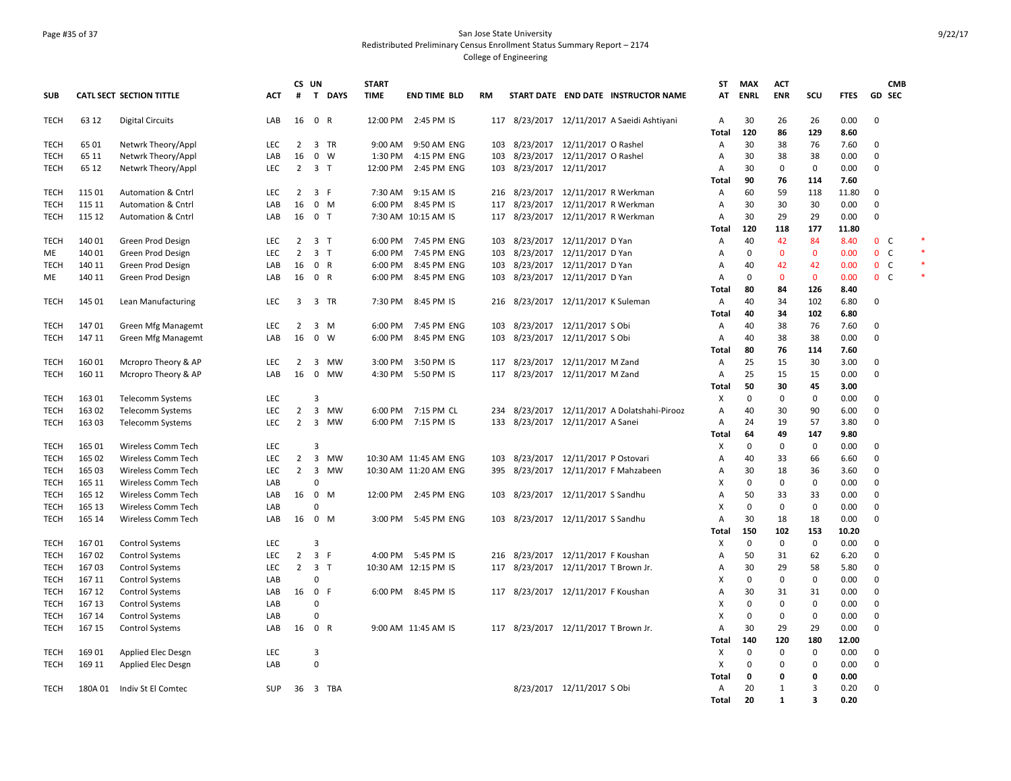### Page #35 of 37 San Jose State University Redistributed Preliminary Census Enrollment Status Summary Report – 2174 College of Engineering

|             |                  |                                        |            | CS UN                            |                            |             | <b>START</b>       |                                    |            |                                      |                                |                                             | <b>ST</b>                 | <b>MAX</b>  | <b>ACT</b>        |                          |              |                                | <b>CMB</b> |  |
|-------------|------------------|----------------------------------------|------------|----------------------------------|----------------------------|-------------|--------------------|------------------------------------|------------|--------------------------------------|--------------------------------|---------------------------------------------|---------------------------|-------------|-------------------|--------------------------|--------------|--------------------------------|------------|--|
| <b>SUB</b>  |                  | <b>CATL SECT SECTION TITTLE</b>        | АСТ        | #                                |                            | T DAYS      | <b>TIME</b>        | <b>END TIME BLD</b>                | <b>RM</b>  |                                      |                                | START DATE END DATE INSTRUCTOR NAME         | AT                        | <b>ENRL</b> | ENR               | SCU                      | <b>FTES</b>  | GD SEC                         |            |  |
| <b>TECH</b> | 63 12            | <b>Digital Circuits</b>                | LAB        | 16                               | 0 R                        |             |                    | 12:00 PM 2:45 PM IS                |            |                                      |                                | 117 8/23/2017 12/11/2017 A Saeidi Ashtiyani | $\overline{A}$            | 30          | 26                | 26                       | 0.00         | $\mathbf 0$                    |            |  |
|             |                  |                                        |            |                                  |                            |             |                    |                                    |            |                                      |                                |                                             | Total                     | 120         | 86                | 129                      | 8.60         |                                |            |  |
| <b>TECH</b> | 65 01            | Netwrk Theory/Appl                     | LEC        | $\overline{2}$                   |                            | 3 TR        | $9:00$ AM          | 9:50 AM ENG                        | 103        | 8/23/2017 12/11/2017 O Rashel        |                                |                                             | Α                         | 30          | 38                | 76                       | 7.60         | $\mathbf 0$                    |            |  |
| TECH        | 65 11            | Netwrk Theory/Appl                     | LAB        | 16                               |                            | $0 \quad W$ | 1:30 PM            | 4:15 PM ENG                        | 103        | 8/23/2017 12/11/2017 O Rashel        |                                |                                             | Α                         | 30          | 38                | 38                       | 0.00         | $\Omega$                       |            |  |
| TECH        | 65 12            | Netwrk Theory/Appl                     | <b>LEC</b> | $\overline{2}$                   | 3 <sub>1</sub>             |             | 12:00 PM           | 2:45 PM ENG                        | 103        | 8/23/2017 12/11/2017                 |                                |                                             | A                         | 30          | $\mathbf 0$       | $\mathbf 0$              | 0.00         | $\mathbf 0$                    |            |  |
|             |                  |                                        |            |                                  |                            |             |                    |                                    |            |                                      |                                |                                             | Total                     | 90          | 76                | 114                      | 7.60         |                                |            |  |
| TECH        | 115 01           | <b>Automation &amp; Cntrl</b>          | LEC        | $\overline{2}$                   | 3 F                        |             | 7:30 AM            | 9:15 AM IS                         | 216        | 8/23/2017 12/11/2017 R Werkman       |                                |                                             | Α                         | 60          | 59                | 118                      | 11.80        | 0                              |            |  |
| <b>TECH</b> | 115 11           | <b>Automation &amp; Cntrl</b>          | LAB        | 16                               | $0 \mathsf{M}$             |             | 6:00 PM            | 8:45 PM IS                         | 117        | 8/23/2017 12/11/2017 R Werkman       |                                |                                             | Α                         | 30          | 30                | 30                       | 0.00         | 0                              |            |  |
| TECH        | 115 12           | <b>Automation &amp; Cntrl</b>          | LAB        | 16                               | 0 <sub>T</sub>             |             |                    | 7:30 AM 10:15 AM IS                | 117        |                                      | 8/23/2017 12/11/2017 R Werkman |                                             | A                         | 30          | 29                | 29                       | 0.00         | $\Omega$                       |            |  |
|             |                  |                                        |            |                                  |                            |             |                    |                                    |            |                                      |                                |                                             | Total                     | 120         | 118               | 177                      | 11.80        |                                |            |  |
| <b>TECH</b> | 140 01           | Green Prod Design                      | LEC        | $\overline{2}$<br>$\overline{2}$ | 3 <sub>1</sub>             |             |                    | 6:00 PM 7:45 PM ENG<br>7:45 PM ENG |            | 103 8/23/2017 12/11/2017 D Yan       |                                |                                             | Α                         | 40          | 42                | 84<br>$\mathbf{0}$       | 8.40         | 0 <sup>o</sup><br>$\mathsf{C}$ |            |  |
| МE          | 140 01<br>140 11 | Green Prod Design                      | LEC        | 16                               | 3 <sub>1</sub><br>0 R      |             | 6:00 PM<br>6:00 PM | 8:45 PM ENG                        | 103        | 8/23/2017 12/11/2017 D Yan           |                                |                                             | Α<br>Α                    | 0<br>40     | $\mathbf 0$<br>42 | 42                       | 0.00<br>0.00 | $\mathbf 0$<br>0 <sup>o</sup>  |            |  |
| TECH<br>ME  | 140 11           | Green Prod Design<br>Green Prod Design | LAB<br>LAB | 16                               | 0 R                        |             | 6:00 PM            | 8:45 PM ENG                        | 103<br>103 | 8/23/2017 12/11/2017 D Yan           | 8/23/2017 12/11/2017 D Yan     |                                             | $\overline{A}$            | 0           | $\mathbf{0}$      | $\mathbf{0}$             | 0.00         | 0 <sup>o</sup>                 |            |  |
|             |                  |                                        |            |                                  |                            |             |                    |                                    |            |                                      |                                |                                             | Total                     | 80          | 84                | 126                      | 8.40         |                                |            |  |
| TECH        | 145 01           | Lean Manufacturing                     | <b>LEC</b> | 3                                |                            | 3 TR        | 7:30 PM            | 8:45 PM IS                         | 216        | 8/23/2017 12/11/2017 K Suleman       |                                |                                             | $\overline{A}$            | 40          | 34                | 102                      | 6.80         | $\Omega$                       |            |  |
|             |                  |                                        |            |                                  |                            |             |                    |                                    |            |                                      |                                |                                             | Total                     | 40          | 34                | 102                      | 6.80         |                                |            |  |
| <b>TECH</b> | 14701            | Green Mfg Managemt                     | LEC        | $\overline{2}$                   |                            | $3 \, M$    | 6:00 PM            | 7:45 PM ENG                        |            | 103 8/23/2017 12/11/2017 S Obi       |                                |                                             | A                         | 40          | 38                | 76                       | 7.60         | $\mathbf 0$                    |            |  |
| TECH        | 147 11           | Green Mfg Managemt                     | LAB        | 16                               | $\mathbf{0}$               | w           | 6:00 PM            | 8:45 PM ENG                        | 103        | 8/23/2017 12/11/2017 S Obi           |                                |                                             | A                         | 40          | 38                | 38                       | 0.00         | 0                              |            |  |
|             |                  |                                        |            |                                  |                            |             |                    |                                    |            |                                      |                                |                                             | <b>Total</b>              | 80          | 76                | 114                      | 7.60         |                                |            |  |
| TECH        | 160 01           | Mcropro Theory & AP                    | LEC        | 2                                | 3                          | МW          | 3:00 PM            | 3:50 PM IS                         | 117        | 8/23/2017 12/11/2017 M Zand          |                                |                                             | Α                         | 25          | 15                | 30                       | 3.00         | $\mathbf 0$                    |            |  |
| <b>TECH</b> | 160 11           | Mcropro Theory & AP                    | LAB        | 16                               | $\mathbf 0$                | MW          | 4:30 PM            | 5:50 PM IS                         |            | 117 8/23/2017 12/11/2017 M Zand      |                                |                                             | Α                         | 25          | 15                | 15                       | 0.00         | $\mathbf 0$                    |            |  |
|             |                  |                                        |            |                                  |                            |             |                    |                                    |            |                                      |                                |                                             | Total                     | 50          | 30                | 45                       | 3.00         |                                |            |  |
| TECH        | 163 01           | Telecomm Systems                       | LEC        |                                  | 3                          |             |                    |                                    |            |                                      |                                |                                             | Х                         | 0           | 0                 | 0                        | 0.00         | 0                              |            |  |
| TECH        | 163 02           | <b>Telecomm Systems</b>                | <b>LEC</b> | $\overline{2}$                   |                            | 3 MW        |                    | 6:00 PM 7:15 PM CL                 | 234        |                                      |                                | 8/23/2017 12/11/2017 A Dolatshahi-Pirooz    | Α                         | 40          | 30                | 90                       | 6.00         | $\mathbf 0$                    |            |  |
| TECH        | 163 03           | Telecomm Systems                       | LEC        | $\overline{2}$                   | $\overline{3}$             | MW          |                    | 6:00 PM 7:15 PM IS                 |            | 133 8/23/2017 12/11/2017 A Sanei     |                                |                                             | A                         | 24          | 19                | 57                       | 3.80         | $\mathbf 0$                    |            |  |
|             |                  |                                        |            |                                  |                            |             |                    |                                    |            |                                      |                                |                                             | <b>Total</b>              | 64          | 49                | 147                      | 9.80         |                                |            |  |
| TECH        | 165 01           | Wireless Comm Tech                     | LEC        |                                  | 3                          |             |                    |                                    |            |                                      |                                |                                             | X                         | $\mathbf 0$ | $\mathbf 0$       | $\mathbf 0$              | 0.00         | $\Omega$                       |            |  |
| <b>TECH</b> | 165 02           | Wireless Comm Tech                     | LEC        | $\overline{2}$                   | 3                          | MW          |                    | 10:30 AM 11:45 AM ENG              |            | 103 8/23/2017 12/11/2017 P Ostovari  |                                |                                             | A                         | 40          | 33                | 66                       | 6.60         | $\mathbf 0$                    |            |  |
| TECH        | 165 03           | Wireless Comm Tech                     | LEC        | $\overline{2}$                   | 3                          | <b>MW</b>   |                    | 10:30 AM 11:20 AM ENG              | 395        |                                      |                                | 8/23/2017 12/11/2017 F Mahzabeen            | Α                         | 30          | 18                | 36                       | 3.60         | 0                              |            |  |
| <b>TECH</b> | 165 11           | <b>Wireless Comm Tech</b>              | LAB        |                                  | $\Omega$                   |             |                    |                                    |            |                                      |                                |                                             | X                         | 0           | $\mathbf 0$       | $\mathbf 0$              | 0.00         | $\mathbf 0$                    |            |  |
| TECH        | 165 12           | <b>Wireless Comm Tech</b>              | LAB        | 16                               | $\mathbf 0$                | M           |                    | 12:00 PM 2:45 PM ENG               | 103        | 8/23/2017 12/11/2017 S Sandhu        |                                |                                             | $\overline{A}$            | 50          | 33                | 33                       | 0.00         | $\mathbf 0$                    |            |  |
| TECH        | 165 13           | <b>Wireless Comm Tech</b>              | LAB        |                                  | $\Omega$                   |             |                    |                                    |            |                                      |                                |                                             | X                         | $\mathbf 0$ | $\mathbf 0$       | $\mathbf 0$              | 0.00         | $\mathbf 0$                    |            |  |
| TECH        | 165 14           | Wireless Comm Tech                     | LAB        | 16                               | $0 \mathsf{M}$             |             |                    | 3:00 PM 5:45 PM ENG                |            | 103 8/23/2017 12/11/2017 S Sandhu    |                                |                                             | $\overline{A}$            | 30          | 18                | 18                       | 0.00         | $\Omega$                       |            |  |
|             |                  |                                        |            |                                  |                            |             |                    |                                    |            |                                      |                                |                                             | Total                     | 150         | 102               | 153                      | 10.20        |                                |            |  |
| <b>TECH</b> | 16701            | <b>Control Systems</b>                 | <b>LEC</b> |                                  | 3                          |             |                    |                                    |            |                                      |                                |                                             | х                         | $\mathbf 0$ | $\mathbf 0$       | $\mathbf 0$              | 0.00         | $\mathbf 0$                    |            |  |
| TECH        | 167 02           | <b>Control Systems</b>                 | <b>LEC</b> | $\overline{2}$                   | 3 F                        |             |                    | 4:00 PM 5:45 PM IS                 | 216        | 8/23/2017 12/11/2017 F Koushan       |                                |                                             | A                         | 50          | 31                | 62                       | 6.20         | $\Omega$                       |            |  |
| TECH        | 16703            | <b>Control Systems</b>                 | LEC        | $\overline{2}$                   | 3 <sub>1</sub>             |             |                    | 10:30 AM 12:15 PM IS               |            | 117 8/23/2017 12/11/2017 T Brown Jr. |                                |                                             | Α                         | 30          | 29                | 58                       | 5.80         | $\mathbf 0$                    |            |  |
| TECH        | 167 11           | <b>Control Systems</b>                 | LAB        |                                  | 0                          |             |                    |                                    |            |                                      |                                |                                             | X                         | 0           | $\mathbf 0$       | $\mathbf 0$              | 0.00         | $\Omega$                       |            |  |
| TECH        | 167 12           | <b>Control Systems</b>                 | LAB        | 16 0 F                           |                            |             |                    | 6:00 PM 8:45 PM IS                 |            | 117 8/23/2017 12/11/2017 F Koushan   |                                |                                             | $\overline{A}$            | 30          | 31                | 31                       | 0.00         | $\mathbf 0$                    |            |  |
| TECH        | 167 13           | <b>Control Systems</b>                 | LAB        |                                  | $\Omega$                   |             |                    |                                    |            |                                      |                                |                                             | X                         | $\mathbf 0$ | $\mathbf 0$       | $\mathbf 0$              | 0.00         | $\mathbf 0$                    |            |  |
| TECH        | 167 14           | <b>Control Systems</b>                 | LAB        |                                  | $\Omega$                   |             |                    |                                    |            |                                      |                                |                                             | $\boldsymbol{\mathsf{x}}$ | $\mathbf 0$ | $\mathbf 0$       | $\mathbf 0$              | 0.00         | $\Omega$                       |            |  |
| TECH        | 167 15           | <b>Control Systems</b>                 | LAB        | 16 0 R                           |                            |             |                    | 9:00 AM 11:45 AM IS                |            | 117 8/23/2017 12/11/2017 T Brown Jr. |                                |                                             | Α                         | 30          | 29                | 29                       | 0.00         | $\Omega$                       |            |  |
|             |                  |                                        |            |                                  |                            |             |                    |                                    |            |                                      |                                |                                             | Total                     | 140         | 120               | 180                      | 12.00        |                                |            |  |
| <b>TECH</b> | 169 01           | Applied Elec Desgn                     | LEC        |                                  | $\overline{3}$<br>$\Omega$ |             |                    |                                    |            |                                      |                                |                                             | х<br>X                    | 0<br>0      | $\mathbf 0$<br>0  | $\mathbf 0$<br>$\pmb{0}$ | 0.00         | 0<br>$\Omega$                  |            |  |
| TECH        | 169 11           | Applied Elec Desgn                     | LAB        |                                  |                            |             |                    |                                    |            |                                      |                                |                                             |                           | 0           | 0                 |                          | 0.00         |                                |            |  |
| <b>TECH</b> | 180A 01          | Indiv St El Comtec                     | <b>SUP</b> |                                  |                            | 36 3 TBA    |                    |                                    |            |                                      | 8/23/2017 12/11/2017 S Obi     |                                             | Total<br>$\overline{A}$   | 20          | 1                 | 0<br>3                   | 0.00<br>0.20 | $\mathbf 0$                    |            |  |
|             |                  |                                        |            |                                  |                            |             |                    |                                    |            |                                      |                                |                                             | Total                     | 20          | $\mathbf{1}$      | $\overline{\mathbf{3}}$  | 0.20         |                                |            |  |
|             |                  |                                        |            |                                  |                            |             |                    |                                    |            |                                      |                                |                                             |                           |             |                   |                          |              |                                |            |  |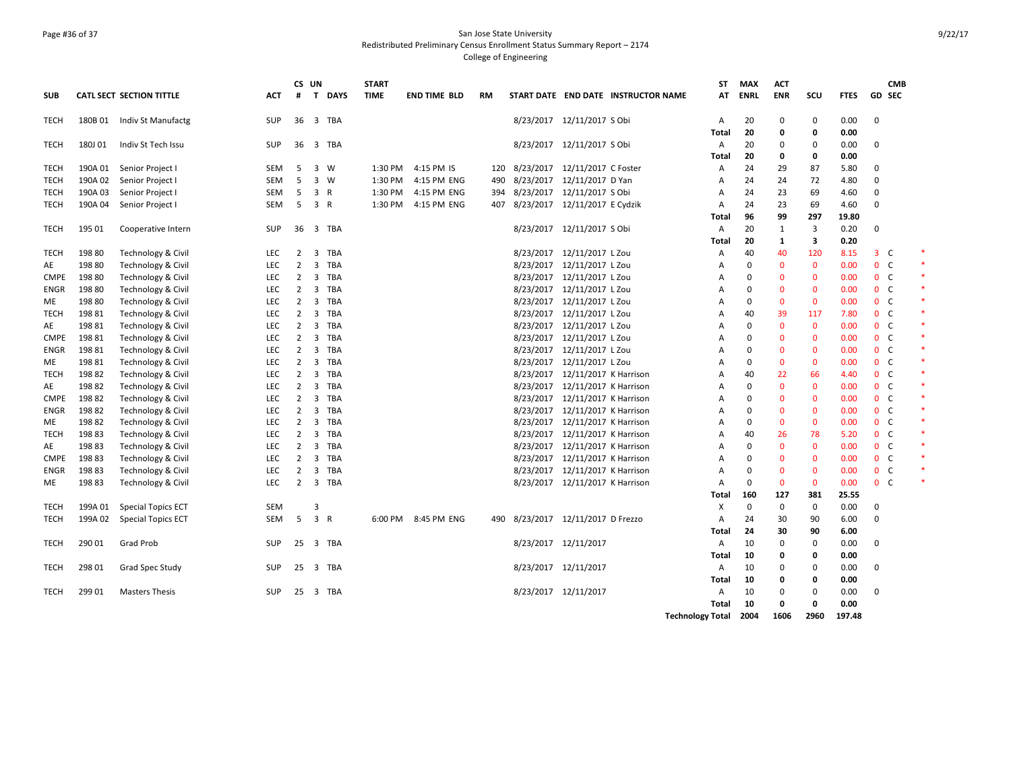### Page #36 of 37 San Jose State University Redistributed Preliminary Census Enrollment Status Summary Report – 2174 College of Engineering

|             |         |                                 |            | CS UN          |                         |              | <b>START</b> |                     |     |                                   |                                 |                                     | <b>ST</b>               | <b>MAX</b>  | <b>ACT</b>       |              |              |                              | <b>CMB</b> |
|-------------|---------|---------------------------------|------------|----------------|-------------------------|--------------|--------------|---------------------|-----|-----------------------------------|---------------------------------|-------------------------------------|-------------------------|-------------|------------------|--------------|--------------|------------------------------|------------|
| <b>SUB</b>  |         | <b>CATL SECT SECTION TITTLE</b> | ACT        | #              | $\mathbf{T}$            | <b>DAYS</b>  | <b>TIME</b>  | <b>END TIME BLD</b> | RM  |                                   |                                 | START DATE END DATE INSTRUCTOR NAME | AT                      | <b>ENRL</b> | <b>ENR</b>       | scu          | <b>FTES</b>  | <b>GD SEC</b>                |            |
| TECH        | 180B 01 | Indiv St Manufactg              | SUP        | 36             |                         | 3 TBA        |              |                     |     |                                   | 8/23/2017 12/11/2017 S Obi      |                                     | A<br>Total              | 20<br>20    | $\mathbf 0$<br>0 | 0<br>0       | 0.00<br>0.00 | $\mathbf 0$                  |            |
| <b>TECH</b> | 180J 01 | Indiv St Tech Issu              | <b>SUP</b> |                |                         | 36 3 TBA     |              |                     |     |                                   | 8/23/2017 12/11/2017 S Obi      |                                     | Α<br>Total              | 20<br>20    | 0<br>0           | 0<br>0       | 0.00<br>0.00 | 0                            |            |
| TECH        | 190A 01 | Senior Project I                | <b>SEM</b> | 5              |                         | 3 W          | 1:30 PM      | 4:15 PM IS          | 120 |                                   | 8/23/2017 12/11/2017 C Foster   |                                     | A                       | 24          | 29               | 87           | 5.80         | 0                            |            |
| <b>TECH</b> | 190A 02 | Senior Project I                | SEM        | 5              |                         | $3 \quad W$  | 1:30 PM      | 4:15 PM ENG         | 490 | 8/23/2017 12/11/2017 D Yan        |                                 |                                     | Α                       | 24          | 24               | 72           | 4.80         | $\Omega$                     |            |
| TECH        | 190A 03 | Senior Project I                | SEM        | -5             | 3                       | R            | 1:30 PM      | 4:15 PM ENG         |     | 394 8/23/2017 12/11/2017 S Obi    |                                 |                                     | A                       | 24          | 23               | 69           | 4.60         | $\Omega$                     |            |
| TECH        | 190A 04 | Senior Project I                | <b>SEM</b> | 5              | 3 R                     |              | 1:30 PM      | 4:15 PM ENG         |     | 407 8/23/2017 12/11/2017 E Cydzik |                                 |                                     | A                       | 24          | 23               | 69           | 4.60         | $\Omega$                     |            |
|             |         |                                 |            |                |                         |              |              |                     |     |                                   |                                 |                                     | Total                   | 96          | 99               | 297          | 19.80        |                              |            |
| TECH        | 195 01  | Cooperative Intern              | <b>SUP</b> | 36             |                         | 3 TBA        |              |                     |     |                                   | 8/23/2017 12/11/2017 S Obi      |                                     | A                       | 20          | 1                | 3            | 0.20         | $\mathbf 0$                  |            |
|             |         |                                 |            |                |                         |              |              |                     |     |                                   |                                 |                                     | Total                   | 20          | 1                | 3            | 0.20         |                              |            |
| <b>TECH</b> | 198 80  | Technology & Civil              | LEC        | $\overline{2}$ | $\overline{\mathbf{3}}$ | TBA          |              |                     |     |                                   | 8/23/2017 12/11/2017 L Zou      |                                     | Α                       | 40          | 40               | 120          | 8.15         | $3-$                         |            |
| AE          | 198 80  | Technology & Civil              | <b>LEC</b> | $\overline{2}$ | 3                       | TBA          |              |                     |     |                                   | 8/23/2017 12/11/2017 L Zou      |                                     | A                       | O           | $\Omega$         | $\mathbf{0}$ | 0.00         | $\mathbf{0}$<br><sub>c</sub> |            |
| <b>CMPE</b> | 19880   | Technology & Civil              | <b>LEC</b> | $\overline{2}$ |                         | 3 TBA        |              |                     |     |                                   | 8/23/2017 12/11/2017 L Zou      |                                     | A                       | $\Omega$    | $\Omega$         | $\mathbf{0}$ | 0.00         | 0 <sup>o</sup>               |            |
| ENGR        | 198 80  | Technology & Civil              | LEC        | $\overline{2}$ |                         | 3 TBA        |              |                     |     |                                   | 8/23/2017 12/11/2017 L Zou      |                                     | Α                       | 0           | $\mathbf 0$      | $\mathbf 0$  | 0.00         | 0 <sub>c</sub>               |            |
| ME          | 198 80  | Technology & Civil              | <b>LEC</b> | $\overline{2}$ | 3                       | TBA          |              |                     |     |                                   | 8/23/2017 12/11/2017 L Zou      |                                     | A                       | $\Omega$    | $\Omega$         | $\Omega$     | 0.00         | $\mathbf{0}$<br><sub>c</sub> |            |
| TECH        | 19881   | Technology & Civil              | LEC        | 2              |                         | 3 TBA        |              |                     |     |                                   | 8/23/2017 12/11/2017 L Zou      |                                     | A                       | 40          | 39               | 117          | 7.80         | 0 <sup>o</sup>               |            |
| AE          | 19881   | Technology & Civil              | LEC        | $\overline{2}$ |                         | 3 TBA        |              |                     |     |                                   | 8/23/2017 12/11/2017 L Zou      |                                     | $\overline{A}$          | 0           | $\mathbf 0$      | $\mathbf 0$  | 0.00         | 0 <sup>o</sup>               |            |
| <b>CMPE</b> | 198 81  | Technology & Civil              | <b>LEC</b> | $\overline{2}$ | 3                       | TBA          |              |                     |     |                                   | 8/23/2017 12/11/2017 L Zou      |                                     | A                       | $\Omega$    | $\Omega$         | $\mathbf{0}$ | 0.00         | 0 <sup>o</sup>               |            |
| ENGR        | 198 81  | Technology & Civil              | LEC        | $\overline{2}$ |                         | 3 TBA        |              |                     |     |                                   | 8/23/2017 12/11/2017 L Zou      |                                     | A                       | $\Omega$    | $\Omega$         | $\mathbf{0}$ | 0.00         | 0 <sup>o</sup>               |            |
| ME          | 198 81  | Technology & Civil              | LEC        | $\overline{2}$ |                         | 3 TBA        |              |                     |     |                                   | 8/23/2017 12/11/2017 L Zou      |                                     | A                       | 0           | $\mathbf{0}$     | $\mathbf 0$  | 0.00         | 0 <sub>c</sub>               |            |
| TECH        | 198 82  | Technology & Civil              | <b>LEC</b> | $\overline{2}$ | 3                       | TBA          |              |                     |     |                                   | 8/23/2017 12/11/2017 K Harrison |                                     | A                       | 40          | 22               | 66           | 4.40         | 0 <sup>o</sup>               |            |
| AE          | 198 82  | Technology & Civil              | <b>LEC</b> | $\overline{2}$ |                         | 3 TBA        |              |                     |     |                                   | 8/23/2017 12/11/2017 K Harrison |                                     | A                       | $\Omega$    | $\mathbf{0}$     | $\mathbf{0}$ | 0.00         | 0 <sup>o</sup>               |            |
| <b>CMPE</b> | 198 82  | Technology & Civil              | LEC        | $\overline{2}$ |                         | 3 TBA        |              |                     |     |                                   | 8/23/2017 12/11/2017 K Harrison |                                     | Α                       | $\Omega$    | $\mathbf{0}$     | $\mathbf 0$  | 0.00         | 0 <sup>o</sup>               |            |
| ENGR        | 19882   | Technology & Civil              | <b>LEC</b> | $\overline{2}$ | 3                       | TBA          |              |                     |     |                                   | 8/23/2017 12/11/2017 K Harrison |                                     | A                       | O           | $\Omega$         | $\Omega$     | 0.00         | $\mathbf{0}$<br><b>C</b>     |            |
| ME          | 19882   | Technology & Civil              | <b>LEC</b> | $\overline{2}$ |                         | 3 TBA        |              |                     |     |                                   | 8/23/2017 12/11/2017 K Harrison |                                     | A                       | 0           | $\mathbf{0}$     | $\mathbf{0}$ | 0.00         | 0 <sup>o</sup>               |            |
| TECH        | 19883   | Technology & Civil              | LEC        | $\overline{2}$ |                         | 3 TBA        |              |                     |     |                                   | 8/23/2017 12/11/2017 K Harrison |                                     | Α                       | 40          | 26               | 78           | 5.20         | 0 <sup>o</sup>               |            |
| AE          | 19883   | Technology & Civil              | <b>LEC</b> | $\overline{2}$ | 3                       | TBA          |              |                     |     |                                   | 8/23/2017 12/11/2017 K Harrison |                                     | A                       | $\Omega$    | $\mathbf{0}$     | $\mathbf{0}$ | 0.00         | 0 <sup>o</sup>               |            |
| <b>CMPE</b> | 19883   | Technology & Civil              | LEC        | 2              |                         | 3 TBA        |              |                     |     |                                   | 8/23/2017 12/11/2017 K Harrison |                                     | A                       | 0           | $\Omega$         | $\mathbf{0}$ | 0.00         | 0 <sup>o</sup>               |            |
| ENGR        | 19883   | Technology & Civil              | LEC        | 2              | 3                       | TBA          |              |                     |     |                                   | 8/23/2017 12/11/2017 K Harrison |                                     | $\overline{A}$          | $\Omega$    | $\mathbf{0}$     | $\mathbf 0$  | 0.00         | 0 <sup>o</sup>               |            |
| ME.         | 19883   | Technology & Civil              | LEC        | $\overline{2}$ | 3                       | TBA          |              |                     |     |                                   | 8/23/2017 12/11/2017 K Harrison |                                     | A                       | $\Omega$    | $\mathbf{0}$     | $\mathbf{0}$ | 0.00         | 0 <sup>o</sup>               |            |
|             |         |                                 |            |                |                         |              |              |                     |     |                                   |                                 |                                     | Total                   | 160         | 127              | 381          | 25.55        |                              |            |
| <b>TECH</b> | 199A 01 | <b>Special Topics ECT</b>       | SEM        |                | 3                       |              |              |                     |     |                                   |                                 |                                     | х                       | 0           | $\mathbf 0$      | 0            | 0.00         | 0                            |            |
| <b>TECH</b> | 199A 02 | <b>Special Topics ECT</b>       | <b>SEM</b> | 5              | $\overline{3}$          | $\mathsf{R}$ | 6:00 PM      | 8:45 PM ENG         | 490 |                                   | 8/23/2017 12/11/2017 D Frezzo   |                                     | $\overline{A}$          | 24          | 30               | 90           | 6.00         | $\mathbf 0$                  |            |
|             |         |                                 |            |                |                         |              |              |                     |     |                                   |                                 |                                     | Total                   | 24          | 30               | 90           | 6.00         |                              |            |
| <b>TECH</b> | 290 01  | Grad Prob                       | SUP        | 25             |                         | 3 TBA        |              |                     |     |                                   | 8/23/2017 12/11/2017            |                                     | Α                       | 10          | $\mathbf 0$      | $\mathbf 0$  | 0.00         | $\mathbf 0$                  |            |
|             |         |                                 |            |                |                         |              |              |                     |     |                                   |                                 |                                     | Total                   | 10          | 0                | 0            | 0.00         |                              |            |
| TECH        | 298 01  | Grad Spec Study                 | SUP        |                |                         | 25 3 TBA     |              |                     |     |                                   | 8/23/2017 12/11/2017            |                                     | Α                       | 10          | 0                | 0            | 0.00         | $\mathbf 0$                  |            |
|             |         |                                 |            |                |                         |              |              |                     |     |                                   |                                 |                                     | Total                   | 10          | 0                | 0            | 0.00         |                              |            |
| <b>TECH</b> | 299 01  | <b>Masters Thesis</b>           | <b>SUP</b> | $25 \quad 3$   |                         | TBA          |              |                     |     |                                   | 8/23/2017 12/11/2017            |                                     | A                       | 10          | $\Omega$         | $\mathbf 0$  | 0.00         | $\mathbf 0$                  |            |
|             |         |                                 |            |                |                         |              |              |                     |     |                                   |                                 |                                     | Total                   | 10          | 0                | $\Omega$     | 0.00         |                              |            |
|             |         |                                 |            |                |                         |              |              |                     |     |                                   |                                 |                                     | <b>Technology Total</b> | 2004        | 1606             | 2960         | 197.48       |                              |            |